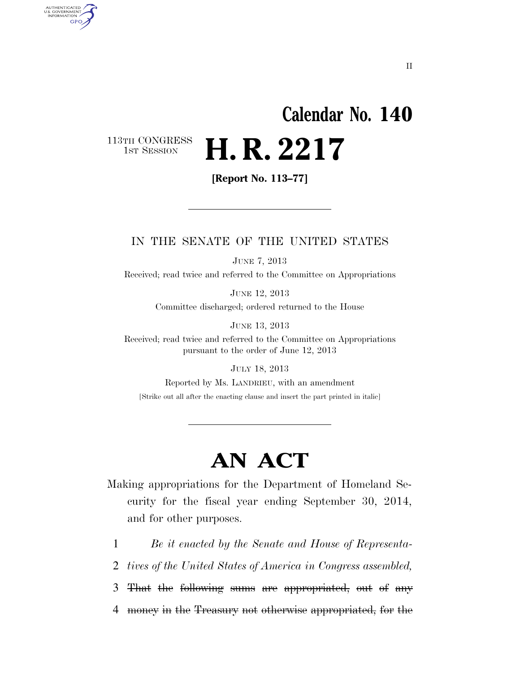# **Calendar No. 140 H. R. 2217**

113TH CONGRESS<br>1st Session

AUTHENTICATED<br>U.S. GOVERNMENT<br>INFORMATION

**GPO** 

**[Report No. 113–77]** 

#### IN THE SENATE OF THE UNITED STATES

JUNE 7, 2013

Received; read twice and referred to the Committee on Appropriations

JUNE 12, 2013

Committee discharged; ordered returned to the House

JUNE 13, 2013

Received; read twice and referred to the Committee on Appropriations pursuant to the order of June 12, 2013

JULY 18, 2013

Reported by Ms. LANDRIEU, with an amendment [Strike out all after the enacting clause and insert the part printed in italic]

## **AN ACT**

Making appropriations for the Department of Homeland Security for the fiscal year ending September 30, 2014, and for other purposes.

1 *Be it enacted by the Senate and House of Representa-*

2 *tives of the United States of America in Congress assembled,* 

3 That the following sums are appropriated, out of any

4 money in the Treasury not otherwise appropriated, for the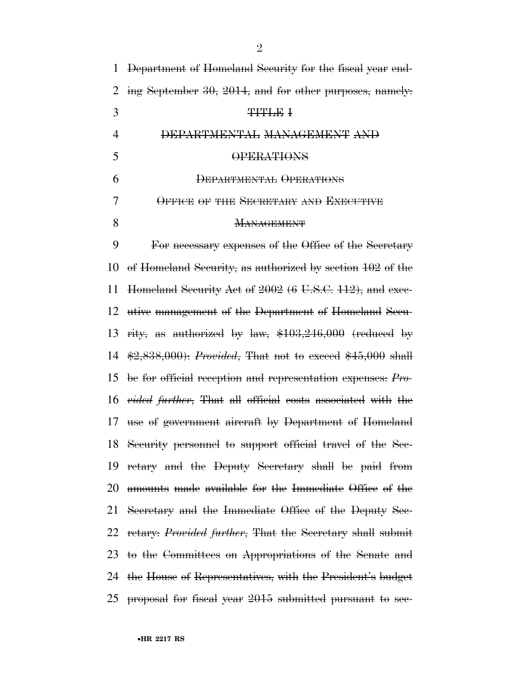| 1              | Department of Homeland Security for the fiscal year end-                              |
|----------------|---------------------------------------------------------------------------------------|
| 2              | ing September 30, 2014, and for other purposes, namely.                               |
| 3              | <b>THTLE I</b>                                                                        |
| $\overline{4}$ | DEPARTMENTAL MANAGEMENT AND                                                           |
| 5              | <b>OPERATIONS</b>                                                                     |
| 6              | DEPARTMENTAL OPERATIONS                                                               |
| 7              | OFFICE OF THE SECRETARY AND EXECUTIVE                                                 |
| 8              | <b>MANAGEMENT</b>                                                                     |
| 9              | For necessary expenses of the Office of the Secretary                                 |
| 10             | of Homeland Security, as authorized by section $102$ of the                           |
| 11             | Homeland Security Act of 2002 (6 U.S.C. 112), and exec-                               |
| 12             | utive management of the Department of Homeland Secu-                                  |
| 13             | rity, as authorized by law, $$103,246,000$ (reduced by                                |
| 14             | $\frac{12,838,000}{10,838,000}$ : <i>Provided</i> , That not to exceed \$45,000 shall |
| 15             | be for official reception and representation expenses: Pro-                           |
| 16             | <i>vided further</i> , That all official costs associated with the                    |
| 17             | use of government aircraft by Department of Homeland                                  |
|                | 18 Security personnel to support official travel of the Sec-                          |
| 19             | retary and the Deputy Secretary shall be paid from                                    |
| 20             | amounts made available for the Immediate Office of the                                |
|                | 21 Secretary and the Immediate Office of the Deputy Sec-                              |
|                | 22 retary: <i>Provided further</i> , That the Secretary shall submit                  |
|                | 23 to the Committees on Appropriations of the Senate and                              |
|                | 24 the House of Representatives, with the President's budget                          |
|                | 25 proposal for fiscal year 2015 submitted pursuant to sec-                           |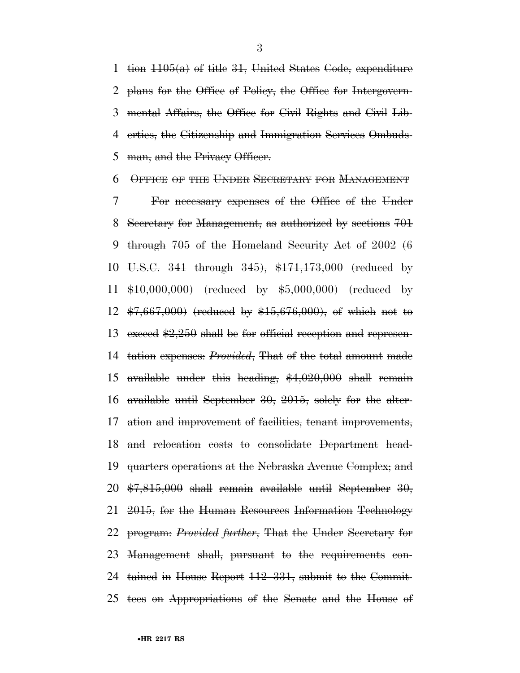1 tion  $1105(a)$  of title 31, United States Code, expenditure plans for the Office of Policy, the Office for Intergovern- mental Affairs, the Office for Civil Rights and Civil Lib- erties, the Citizenship and Immigration Services Ombuds-5 man, and the Privacy Officer.

OFFICE OF THE UNDER SECRETARY FOR MANAGEMENT

 For necessary expenses of the Office of the Under Secretary for Management, as authorized by sections 701 through 705 of the Homeland Security Act of 2002 (6 U.S.C. 341 through 345), \$171,173,000 (reduced by \$10,000,000) (reduced by \$5,000,000) (reduced by \$7,667,000) (reduced by \$15,676,000), of which not to 13 exceed  $\frac{2.250 \text{ shall be for official reception and represen}}{2.250 \text{ shall be for official reception}}$  tation expenses: *Provided*, That of the total amount made available under this heading, \$4,020,000 shall remain available until September 30, 2015, solely for the alter- ation and improvement of facilities, tenant improvements, and relocation costs to consolidate Department head- quarters operations at the Nebraska Avenue Complex; and  $\frac{1}{20}$   $\frac{1}{20}$ ,  $\frac{1}{20}$  shall remain available until September 30, 2015, for the Human Resources Information Technology program: *Provided further*, That the Under Secretary for Management shall, pursuant to the requirements con- tained in House Report 112–331, submit to the Commit-tees on Appropriations of the Senate and the House of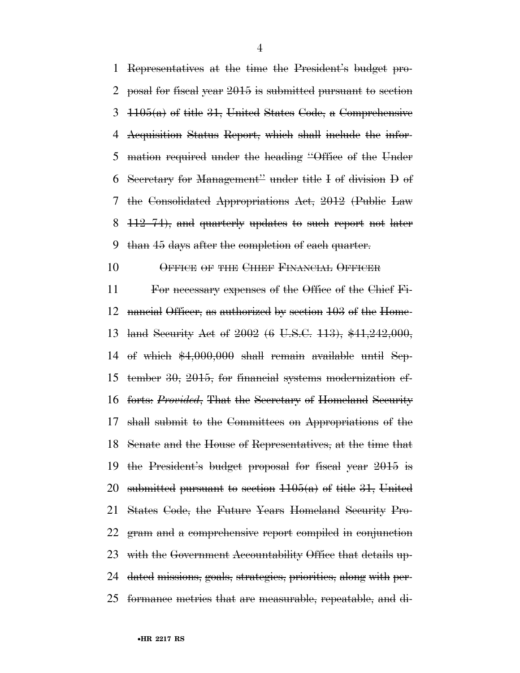Representatives at the time the President's budget pro- posal for fiscal year 2015 is submitted pursuant to section  $3\left(1105(a)\right)$  of title 31, United States Code, a Comprehensive Acquisition Status Report, which shall include the infor- mation required under the heading ''Office of the Under Secretary for Management'' under title I of division D of the Consolidated Appropriations Act, 2012 (Public Law 112–74), and quarterly updates to such report not later than 45 days after the completion of each quarter.

10 OFFICE OF THE CHIEF FINANCIAL OFFICER

 For necessary expenses of the Office of the Chief Fi- nancial Officer, as authorized by section 103 of the Home- land Security Act of 2002 (6 U.S.C. 113), \$41,242,000, of which \$4,000,000 shall remain available until Sep- tember 30, 2015, for financial systems modernization ef- forts: *Provided*, That the Secretary of Homeland Security shall submit to the Committees on Appropriations of the Senate and the House of Representatives, at the time that the President's budget proposal for fiscal year 2015 is 20 submitted pursuant to section  $1105(a)$  of title 31, United States Code, the Future Years Homeland Security Pro- gram and a comprehensive report compiled in conjunction with the Government Accountability Office that details up- dated missions, goals, strategies, priorities, along with per-formance metrics that are measurable, repeatable, and di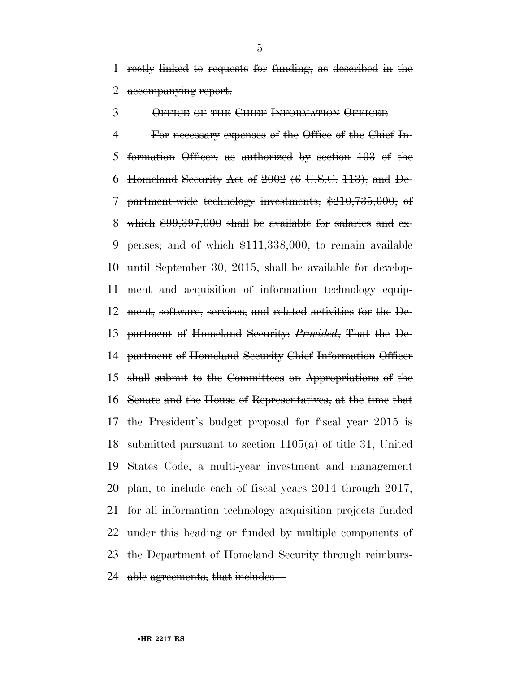rectly linked to requests for funding, as described in the 2 accompanying report.

OFFICE OF THE CHIEF INFORMATION OFFICER

 For necessary expenses of the Office of the Chief In- formation Officer, as authorized by section 103 of the 6 Homeland Security Act of (6 U.S.C. 113), and De- partment-wide technology investments, \$210,735,000; of which \$99,397,000 shall be available for salaries and ex- penses; and of which \$111,338,000, to remain available until September 30, 2015, shall be available for develop- ment and acquisition of information technology equip- ment, software, services, and related activities for the De- partment of Homeland Security: *Provided*, That the De- partment of Homeland Security Chief Information Officer shall submit to the Committees on Appropriations of the Senate and the House of Representatives, at the time that the President's budget proposal for fiscal year 2015 is 18 submitted pursuant to section  $1105(a)$  of title 31, United States Code, a multi-year investment and management plan, to include each of fiscal years 2014 through 2017, for all information technology acquisition projects funded under this heading or funded by multiple components of the Department of Homeland Security through reimburs-24 able agreements, that includes—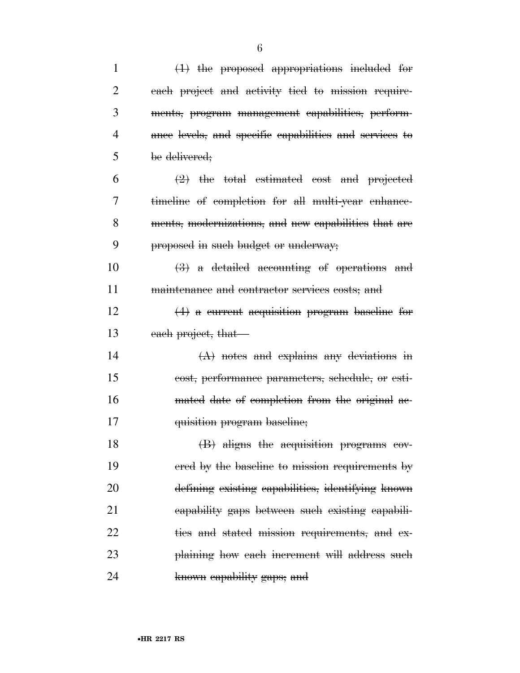| $\mathbf{1}$ | $(1)$ the proposed appropriations included for                     |
|--------------|--------------------------------------------------------------------|
| 2            | each project and activity tied to mission require-                 |
| 3            | ments, program management capabilities, perform-                   |
| 4            | ance levels, and specific capabilities and services to             |
| 5            | be delivered;                                                      |
| 6            | $\left( 2 \right)$ the total estimated cost and projected          |
| 7            | timeline of completion for all multi-year enhance-                 |
| 8            | ments, modernizations, and new capabilities that are               |
| 9            | proposed in such budget or underway;                               |
| 10           | $\left(\frac{3}{2}\right)$ a detailed accounting of operations and |
| 11           | maintenance and contractor services costs; and                     |
| 12           | $(4)$ a current acquisition program baseline for                   |
| 13           | each project, that                                                 |
| 14           | $(A)$ notes and explains any deviations in                         |
| 15           | cost, performance parameters, schedule, or esti-                   |
| 16           | mated date of completion from the original ac-                     |
| 17           | quisition program baseline;                                        |
| 18           | (B) aligns the acquisition programs cov-                           |
| 19           | ered by the baseline to mission requirements by                    |
| 20           | defining existing eapabilities, identifying known                  |
| 21           | eapability gaps between such existing eapabili-                    |
| 22           | ties and stated mission requirements, and ex-                      |
| 23           | plaining how each increment will address such                      |
| 24           | known eapability gaps; and                                         |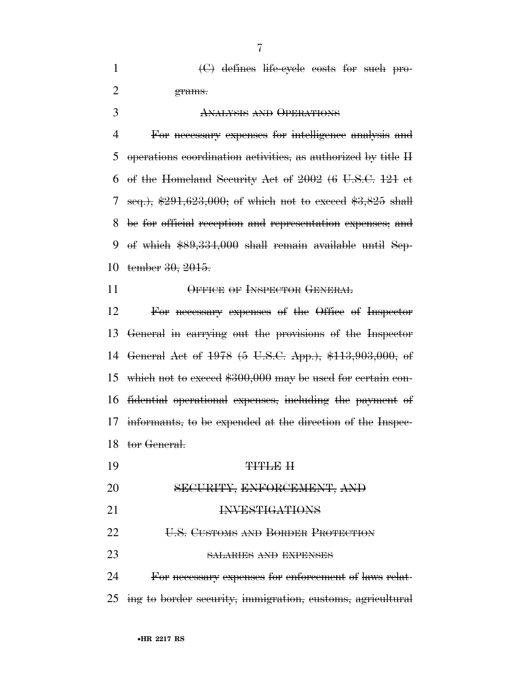1 (C) defines life-cycle costs for such pro-grams.

#### ANALYSIS AND OPERATIONS

 For necessary expenses for intelligence analysis and operations coordination activities, as authorized by title II of the Homeland Security Act of 2002 (6 U.S.C. 121 et seq.), \$291,623,000; of which not to exceed \$3,825 shall be for official reception and representation expenses; and of which \$89,334,000 shall remain available until Sep-tember 30, 2015.

#### 11 OFFICE OF INSPECTOR GENERAL

 For necessary expenses of the Office of Inspector General in carrying out the provisions of the Inspector General Act of 1978 (5 U.S.C. App.), \$113,903,000, of which not to exceed \$300,000 may be used for certain con- fidential operational expenses, including the payment of informants, to be expended at the direction of the Inspec-tor General.

19 TITLE II SECURITY, ENFORCEMENT, AND INVESTIGATIONS **U.S. CUSTOMS AND BORDER PROTECTION** SALARIES AND EXPENSES

 For necessary expenses for enforcement of laws relat-ing to border security, immigration, customs, agricultural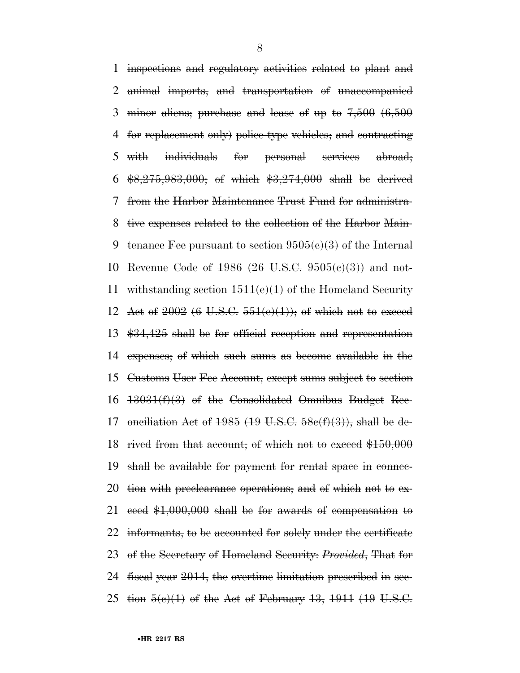inspections and regulatory activities related to plant and animal imports, and transportation of unaccompanied minor aliens; purchase and lease of up to 7,500 (6,500 for replacement only) police-type vehicles; and contracting with individuals for personal services abroad;  $$8,275,983,000$ ; of which  $$3,274,000$  shall be derived from the Harbor Maintenance Trust Fund for administra- tive expenses related to the collection of the Harbor Main-9 tenance Fee pursuant to section  $9505(e)(3)$  of the Internal 10 Revenue Code of (26 U.S.C.  $9505(e)(3)$ ) and not-11 withstanding section  $1511(e)(1)$  of the Homeland Security 12 Act of (6 U.S.C.  $551(e)(1)$ ); of which not to exceed \$34,425 shall be for official reception and representation expenses; of which such sums as become available in the Customs User Fee Account, except sums subject to section 13031(f)(3) of the Consolidated Omnibus Budget Rec-17 onciliation Act of (19 U.S.C.  $58e(f)(3)$ ), shall be de-18 rived from that account; of which not to exceed \$150,000 shall be available for payment for rental space in connec-20 tion with preclearance operations; and of which not to ex- ceed \$1,000,000 shall be for awards of compensation to 22 informants, to be accounted for solely under the certificate of the Secretary of Homeland Security: *Provided*, That for fiscal year 2014, the overtime limitation prescribed in sec-25 tion  $5(e)(1)$  of the Act of February 13, 1911 (19 U.S.C.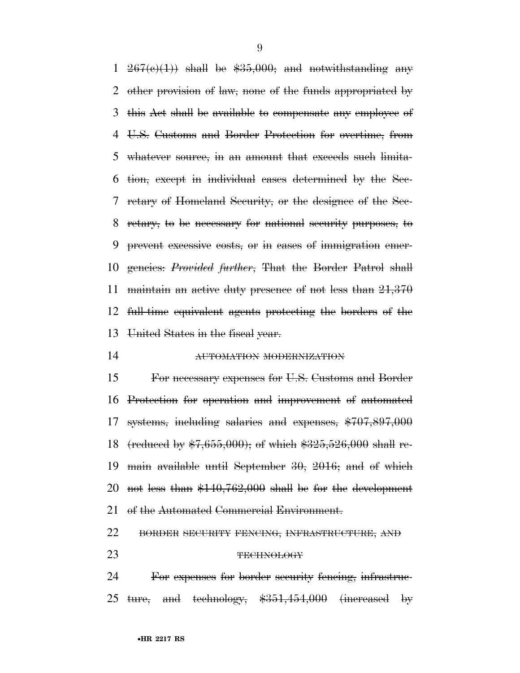$267(e)(1)$  shall be  $$35,000$ ; and notwithstanding any other provision of law, none of the funds appropriated by this Act shall be available to compensate any employee of U.S. Customs and Border Protection for overtime, from 5 whatever source, in an amount that exceeds such limita- tion, except in individual cases determined by the Sec- retary of Homeland Security, or the designee of the Sec- retary, to be necessary for national security purposes, to prevent excessive costs, or in cases of immigration emer- gencies: *Provided further*, That the Border Patrol shall maintain an active duty presence of not less than 21,370 full-time equivalent agents protecting the borders of the United States in the fiscal year.

#### AUTOMATION MODERNIZATION

 For necessary expenses for U.S. Customs and Border Protection for operation and improvement of automated systems, including salaries and expenses, \$707,897,000 (reduced by \$7,655,000); of which \$325,526,000 shall re- main available until September 30, 2016; and of which not less than \$140,762,000 shall be for the development 21 of the Automated Commercial Environment.

#### BORDER SECURITY FENCING, INFRASTRUCTURE, AND

#### 23 TECHNOLOGY

 For expenses for border security fencing, infrastruc-25 ture, and technology,  $\frac{$351,454,000}{100}$  (increased by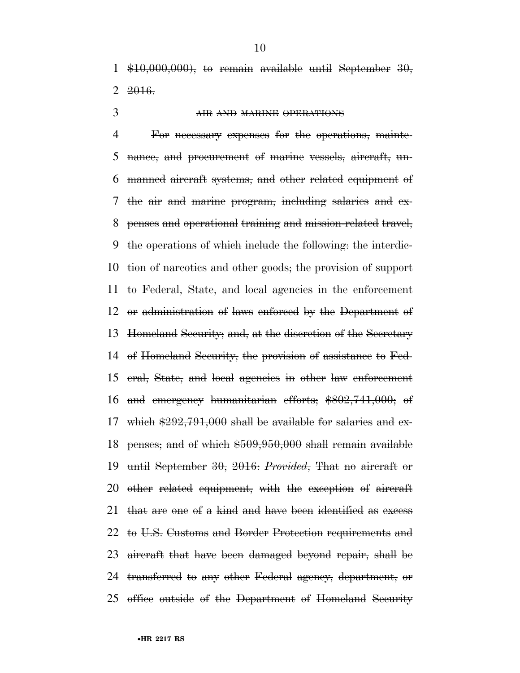1  $$10,000,000$ , to remain available until September 30,  $2 \, 2016.$ 

#### AIR AND MARINE OPERATIONS

 For necessary expenses for the operations, mainte- nance, and procurement of marine vessels, aircraft, un- manned aircraft systems, and other related equipment of the air and marine program, including salaries and ex- penses and operational training and mission-related travel, the operations of which include the following: the interdic- tion of narcotics and other goods; the provision of support to Federal, State, and local agencies in the enforcement or administration of laws enforced by the Department of Homeland Security; and, at the discretion of the Secretary of Homeland Security, the provision of assistance to Fed- eral, State, and local agencies in other law enforcement and emergency humanitarian efforts; \$802,741,000; of which \$292,791,000 shall be available for salaries and ex- penses; and of which \$509,950,000 shall remain available until September 30, 2016: *Provided*, That no aircraft or other related equipment, with the exception of aircraft that are one of a kind and have been identified as excess to U.S. Customs and Border Protection requirements and aircraft that have been damaged beyond repair, shall be transferred to any other Federal agency, department, or office outside of the Department of Homeland Security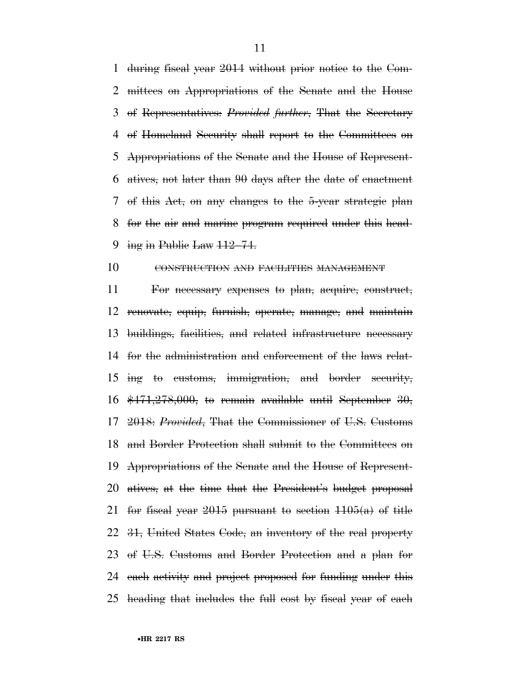during fiscal year 2014 without prior notice to the Com- mittees on Appropriations of the Senate and the House of Representatives: *Provided further*, That the Secretary of Homeland Security shall report to the Committees on Appropriations of the Senate and the House of Represent- atives, not later than 90 days after the date of enactment of this Act, on any changes to the 5-year strategic plan for the air and marine program required under this head-9 ing in Public Law  $112-74$ .

#### CONSTRUCTION AND FACILITIES MANAGEMENT

 For necessary expenses to plan, acquire, construct, renovate, equip, furnish, operate, manage, and maintain buildings, facilities, and related infrastructure necessary for the administration and enforcement of the laws relat- ing to customs, immigration, and border security,  $\frac{471,278,000}{10}$ , to remain available until September 30, 2018: *Provided*, That the Commissioner of U.S. Customs and Border Protection shall submit to the Committees on Appropriations of the Senate and the House of Represent- atives, at the time that the President's budget proposal 21 for fiscal year pursuant to section  $1105(a)$  of title 31, United States Code, an inventory of the real property of U.S. Customs and Border Protection and a plan for each activity and project proposed for funding under this heading that includes the full cost by fiscal year of each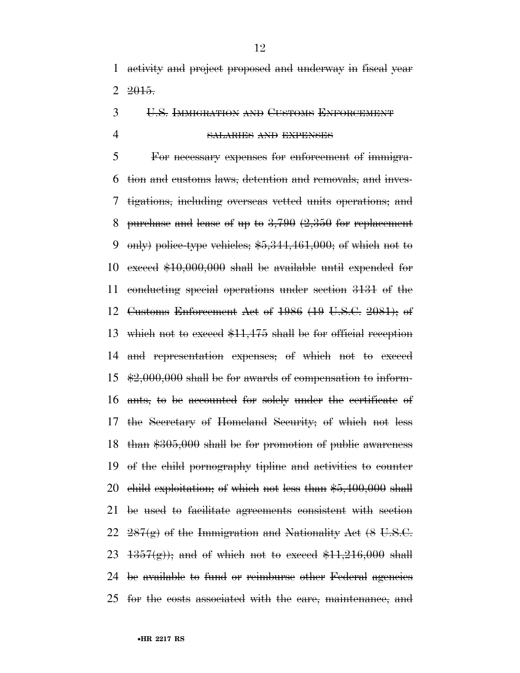activity and project proposed and underway in fiscal year  $2 \t 2015$ .

U.S. IMMIGRATION AND CUSTOMS ENFORCEMENT

#### SALARIES AND EXPENSES

 For necessary expenses for enforcement of immigra- tion and customs laws, detention and removals, and inves- tigations, including overseas vetted units operations; and 8 purchase and lease of up to  $3,790$   $(2,350)$  for replacement 9 only) police-type vehicles;  $$5,344,461,000$ ; of which not to exceed \$10,000,000 shall be available until expended for conducting special operations under section 3131 of the Customs Enforcement Act of 1986 (19 U.S.C. 2081); of which not to exceed \$11,475 shall be for official reception and representation expenses; of which not to exceed \$2,000,000 shall be for awards of compensation to inform- ants, to be accounted for solely under the certificate of the Secretary of Homeland Security; of which not less than \$305,000 shall be for promotion of public awareness of the child pornography tipline and activities to counter child exploitation; of which not less than \$5,400,000 shall be used to facilitate agreements consistent with section  $287(g)$  of the Immigration and Nationality Act  $(8 \text{ U.S.C.})$  $1357(g)$ ; and of which not to exceed  $$11,216,000$  shall be available to fund or reimburse other Federal agencies for the costs associated with the care, maintenance, and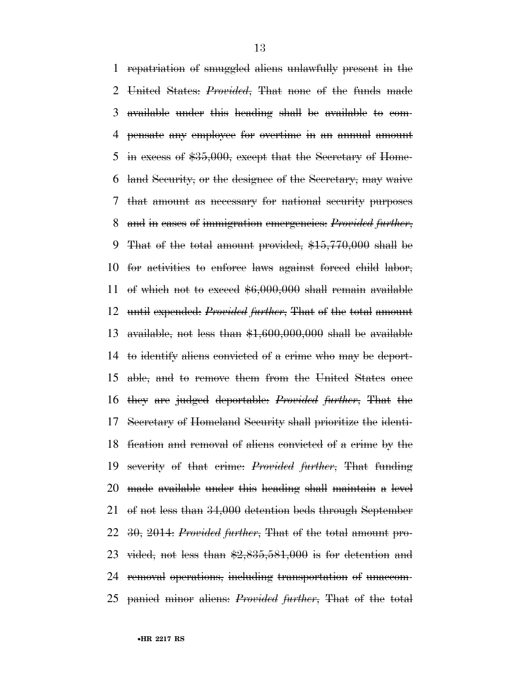repatriation of smuggled aliens unlawfully present in the United States: *Provided*, That none of the funds made available under this heading shall be available to com- pensate any employee for overtime in an annual amount 5 in excess of \$35,000, except that the Secretary of Home- land Security, or the designee of the Secretary, may waive that amount as necessary for national security purposes and in cases of immigration emergencies: *Provided further*, That of the total amount provided, \$15,770,000 shall be for activities to enforce laws against forced child labor, of which not to exceed \$6,000,000 shall remain available until expended: *Provided further*, That of the total amount 13 available, not less than  $$1,600,000,000$  shall be available to identify aliens convicted of a crime who may be deport- able, and to remove them from the United States once they are judged deportable: *Provided further*, That the Secretary of Homeland Security shall prioritize the identi- fication and removal of aliens convicted of a crime by the severity of that crime: *Provided further*, That funding made available under this heading shall maintain a level of not less than 34,000 detention beds through September 30, 2014: *Provided further*, That of the total amount pro-23 vided, not less than  $\frac{2,835,581,000}{2}$  is for detention and removal operations, including transportation of unaccom-panied minor aliens: *Provided further*, That of the total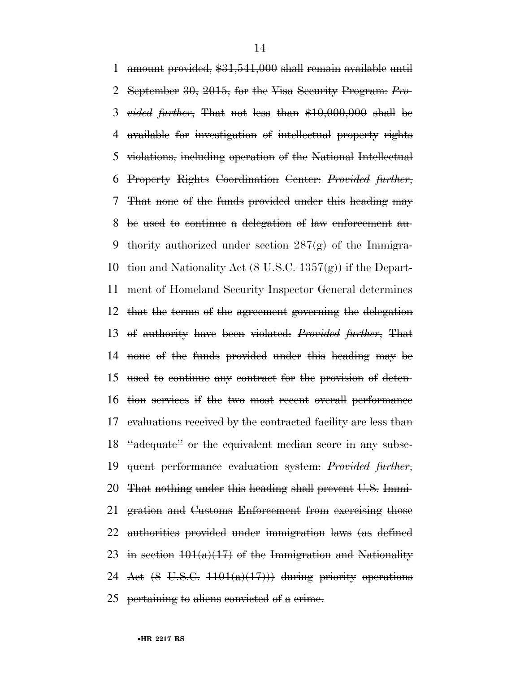amount provided, \$31,541,000 shall remain available until September 30, 2015, for the Visa Security Program: *Pro- vided further*, That not less than \$10,000,000 shall be available for investigation of intellectual property rights violations, including operation of the National Intellectual Property Rights Coordination Center: *Provided further*, That none of the funds provided under this heading may be used to continue a delegation of law enforcement au-9 thority authorized under section  $287(g)$  of the Immigra-10 tion and Nationality Act  $(8 \text{ U.S.C. } 1357(g))$  if the Depart- ment of Homeland Security Inspector General determines that the terms of the agreement governing the delegation of authority have been violated: *Provided further*, That none of the funds provided under this heading may be used to continue any contract for the provision of deten- tion services if the two most recent overall performance evaluations received by the contracted facility are less than 18 "adequate" or the equivalent median score in any subse- quent performance evaluation system: *Provided further*, That nothing under this heading shall prevent U.S. Immi- gration and Customs Enforcement from exercising those authorities provided under immigration laws (as defined 23 in section  $101(a)(17)$  of the Immigration and Nationality 24 Act  $(8 \text{ U.S.C. } 1101(a)(17))$  during priority operations pertaining to aliens convicted of a crime.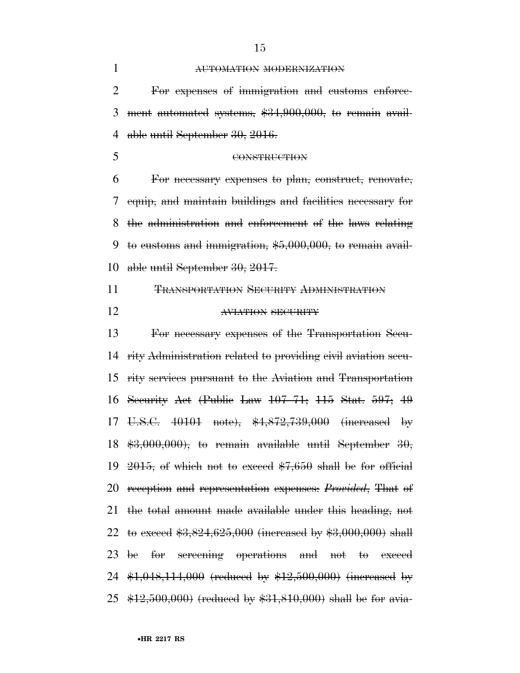| $\mathbf{1}$ | AUTOMATION MODERNIZATION                                                                       |
|--------------|------------------------------------------------------------------------------------------------|
| 2            | For expenses of immigration and eustoms enforce-                                               |
| 3            | ment automated systems, \$34,900,000, to remain avail-                                         |
| 4            | able until September 30, 2016.                                                                 |
| 5            | CONSTRUCTION                                                                                   |
| 6            | For necessary expenses to plan, construct, renovate,                                           |
| 7            | equip, and maintain buildings and facilities necessary for                                     |
| 8            | the administration and enforcement of the laws relating                                        |
| 9            | to eustoms and immigration, $$5,000,000$ , to remain avail-                                    |
| 10           | able until September 30, 2017.                                                                 |
| 11           | <b>TRANSPORTATION SECURITY ADMINISTRATION</b>                                                  |
| 12           | AVIATION SECURITY                                                                              |
| 13           | For necessary expenses of the Transportation Secu-                                             |
| 14           | rity Administration related to providing civil aviation secu-                                  |
| 15           | rity services pursuant to the Aviation and Transportation                                      |
| 16           | Security Act (Public Law $107-71$ ; $115$ Stat. $597$ ; $49$                                   |
| 17           | U.S.C. 40101 note), \$4,872,739,000 (increased by                                              |
|              | 18 $\text{$}3,000,000$ , to remain available until September 30,                               |
| 19           | $2015$ , of which not to exceed $7,650$ shall be for official                                  |
| 20           | reception and representation expenses: <i>Provided</i> , That of                               |
| 21           | the total amount made available under this heading, not                                        |
| 22           | to exceed $*3,824,625,000$ (increased by $*3,000,000$ ) shall                                  |
|              | for screening operations and not to exceed<br>23 be                                            |
|              | 24 $\text{$1,048,114,000}$ (reduced by $\text{$12,500,000}$ ) (increased by                    |
| 25           | $\frac{$12,500,000}{$\text{*}}$ (reduced by $\frac{$31,810,000}{$\text{*}}$ shall be for avia- |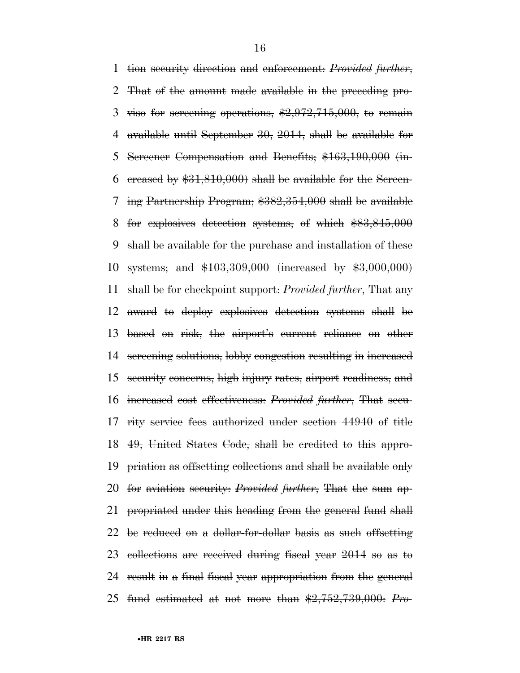tion security direction and enforcement: *Provided further*, That of the amount made available in the preceding pro-3 viso for screening operations,  $\frac{2,972,715,000}{2,000}$  to remain available until September 30, 2014, shall be available for Screener Compensation and Benefits; \$163,190,000 (in-6 creased by  $$31,810,000$  shall be available for the Sereen- ing Partnership Program; \$382,354,000 shall be available for explosives detection systems, of which \$83,845,000 shall be available for the purchase and installation of these systems; and \$103,309,000 (increased by \$3,000,000) shall be for checkpoint support: *Provided further*, That any award to deploy explosives detection systems shall be based on risk, the airport's current reliance on other screening solutions, lobby congestion resulting in increased security concerns, high injury rates, airport readiness, and increased cost effectiveness: *Provided further*, That secu- rity service fees authorized under section 44940 of title 49, United States Code, shall be credited to this appro- priation as offsetting collections and shall be available only for aviation security: *Provided further*, That the sum ap- propriated under this heading from the general fund shall be reduced on a dollar-for-dollar basis as such offsetting collections are received during fiscal year 2014 so as to result in a final fiscal year appropriation from the general fund estimated at not more than \$2,752,739,000: *Pro-*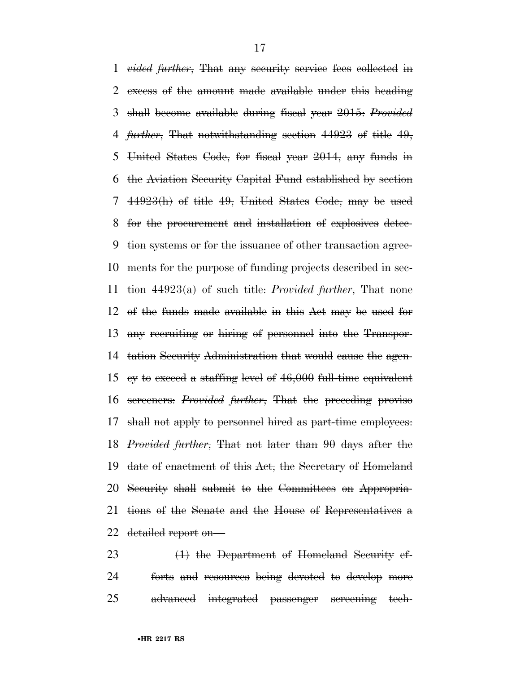*vided further*, That any security service fees collected in excess of the amount made available under this heading shall become available during fiscal year 2015: *Provided further*, That notwithstanding section 44923 of title 49, United States Code, for fiscal year 2014, any funds in the Aviation Security Capital Fund established by section 44923(h) of title 49, United States Code, may be used for the procurement and installation of explosives detec- tion systems or for the issuance of other transaction agree- ments for the purpose of funding projects described in sec- tion 44923(a) of such title: *Provided further*, That none of the funds made available in this Act may be used for any recruiting or hiring of personnel into the Transpor- tation Security Administration that would cause the agen- cy to exceed a staffing level of 46,000 full-time equivalent screeners: *Provided further*, That the preceding proviso shall not apply to personnel hired as part-time employees: *Provided further*, That not later than 90 days after the date of enactment of this Act, the Secretary of Homeland Security shall submit to the Committees on Appropria- tions of the Senate and the House of Representatives a detailed report on—

23 (1) the Department of Homeland Security ef- forts and resources being devoted to develop more advanced integrated passenger screening tech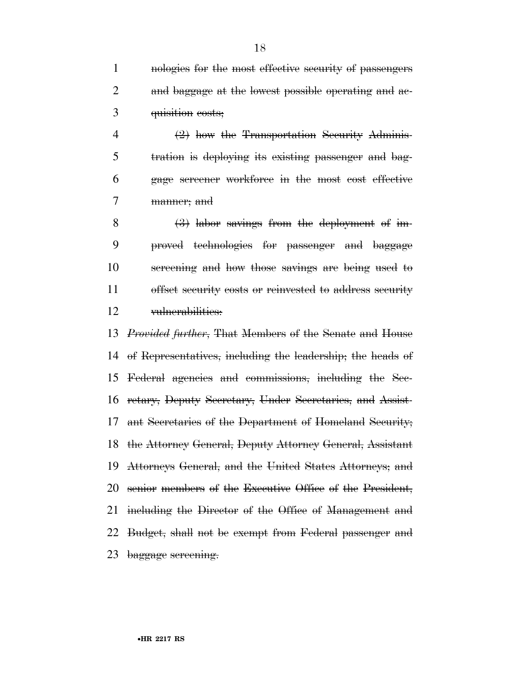nologies for the most effective security of passengers and baggage at the lowest possible operating and ac-quisition costs;

 (2) how the Transportation Security Adminis- tration is deploying its existing passenger and bag- gage screener workforce in the most cost effective manner; and

 (3) labor savings from the deployment of im- proved technologies for passenger and baggage screening and how those savings are being used to offset security costs or reinvested to address security vulnerabilities:

 *Provided further*, That Members of the Senate and House of Representatives, including the leadership; the heads of Federal agencies and commissions, including the Sec- retary, Deputy Secretary, Under Secretaries, and Assist- ant Secretaries of the Department of Homeland Security; the Attorney General, Deputy Attorney General, Assistant Attorneys General, and the United States Attorneys; and senior members of the Executive Office of the President, including the Director of the Office of Management and Budget, shall not be exempt from Federal passenger and baggage screening.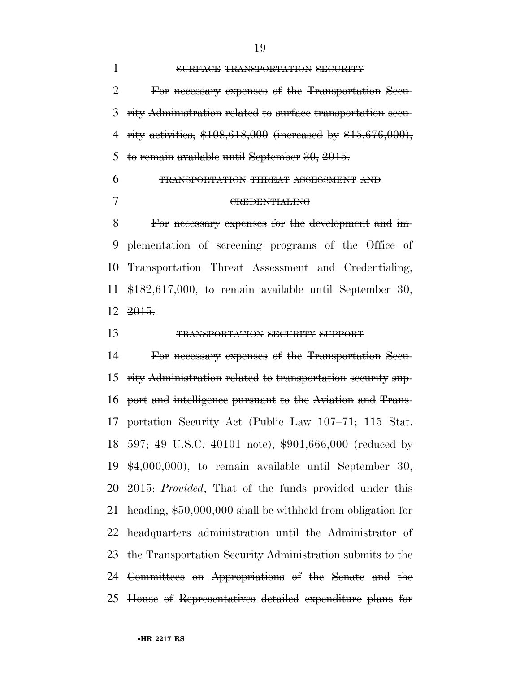| 1              | SURFACE TRANSPORTATION SECURITY                                  |
|----------------|------------------------------------------------------------------|
| $\overline{2}$ | For necessary expenses of the Transportation Secu-               |
| 3              | rity Administration related to surface transportation secu-      |
| 4              | rity activities, $$108,618,000$ (increased by $$15,676,000$ ),   |
| 5              | to remain available until September 30, 2015.                    |
| 6              | TRANSPORTATION THREAT ASSESSMENT AND                             |
| 7              | <b>CREDENTIALING</b>                                             |
| 8              | For necessary expenses for the development and im-               |
| 9              | plementation of sereening programs of the Office of              |
| 10             | Transportation Threat Assessment and Credentialing,              |
| 11             | $$182,617,000$ , to remain available until September 30,         |
|                | $12 \t2015$                                                      |
| 13             | TRANSPORTATION SECURITY SUPPORT                                  |
| 14             | For necessary expenses of the Transportation Secu-               |
| 15             | rity Administration related to transportation security sup-      |
|                | 16 port and intelligence pursuant to the Aviation and Trans-     |
| 17             | portation Security Act (Public Law 107-71; 115 Stat.             |
|                | 18 597; 49 U.S.C. 40101 note), \$901,666,000 (reduced by         |
|                | 19 $*4,000,000$ , to remain available until September 30,        |
|                | 20 2015: <i>Provided</i> , That of the funds provided under this |
| 21             | heading, \$50,000,000 shall be withheld from obligation for      |
| 22             | headquarters administration until the Administrator of           |
| 23             | the Transportation Security Administration submits to the        |
|                | 24 Committees on Appropriations of the Senate and the            |
| 25             | House of Representatives detailed expenditure plans for          |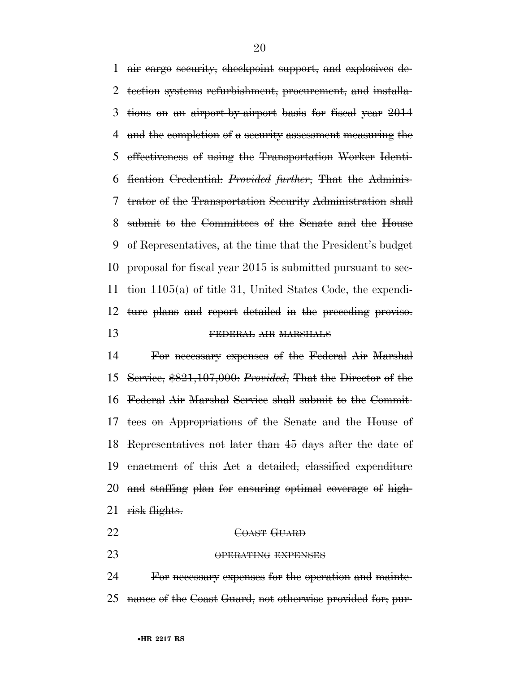air cargo security, checkpoint support, and explosives de- tection systems refurbishment, procurement, and installa- tions on an airport-by-airport basis for fiscal year 2014 and the completion of a security assessment measuring the effectiveness of using the Transportation Worker Identi- fication Credential: *Provided further*, That the Adminis- trator of the Transportation Security Administration shall submit to the Committees of the Senate and the House of Representatives, at the time that the President's budget proposal for fiscal year 2015 is submitted pursuant to sec- tion 1105(a) of title 31, United States Code, the expendi- ture plans and report detailed in the preceding proviso. 13 FEDERAL AIR MARSHALS

 For necessary expenses of the Federal Air Marshal Service, \$821,107,000: *Provided*, That the Director of the Federal Air Marshal Service shall submit to the Commit- tees on Appropriations of the Senate and the House of Representatives not later than 45 days after the date of enactment of this Act a detailed, classified expenditure and staffing plan for ensuring optimal coverage of high-21 risk flights.

- 22 COAST GUARD
- 23 OPERATING EXPENSES

 For necessary expenses for the operation and mainte-nance of the Coast Guard, not otherwise provided for; pur-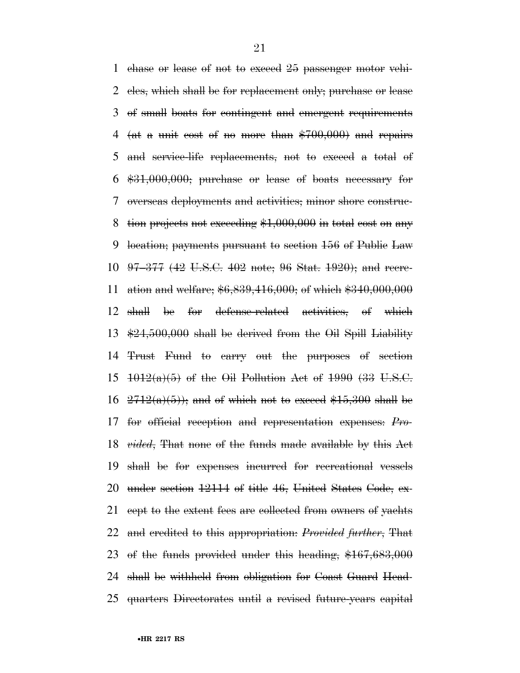chase or lease of not to exceed 25 passenger motor vehi- cles, which shall be for replacement only; purchase or lease of small boats for contingent and emergent requirements 4 (at a unit cost of no more than  $$700,000$ ) and repairs and service-life replacements, not to exceed a total of \$31,000,000; purchase or lease of boats necessary for overseas deployments and activities; minor shore construc- tion projects not exceeding \$1,000,000 in total cost on any location; payments pursuant to section 156 of Public Law 97–377 (42 U.S.C. 402 note; 96 Stat. 1920); and recre- ation and welfare; \$6,839,416,000; of which \$340,000,000 shall be for defense-related activities, of which \$24,500,000 shall be derived from the Oil Spill Liability Trust Fund to carry out the purposes of section  $1012(a)(5)$  of the Oil Pollution Act of 1990 (33 U.S.C.  $2712(a)(5)$ ; and of which not to exceed \$15,300 shall be for official reception and representation expenses: *Pro- vided*, That none of the funds made available by this Act shall be for expenses incurred for recreational vessels under section 12114 of title 46, United States Code, ex- cept to the extent fees are collected from owners of yachts and credited to this appropriation: *Provided further*, That of the funds provided under this heading, \$167,683,000 shall be withheld from obligation for Coast Guard Head-quarters Directorates until a revised future-years capital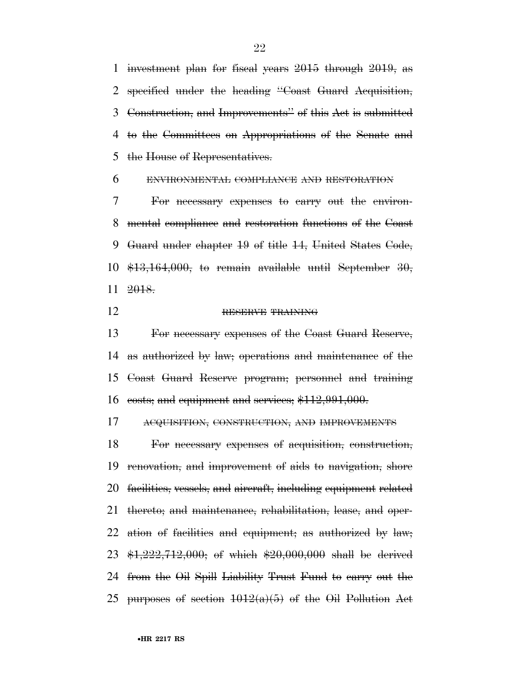investment plan for fiscal years 2015 through 2019, as specified under the heading ''Coast Guard Acquisition, Construction, and Improvements'' of this Act is submitted to the Committees on Appropriations of the Senate and the House of Representatives.

ENVIRONMENTAL COMPLIANCE AND RESTORATION

 For necessary expenses to carry out the environ- mental compliance and restoration functions of the Coast Guard under chapter 19 of title 14, United States Code, \$13,164,000, to remain available until September 30, 2018.

#### RESERVE TRAINING

 For necessary expenses of the Coast Guard Reserve, as authorized by law; operations and maintenance of the Coast Guard Reserve program; personnel and training costs; and equipment and services; \$112,991,000.

ACQUISITION, CONSTRUCTION, AND IMPROVEMENTS

 For necessary expenses of acquisition, construction, renovation, and improvement of aids to navigation, shore facilities, vessels, and aircraft, including equipment related thereto; and maintenance, rehabilitation, lease, and oper- ation of facilities and equipment; as authorized by law; \$1,222,712,000; of which \$20,000,000 shall be derived from the Oil Spill Liability Trust Fund to carry out the 25 purposes of section  $1012(a)(5)$  of the Oil Pollution Act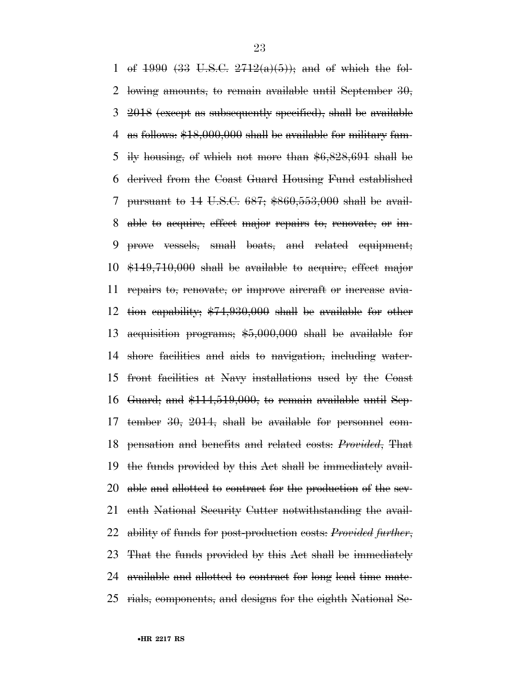1 of (33 U.S.C.  $2712(a)(5)$ ); and of which the fol- lowing amounts, to remain available until September 30, 2018 (except as subsequently specified), shall be available as follows: \$18,000,000 shall be available for military fam- ily housing, of which not more than \$6,828,691 shall be derived from the Coast Guard Housing Fund established pursuant to 14 U.S.C. 687; \$860,553,000 shall be avail- able to acquire, effect major repairs to, renovate, or im- prove vessels, small boats, and related equipment; \$149,710,000 shall be available to acquire, effect major repairs to, renovate, or improve aircraft or increase avia- tion capability; \$74,930,000 shall be available for other acquisition programs; \$5,000,000 shall be available for shore facilities and aids to navigation, including water- front facilities at Navy installations used by the Coast Guard; and \$114,519,000, to remain available until Sep- tember 30, 2014, shall be available for personnel com- pensation and benefits and related costs: *Provided*, That the funds provided by this Act shall be immediately avail- able and allotted to contract for the production of the sev- enth National Security Cutter notwithstanding the avail- ability of funds for post-production costs: *Provided further*, That the funds provided by this Act shall be immediately available and allotted to contract for long lead time mate-rials, components, and designs for the eighth National Se-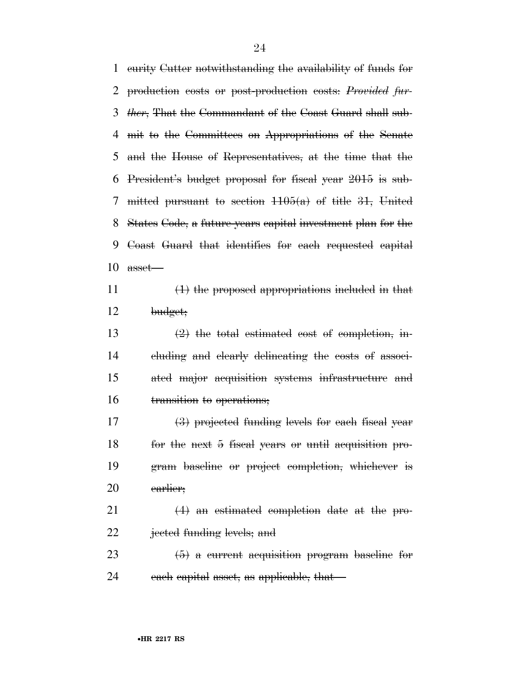curity Cutter notwithstanding the availability of funds for production costs or post-production costs: *Provided fur- ther*, That the Commandant of the Coast Guard shall sub- mit to the Committees on Appropriations of the Senate and the House of Representatives, at the time that the President's budget proposal for fiscal year 2015 is sub- mitted pursuant to section 1105(a) of title 31, United States Code, a future-years capital investment plan for the Coast Guard that identifies for each requested capital asset—  $\left(1\right)$  the proposed appropriations included in that

budget;

 $(2)$  the total estimated cost of completion, in- cluding and clearly delineating the costs of associ- ated major acquisition systems infrastructure and transition to operations;

 (3) projected funding levels for each fiscal year for the next 5 fiscal years or until acquisition pro- gram baseline or project completion, whichever is earlier;

 (4) an estimated completion date at the pro-jected funding levels; and

23  $(5)$  a current acquisition program baseline for 24 each capital asset, as applicable, that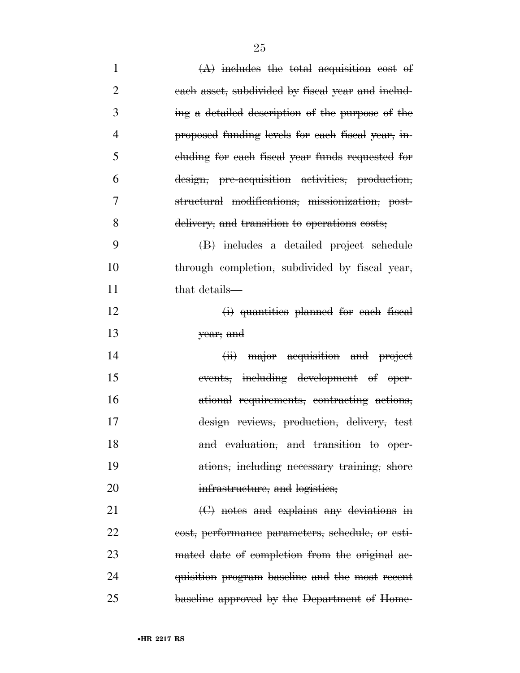- 1  $(A)$  includes the total acquisition cost of each asset, subdivided by fiscal year and includ- ing a detailed description of the purpose of the proposed funding levels for each fiscal year, in- cluding for each fiscal year funds requested for design, pre-acquisition activities, production, structural modifications, missionization, post- delivery, and transition to operations costs; (B) includes a detailed project schedule 10 through completion, subdivided by fiscal year, 11 that details— 12 (i) quantities planned for each fiscal year; and 14 (ii) major acquisition and project events, including development of oper- ational requirements, contracting actions, design reviews, production, delivery, test 18 and evaluation, and transition to oper- ations, including necessary training, shore 20 infrastructure, and logistics; (C) notes and explains any deviations in cost, performance parameters, schedule, or esti-23 mated date of completion from the original ac-
- quisition program baseline and the most recent baseline approved by the Department of Home-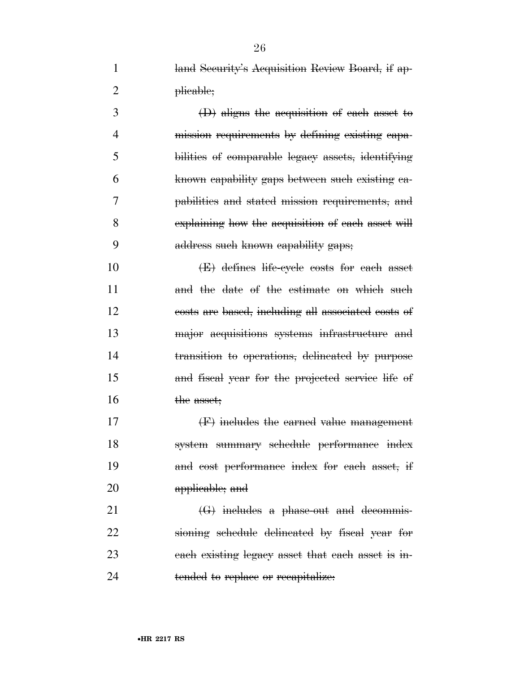1 land Security's Acquisition Review Board, if ap-2 plicable;

 (D) aligns the acquisition of each asset to mission requirements by defining existing capa- bilities of comparable legacy assets, identifying known capability gaps between such existing ca- pabilities and stated mission requirements, and explaining how the acquisition of each asset will address such known capability gaps;

 (E) defines life-cycle costs for each asset 11 and the date of the estimate on which such costs are based, including all associated costs of major acquisitions systems infrastructure and transition to operations, delineated by purpose and fiscal year for the projected service life of 16 the asset;

 (F) includes the earned value management system summary schedule performance index and cost performance index for each asset, if applicable; and

 (G) includes a phase-out and decommis- sioning schedule delineated by fiscal year for each existing legacy asset that each asset is in-24 tended to replace or recapitalize.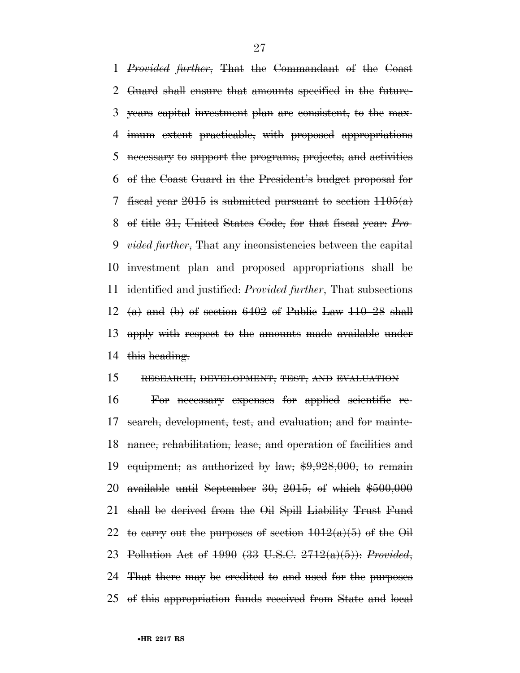*Provided further*, That the Commandant of the Coast Guard shall ensure that amounts specified in the future- years capital investment plan are consistent, to the max- imum extent practicable, with proposed appropriations necessary to support the programs, projects, and activities of the Coast Guard in the President's budget proposal for 7 fiscal year is submitted pursuant to section  $1105(a)$  of title 31, United States Code, for that fiscal year: *Pro- vided further*, That any inconsistencies between the capital investment plan and proposed appropriations shall be identified and justified: *Provided further*, That subsections  $(a)$  and  $(b)$  of section 6402 of Public Law 110–28 shall apply with respect to the amounts made available under 14 this heading.

#### RESEARCH, DEVELOPMENT, TEST, AND EVALUATION

 For necessary expenses for applied scientific re- search, development, test, and evaluation; and for mainte- nance, rehabilitation, lease, and operation of facilities and 19 equipment; as authorized by law;  $$9,928,000$ , to remain available until September 30, 2015, of which \$500,000 shall be derived from the Oil Spill Liability Trust Fund 22 to carry out the purposes of section  $1012(a)(5)$  of the Oil Pollution Act of 1990 (33 U.S.C. 2712(a)(5)): *Provided*, That there may be credited to and used for the purposes of this appropriation funds received from State and local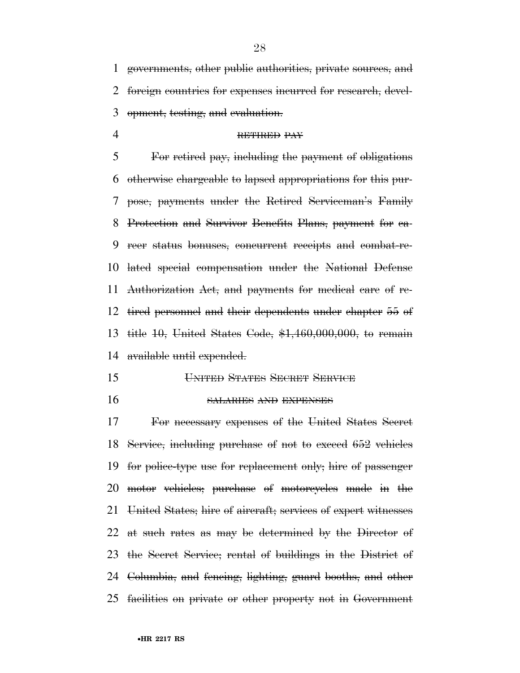governments, other public authorities, private sources, and foreign countries for expenses incurred for research, devel-opment, testing, and evaluation.

#### RETIRED PAY

 For retired pay, including the payment of obligations otherwise chargeable to lapsed appropriations for this pur- pose, payments under the Retired Serviceman's Family Protection and Survivor Benefits Plans, payment for ca- reer status bonuses, concurrent receipts and combat-re- lated special compensation under the National Defense Authorization Act, and payments for medical care of re- tired personnel and their dependents under chapter 55 of title 10, United States Code, \$1,460,000,000, to remain available until expended.

- UNITED STATES SECRET SERVICE
- 

#### SALARIES AND EXPENSES

 For necessary expenses of the United States Secret Service, including purchase of not to exceed 652 vehicles for police-type use for replacement only; hire of passenger motor vehicles; purchase of motorcycles made in the United States; hire of aircraft; services of expert witnesses at such rates as may be determined by the Director of the Secret Service; rental of buildings in the District of Columbia, and fencing, lighting, guard booths, and other facilities on private or other property not in Government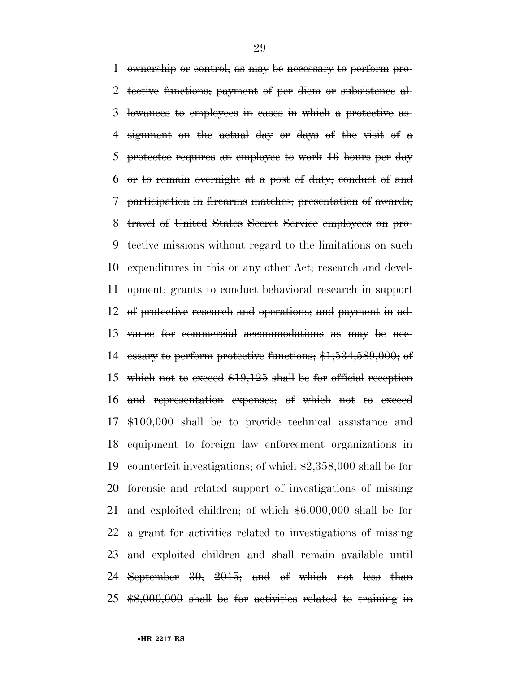ownership or control, as may be necessary to perform pro- tective functions; payment of per diem or subsistence al- lowances to employees in cases in which a protective as- signment on the actual day or days of the visit of a protectee requires an employee to work 16 hours per day or to remain overnight at a post of duty; conduct of and participation in firearms matches; presentation of awards; travel of United States Secret Service employees on pro- tective missions without regard to the limitations on such expenditures in this or any other Act; research and devel- opment; grants to conduct behavioral research in support of protective research and operations; and payment in ad- vance for commercial accommodations as may be nec- essary to perform protective functions; \$1,534,589,000; of 15 which not to exceed  $$19,125$  shall be for official reception and representation expenses; of which not to exceed \$100,000 shall be to provide technical assistance and equipment to foreign law enforcement organizations in counterfeit investigations; of which \$2,358,000 shall be for forensic and related support of investigations of missing and exploited children; of which \$6,000,000 shall be for a grant for activities related to investigations of missing and exploited children and shall remain available until September 30, 2015; and of which not less than \$8,000,000 shall be for activities related to training in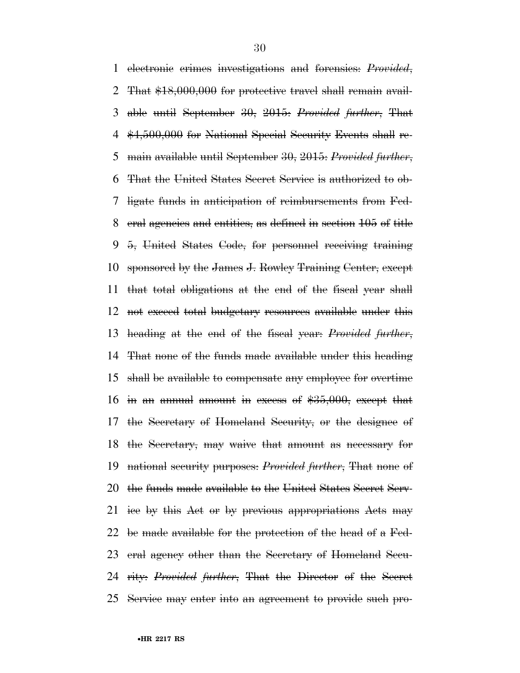electronic crimes investigations and forensics: *Provided*, That \$18,000,000 for protective travel shall remain avail- able until September 30, 2015: *Provided further*, That \$4,500,000 for National Special Security Events shall re- main available until September 30, 2015: *Provided further*, That the United States Secret Service is authorized to ob- ligate funds in anticipation of reimbursements from Fed- eral agencies and entities, as defined in section 105 of title 5, United States Code, for personnel receiving training sponsored by the James J. Rowley Training Center, except that total obligations at the end of the fiscal year shall not exceed total budgetary resources available under this heading at the end of the fiscal year: *Provided further*, That none of the funds made available under this heading shall be available to compensate any employee for overtime in an annual amount in excess of \$35,000, except that the Secretary of Homeland Security, or the designee of the Secretary, may waive that amount as necessary for national security purposes: *Provided further*, That none of the funds made available to the United States Secret Serv- ice by this Act or by previous appropriations Acts may be made available for the protection of the head of a Fed- eral agency other than the Secretary of Homeland Secu- rity: *Provided further*, That the Director of the Secret Service may enter into an agreement to provide such pro-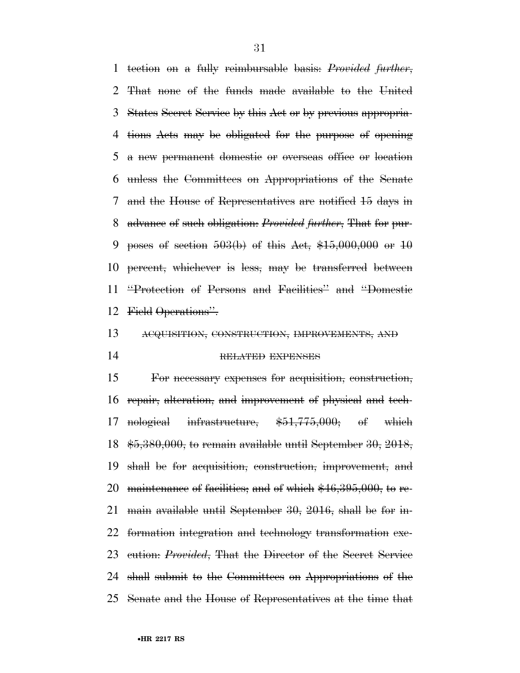tection on a fully reimbursable basis: *Provided further*, That none of the funds made available to the United States Secret Service by this Act or by previous appropria- tions Acts may be obligated for the purpose of opening a new permanent domestic or overseas office or location unless the Committees on Appropriations of the Senate and the House of Representatives are notified 15 days in advance of such obligation: *Provided further*, That for pur-9 poses of section  $503(b)$  of this Act,  $$15,000,000$  or  $10$  percent, whichever is less, may be transferred between ''Protection of Persons and Facilities'' and ''Domestic Field Operations''.

### ACQUISITION, CONSTRUCTION, IMPROVEMENTS, AND RELATED EXPENSES

 For necessary expenses for acquisition, construction, repair, alteration, and improvement of physical and tech- nological infrastructure, \$51,775,000; of which \$5,380,000, to remain available until September 30, 2018, shall be for acquisition, construction, improvement, and 20 maintenance of facilities; and of which  $*46,395,000$ , to re- main available until September 30, 2016, shall be for in- formation integration and technology transformation exe- cution: *Provided*, That the Director of the Secret Service shall submit to the Committees on Appropriations of the Senate and the House of Representatives at the time that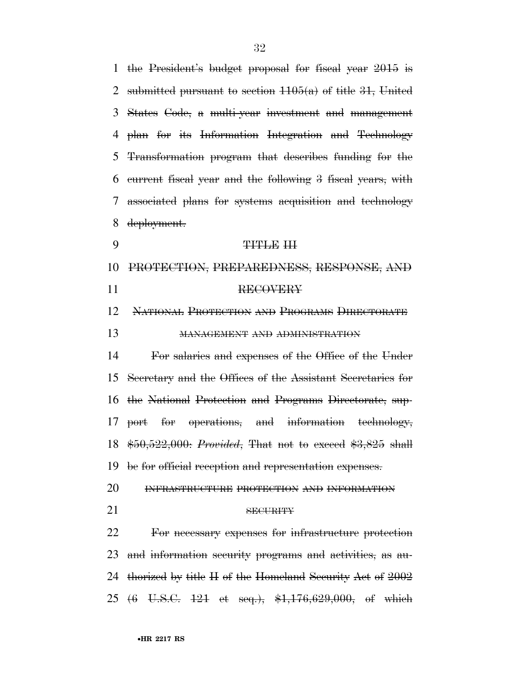the President's budget proposal for fiscal year 2015 is 2 submitted pursuant to section  $1105(a)$  of title 31, United States Code, a multi-year investment and management plan for its Information Integration and Technology Transformation program that describes funding for the current fiscal year and the following 3 fiscal years, with associated plans for systems acquisition and technology deployment. 9 TITLE III PROTECTION, PREPAREDNESS, RESPONSE, AND 11 RECOVERY NATIONAL PROTECTION AND PROGRAMS DIRECTORATE MANAGEMENT AND ADMINISTRATION For salaries and expenses of the Office of the Under Secretary and the Offices of the Assistant Secretaries for the National Protection and Programs Directorate, sup- port for operations, and information technology, \$50,522,000: *Provided*, That not to exceed \$3,825 shall be for official reception and representation expenses. INFRASTRUCTURE PROTECTION AND INFORMATION 21 SECURITY For necessary expenses for infrastructure protection and information security programs and activities, as au- thorized by title II of the Homeland Security Act of 2002 (6 U.S.C. 121 et seq.), \$1,176,629,000, of which

#### •**HR 2217 RS**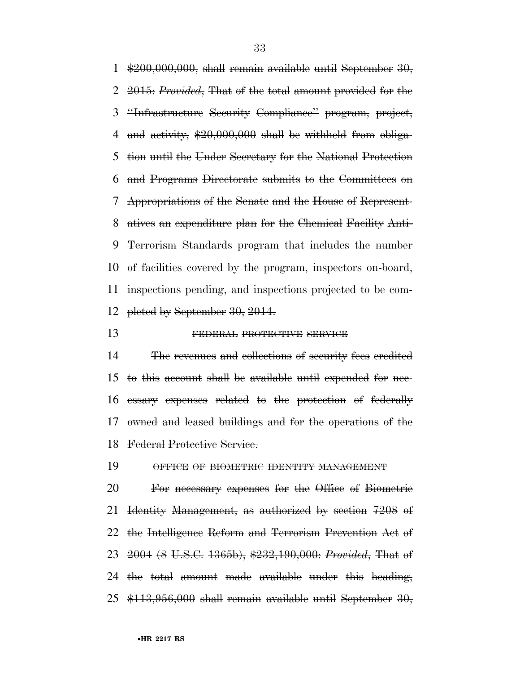$\frac{1000,000,000}{100,000,000}$ , shall remain available until September 30, 2015: *Provided*, That of the total amount provided for the ''Infrastructure Security Compliance'' program, project, 4 and activity,  $\frac{20,000,000}{2}$  shall be withheld from obliga- tion until the Under Secretary for the National Protection and Programs Directorate submits to the Committees on Appropriations of the Senate and the House of Represent- atives an expenditure plan for the Chemical Facility Anti- Terrorism Standards program that includes the number of facilities covered by the program, inspectors on-board, inspections pending, and inspections projected to be com-pleted by September 30, 2014.

#### 13 FEDERAL PROTECTIVE SERVICE

 The revenues and collections of security fees credited to this account shall be available until expended for nec- essary expenses related to the protection of federally owned and leased buildings and for the operations of the Federal Protective Service.

OFFICE OF BIOMETRIC IDENTITY MANAGEMENT

 For necessary expenses for the Office of Biometric Identity Management, as authorized by section 7208 of the Intelligence Reform and Terrorism Prevention Act of 2004 (8 U.S.C. 1365b), \$232,190,000: *Provided*, That of the total amount made available under this heading,  $$113,956,000$  shall remain available until September 30,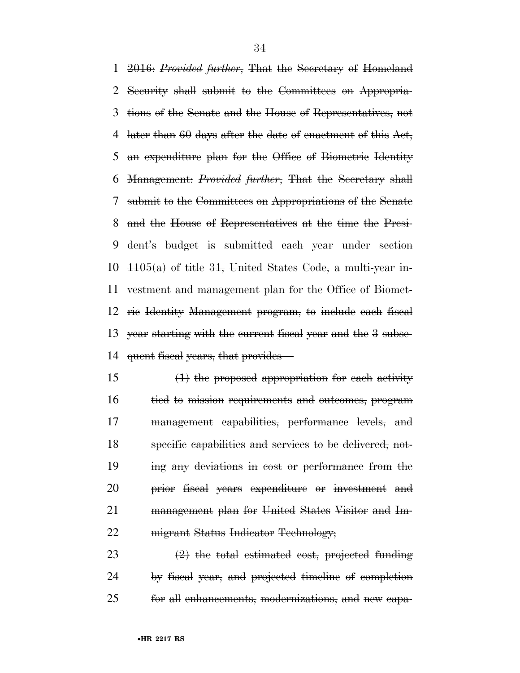2016: *Provided further*, That the Secretary of Homeland Security shall submit to the Committees on Appropria- tions of the Senate and the House of Representatives, not 4 later than days after the date of enactment of this Act, an expenditure plan for the Office of Biometric Identity Management: *Provided further*, That the Secretary shall submit to the Committees on Appropriations of the Senate and the House of Representatives at the time the Presi- dent's budget is submitted each year under section  $1105(a)$  of title 31, United States Code, a multi-year in- vestment and management plan for the Office of Biomet- ric Identity Management program, to include each fiscal year starting with the current fiscal year and the 3 subse-quent fiscal years, that provides—

 $15 \left( \frac{1}{2} \right)$  the proposed appropriation for each activity tied to mission requirements and outcomes, program management capabilities, performance levels, and specific capabilities and services to be delivered, not- ing any deviations in cost or performance from the prior fiscal years expenditure or investment and management plan for United States Visitor and Im-22 migrant Status Indicator Technology;

23  $(2)$  the total estimated cost, projected funding by fiscal year, and projected timeline of completion for all enhancements, modernizations, and new capa-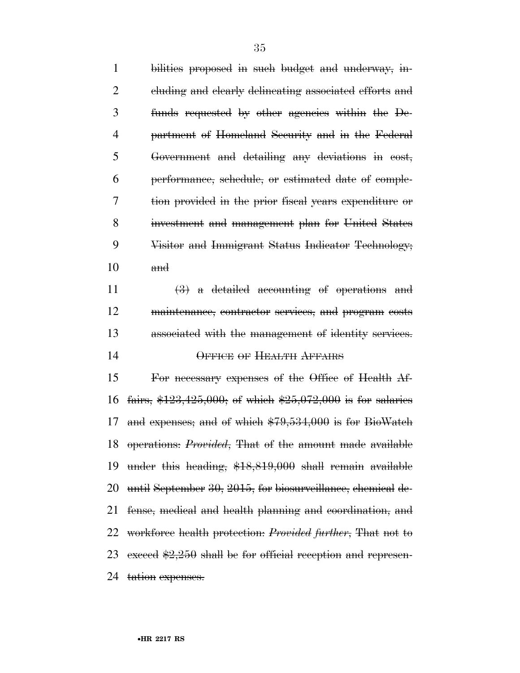bilities proposed in such budget and underway, in- cluding and clearly delineating associated efforts and funds requested by other agencies within the De- partment of Homeland Security and in the Federal Government and detailing any deviations in cost, performance, schedule, or estimated date of comple- tion provided in the prior fiscal years expenditure or investment and management plan for United States Visitor and Immigrant Status Indicator Technology;  $10 \qquad \qquad \text{and}$ 

 $\left(\frac{3}{2}\right)$  a detailed accounting of operations and maintenance, contractor services, and program costs associated with the management of identity services. OFFICE OF HEALTH AFFAIRS

 For necessary expenses of the Office of Health Af- fairs, \$123,425,000; of which \$25,072,000 is for salaries and expenses; and of which \$79,534,000 is for BioWatch operations: *Provided*, That of the amount made available under this heading, \$18,819,000 shall remain available until September 30, 2015, for biosurveillance, chemical de- fense, medical and health planning and coordination, and workforce health protection: *Provided further*, That not to 23 exceed  $$2,250$  shall be for official reception and represen-24 tation expenses.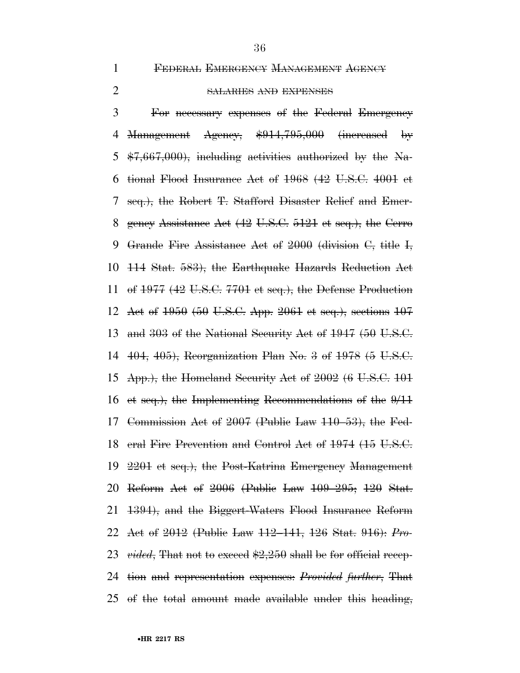**FEDERAL EMERGENCY MANAGEMENT AGENCY** 

#### SALARIES AND EXPENSES

 For necessary expenses of the Federal Emergency 4 <del>Management</del> Agency, \$914,795,000 (increased by  $\text{$7,667,000$}$ , including activities authorized by the Na- tional Flood Insurance Act of 1968 (42 U.S.C. 4001 et seq.), the Robert T. Stafford Disaster Relief and Emer- gency Assistance Act (42 U.S.C. 5121 et seq.), the Cerro Grande Fire Assistance Act of 2000 (division C, title I, 114 Stat. 583), the Earthquake Hazards Reduction Act of 1977 (42 U.S.C. 7701 et seq.), the Defense Production Act of 1950 (50 U.S.C. App. 2061 et seq.), sections 107 and 303 of the National Security Act of 1947 (50 U.S.C. 404, 405), Reorganization Plan No. 3 of 1978 (5 U.S.C. App.), the Homeland Security Act of 2002 (6 U.S.C. 101 et seq.), the Implementing Recommendations of the 9/11 Commission Act of 2007 (Public Law 110–53), the Fed- eral Fire Prevention and Control Act of 1974 (15 U.S.C. 2201 et seq.), the Post-Katrina Emergency Management Reform Act of 2006 (Public Law 109–295; 120 Stat. 1394), and the Biggert-Waters Flood Insurance Reform Act of 2012 (Public Law 112–141, 126 Stat. 916): *Pro- vided*, That not to exceed \$2,250 shall be for official recep- tion and representation expenses: *Provided further*, That of the total amount made available under this heading,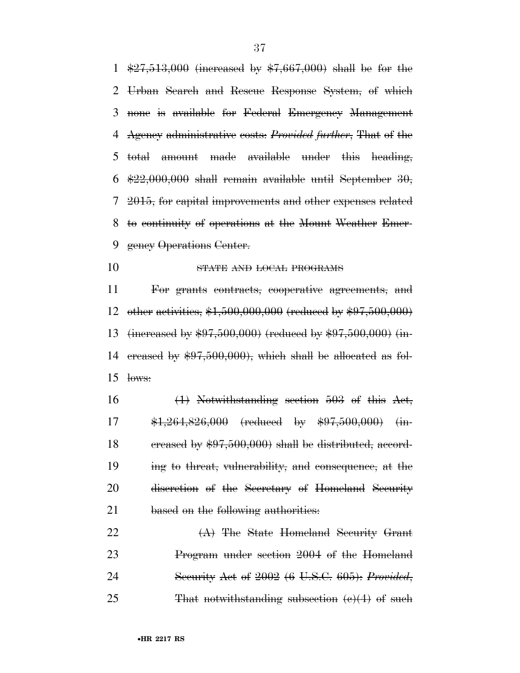$\frac{27,513,000}{27,513,000}$  (increased by  $\frac{17,667,000}{27,000}$  shall be for the Urban Search and Rescue Response System, of which none is available for Federal Emergency Management Agency administrative costs: *Provided further*, That of the total amount made available under this heading,  $\frac{22,000,000}{8}$  shall remain available until September 30, 2015, for capital improvements and other expenses related to continuity of operations at the Mount Weather Emer-9 gency Operations Center.

10 STATE AND LOCAL PROGRAMS

 For grants contracts, cooperative agreements, and other activities, \$1,500,000,000 (reduced by \$97,500,000) (increased by \$97,500,000) (reduced by \$97,500,000) (in- creased by \$97,500,000), which shall be allocated as fol-lows:

 (1) Notwithstanding section 503 of this Act, \$1,264,826,000 (reduced by \$97,500,000) (in-18 creased by  $$97,500,000$  shall be distributed, accord- ing to threat, vulnerability, and consequence, at the discretion of the Secretary of Homeland Security 21 based on the following authorities:

22 (A) The State Homeland Security Grant Program under section 2004 of the Homeland Security Act of 2002 (6 U.S.C. 605): *Provided*, 25 That notwithstanding subsection  $(e)(4)$  of such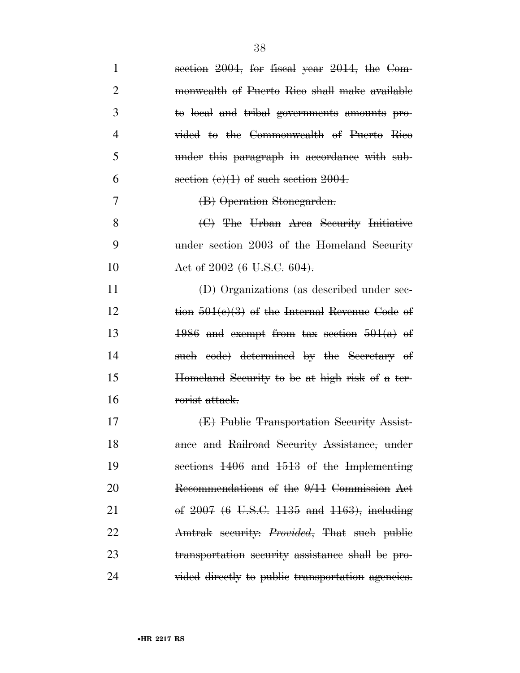| $\mathbf{1}$   | section 2004, for fiscal year 2014, the Com-      |
|----------------|---------------------------------------------------|
| 2              | monwealth of Puerto Rico shall make available     |
| 3              | to local and tribal governments amounts pro-      |
| $\overline{4}$ | vided to the Commonwealth of Puerto Rico          |
| 5              | under this paragraph in accordance with sub-      |
| 6              | section $(e)(1)$ of such section 2004.            |
| 7              | (B) Operation Stonegarden.                        |
| 8              | (C) The Urban Area Security Initiative            |
| 9              | under section 2003 of the Homeland Security       |
| 10             | Act of 2002 (6 U.S.C. 604).                       |
| 11             | (D) Organizations (as described under sec-        |
| 12             | tion $501(e)(3)$ of the Internal Revenue Code of  |
| 13             | $1986$ and exempt from tax section $501(a)$ of    |
| 14             | such code) determined by the Secretary of         |
| 15             | Homeland Security to be at high risk of a ter-    |
| 16             | rorist attack.                                    |
| 17             | (E) Public Transportation Security Assist-        |
| 18             | ance and Railroad Security Assistance, under      |
| 19             | sections 1406 and 1513 of the Implementing        |
| 20             | Recommendations of the 9/11 Commission Act        |
| 21             | of $2007$ (6 U.S.C. 1135 and 1163), including     |
| 22             | Amtrak security: Provided, That such public       |
| 23             | transportation security assistance shall be pro-  |
| 24             | vided directly to public transportation agencies. |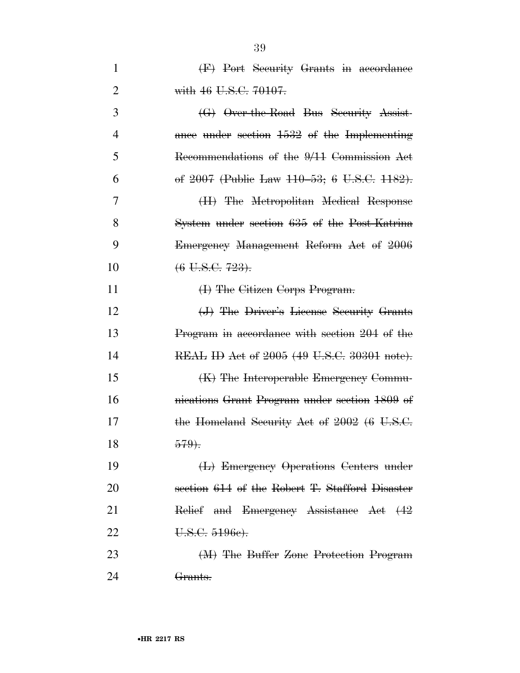| 1              | (F) Port Security Grants in accordance         |
|----------------|------------------------------------------------|
| $\overline{2}$ | with 46 U.S.C. 70107.                          |
| 3              | (G) Over-the-Road Bus Security Assist-         |
| 4              | ance under section 1532 of the Implementing    |
| 5              | Recommendations of the 9/11 Commission Act     |
| 6              | of 2007 (Public Law 110–53; 6 U.S.C. 1182).    |
| 7              | (H) The Metropolitan Medical Response          |
| 8              | System under section 635 of the Post-Katrina   |
| 9              | Emergency Management Reform Act of 2006        |
| 10             | $(6 \text{ U.S.C. } 723)$ .                    |
| 11             | (I) The Citizen Corps Program.                 |
| 12             | (J) The Driver's License Security Grants       |
| 13             | Program in accordance with section 204 of the  |
| 14             | REAL ID Act of 2005 (49 U.S.C. 30301 note).    |
| 15             | (K) The Interoperable Emergency Commu-         |
| 16             | nications Grant Program under section 1809 of  |
| 17             | the Homeland Security Act of 2002 (6 U.S.C.    |
| 18             | 579.                                           |
| 19             | (L) Emergency Operations Centers under         |
| 20             | section 614 of the Robert T. Stafford Disaster |
| 21             | Relief and Emergency Assistance Act (42        |
| 22             | U.S.C. 5196e).                                 |
| 23             | (M) The Buffer Zone Protection Program         |
| 24             | <del>Grants.</del>                             |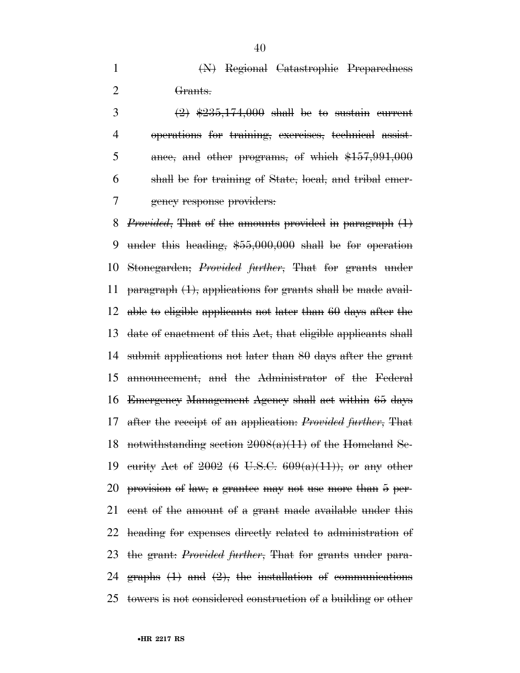(N) Regional Catastrophic Preparedness Grants.

 $(2)$   $\frac{1}{235}$ ,  $\frac{174,000}{174}$  be to sustain current operations for training, exercises, technical assist-5 ance, and other programs, of which  $$157,991,000$  shall be for training of State, local, and tribal emer-gency response providers:

 *Provided*, That of the amounts provided in paragraph (1) under this heading, \$55,000,000 shall be for operation Stonegarden; *Provided further*, That for grants under 11 paragraph  $(1)$ , applications for grants shall be made avail- able to eligible applicants not later than 60 days after the date of enactment of this Act, that eligible applicants shall submit applications not later than 80 days after the grant announcement, and the Administrator of the Federal Emergency Management Agency shall act within 65 days after the receipt of an application: *Provided further*, That 18 notwithstanding section  $2008(a)(11)$  of the Homeland Se-19 curity Act of (6 U.S.C.  $609(a)(11)$ ), or any other provision of law, a grantee may not use more than 5 per- cent of the amount of a grant made available under this heading for expenses directly related to administration of the grant: *Provided further*, That for grants under para-24 graphs  $(1)$  and  $(2)$ , the installation of communications towers is not considered construction of a building or other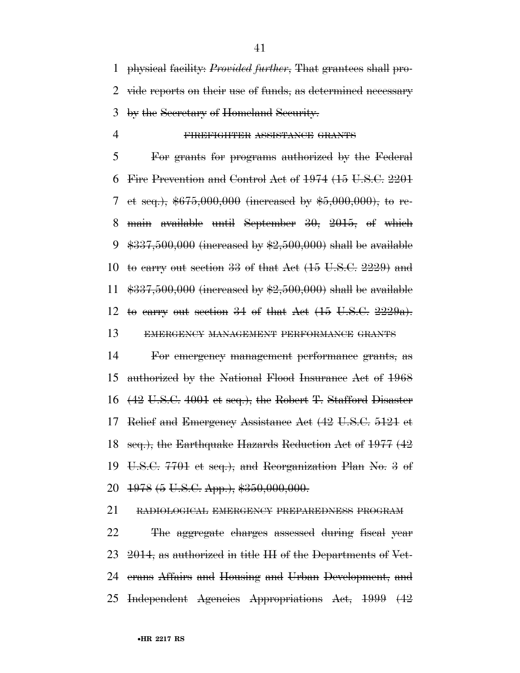physical facility: *Provided further*, That grantees shall pro- vide reports on their use of funds, as determined necessary by the Secretary of Homeland Security.

## FIREFIGHTER ASSISTANCE GRANTS

 For grants for programs authorized by the Federal Fire Prevention and Control Act of 1974 (15 U.S.C. 2201 7 et seq.),  $$675,000,000$  (increased by  $$5,000,000$ ), to re- main available until September 30, 2015, of which  $\frac{4337,500,000}{2}$  (increased by  $\frac{42,500,000}{2}$  shall be available to carry out section 33 of that Act (15 U.S.C. 2229) and \$337,500,000 (increased by \$2,500,000) shall be available 12 to carry out section 34 of that Act  $(15 \text{ U.S.C. } 2229a)$ . EMERGENCY MANAGEMENT PERFORMANCE GRANTS

 For emergency management performance grants, as authorized by the National Flood Insurance Act of 1968 (42 U.S.C. 4001 et seq.), the Robert T. Stafford Disaster Relief and Emergency Assistance Act (42 U.S.C. 5121 et seq.), the Earthquake Hazards Reduction Act of 1977 (42 U.S.C. 7701 et seq.), and Reorganization Plan No. 3 of 1978 (5 U.S.C. App.), \$350,000,000.

RADIOLOGICAL EMERGENCY PREPAREDNESS PROGRAM

 The aggregate charges assessed during fiscal year 23 2014, as authorized in title III of the Departments of Vet- erans Affairs and Housing and Urban Development, and Independent Agencies Appropriations Act, 1999 (42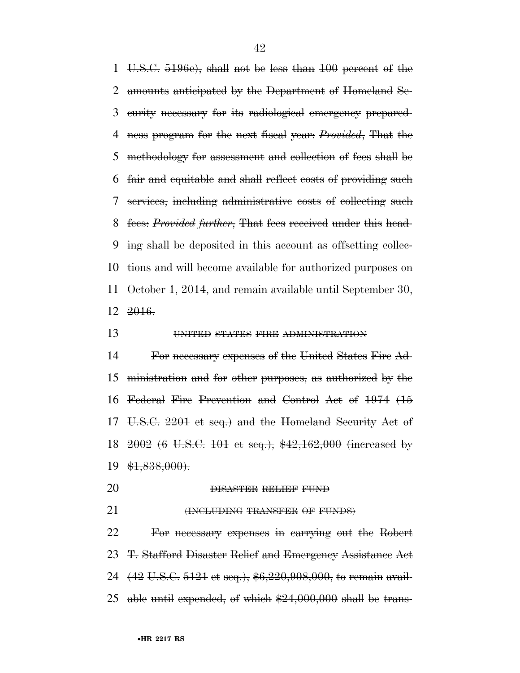U.S.C. 5196e), shall not be less than 100 percent of the amounts anticipated by the Department of Homeland Se- curity necessary for its radiological emergency prepared- ness program for the next fiscal year: *Provided*, That the methodology for assessment and collection of fees shall be fair and equitable and shall reflect costs of providing such services, including administrative costs of collecting such fees: *Provided further*, That fees received under this head- ing shall be deposited in this account as offsetting collec- tions and will become available for authorized purposes on October 1, 2014, and remain available until September 30,  $12 \frac{2016}{.}$ 

**UNITED STATES FIRE ADMINISTRATION** 

 For necessary expenses of the United States Fire Ad- ministration and for other purposes, as authorized by the Federal Fire Prevention and Control Act of 1974 (15 U.S.C. 2201 et seq.) and the Homeland Security Act of 2002 (6 U.S.C. 101 et seq.), \$42,162,000 (increased by \$1,838,000).

- DISASTER RELIEF FUND
- **(INCLUDING TRANSFER OF FUNDS)**

 For necessary expenses in carrying out the Robert T. Stafford Disaster Relief and Emergency Assistance Act 24 (42 U.S.C. 5121 et seq.), \$6,220,908,000, to remain avail-able until expended, of which \$24,000,000 shall be trans-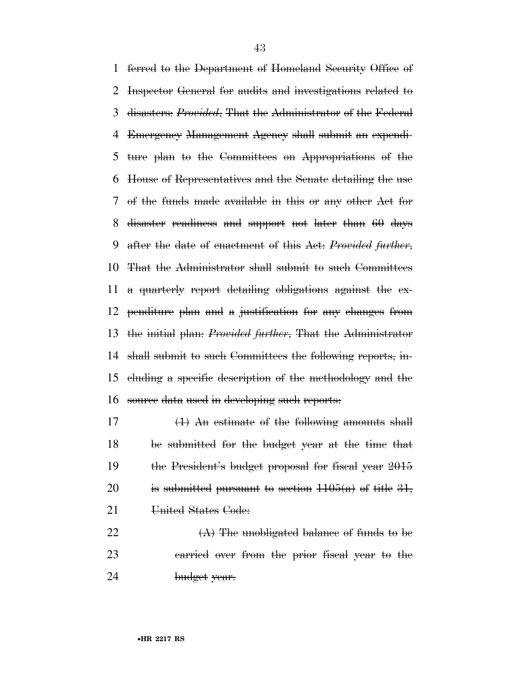ferred to the Department of Homeland Security Office of Inspector General for audits and investigations related to disasters: *Provided*, That the Administrator of the Federal Emergency Management Agency shall submit an expendi- ture plan to the Committees on Appropriations of the House of Representatives and the Senate detailing the use of the funds made available in this or any other Act for disaster readiness and support not later than 60 days after the date of enactment of this Act: *Provided further*, That the Administrator shall submit to such Committees a quarterly report detailing obligations against the ex- penditure plan and a justification for any changes from the initial plan: *Provided further*, That the Administrator shall submit to such Committees the following reports, in- cluding a specific description of the methodology and the source data used in developing such reports:

 (1) An estimate of the following amounts shall be submitted for the budget year at the time that the President's budget proposal for fiscal year 2015 20 is submitted pursuant to section  $1105(a)$  of title 31, 21 United States Code:

22  $(A)$  The unobligated balance of funds to be carried over from the prior fiscal year to the 24 budget year.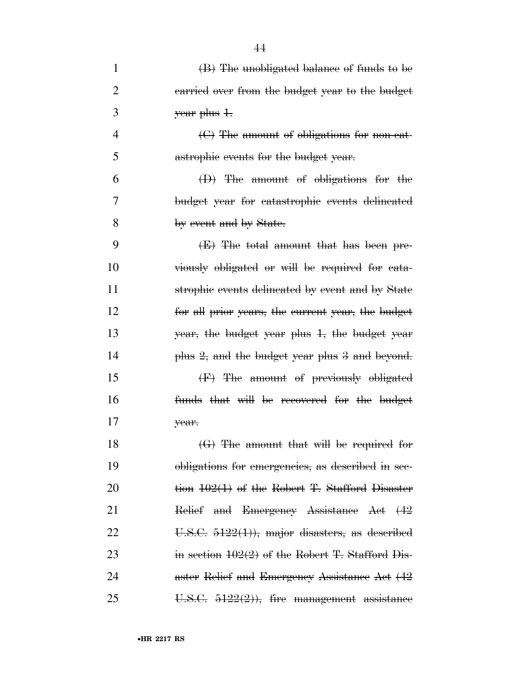| $\mathbf{1}$   | (B) The unobligated balance of funds to be         |
|----------------|----------------------------------------------------|
| $\overline{2}$ | earried over from the budget year to the budget    |
| 3              | year plus 1.                                       |
| 4              | $\Theta$ The amount of obligations for non-cat-    |
| 5              | astrophic events for the budget year.              |
| 6              | $(D)$ The amount of obligations for the            |
| 7              | budget year for catastrophic events delineated     |
| 8              | by event and by State.                             |
| 9              | (E) The total amount that has been pre-            |
| 10             | viously obligated or will be required for eata-    |
| 11             | strophic events delineated by event and by State   |
| 12             | for all prior years, the current year, the budget  |
| 13             | year, the budget year plus 1, the budget year      |
| 14             | plus 2, and the budget year plus 3 and beyond.     |
| 15             | (F) The amount of previously obligated             |
| 16             | funds that will be recovered for the budget        |
| 17             | year.                                              |
| 18             | $\Theta$ ) The amount that will be required for    |
| 19             | obligations for emergencies, as described in sec-  |
| 20             | tion $102(1)$ of the Robert T. Stafford Disaster   |
| 21             | Relief and Emergency Assistance Act (42            |
| 22             | U.S.C. $5122(1)$ , major disasters, as described   |
| 23             | in section $102(2)$ of the Robert T. Stafford Dis- |
| 24             | aster Relief and Emergency Assistance Act (42      |
| 25             | U.S.C. $5122(2)$ ), fire management assistance     |

44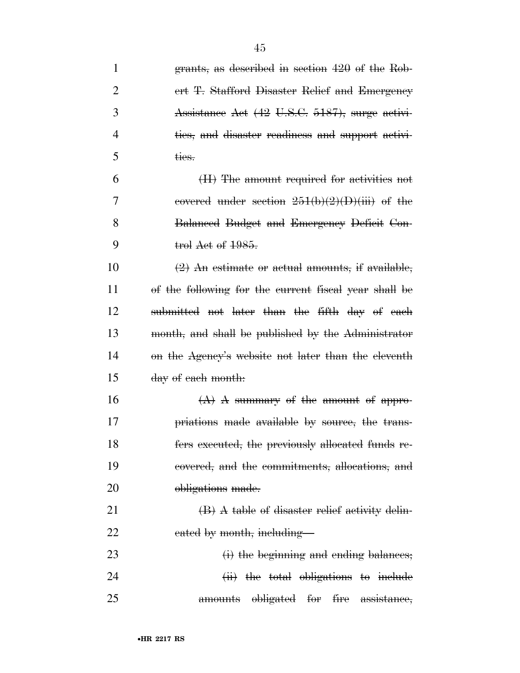| $\mathbf{1}$   | grants, as described in section 420 of the Rob-       |
|----------------|-------------------------------------------------------|
| $\overline{2}$ | ert T. Stafford Disaster Relief and Emergency         |
| 3              | Assistance Act (42 U.S.C. 5187), surge activi-        |
| 4              | ties, and disaster readiness and support activi-      |
| 5              | ties.                                                 |
| 6              | (H) The amount required for activities not            |
| 7              | covered under section $251(b)(2)(D)(iii)$ of the      |
| 8              | Balanced Budget and Emergency Deficit Con-            |
| 9              | trol Act of 1985.                                     |
| 10             | $(2)$ An estimate or actual amounts, if available,    |
| 11             | of the following for the current fiscal year shall be |
| 12             | submitted not later than the fifth day of each        |
| 13             | month, and shall be published by the Administrator    |
| 14             | on the Agency's website not later than the eleventh   |
| 15             | day of each month:                                    |
| 16             | $(A)$ A summary of the amount of appro-               |
| 17             | priations made available by source, the trans-        |
| 18             | fers executed, the previously allocated funds re-     |
| 19             | eovered, and the commitments, allocations, and        |
| <b>20</b>      | obligations made.                                     |
| 21             | (B) A table of disaster relief activity delin-        |
| 22             | eated by month, including—                            |
| 23             | (i) the beginning and ending balances;                |
| 24             | (ii) the total obligations to include                 |
| 25             | obligated for fire assistance,<br><del>amounts</del>  |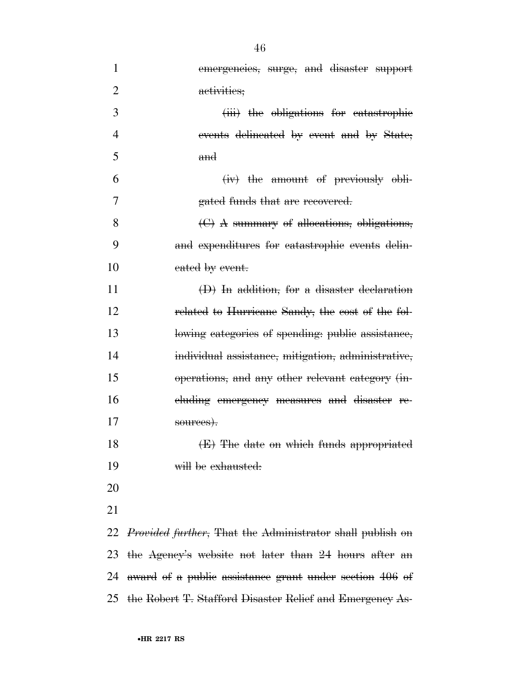| $\mathbf{1}$   | emergencies, surge, and disaster support                             |
|----------------|----------------------------------------------------------------------|
| $\overline{2}$ | activities;                                                          |
| 3              | (iii) the obligations for eatastrophic                               |
| 4              | events delineated by event and by State;                             |
| 5              | $\mathbf{and}$                                                       |
| 6              | (iv) the amount of previously obli-                                  |
| 7              | gated funds that are recovered.                                      |
| 8              | (C) A summary of allocations, obligations,                           |
| 9              | and expenditures for eatastrophic events delin-                      |
| 10             | eated by event.                                                      |
| 11             | $(D)$ In addition, for a disaster declaration                        |
| 12             | related to Hurricane Sandy, the cost of the fol-                     |
| 13             | lowing categories of spending: public assistance,                    |
| 14             | individual assistance, mitigation, administrative,                   |
| 15             | operations, and any other relevant category (in-                     |
| 16             | eluding emergency measures and disaster re-                          |
| 17             | sources).                                                            |
| 18             | (E) The date on which funds appropriated                             |
| 19             | will be exhausted:                                                   |
| 20             |                                                                      |
| 21             |                                                                      |
|                | 22 <i>Provided further</i> , That the Administrator shall publish on |
| 23             | the Agency's website not later than 24 hours after an                |
| 24             | award of a public assistance grant under section 406 of              |
| 25             | the Robert T. Stafford Disaster Relief and Emergency As-             |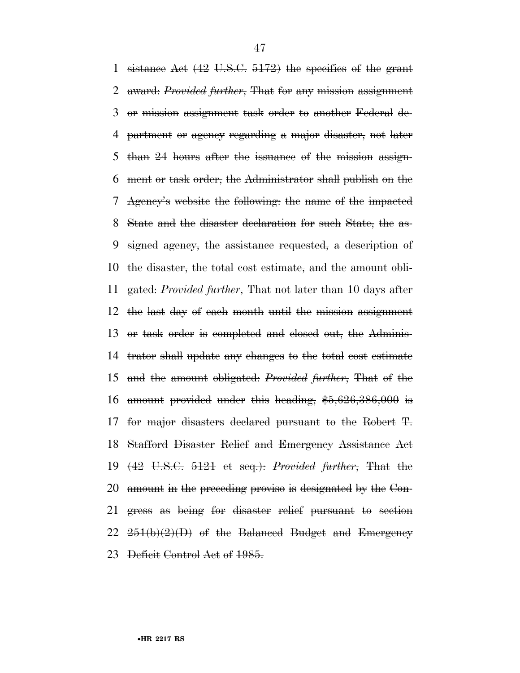sistance Act (42 U.S.C. 5172) the specifics of the grant award: *Provided further*, That for any mission assignment or mission assignment task order to another Federal de- partment or agency regarding a major disaster, not later than 24 hours after the issuance of the mission assign- ment or task order, the Administrator shall publish on the Agency's website the following: the name of the impacted State and the disaster declaration for such State, the as- signed agency, the assistance requested, a description of the disaster, the total cost estimate, and the amount obli- gated: *Provided further*, That not later than 10 days after the last day of each month until the mission assignment or task order is completed and closed out, the Adminis- trator shall update any changes to the total cost estimate and the amount obligated: *Provided further*, That of the amount provided under this heading, \$5,626,386,000 is for major disasters declared pursuant to the Robert T. Stafford Disaster Relief and Emergency Assistance Act (42 U.S.C. 5121 et seq.): *Provided further*, That the amount in the preceding proviso is designated by the Con- gress as being for disaster relief pursuant to section  $22 \frac{251(b)(2)(D)}{D}$  of the Balanced Budget and Emergency Deficit Control Act of 1985.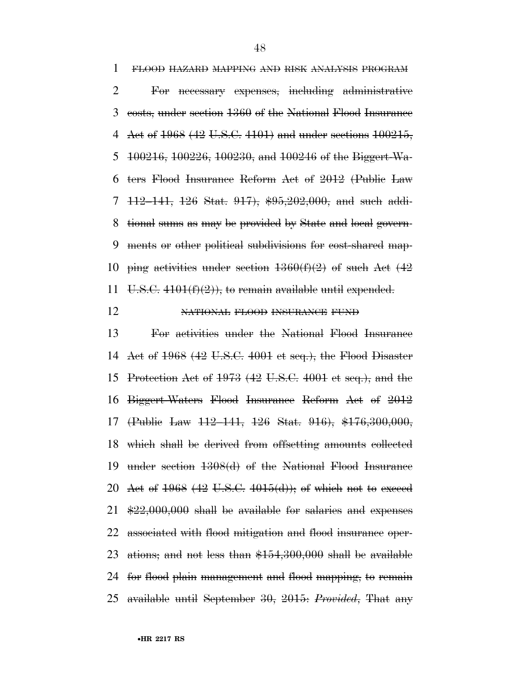FLOOD HAZARD MAPPING AND RISK ANALYSIS PROGRAM For necessary expenses, including administrative costs, under section 1360 of the National Flood Insurance Act of 1968 (42 U.S.C. 4101) and under sections 100215, 100216, 100226, 100230, and 100246 of the Biggert-Wa- ters Flood Insurance Reform Act of 2012 (Public Law 112–141, 126 Stat. 917), \$95,202,000, and such addi- tional sums as may be provided by State and local govern- ments or other political subdivisions for cost-shared map-10 ping activities under section  $1360(f)(2)$  of such Act  $(42)$ 11 U.S.C.  $4101(f)(2)$ , to remain available until expended.

# 12 NATIONAL FLOOD INSURANCE FUND

 For activities under the National Flood Insurance Act of 1968 (42 U.S.C. 4001 et seq.), the Flood Disaster Protection Act of 1973 (42 U.S.C. 4001 et seq.), and the Biggert-Waters Flood Insurance Reform Act of 2012 (Public Law 112–141, 126 Stat. 916), \$176,300,000, which shall be derived from offsetting amounts collected under section 1308(d) of the National Flood Insurance 20 Act of 1968 (42 U.S.C. 4015(d)); of which not to exceed \$22,000,000 shall be available for salaries and expenses associated with flood mitigation and flood insurance oper- ations; and not less than \$154,300,000 shall be available for flood plain management and flood mapping, to remain available until September 30, 2015: *Provided*, That any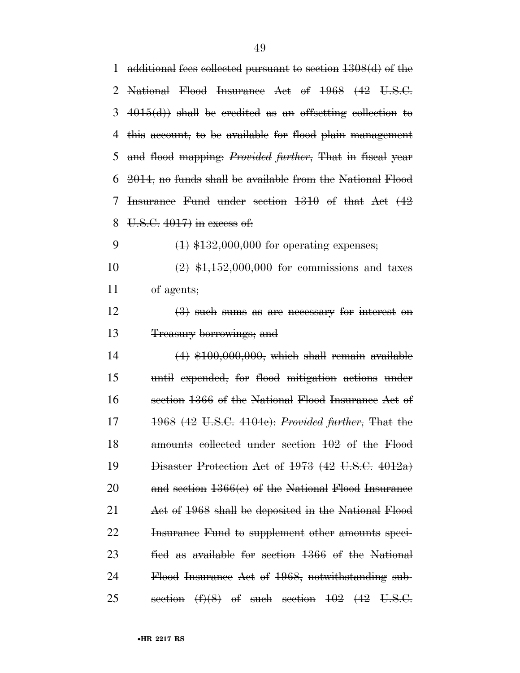| $\mathbf{1}$   | additional fees collected pursuant to section 1308(d) of the          |
|----------------|-----------------------------------------------------------------------|
| $\overline{2}$ | National Flood Insurance Act of 1968 (42 U.S.C.                       |
| 3              | $4015(d)$ shall be eredited as an offsetting eollection to            |
| 4              | this account, to be available for flood plain management              |
| 5              | and flood mapping: <i>Provided further</i> , That in fiscal year      |
| 6              | 2014, no funds shall be available from the National Flood             |
| 7              | Insurance Fund under section 1310 of that Act (42                     |
| 8              | $U.S.C. 4017$ in excess of.                                           |
| 9              | $(1)$ \$132,000,000 for operating expenses;                           |
| 10             | $(2)$ \$1,152,000,000 for commissions and taxes                       |
| 11             | of agents;                                                            |
| 12             | $\left(\frac{3}{2}\right)$ such sums as are necessary for interest on |
| 13             | <del>Treasury borrowings; and</del>                                   |
| 14             | $(4)$ \$100,000,000, which shall remain available                     |
| 15             | until expended, for flood mitigation actions under                    |
| 16             | section 1366 of the National Flood Insurance Act of                   |
| 17             | 1968 (42 U.S.C. 4104e): Provided further, That the                    |
| 18             | amounts collected under section 102 of the Flood                      |
| 19             | Disaster Protection Act of 1973 (42 U.S.C. 4012a)                     |
| <b>20</b>      | and section $1366(e)$ of the National Flood Insurance                 |
| 21             | Act of 1968 shall be deposited in the National Flood                  |
| 22             | Insurance Fund to supplement other amounts speci-                     |
| 23             | fied as available for section 1366 of the National                    |
| 24             | Flood Insurance Act of 1968, notwithstanding sub-                     |
| 25             | $(f)(8)$ of such section $102$ $(42 \text{ U.S.C.})$<br>section       |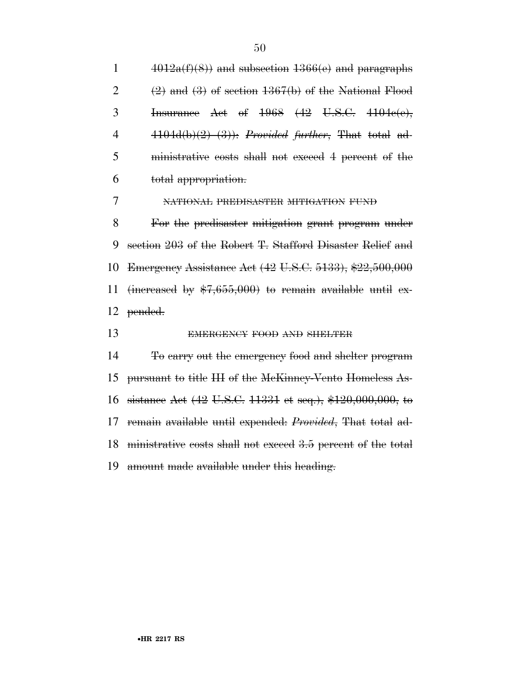$4012a(f)(8)$  and subsection  $1366(e)$  and paragraphs  $(2)$  and  $(3)$  of section 1367(b) of the National Flood Insurance Act of 1968 (42 U.S.C. 4104c(e), 4104d(b)(2)–(3)): *Provided further*, That total ad- ministrative costs shall not exceed 4 percent of the total appropriation.

NATIONAL PREDISASTER MITIGATION FUND

 For the predisaster mitigation grant program under section 203 of the Robert T. Stafford Disaster Relief and Emergency Assistance Act (42 U.S.C. 5133), \$22,500,000 11 (increased by  $$7,655,000$ ) to remain available until ex-pended.

13 EMERGENCY FOOD AND SHELTER

 To carry out the emergency food and shelter program pursuant to title III of the McKinney-Vento Homeless As- sistance Act (42 U.S.C. 11331 et seq.), \$120,000,000, to remain available until expended: *Provided*, That total ad- ministrative costs shall not exceed 3.5 percent of the total amount made available under this heading.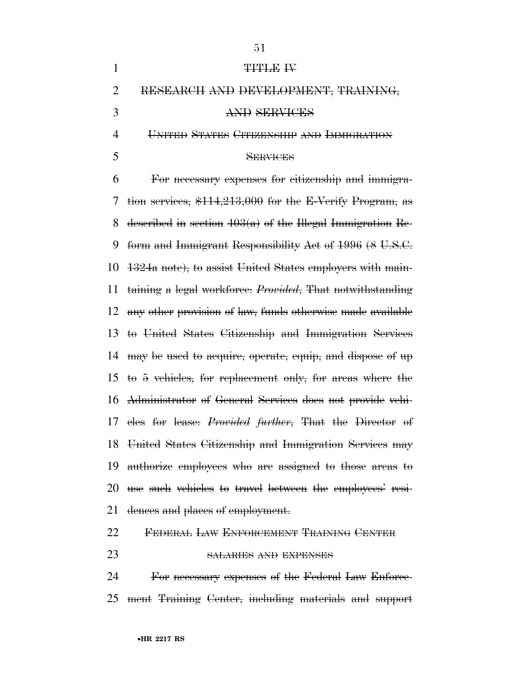| $\mathbf{1}$   | <b>TITLE IV</b>                                                   |
|----------------|-------------------------------------------------------------------|
| $\overline{2}$ | RESEARCH AND DEVELOPMENT, TRAINING,                               |
| 3              | AND SERVICES                                                      |
| 4              | UNITED STATES CITIZENSHIP AND IMMIGRATION                         |
| 5              | <b>SERVICES</b>                                                   |
| 6              | For necessary expenses for eitizenship and immigra-               |
| 7              | tion services, \$114,213,000 for the E-Verify Program, as         |
| 8              | described in section $403(a)$ of the Hlegal Immigration Re-       |
| 9              | form and Immigrant Responsibility Act of 1996 (8 U.S.C.           |
| 10             | 1324a note), to assist United States employers with main-         |
| 11             | taining a legal workforce: <i>Provided</i> , That notwithstanding |
| 12             | any other provision of law, funds otherwise made available        |
| 13             | to United States Citizenship and Immigration Services             |
| 14             | may be used to acquire, operate, equip, and dispose of up         |
| 15             | to 5 vehicles, for replacement only, for areas where the          |
| 16             | Administrator of General Services does not provide vehi-          |
|                | 17 eles for lease: <i>Provided further</i> , That the Director of |
| 18             | United States Citizenship and Immigration Services may            |
| 19             | authorize employees who are assigned to those areas to            |
| 20             | use such vehicles to travel between the employees' resi-          |
| 21             | dences and places of employment.                                  |
| 22             | FEDERAL LAW ENFORCEMENT TRAINING CENTER                           |
| 23             | SALARIES AND EXPENSES                                             |

 For necessary expenses of the Federal Law Enforce-ment Training Center, including materials and support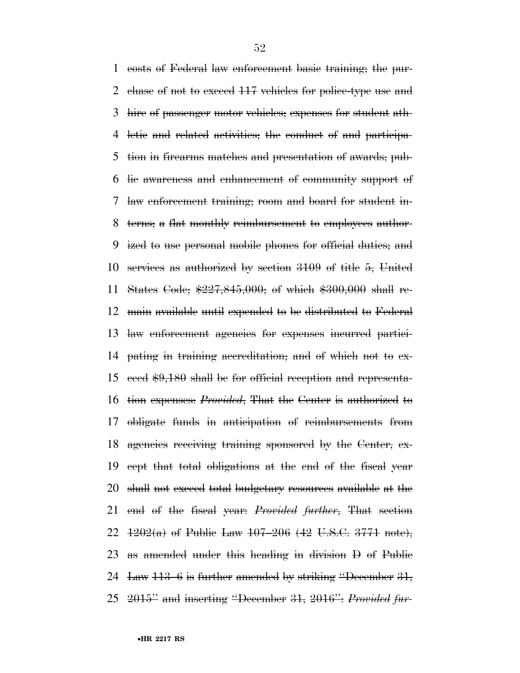costs of Federal law enforcement basic training; the pur-2 chase of not to exceed 117 vehicles for police-type use and hire of passenger motor vehicles; expenses for student ath- letic and related activities; the conduct of and participa- tion in firearms matches and presentation of awards; pub- lic awareness and enhancement of community support of law enforcement training; room and board for student in- terns; a flat monthly reimbursement to employees author- ized to use personal mobile phones for official duties; and services as authorized by section 3109 of title 5, United States Code; \$227,845,000; of which \$300,000 shall re- main available until expended to be distributed to Federal law enforcement agencies for expenses incurred partici- pating in training accreditation; and of which not to ex- ceed \$9,180 shall be for official reception and representa- tion expenses: *Provided*, That the Center is authorized to obligate funds in anticipation of reimbursements from agencies receiving training sponsored by the Center, ex- cept that total obligations at the end of the fiscal year 20 shall not exceed total budgetary resources available at the end of the fiscal year: *Provided further*, That section  $1202(a)$  of Public Law  $107-206$  (42 U.S.C. 3771 note), as amended under this heading in division D of Public Law 113–6 is further amended by striking ''December 31, 2015'' and inserting ''December 31, 2016'': *Provided fur-*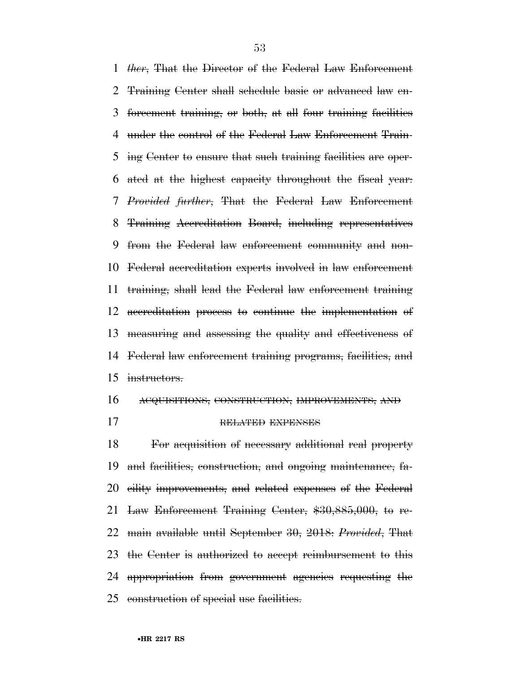*ther*, That the Director of the Federal Law Enforcement Training Center shall schedule basic or advanced law en- forcement training, or both, at all four training facilities under the control of the Federal Law Enforcement Train- ing Center to ensure that such training facilities are oper- ated at the highest capacity throughout the fiscal year: *Provided further*, That the Federal Law Enforcement Training Accreditation Board, including representatives from the Federal law enforcement community and non- Federal accreditation experts involved in law enforcement training, shall lead the Federal law enforcement training accreditation process to continue the implementation of measuring and assessing the quality and effectiveness of Federal law enforcement training programs, facilities, and instructors.

ACQUISITIONS, CONSTRUCTION, IMPROVEMENTS, AND

17 RELATED EXPENSES

 For acquisition of necessary additional real property and facilities, construction, and ongoing maintenance, fa- cility improvements, and related expenses of the Federal Law Enforcement Training Center, \$30,885,000, to re- main available until September 30, 2018: *Provided*, That the Center is authorized to accept reimbursement to this appropriation from government agencies requesting the construction of special use facilities.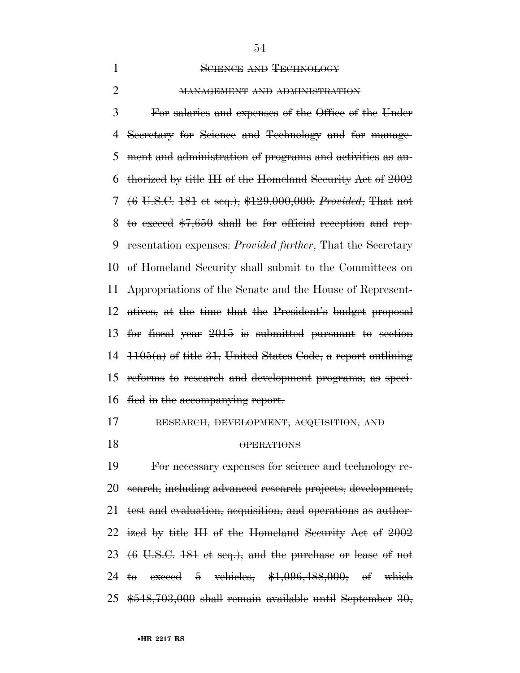## 1 SCIENCE AND TECHNOLOGY

### MANAGEMENT AND ADMINISTRATION

 For salaries and expenses of the Office of the Under Secretary for Science and Technology and for manage- ment and administration of programs and activities as au- thorized by title III of the Homeland Security Act of 2002 (6 U.S.C. 181 et seq.), \$129,000,000: *Provided*, That not 8 to exceed  $$7,650$  shall be for official reception and rep- resentation expenses: *Provided further*, That the Secretary of Homeland Security shall submit to the Committees on Appropriations of the Senate and the House of Represent- atives, at the time that the President's budget proposal for fiscal year 2015 is submitted pursuant to section  $\pm 105(a)$  of title 31, United States Code, a report outlining reforms to research and development programs, as speci-fied in the accompanying report.

## RESEARCH, DEVELOPMENT, ACQUISITION, AND

OPERATIONS

 For necessary expenses for science and technology re- search, including advanced research projects, development, test and evaluation, acquisition, and operations as author- ized by title III of the Homeland Security Act of 2002 (6 U.S.C. 181 et seq.), and the purchase or lease of not to exceed 5 vehicles, \$1,096,488,000; of which \$548,703,000 shall remain available until September 30,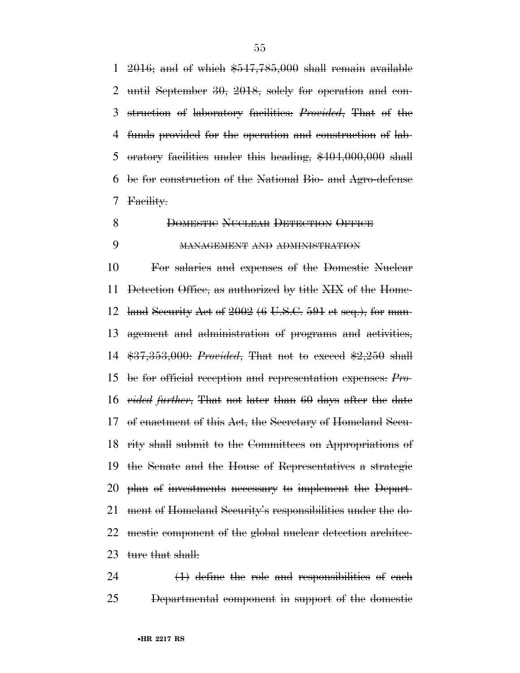1 2016; and of which  $$547,785,000$  shall remain available until September 30, 2018, solely for operation and con- struction of laboratory facilities: *Provided*, That of the funds provided for the operation and construction of lab- oratory facilities under this heading, \$404,000,000 shall be for construction of the National Bio- and Agro-defense Facility.

8 DOMESTIC NUCLEAR DETECTION OFFICE

## MANAGEMENT AND ADMINISTRATION

 For salaries and expenses of the Domestic Nuclear Detection Office, as authorized by title XIX of the Home-12 land Security Act of  $2002 (6 \text{ U.S.C. } 591 \text{ et seq.})$ , for man- agement and administration of programs and activities, \$37,353,000: *Provided*, That not to exceed \$2,250 shall be for official reception and representation expenses: *Pro- vided further*, That not later than 60 days after the date of enactment of this Act, the Secretary of Homeland Secu- rity shall submit to the Committees on Appropriations of the Senate and the House of Representatives a strategic plan of investments necessary to implement the Depart- ment of Homeland Security's responsibilities under the do- mestic component of the global nuclear detection architec-23 ture that shall:

 $(1)$  define the role and responsibilities of each Departmental component in support of the domestic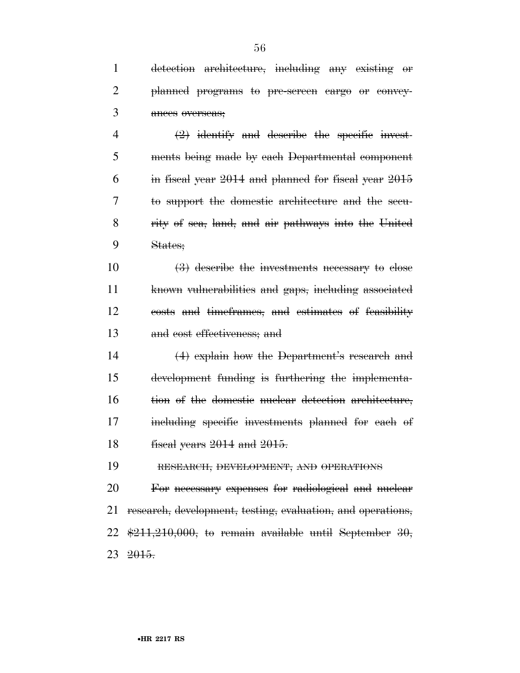detection architecture, including any existing or planned programs to pre-screen cargo or convey- ances overseas;  $\left(2\right)$  identify and describe the specific invest- ments being made by each Departmental component in fiscal year 2014 and planned for fiscal year 2015 to support the domestic architecture and the secu-rity of sea, land, and air pathways into the United

States;

 $10 \t\t (3)$  describe the investments necessary to close known vulnerabilities and gaps, including associated costs and timeframes, and estimates of feasibility and cost effectiveness; and

 (4) explain how the Department's research and development funding is furthering the implementa-16 tion of the domestic nuclear detection architecture, including specific investments planned for each of fiscal years 2014 and 2015.

RESEARCH, DEVELOPMENT, AND OPERATIONS

 For necessary expenses for radiological and nuclear research, development, testing, evaluation, and operations,  $\frac{1211,210,000}{1000}$ , to remain available until September 30, 2015.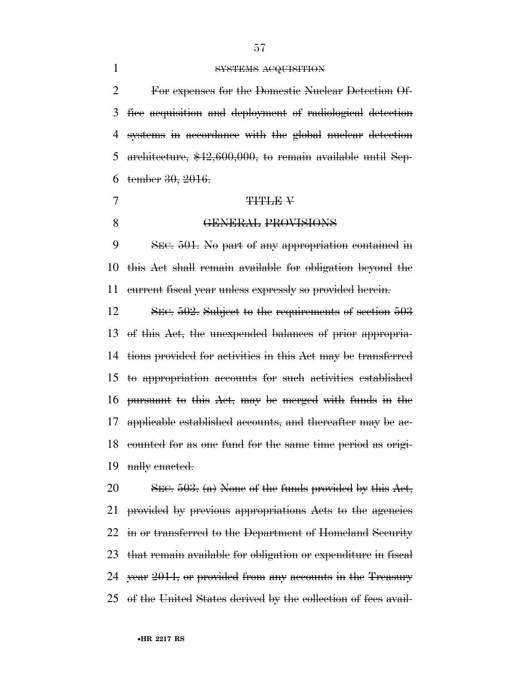## SYSTEMS ACQUISITION

 For expenses for the Domestic Nuclear Detection Of- fice acquisition and deployment of radiological detection systems in accordance with the global nuclear detection architecture, \$42,600,000, to remain available until Sep-tember 30, 2016.

### 7 THTLE V

### **GENERAL PROVISIONS**

 SEC. 501. No part of any appropriation contained in this Act shall remain available for obligation beyond the current fiscal year unless expressly so provided herein.

12 SEC. 502. Subject to the requirements of section 503 of this Act, the unexpended balances of prior appropria- tions provided for activities in this Act may be transferred to appropriation accounts for such activities established pursuant to this Act, may be merged with funds in the applicable established accounts, and thereafter may be ac- counted for as one fund for the same time period as origi-19 nally enacted.

20 SEC. . (a) None of the funds provided by this Act, provided by previous appropriations Acts to the agencies in or transferred to the Department of Homeland Security that remain available for obligation or expenditure in fiscal year 2014, or provided from any accounts in the Treasury of the United States derived by the collection of fees avail-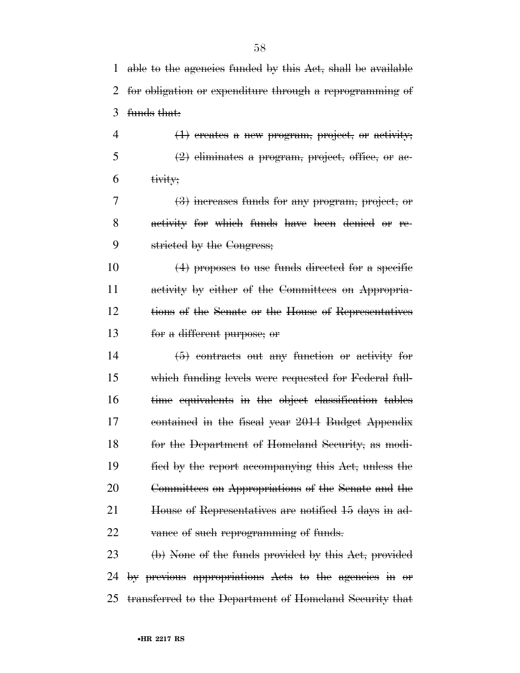able to the agencies funded by this Act, shall be available for obligation or expenditure through a reprogramming of funds that:

 $4 \left( 1 \right)$  creates a new program, project, or activity;  $5 \left( 2 \right)$  eliminates a program, project, office, or ac-tivity;

 (3) increases funds for any program, project, or activity for which funds have been denied or re-stricted by the Congress;

 $(4)$  proposes to use funds directed for a specific activity by either of the Committees on Appropria- tions of the Senate or the House of Representatives for a different purpose; or

 (5) contracts out any function or activity for which funding levels were requested for Federal full- time equivalents in the object classification tables contained in the fiscal year 2014 Budget Appendix for the Department of Homeland Security, as modi- fied by the report accompanying this Act, unless the Committees on Appropriations of the Senate and the 21 House of Representatives are notified 15 days in ad-22 vance of such reprogramming of funds.

 (b) None of the funds provided by this Act, provided by previous appropriations Acts to the agencies in or transferred to the Department of Homeland Security that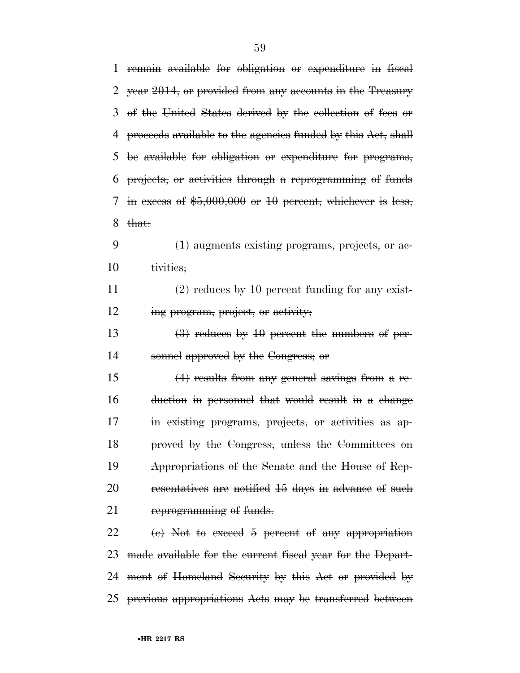| 1  | remain available for obligation or expenditure in fiscal     |
|----|--------------------------------------------------------------|
| 2  | year 2014, or provided from any accounts in the Treasury     |
| 3  | of the United States derived by the collection of fees or    |
| 4  | proceeds available to the agencies funded by this Act, shall |
| 5  | be available for obligation or expenditure for programs,     |
| 6  | projects, or activities through a reprogramming of funds     |
| 7  | in excess of $$5,000,000$ or 10 percent, whichever is less,  |
| 8  | that:                                                        |
| 9  | (1) augments existing programs, projects, or ac-             |
| 10 | tivities:                                                    |
| 11 | $(2)$ reduces by 10 percent funding for any exist-           |
| 12 | ing program, project, or activity;                           |
| 13 | $(3)$ reduces by 10 percent the numbers of per-              |
| 14 | sonnel approved by the Congress; or                          |
| 15 | $(4)$ results from any general savings from a re-            |
| 16 | duction in personnel that would result in a change           |
| 17 | in existing programs, projects, or activities as ap-         |
| 18 | proved by the Congress, unless the Committees on             |
| 19 | Appropriations of the Senate and the House of Rep-           |
| 20 | resentatives are notified 15 days in advance of such         |
| 21 | reprogramming of funds.                                      |
| 22 | $(e)$ Not to exceed 5 percent of any appropriation           |
| 23 | made available for the current fiscal year for the Depart-   |
| 24 | ment of Homeland Security by this Act or provided by         |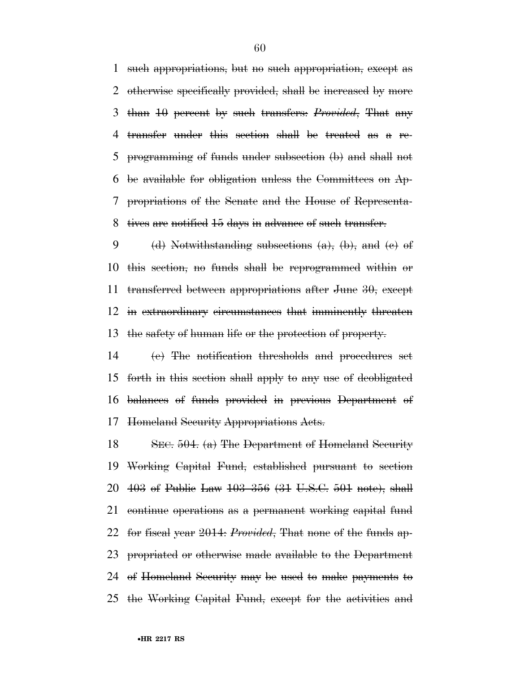such appropriations, but no such appropriation, except as otherwise specifically provided, shall be increased by more than 10 percent by such transfers: *Provided*, That any transfer under this section shall be treated as a re- programming of funds under subsection (b) and shall not be available for obligation unless the Committees on Ap- propriations of the Senate and the House of Representa-tives are notified 15 days in advance of such transfer.

9 (d) Notwithstanding subsections  $(a)$ ,  $(b)$ , and  $(e)$  of this section, no funds shall be reprogrammed within or transferred between appropriations after June 30, except in extraordinary circumstances that imminently threaten the safety of human life or the protection of property.

 (e) The notification thresholds and procedures set forth in this section shall apply to any use of deobligated balances of funds provided in previous Department of Homeland Security Appropriations Acts.

 SEC. 504. (a) The Department of Homeland Security Working Capital Fund, established pursuant to section 403 of Public Law 103–356 (31 U.S.C. 501 note), shall continue operations as a permanent working capital fund for fiscal year 2014: *Provided*, That none of the funds ap- propriated or otherwise made available to the Department of Homeland Security may be used to make payments to the Working Capital Fund, except for the activities and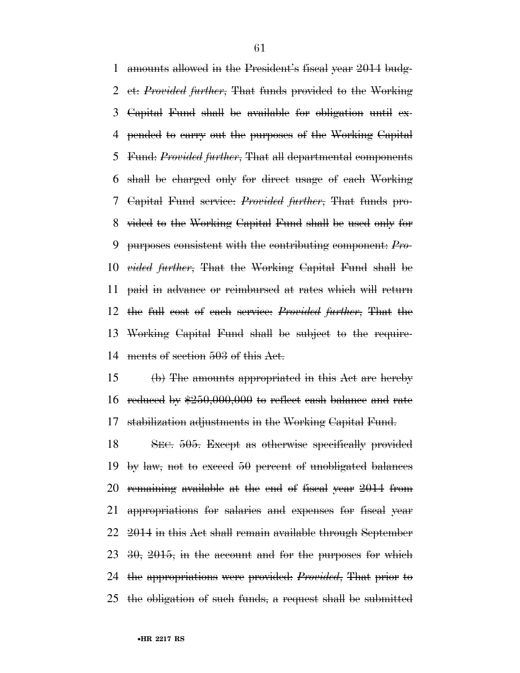amounts allowed in the President's fiscal year 2014 budg- et: *Provided further*, That funds provided to the Working Capital Fund shall be available for obligation until ex- pended to carry out the purposes of the Working Capital Fund: *Provided further*, That all departmental components shall be charged only for direct usage of each Working Capital Fund service: *Provided further*, That funds pro- vided to the Working Capital Fund shall be used only for purposes consistent with the contributing component: *Pro- vided further*, That the Working Capital Fund shall be paid in advance or reimbursed at rates which will return the full cost of each service: *Provided further*, That the Working Capital Fund shall be subject to the require-ments of section 503 of this Act.

 (b) The amounts appropriated in this Act are hereby reduced by \$250,000,000 to reflect cash balance and rate stabilization adjustments in the Working Capital Fund.

 SEC. 505. Except as otherwise specifically provided 19 by law, not to exceed 50 percent of unobligated balances remaining available at the end of fiscal year 2014 from appropriations for salaries and expenses for fiscal year 2014 in this Act shall remain available through September  $23\,30,\,2015,\,$  in the account and for the purposes for which the appropriations were provided: *Provided*, That prior to the obligation of such funds, a request shall be submitted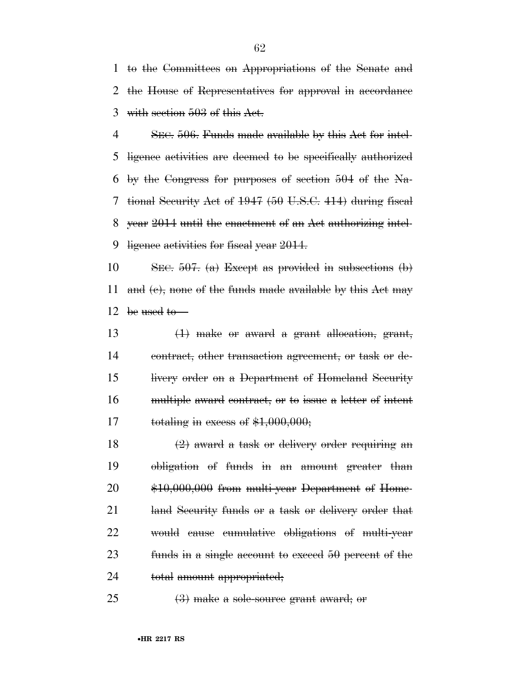to the Committees on Appropriations of the Senate and the House of Representatives for approval in accordance with section 503 of this Act.

 SEC. 506. Funds made available by this Act for intel- ligence activities are deemed to be specifically authorized 6 by the Congress for purposes of section of the Na- tional Security Act of 1947 (50 U.S.C. 414) during fiscal year 2014 until the enactment of an Act authorizing intel-9 ligence activities for fiscal year 2014.

10 SEC. . (a) Except as provided in subsections (b) 11 and  $(e)$ , none of the funds made available by this Act may 12 be used to

 $(1)$  make or award a grant allocation, grant, contract, other transaction agreement, or task or de- livery order on a Department of Homeland Security multiple award contract, or to issue a letter of intent 17 totaling in excess of  $$1,000,000;$ 

 $\left(2\right)$  award a task or delivery order requiring an obligation of funds in an amount greater than \$10,000,000 from multi-year Department of Home- land Security funds or a task or delivery order that would cause cumulative obligations of multi-year funds in a single account to exceed 50 percent of the 24 total amount appropriated;

25  $(3)$  make a sole-source grant award; or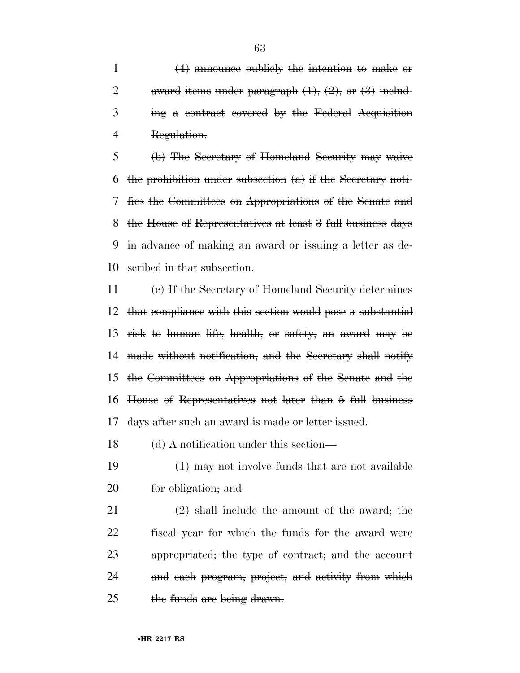(4) announce publicly the intention to make or 2 award items under paragraph  $(1)$ ,  $(2)$ , or  $(3)$  includ- ing a contract covered by the Federal Acquisition Regulation.

 (b) The Secretary of Homeland Security may waive the prohibition under subsection (a) if the Secretary noti- fies the Committees on Appropriations of the Senate and the House of Representatives at least 3 full business days in advance of making an award or issuing a letter as de-scribed in that subsection.

 (c) If the Secretary of Homeland Security determines that compliance with this section would pose a substantial risk to human life, health, or safety, an award may be made without notification, and the Secretary shall notify the Committees on Appropriations of the Senate and the House of Representatives not later than 5 full business days after such an award is made or letter issued.

18 (d) A notification under this section—

19  $(1)$  may not involve funds that are not available for obligation; and

 $\left(2\right)$  shall include the amount of the award; the fiscal year for which the funds for the award were appropriated; the type of contract; and the account and each program, project, and activity from which 25 the funds are being drawn.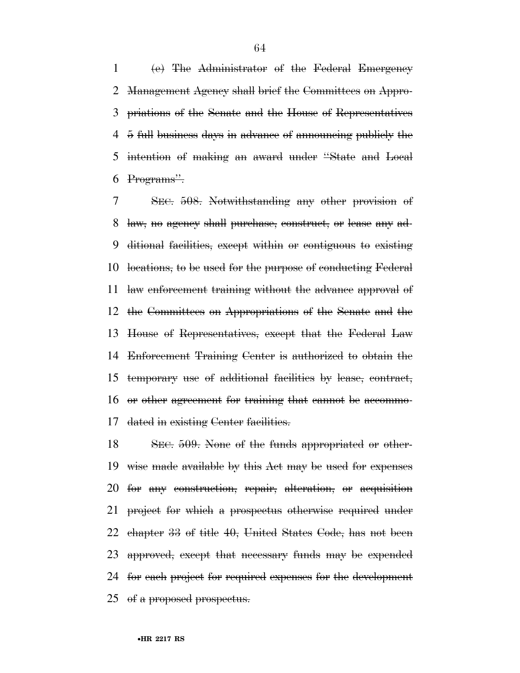(e) The Administrator of the Federal Emergency Management Agency shall brief the Committees on Appro- priations of the Senate and the House of Representatives 5 full business days in advance of announcing publicly the intention of making an award under ''State and Local Programs''.

 SEC. 508. Notwithstanding any other provision of law, no agency shall purchase, construct, or lease any ad- ditional facilities, except within or contiguous to existing locations, to be used for the purpose of conducting Federal law enforcement training without the advance approval of the Committees on Appropriations of the Senate and the House of Representatives, except that the Federal Law Enforcement Training Center is authorized to obtain the temporary use of additional facilities by lease, contract, or other agreement for training that cannot be accommo-dated in existing Center facilities.

 SEC. 509. None of the funds appropriated or other- wise made available by this Act may be used for expenses for any construction, repair, alteration, or acquisition project for which a prospectus otherwise required under chapter 33 of title 40, United States Code, has not been approved, except that necessary funds may be expended for each project for required expenses for the development of a proposed prospectus.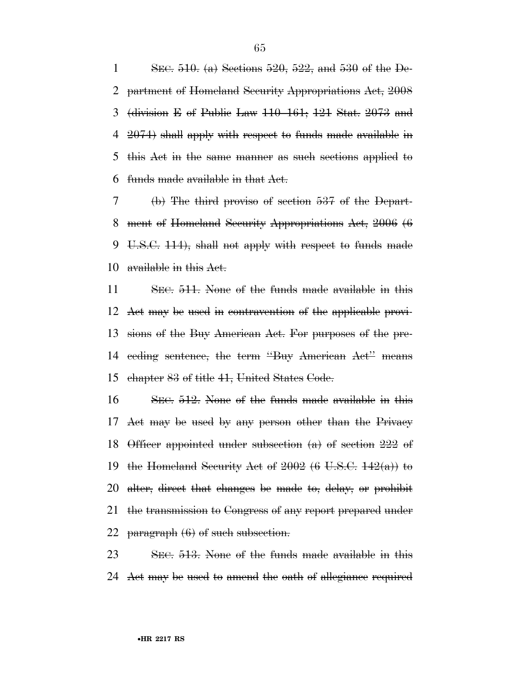1 SEC. . (a) Sections  $520$ ,  $522$ , and  $530$  of the De- partment of Homeland Security Appropriations Act, 2008 (division E of Public Law 110–161; 121 Stat. 2073 and 2074) shall apply with respect to funds made available in this Act in the same manner as such sections applied to funds made available in that Act.

 (b) The third proviso of section 537 of the Depart- ment of Homeland Security Appropriations Act, 2006 (6 U.S.C. 114), shall not apply with respect to funds made 10 available in this Act.

 SEC. 511. None of the funds made available in this Act may be used in contravention of the applicable provi- sions of the Buy American Act. For purposes of the pre- ceding sentence, the term ''Buy American Act'' means chapter 83 of title 41, United States Code.

 SEC. 512. None of the funds made available in this Act may be used by any person other than the Privacy Officer appointed under subsection (a) of section 222 of 19 the Homeland Security Act of (6 U.S.C.  $142(a)$ ) to alter, direct that changes be made to, delay, or prohibit the transmission to Congress of any report prepared under 22 paragraph  $(6)$  of such subsection.

 SEC. 513. None of the funds made available in this Act may be used to amend the oath of allegiance required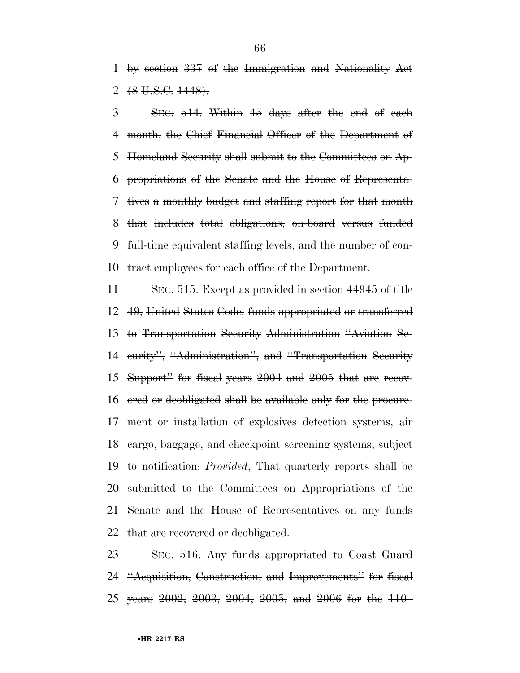by section 337 of the Immigration and Nationality Act 2  $(8 \text{ U.S.C. } 1448)$ .

 SEC. 514. Within 45 days after the end of each month, the Chief Financial Officer of the Department of Homeland Security shall submit to the Committees on Ap- propriations of the Senate and the House of Representa- tives a monthly budget and staffing report for that month that includes total obligations, on-board versus funded full-time equivalent staffing levels, and the number of con-tract employees for each office of the Department.

 SEC. 515. Except as provided in section 44945 of title 49, United States Code, funds appropriated or transferred to Transportation Security Administration ''Aviation Se-14 curity", "Administration", and "Transportation Security Support'' for fiscal years 2004 and 2005 that are recov- ered or deobligated shall be available only for the procure- ment or installation of explosives detection systems, air cargo, baggage, and checkpoint screening systems, subject to notification: *Provided*, That quarterly reports shall be submitted to the Committees on Appropriations of the Senate and the House of Representatives on any funds 22 that are recovered or deobligated.

 SEC. 516. Any funds appropriated to Coast Guard ''Acquisition, Construction, and Improvements'' for fiscal years 2002, 2003, 2004, 2005, and 2006 for the 110–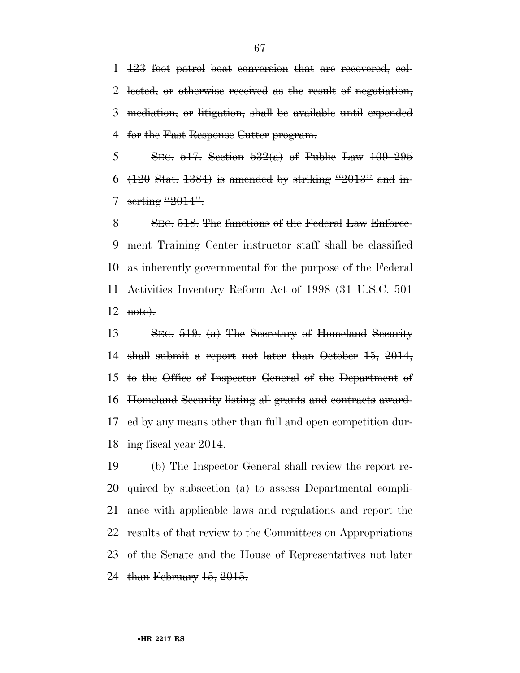123 foot patrol boat conversion that are recovered, col- lected, or otherwise received as the result of negotiation, mediation, or litigation, shall be available until expended for the Fast Response Cutter program.

5 SEC. 517. Section  $532(a)$  of Public Law  $109-295$  $(120 \text{ Stat. } 1384)$  is amended by striking "2013" and in-7 serting "2014".

8 SEC. 518. The functions of the Federal Law Enforce- ment Training Center instructor staff shall be classified as inherently governmental for the purpose of the Federal Activities Inventory Reform Act of 1998 (31 U.S.C. 501 note).

 SEC. 519. (a) The Secretary of Homeland Security shall submit a report not later than October 15, 2014, to the Office of Inspector General of the Department of Homeland Security listing all grants and contracts award- ed by any means other than full and open competition dur-18 ing fiscal year .

 (b) The Inspector General shall review the report re- quired by subsection (a) to assess Departmental compli- ance with applicable laws and regulations and report the results of that review to the Committees on Appropriations of the Senate and the House of Representatives not later 24 than February 15, 2015.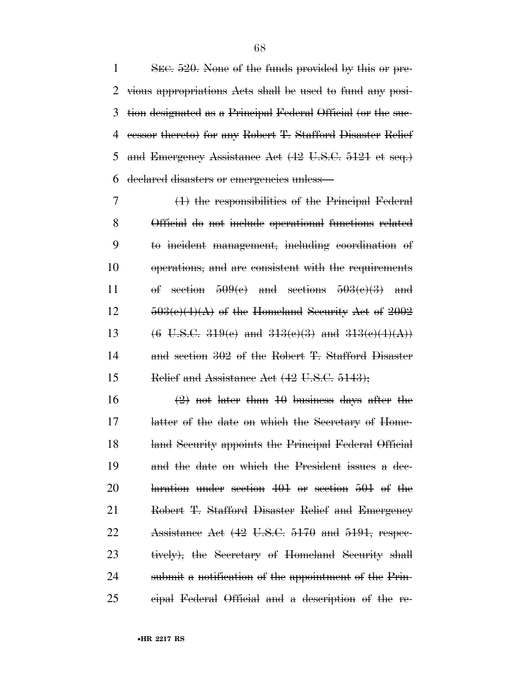1 SEC. 520. None of the funds provided by this or pre- vious appropriations Acts shall be used to fund any posi- tion designated as a Principal Federal Official (or the suc- cessor thereto) for any Robert T. Stafford Disaster Relief and Emergency Assistance Act (42 U.S.C. 5121 et seq.) declared disasters or emergencies unless—

 (1) the responsibilities of the Principal Federal Official do not include operational functions related to incident management, including coordination of operations, and are consistent with the requirements 11 of section  $509(e)$  and sections  $503(e)(3)$  and  $12 \qquad 503(e)(4)(\text{A})$  of the Homeland Security Act of  $2002$ 13 (6 U.S.C.  $319(e)$  and  $313(e)(3)$  and  $313(e)(4)(A)$ ) and section 302 of the Robert T. Stafford Disaster 15 Relief and Assistance Act (42 U.S.C. 5143);

 $\left(2\right)$  not later than 10 business days after the latter of the date on which the Secretary of Home- land Security appoints the Principal Federal Official and the date on which the President issues a dec- laration under section 401 or section 501 of the Robert T. Stafford Disaster Relief and Emergency 22 Assistance Act (42 U.S.C. 5170 and 5191, respec- tively), the Secretary of Homeland Security shall submit a notification of the appointment of the Prin-cipal Federal Official and a description of the re-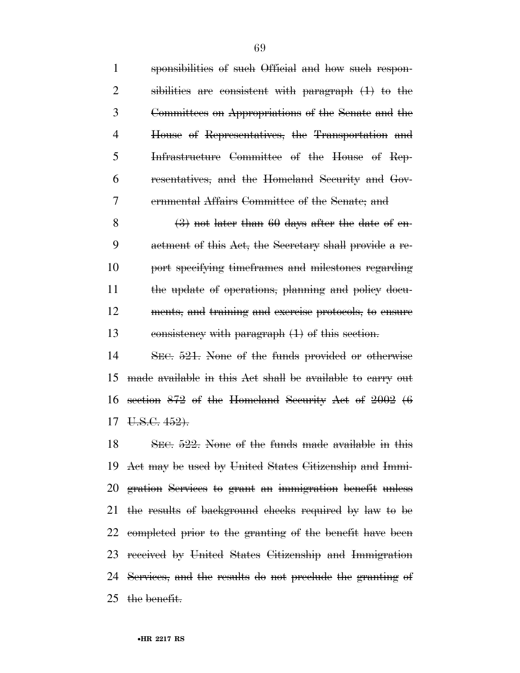sponsibilities of such Official and how such respon- sibilities are consistent with paragraph (1) to the Committees on Appropriations of the Senate and the House of Representatives, the Transportation and Infrastructure Committee of the House of Rep- resentatives, and the Homeland Security and Gov- ernmental Affairs Committee of the Senate; and 8 (3) not later than days after the date of en- actment of this Act, the Secretary shall provide a re-port specifying timeframes and milestones regarding

 the update of operations, planning and policy docu- ments, and training and exercise protocols, to ensure consistency with paragraph (1) of this section.

 SEC. 521. None of the funds provided or otherwise made available in this Act shall be available to carry out section 872 of the Homeland Security Act of 2002 (6 U.S.C. 452).

 SEC. 522. None of the funds made available in this Act may be used by United States Citizenship and Immi- gration Services to grant an immigration benefit unless the results of background checks required by law to be completed prior to the granting of the benefit have been received by United States Citizenship and Immigration Services, and the results do not preclude the granting of the benefit.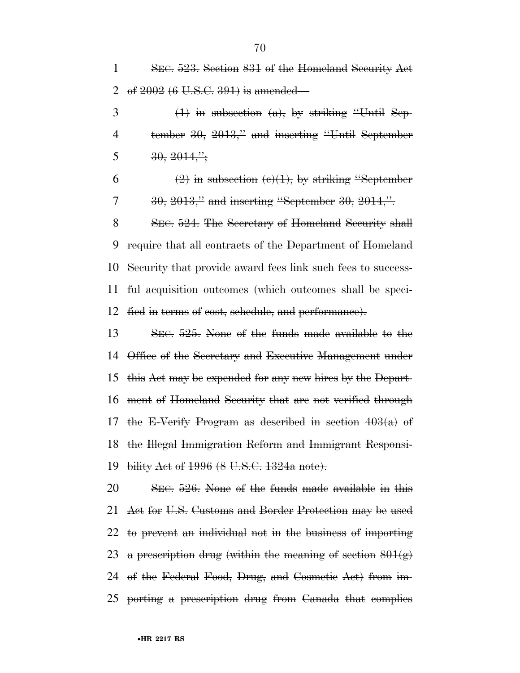SEC. 523. Section 831 of the Homeland Security Act 2 of  $2002(6 \text{ U.S.C. } 391)$  is amended—  $\frac{1}{1}$  in subsection (a), by striking "Until Sep- tember 30, 2013,'' and inserting ''Until September  $5 \qquad \qquad 30, \, 2014, \ldots$  $(2)$  in subsection  $(e)(1)$ , by striking "September  $7 \frac{30}{6}$ ,  $2013$ ," and inserting "September 30,  $2014$ ,". 8 SEC. 524. The Secretary of Homeland Security shall require that all contracts of the Department of Homeland Security that provide award fees link such fees to success- ful acquisition outcomes (which outcomes shall be speci- fied in terms of cost, schedule, and performance). SEC. 525. None of the funds made available to the

 Office of the Secretary and Executive Management under this Act may be expended for any new hires by the Depart- ment of Homeland Security that are not verified through 17 the E-Verify Program as described in section  $403(a)$  of the Illegal Immigration Reform and Immigrant Responsi-bility Act of 1996 (8 U.S.C. 1324a note).

 SEC. 526. None of the funds made available in this Act for U.S. Customs and Border Protection may be used to prevent an individual not in the business of importing 23 a prescription drug (within the meaning of section  $801(g)$  of the Federal Food, Drug, and Cosmetic Act) from im-porting a prescription drug from Canada that complies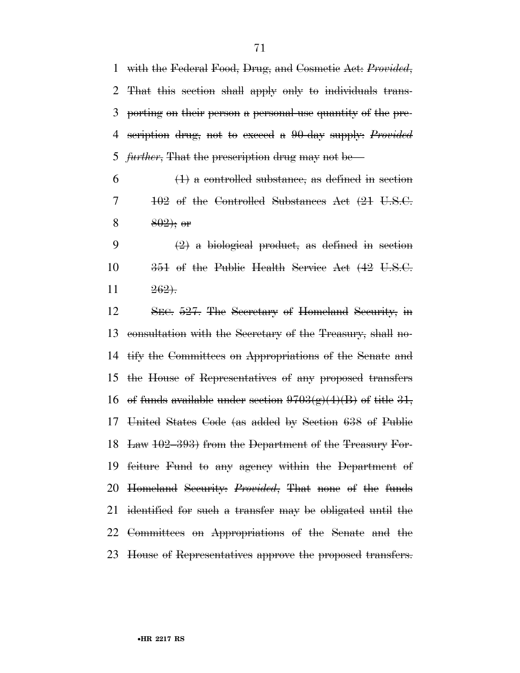with the Federal Food, Drug, and Cosmetic Act: *Provided*, That this section shall apply only to individuals trans- porting on their person a personal-use quantity of the pre- scription drug, not to exceed a 90-day supply: *Provided further*, That the prescription drug may not be—

 $6 \left(1\right)$  a controlled substance, as defined in section  $7 \qquad \qquad 102$  of the Controlled Substances Act  $(21 \text{ U.S.C.})$ 8 ; or

9  $(2)$  a biological product, as defined in section 10 351 of the Public Health Service Act (42 U.S.C.  $11 \t\t 262$ .

 SEC. 527. The Secretary of Homeland Security, in consultation with the Secretary of the Treasury, shall no- tify the Committees on Appropriations of the Senate and the House of Representatives of any proposed transfers 16 of funds available under section  $9703(g)(4)(B)$  of title 31, United States Code (as added by Section 638 of Public Law 102–393) from the Department of the Treasury For- feiture Fund to any agency within the Department of Homeland Security: *Provided*, That none of the funds identified for such a transfer may be obligated until the Committees on Appropriations of the Senate and the House of Representatives approve the proposed transfers.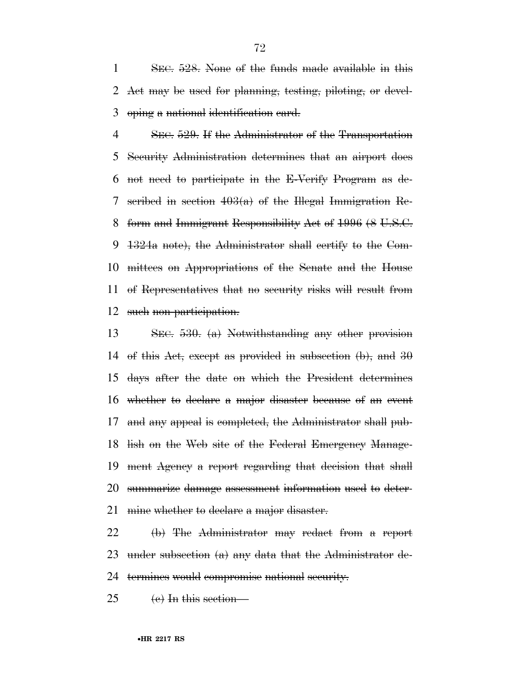SEC. 528. None of the funds made available in this Act may be used for planning, testing, piloting, or devel-oping a national identification card.

 SEC. 529. If the Administrator of the Transportation Security Administration determines that an airport does not need to participate in the E-Verify Program as de-7 seribed in section  $403(a)$  of the Hlegal Immigration Re- form and Immigrant Responsibility Act of 1996 (8 U.S.C. 1324a note), the Administrator shall certify to the Com- mittees on Appropriations of the Senate and the House of Representatives that no security risks will result from 12 such non-participation.

 SEC. 530. (a) Notwithstanding any other provision 14 of this Act, except as provided in subsection  $(b)$ , and  $30$  days after the date on which the President determines whether to declare a major disaster because of an event and any appeal is completed, the Administrator shall pub- lish on the Web site of the Federal Emergency Manage- ment Agency a report regarding that decision that shall summarize damage assessment information used to deter-21 mine whether to declare a major disaster.

 (b) The Administrator may redact from a report under subsection (a) any data that the Administrator de-termines would compromise national security.

 $25 \quad$  (e) In this section—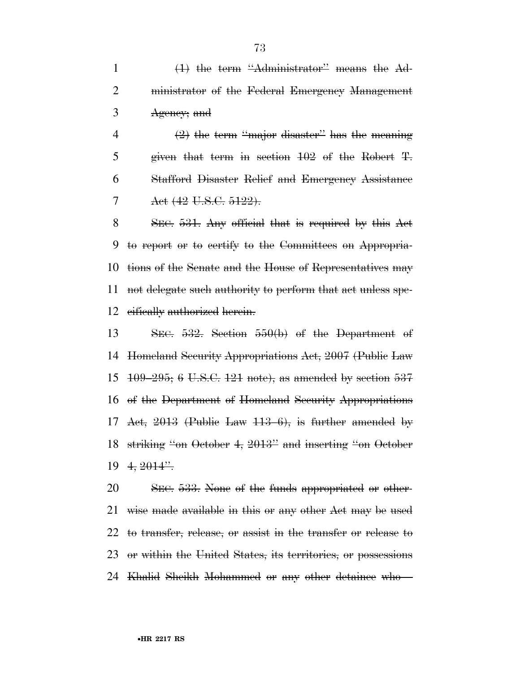1 (1) the term "Administrator" means the Ad- ministrator of the Federal Emergency Management Agency; and

 $\left(2\right)$  the term "major disaster" has the meaning given that term in section 102 of the Robert T. Stafford Disaster Relief and Emergency Assistance 7 Aet (42 U.S.C. 5122).

 SEC. 531. Any official that is required by this Act to report or to certify to the Committees on Appropria- tions of the Senate and the House of Representatives may not delegate such authority to perform that act unless spe-12 eifically authorized herein.

 SEC. 532. Section 550(b) of the Department of Homeland Security Appropriations Act, 2007 (Public Law 109–295; 6 U.S.C. 121 note), as amended by section 537 of the Department of Homeland Security Appropriations 17 Act, (Public Law 113–6), is further amended by striking ''on October 4, 2013'' and inserting ''on October  $19 \frac{4}{2014}$ .

 SEC. 533. None of the funds appropriated or other- wise made available in this or any other Act may be used to transfer, release, or assist in the transfer or release to or within the United States, its territories, or possessions Khalid Sheikh Mohammed or any other detainee who—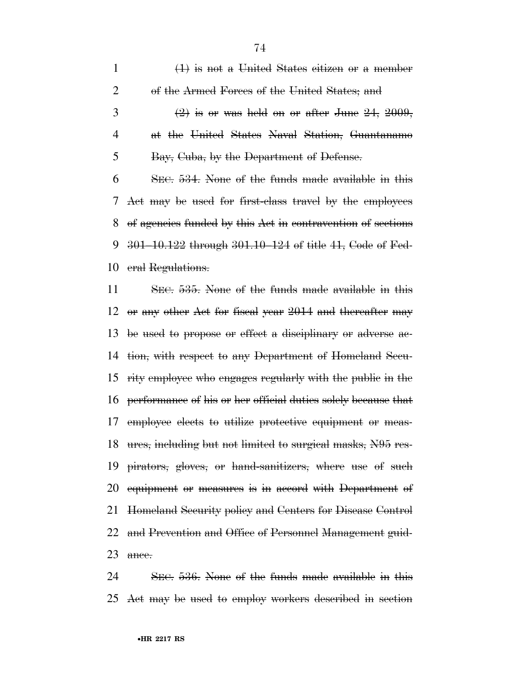(1) is not a United States citizen or a member 2 of the Armed Forces of the United States; and 3 (2) is or was held on or after June 24, , at the United States Naval Station, Guantanamo Bay, Cuba, by the Department of Defense. SEC. 534. None of the funds made available in this Act may be used for first-class travel by the employees of agencies funded by this Act in contravention of sections 301–10.122 through 301.10–124 of title 41, Code of Fed-eral Regulations.

 SEC. 535. None of the funds made available in this or any other Act for fiscal year 2014 and thereafter may be used to propose or effect a disciplinary or adverse ac- tion, with respect to any Department of Homeland Secu- rity employee who engages regularly with the public in the performance of his or her official duties solely because that employee elects to utilize protective equipment or meas- ures, including but not limited to surgical masks, N95 res- pirators, gloves, or hand-sanitizers, where use of such equipment or measures is in accord with Department of Homeland Security policy and Centers for Disease Control and Prevention and Office of Personnel Management guid-23 ance.

 SEC. 536. None of the funds made available in this Act may be used to employ workers described in section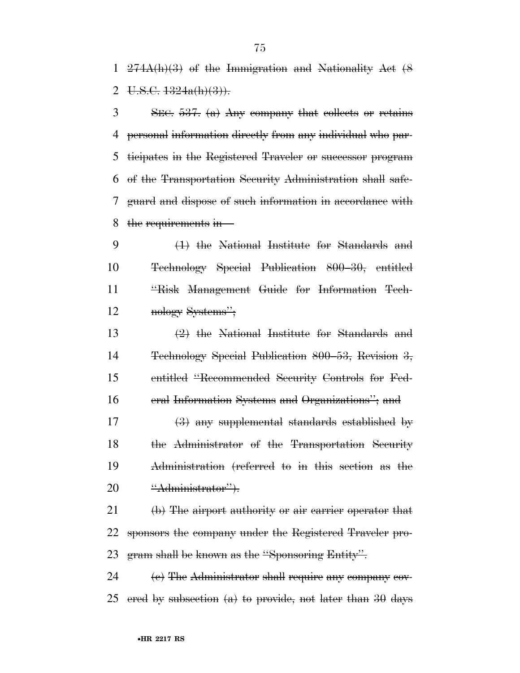274A(h)(3) of the Immigration and Nationality Act (8 2 U.S.C.  $1324a(h)(3)$ .

 SEC. 537. (a) Any company that collects or retains personal information directly from any individual who par- ticipates in the Registered Traveler or successor program of the Transportation Security Administration shall safe- guard and dispose of such information in accordance with the requirements in—

 (1) the National Institute for Standards and Technology Special Publication 800–30, entitled ''Risk Management Guide for Information Tech-nology Systems'';

 (2) the National Institute for Standards and Technology Special Publication 800–53, Revision 3, entitled ''Recommended Security Controls for Fed-eral Information Systems and Organizations''; and

 (3) any supplemental standards established by the Administrator of the Transportation Security Administration (referred to in this section as the 20 <del>''Administrator'').</del>

21 (b) The airport authority or air carrier operator that sponsors the company under the Registered Traveler pro-gram shall be known as the ''Sponsoring Entity''.

24 (e) The Administrator shall require any company cov-25 ered by subsection  $(a)$  to provide, not later than 30 days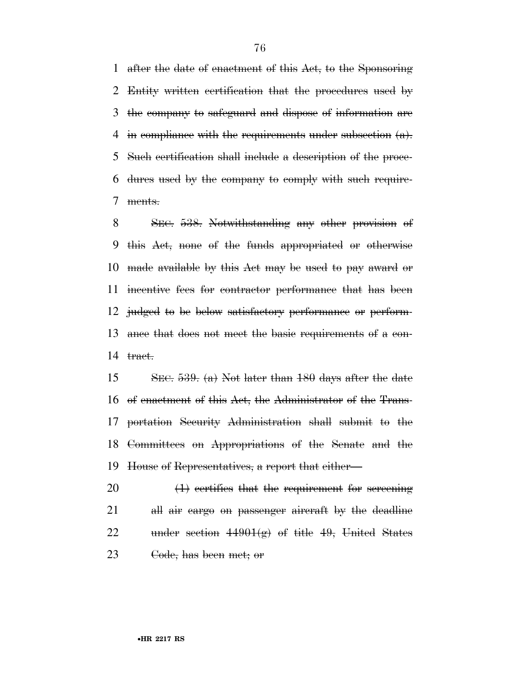after the date of enactment of this Act, to the Sponsoring Entity written certification that the procedures used by the company to safeguard and dispose of information are 4 in compliance with the requirements under subsection  $(a)$ . Such certification shall include a description of the proce- dures used by the company to comply with such require-ments.

 SEC. 538. Notwithstanding any other provision of this Act, none of the funds appropriated or otherwise made available by this Act may be used to pay award or incentive fees for contractor performance that has been judged to be below satisfactory performance or perform- ance that does not meet the basic requirements of a con-tract.

 SEC. 539. (a) Not later than 180 days after the date of enactment of this Act, the Administrator of the Trans- portation Security Administration shall submit to the Committees on Appropriations of the Senate and the House of Representatives, a report that either—

 (1) certifies that the requirement for screening all air cargo on passenger aircraft by the deadline 22 under section  $44901(g)$  of title 49, United States 23 <del>Code, has been met; or</del>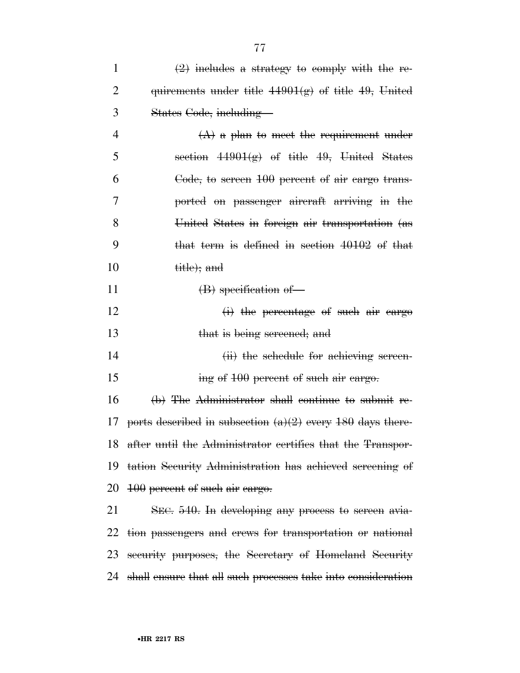|    | $(A)$ a plan to meet the requirement under      |
|----|-------------------------------------------------|
| 5  | section $44901(g)$ of title 49, United States   |
|    | Code, to sereen 100 percent of air cargo trans- |
|    | ported on passenger aircraft arriving in the    |
| 8  | United States in foreign air transportation (as |
| 9  | that term is defined in section 40102 of that   |
| 10 | title); and                                     |
|    |                                                 |

11 (B) specification of

12 (i) the percentage of such air cargo 13 that is being screened; and

14 (ii) the schedule for achieving screen-15 ing of 100 percent of such air cargo.

 (b) The Administrator shall continue to submit re-17 ports described in subsection  $(a)(2)$  every 180 days there-after until the Administrator certifies that the Transpor-

 tation Security Administration has achieved screening of 20 <del>100</del> percent of such air cargo.

 SEC. 540. In developing any process to screen avia- tion passengers and crews for transportation or national security purposes, the Secretary of Homeland Security shall ensure that all such processes take into consideration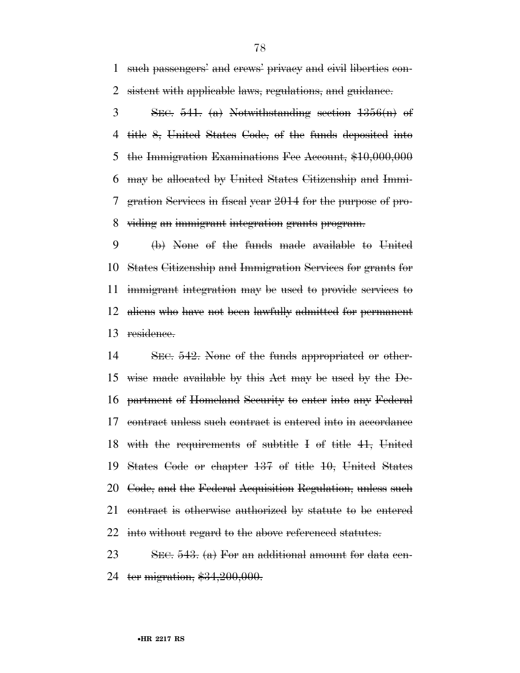such passengers' and crews' privacy and civil liberties con-sistent with applicable laws, regulations, and guidance.

 $3 \qquad \text{SEC. } 541.$  (a) Notwithstanding section  $1356(n)$  of title 8, United States Code, of the funds deposited into the Immigration Examinations Fee Account, \$10,000,000 may be allocated by United States Citizenship and Immi- gration Services in fiscal year 2014 for the purpose of pro-viding an immigrant integration grants program.

 (b) None of the funds made available to United States Citizenship and Immigration Services for grants for immigrant integration may be used to provide services to aliens who have not been lawfully admitted for permanent 13 residence.

 SEC. 542. None of the funds appropriated or other- wise made available by this Act may be used by the De- partment of Homeland Security to enter into any Federal contract unless such contract is entered into in accordance with the requirements of subtitle I of title 41, United States Code or chapter 137 of title 10, United States Code, and the Federal Acquisition Regulation, unless such contract is otherwise authorized by statute to be entered 22 into without regard to the above referenced statutes.

23 SEC. . (a) For an additional amount for data cen-24 ter migration, \$34,200,000.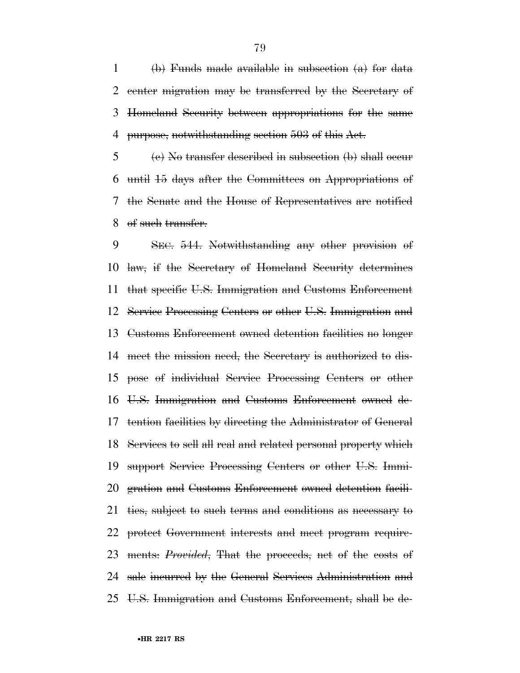1 (b) Funds made available in subsection  $(a)$  for data center migration may be transferred by the Secretary of Homeland Security between appropriations for the same purpose, notwithstanding section 503 of this Act.

 (c) No transfer described in subsection (b) shall occur until 15 days after the Committees on Appropriations of the Senate and the House of Representatives are notified of such transfer.

 SEC. 544. Notwithstanding any other provision of law, if the Secretary of Homeland Security determines that specific U.S. Immigration and Customs Enforcement Service Processing Centers or other U.S. Immigration and Customs Enforcement owned detention facilities no longer meet the mission need, the Secretary is authorized to dis- pose of individual Service Processing Centers or other U.S. Immigration and Customs Enforcement owned de- tention facilities by directing the Administrator of General Services to sell all real and related personal property which support Service Processing Centers or other U.S. Immi- gration and Customs Enforcement owned detention facili- ties, subject to such terms and conditions as necessary to protect Government interests and meet program require- ments: *Provided*, That the proceeds, net of the costs of sale incurred by the General Services Administration and U.S. Immigration and Customs Enforcement, shall be de-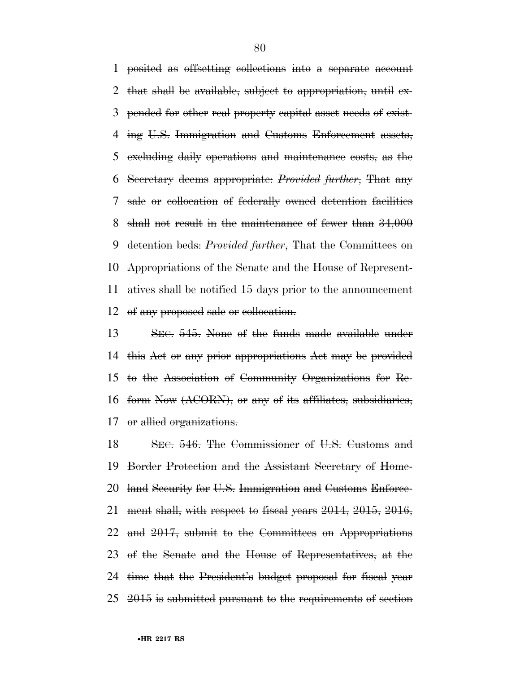posited as offsetting collections into a separate account that shall be available, subject to appropriation, until ex- pended for other real property capital asset needs of exist- ing U.S. Immigration and Customs Enforcement assets, excluding daily operations and maintenance costs, as the Secretary deems appropriate: *Provided further*, That any sale or collocation of federally owned detention facilities shall not result in the maintenance of fewer than 34,000 detention beds: *Provided further*, That the Committees on Appropriations of the Senate and the House of Represent- atives shall be notified 15 days prior to the announcement of any proposed sale or collocation.

 SEC. 545. None of the funds made available under this Act or any prior appropriations Act may be provided to the Association of Community Organizations for Re- form Now (ACORN), or any of its affiliates, subsidiaries, or allied organizations.

 SEC. 546. The Commissioner of U.S. Customs and Border Protection and the Assistant Secretary of Home- land Security for U.S. Immigration and Customs Enforce- ment shall, with respect to fiscal years 2014, 2015, 2016, and 2017, submit to the Committees on Appropriations of the Senate and the House of Representatives, at the time that the President's budget proposal for fiscal year 2015 is submitted pursuant to the requirements of section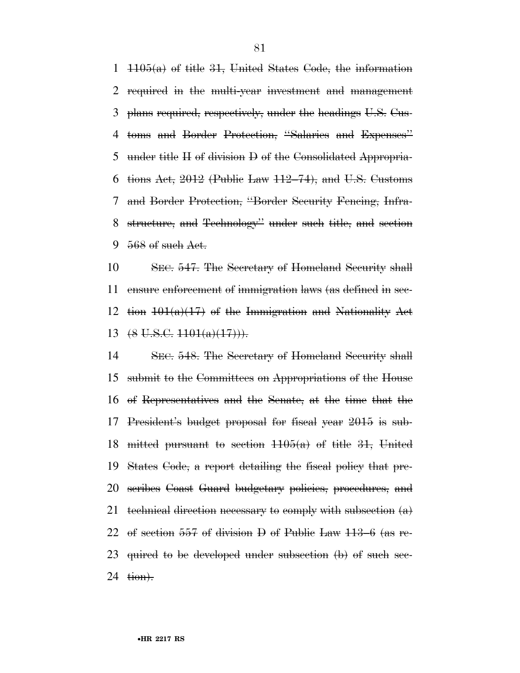$1105(a)$  of title 31, United States Code, the information required in the multi-year investment and management plans required, respectively, under the headings U.S. Cus- toms and Border Protection, ''Salaries and Expenses'' under title II of division D of the Consolidated Appropria-6 tions Act, (Public Law  $112-74$ ), and U.S. Customs and Border Protection, ''Border Security Fencing, Infra- structure, and Technology'' under such title, and section 9 568 of such Act.

 SEC. 547. The Secretary of Homeland Security shall ensure enforcement of immigration laws (as defined in sec-12 tion  $101(a)(17)$  of the Immigration and Nationality Act  $(8 \text{ U.S.C. } 1101(a)(17))$ .

 SEC. 548. The Secretary of Homeland Security shall submit to the Committees on Appropriations of the House of Representatives and the Senate, at the time that the President's budget proposal for fiscal year 2015 is sub-18 mitted pursuant to section  $1105(a)$  of title 31, United States Code, a report detailing the fiscal policy that pre- scribes Coast Guard budgetary policies, procedures, and 21 technical direction necessary to comply with subsection  $(a)$  of section 557 of division D of Public Law 113–6 (as re- quired to be developed under subsection (b) of such sec-24 <del>tion).</del>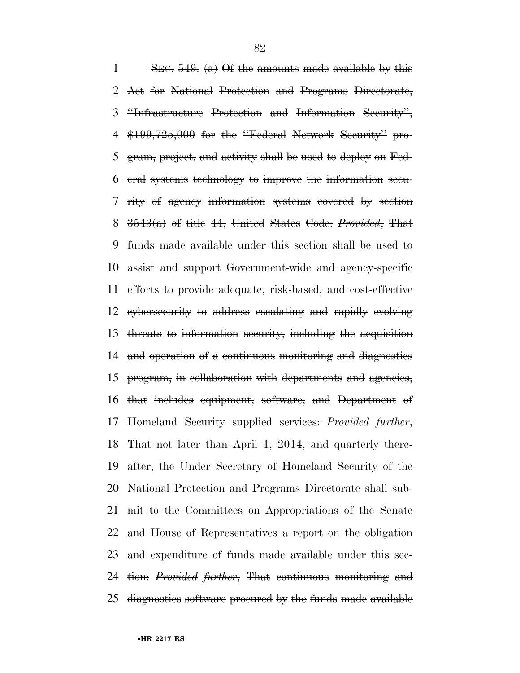1 SEC. . (a) Of the amounts made available by this Act for National Protection and Programs Directorate, ''Infrastructure Protection and Information Security'', \$199,725,000 for the ''Federal Network Security'' pro- gram, project, and activity shall be used to deploy on Fed- eral systems technology to improve the information secu- rity of agency information systems covered by section 3543(a) of title 44, United States Code: *Provided*, That funds made available under this section shall be used to assist and support Government-wide and agency-specific efforts to provide adequate, risk-based, and cost-effective cybersecurity to address escalating and rapidly evolving threats to information security, including the acquisition and operation of a continuous monitoring and diagnostics program, in collaboration with departments and agencies, that includes equipment, software, and Department of Homeland Security supplied services: *Provided further*, That not later than April 1, 2014, and quarterly there- after, the Under Secretary of Homeland Security of the National Protection and Programs Directorate shall sub- mit to the Committees on Appropriations of the Senate and House of Representatives a report on the obligation and expenditure of funds made available under this sec- tion: *Provided further*, That continuous monitoring and diagnostics software procured by the funds made available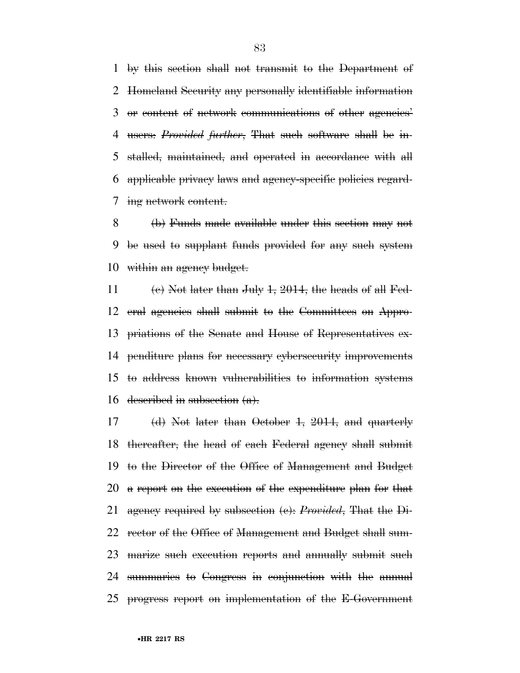by this section shall not transmit to the Department of Homeland Security any personally identifiable information or content of network communications of other agencies' users: *Provided further*, That such software shall be in- stalled, maintained, and operated in accordance with all applicable privacy laws and agency-specific policies regard-ing network content.

 (b) Funds made available under this section may not be used to supplant funds provided for any such system within an agency budget.

11 (e) Not later than July  $1, 2014$ , the heads of all Fed- eral agencies shall submit to the Committees on Appro- priations of the Senate and House of Representatives ex- penditure plans for necessary cybersecurity improvements to address known vulnerabilities to information systems 16 described in subsection  $(a)$ .

 (d) Not later than October 1, 2014, and quarterly thereafter, the head of each Federal agency shall submit to the Director of the Office of Management and Budget a report on the execution of the expenditure plan for that agency required by subsection (c): *Provided*, That the Di- rector of the Office of Management and Budget shall sum- marize such execution reports and annually submit such summaries to Congress in conjunction with the annual progress report on implementation of the E-Government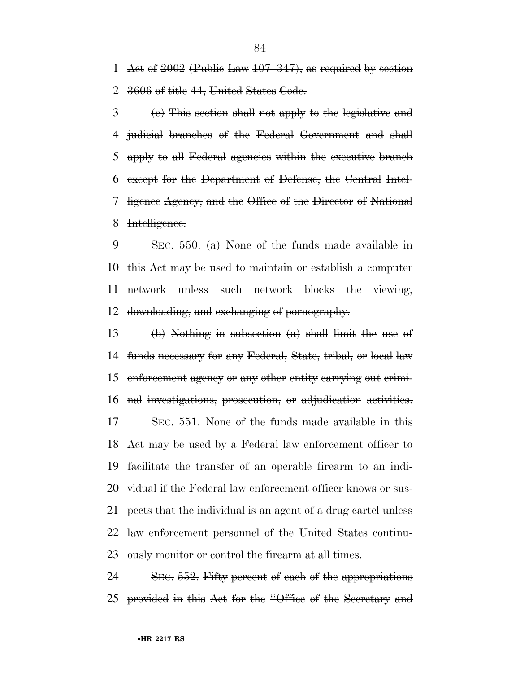Act of 2002 (Public Law 107–347), as required by section 3606 of title 44, United States Code.

 (e) This section shall not apply to the legislative and judicial branches of the Federal Government and shall apply to all Federal agencies within the executive branch except for the Department of Defense, the Central Intel- ligence Agency, and the Office of the Director of National Intelligence.

 SEC. 550. (a) None of the funds made available in this Act may be used to maintain or establish a computer network unless such network blocks the viewing, downloading, and exchanging of pornography.

 (b) Nothing in subsection (a) shall limit the use of funds necessary for any Federal, State, tribal, or local law enforcement agency or any other entity carrying out crimi- nal investigations, prosecution, or adjudication activities. SEC. 551. None of the funds made available in this Act may be used by a Federal law enforcement officer to facilitate the transfer of an operable firearm to an indi-20 vidual if the Federal law enforcement officer knows or sus- pects that the individual is an agent of a drug cartel unless 22 law enforcement personnel of the United States continu-ously monitor or control the firearm at all times.

24 SEC. 552. Fifty percent of each of the appropriations provided in this Act for the ''Office of the Secretary and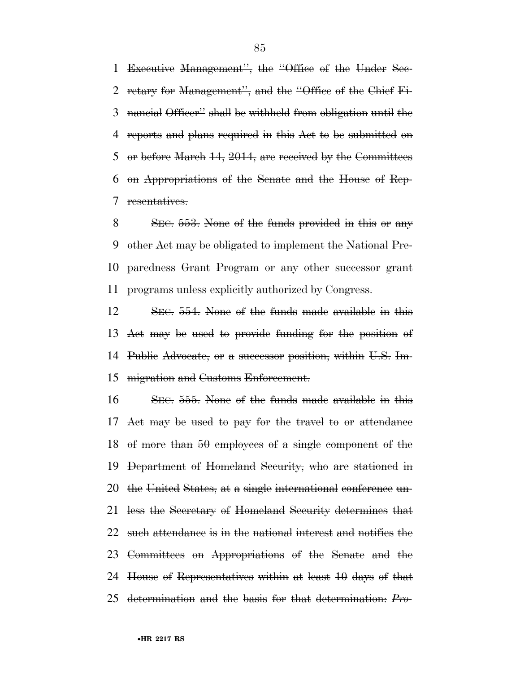Executive Management'', the ''Office of the Under Sec- retary for Management'', and the ''Office of the Chief Fi- nancial Officer'' shall be withheld from obligation until the reports and plans required in this Act to be submitted on or before March 14, 2014, are received by the Committees on Appropriations of the Senate and the House of Rep-resentatives.

 SEC. 553. None of the funds provided in this or any other Act may be obligated to implement the National Pre- paredness Grant Program or any other successor grant programs unless explicitly authorized by Congress.

 SEC. 554. None of the funds made available in this Act may be used to provide funding for the position of Public Advocate, or a successor position, within U.S. Im-migration and Customs Enforcement.

 SEC. 555. None of the funds made available in this Act may be used to pay for the travel to or attendance of more than 50 employees of a single component of the Department of Homeland Security, who are stationed in the United States, at a single international conference un- less the Secretary of Homeland Security determines that such attendance is in the national interest and notifies the Committees on Appropriations of the Senate and the House of Representatives within at least 10 days of that determination and the basis for that determination: *Pro-*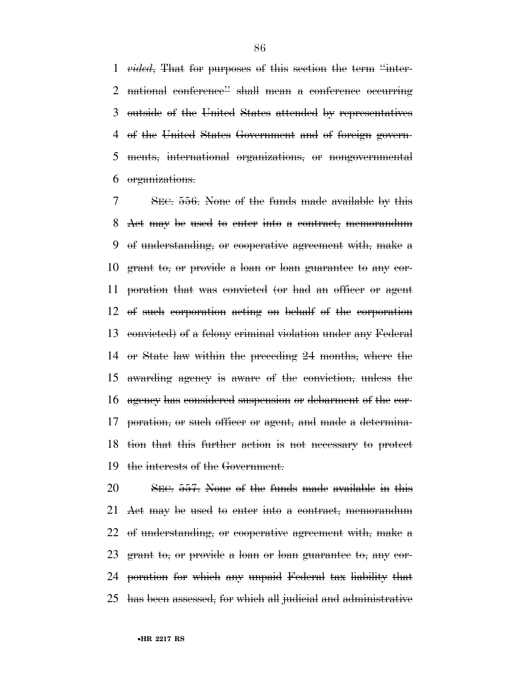*vided*, That for purposes of this section the term ''inter- national conference'' shall mean a conference occurring outside of the United States attended by representatives of the United States Government and of foreign govern- ments, international organizations, or nongovernmental organizations.

 SEC. 556. None of the funds made available by this Act may be used to enter into a contract, memorandum of understanding, or cooperative agreement with, make a grant to, or provide a loan or loan guarantee to any cor- poration that was convicted (or had an officer or agent of such corporation acting on behalf of the corporation convicted) of a felony criminal violation under any Federal or State law within the preceding 24 months, where the awarding agency is aware of the conviction, unless the agency has considered suspension or debarment of the cor- poration, or such officer or agent, and made a determina- tion that this further action is not necessary to protect the interests of the Government.

 SEC. 557. None of the funds made available in this Act may be used to enter into a contract, memorandum of understanding, or cooperative agreement with, make a grant to, or provide a loan or loan guarantee to, any cor- poration for which any unpaid Federal tax liability that has been assessed, for which all judicial and administrative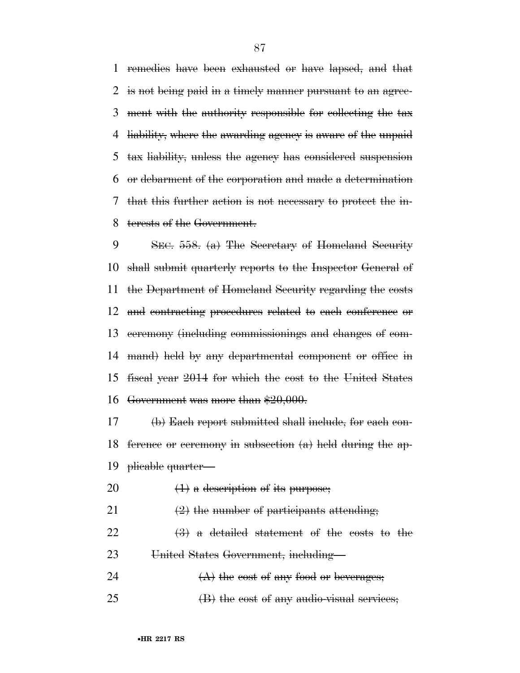remedies have been exhausted or have lapsed, and that is not being paid in a timely manner pursuant to an agree- ment with the authority responsible for collecting the tax liability, where the awarding agency is aware of the unpaid tax liability, unless the agency has considered suspension or debarment of the corporation and made a determination that this further action is not necessary to protect the in-terests of the Government.

 SEC. 558. (a) The Secretary of Homeland Security shall submit quarterly reports to the Inspector General of the Department of Homeland Security regarding the costs and contracting procedures related to each conference or ceremony (including commissionings and changes of com- mand) held by any departmental component or office in fiscal year 2014 for which the cost to the United States Government was more than \$20,000.

 (b) Each report submitted shall include, for each con-18 ference or ceremony in subsection  $(a)$  held during the ap-plicable quarter—

- 20  $(1)$  a description of its purpose;
- 21  $\left(2\right)$  the number of participants attending;

22  $\left(3\right)$  a detailed statement of the costs to the United States Government, including—

- 24  $(A)$  the cost of any food or beverages;
- (B) the cost of any audio-visual services;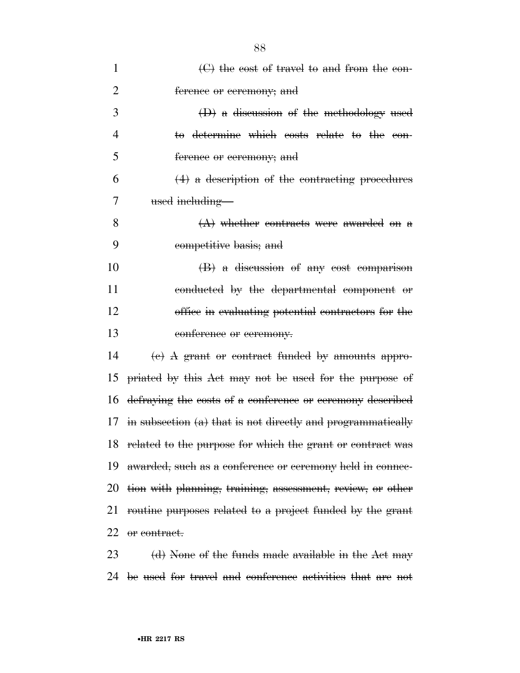| $\mathbf{1}$   | $\Theta$ the cost of travel to and from the con-              |
|----------------|---------------------------------------------------------------|
| $\overline{2}$ | ference or ceremony; and                                      |
| 3              | $(D)$ a discussion of the methodology used                    |
| $\overline{4}$ | to determine which costs relate to the con-                   |
| 5              | ference or ceremony; and                                      |
| 6              | $(4)$ a description of the contracting procedures             |
| 7              | used including—                                               |
| 8              | $(A)$ whether contracts were awarded on a                     |
| 9              | competitive basis; and                                        |
| 10             | (B) a discussion of any cost comparison                       |
| 11             | conducted by the departmental component or                    |
| 12             | office in evaluating potential contractors for the            |
| 13             | conference or ceremony.                                       |
| 14             | $\epsilon$ ) A grant or contract funded by amounts appro-     |
| 15             | priated by this Act may not be used for the purpose of        |
| 16             | defraying the costs of a conference or ceremony described     |
| 17             | in subsection $(a)$ that is not directly and programmatically |
|                | 18 related to the purpose for which the grant or contract was |
| 19             | awarded, such as a conference or ceremony held in connec-     |
| 20             | tion with planning, training, assessment, review, or other    |
| 21             | routine purposes related to a project funded by the grant     |
| 22.            | <del>or contract.</del>                                       |
|                |                                                               |

23 (d) None of the funds made available in the Act may 24 be used for travel and conference activities that are not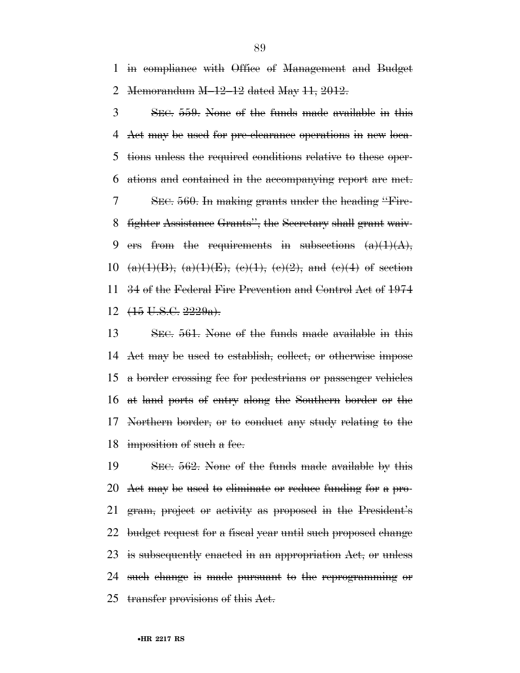in compliance with Office of Management and Budget Memorandum M–12–12 dated May 11, 2012.

 SEC. 559. None of the funds made available in this Act may be used for pre-clearance operations in new loca- tions unless the required conditions relative to these oper- ations and contained in the accompanying report are met. SEC. 560. In making grants under the heading ''Fire- fighter Assistance Grants'', the Secretary shall grant waiv-9 ers from the requirements in subsections  $(a)(1)(A),$ 10 (a)(1)(B), (a)(1)(E), (e)(1), (e)(2), and (e)(4) of section 34 of the Federal Fire Prevention and Control Act of 1974  $12 \left(15 \text{ U.S.G. } 2229 \text{a} \right)$ .

 SEC. 561. None of the funds made available in this Act may be used to establish, collect, or otherwise impose a border crossing fee for pedestrians or passenger vehicles at land ports of entry along the Southern border or the Northern border, or to conduct any study relating to the 18 imposition of such a fee.

 SEC. 562. None of the funds made available by this Act may be used to eliminate or reduce funding for a pro- gram, project or activity as proposed in the President's 22 budget request for a fiscal year until such proposed change is subsequently enacted in an appropriation Act, or unless such change is made pursuant to the reprogramming or transfer provisions of this Act.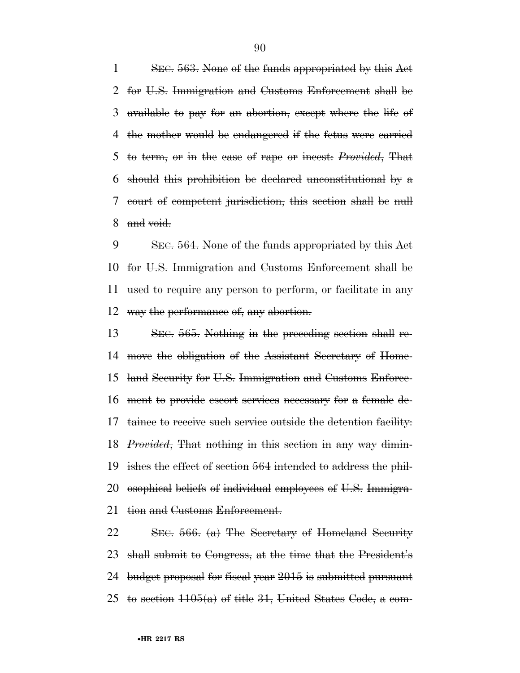SEC. 563. None of the funds appropriated by this Act for U.S. Immigration and Customs Enforcement shall be available to pay for an abortion, except where the life of the mother would be endangered if the fetus were carried to term, or in the case of rape or incest: *Provided*, That should this prohibition be declared unconstitutional by a court of competent jurisdiction, this section shall be null and void.

 SEC. 564. None of the funds appropriated by this Act for U.S. Immigration and Customs Enforcement shall be used to require any person to perform, or facilitate in any way the performance of, any abortion.

 SEC. 565. Nothing in the preceding section shall re- move the obligation of the Assistant Secretary of Home- land Security for U.S. Immigration and Customs Enforce- ment to provide escort services necessary for a female de- tainee to receive such service outside the detention facility: *Provided*, That nothing in this section in any way dimin- ishes the effect of section 564 intended to address the phil- osophical beliefs of individual employees of U.S. Immigra-21 tion and Customs Enforcement.

 SEC. 566. (a) The Secretary of Homeland Security shall submit to Congress, at the time that the President's budget proposal for fiscal year 2015 is submitted pursuant 25 to section  $1105(a)$  of title 31, United States Code, a com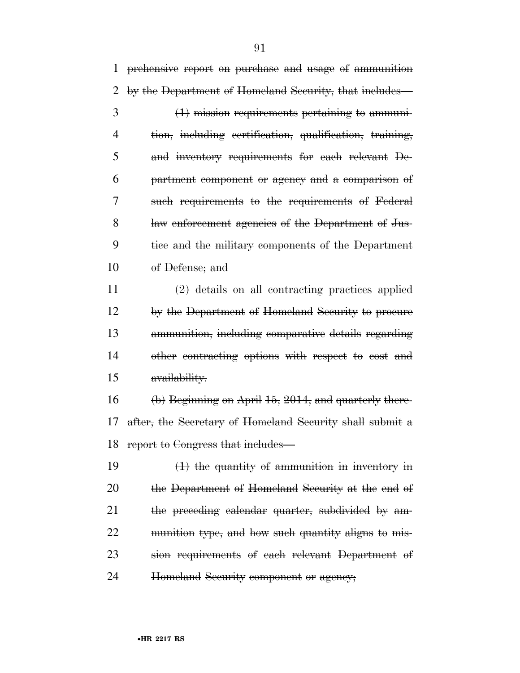prehensive report on purchase and usage of ammunition by the Department of Homeland Security, that includes—

 (1) mission requirements pertaining to ammuni- tion, including certification, qualification, training, and inventory requirements for each relevant De- partment component or agency and a comparison of such requirements to the requirements of Federal law enforcement agencies of the Department of Jus- tice and the military components of the Department of Defense; and

 (2) details on all contracting practices applied by the Department of Homeland Security to procure ammunition, including comparative details regarding other contracting options with respect to cost and availability.

 (b) Beginning on April 15, 2014, and quarterly there- after, the Secretary of Homeland Security shall submit a report to Congress that includes—

 (1) the quantity of ammunition in inventory in the Department of Homeland Security at the end of 21 the preceding calendar quarter, subdivided by am- munition type, and how such quantity aligns to mis- sion requirements of each relevant Department of Homeland Security component or agency;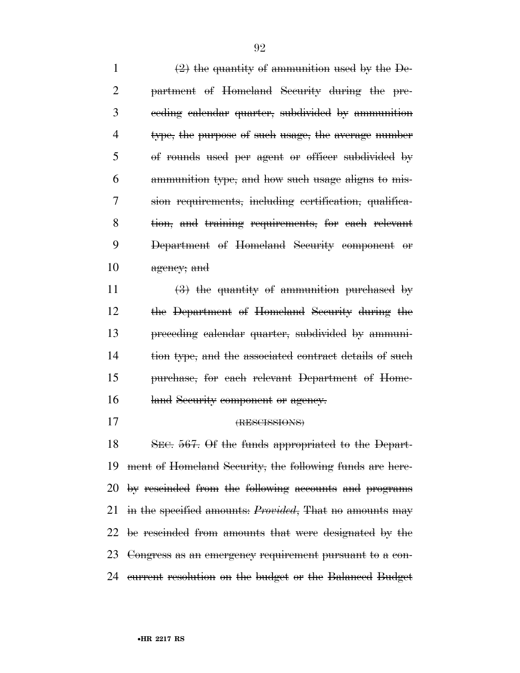$\left(2\right)$  the quantity of ammunition used by the De- partment of Homeland Security during the pre- ceding calendar quarter, subdivided by ammunition type, the purpose of such usage, the average number of rounds used per agent or officer subdivided by ammunition type, and how such usage aligns to mis- sion requirements, including certification, qualifica- tion, and training requirements, for each relevant Department of Homeland Security component or agency; and

 $\left(3\right)$  the quantity of ammunition purchased by the Department of Homeland Security during the preceding calendar quarter, subdivided by ammuni-14 tion type, and the associated contract details of such purchase, for each relevant Department of Home-16 land Security component or agency.

## (RESCISSIONS)

 SEC. 567. Of the funds appropriated to the Depart- ment of Homeland Security, the following funds are here- by rescinded from the following accounts and programs in the specified amounts: *Provided*, That no amounts may be rescinded from amounts that were designated by the Congress as an emergency requirement pursuant to a con-current resolution on the budget or the Balanced Budget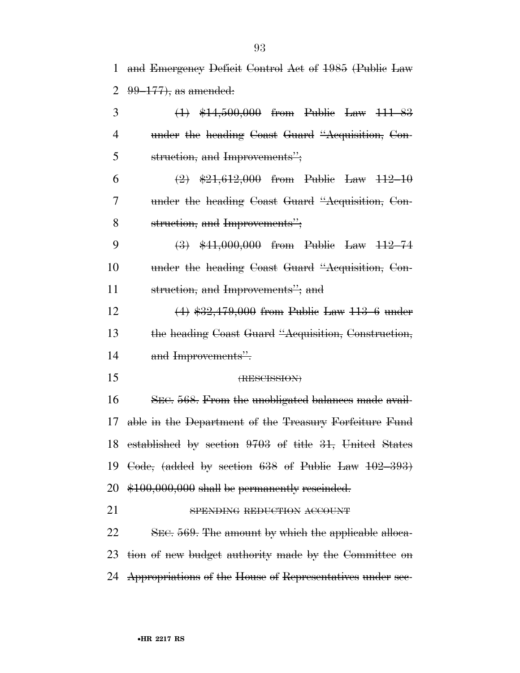and Emergency Deficit Control Act of 1985 (Public Law 99–177), as amended:

| 3              | $(1)$ \$14,500,000 from Public Law 111-83               |
|----------------|---------------------------------------------------------|
| $\overline{4}$ | under the heading Coast Guard "Acquisition, Con-        |
| 5              | struction, and Improvements";                           |
| 6              | $\left(2\right)$ \$21,612,000 from Public Law 112-10    |
| 7              | under the heading Coast Guard "Acquisition, Con-        |
| 8              | struction, and Improvements";                           |
| 9              | $\left(3\right)$ \$41,000,000 from Public Law 112-74    |
| 10             | under the heading Coast Guard "Acquisition, Con-        |
| 11             | struction, and Improvements"; and                       |
| 12             | $(4)$ \$32,479,000 from Public Law 113-6 under          |
| 13             | the heading Coast Guard "Acquisition, Construction,     |
| 14             | and Improvements".                                      |
| 15             | (RESCISSION)                                            |
| 16             | SEC. 568. From the unobligated balances made avail-     |
| 17             | able in the Department of the Treasury Forfeiture Fund  |
| 18             | established by section 9703 of title 31, United States  |
| 19             | Code, (added by section $638$ of Public Law $102-393$ ) |
|                | 20 \$100,000,000 shall be permanently rescinded.        |
| 21             | SPENDING REDUCTION ACCOUNT                              |
| 22             | SEC. 569. The amount by which the applicable alloca-    |
| 23             | tion of new budget authority made by the Committee on   |
|                |                                                         |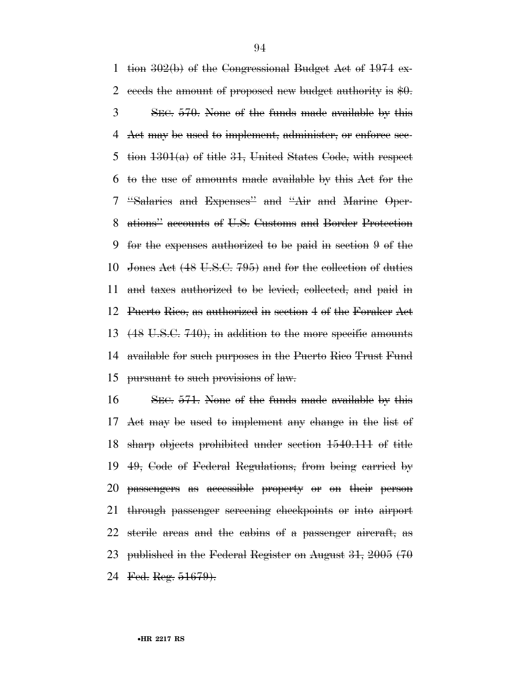1 tion  $302(b)$  of the Congressional Budget Act of  $1974$  ex-2 eeeds the amount of proposed new budget authority is  $$0.$  SEC. 570. None of the funds made available by this Act may be used to implement, administer, or enforce sec-5 tion  $1301(a)$  of title 31, United States Code, with respect to the use of amounts made available by this Act for the ''Salaries and Expenses'' and ''Air and Marine Oper- ations'' accounts of U.S. Customs and Border Protection for the expenses authorized to be paid in section 9 of the Jones Act (48 U.S.C. 795) and for the collection of duties and taxes authorized to be levied, collected, and paid in Puerto Rico, as authorized in section 4 of the Foraker Act (48 U.S.C. 740), in addition to the more specific amounts available for such purposes in the Puerto Rico Trust Fund pursuant to such provisions of law.

 SEC. 571. None of the funds made available by this Act may be used to implement any change in the list of sharp objects prohibited under section 1540.111 of title 49, Code of Federal Regulations, from being carried by passengers as accessible property or on their person through passenger screening checkpoints or into airport sterile areas and the cabins of a passenger aircraft, as published in the Federal Register on August 31, 2005 (70 24 Fed. Reg. 51679).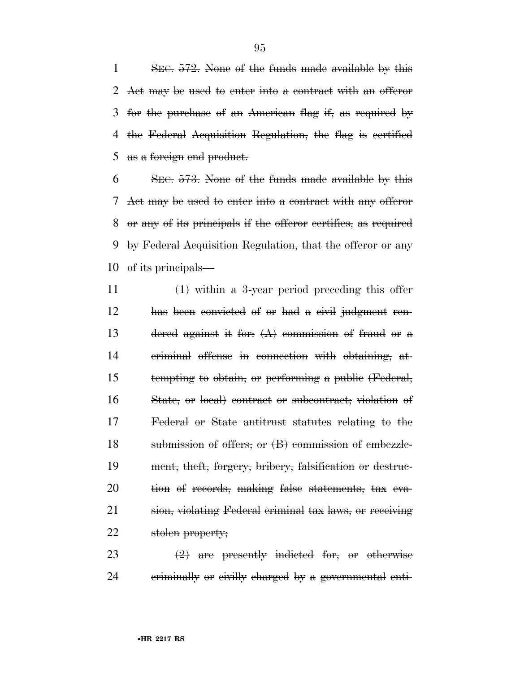1 SEC. 572. None of the funds made available by this Act may be used to enter into a contract with an offeror for the purchase of an American flag if, as required by the Federal Acquisition Regulation, the flag is certified as a foreign end product.

 SEC. 573. None of the funds made available by this Act may be used to enter into a contract with any offeror or any of its principals if the offeror certifies, as required by Federal Acquisition Regulation, that the offeror or any of its principals—

 $\left(1\right)$  within a 3-year period preceding this offer has been convicted of or had a civil judgment ren-13 dered against it for:  $(A)$  commission of fraud or a criminal offense in connection with obtaining, at- tempting to obtain, or performing a public (Federal, State, or local) contract or subcontract; violation of Federal or State antitrust statutes relating to the submission of offers; or (B) commission of embezzle- ment, theft, forgery, bribery, falsification or destruc- tion of records, making false statements, tax eva- sion, violating Federal criminal tax laws, or receiving stolen property;

23  $\left(2\right)$  are presently indicted for, or otherwise 24 criminally or civilly charged by a governmental enti-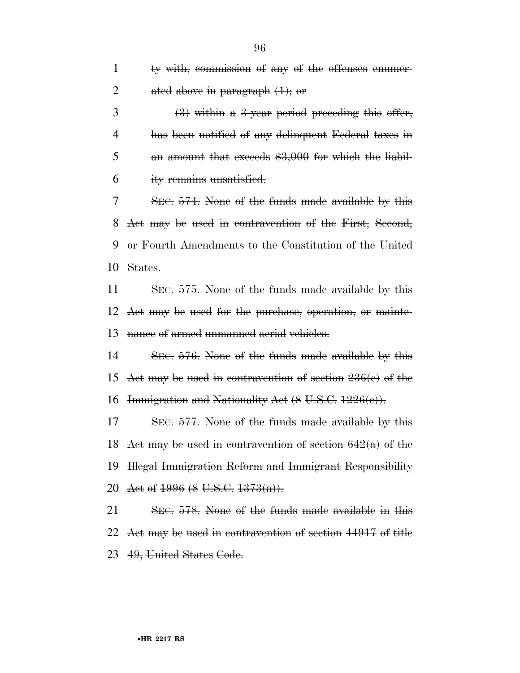| $\mathbf{1}$   | ty with, commission of any of the offenses enumer-                      |
|----------------|-------------------------------------------------------------------------|
| $\overline{2}$ | ated above in paragraph $(1)$ ; or                                      |
| 3              | $\left(\frac{3}{2}\right)$ within a 3-year period preceding this offer, |
| 4              | has been notified of any delinquent Federal taxes in                    |
| 5              | an amount that exceeds $$3,000$ for which the liabil-                   |
| 6              | ity remains unsatisfied.                                                |
| 7              | SEC. 574. None of the funds made available by this                      |
| 8              | Act may be used in contravention of the First, Second,                  |
| 9              | or Fourth Amendments to the Constitution of the United                  |
| 10             | States.                                                                 |
| 11             | SEC. 575. None of the funds made available by this                      |
|                | 12 Act may be used for the purchase, operation, or mainte-              |
| 13             | nance of armed unmanned aerial vehicles.                                |
| 14             | SEC. 576. None of the funds made available by this                      |
| 15             | Act may be used in contravention of section 236(e) of the               |
| 16             | Immigration and Nationality Act (8 U.S.C. 1226(c)).                     |
| 17             | SEC. 577. None of the funds made available by this                      |
| 18             | Act may be used in contravention of section $642(a)$ of the             |
| 19             | Hegal Immigration Reform and Immigrant Responsibility                   |
| 20             | Act of $1996 (8 \text{ U.S.C. } 1373(a))$ .                             |
| 21             | SEC. 578. None of the funds made available in this                      |
| 22             | Act may be used in contravention of section 44917 of title              |
|                |                                                                         |

49, United States Code.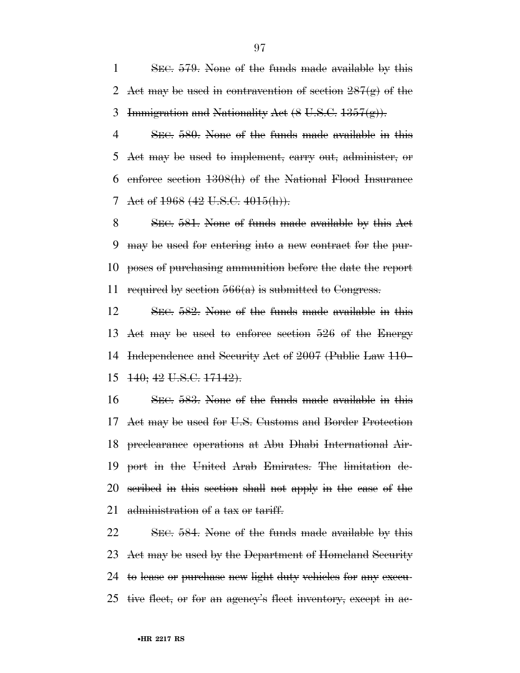SEC. 579. None of the funds made available by this 2 Act may be used in contravention of section  $287(g)$  of the 3 Immigration and Nationality Act  $(8 \text{ U.S.C. } 1357(g))$ .

 SEC. 580. None of the funds made available in this Act may be used to implement, carry out, administer, or enforce section 1308(h) of the National Flood Insurance 7 Act of 1968 (42 U.S.C. 4015(h)).

 SEC. 581. None of funds made available by this Act may be used for entering into a new contract for the pur- poses of purchasing ammunition before the date the report 11 required by section  $566(a)$  is submitted to Congress.

 SEC. 582. None of the funds made available in this Act may be used to enforce section 526 of the Energy Independence and Security Act of 2007 (Public Law 110– 140; 42 U.S.C. 17142).

 SEC. 583. None of the funds made available in this Act may be used for U.S. Customs and Border Protection preclearance operations at Abu Dhabi International Air- port in the United Arab Emirates. The limitation de- scribed in this section shall not apply in the case of the 21 administration of a tax or tariff.

 SEC. 584. None of the funds made available by this Act may be used by the Department of Homeland Security 24 to lease or purchase new light duty vehicles for any execu-tive fleet, or for an agency's fleet inventory, except in ac-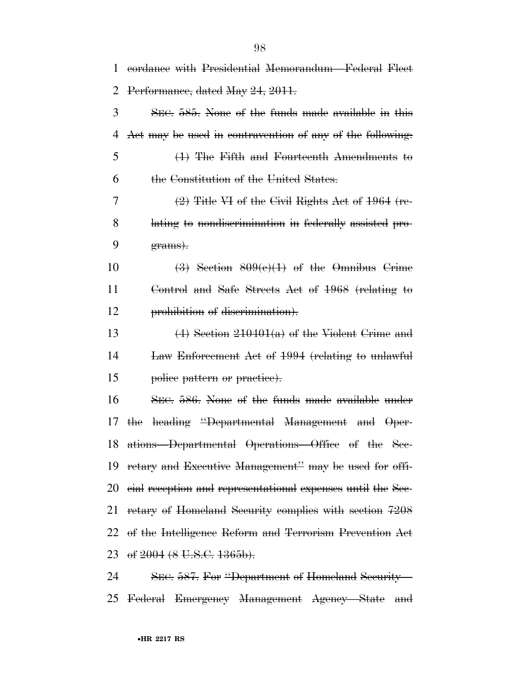| 1  | eordance with Presidential Memorandum—Federal Fleet         |
|----|-------------------------------------------------------------|
| 2  | Performance, dated May 24, 2011.                            |
| 3  | SEC. 585. None of the funds made available in this          |
| 4  | Act may be used in contravention of any of the following.   |
| 5  | $(1)$ The Fifth and Fourteenth Amendments to                |
| 6  | the Constitution of the United States.                      |
| 7  | $(2)$ Title VI of the Civil Rights Act of 1964 (re-         |
| 8  | lating to nondiscrimination in federally assisted pro-      |
| 9  | grams).                                                     |
| 10 | $\left(3\right)$ Section $809(e)(1)$ of the Omnibus Crime   |
| 11 | Control and Safe Streets Act of 1968 (relating to           |
| 12 | prohibition of discrimination).                             |
| 13 | $(4)$ Section 210401(a) of the Violent Grime and            |
| 14 | Law Enforcement Act of 1994 (relating to unlawful           |
| 15 | police pattern or practice).                                |
| 16 | SEC. 586. None of the funds made available under            |
| 17 | heading "Departmental Management and Oper-<br>the           |
|    | 18 ations—Departmental Operations—Office of the Sec-        |
| 19 | retary and Executive Management" may be used for offi-      |
| 20 | eial reception and representational expenses until the Sec- |
| 21 | retary of Homeland Security complies with section 7208      |
|    | 22 of the Intelligence Reform and Terrorism Prevention Act  |
|    | 23 of 2004 (8 U.S.C. 1365b).                                |
| 24 | SEC. 587. For "Department of Homeland Security-             |

Federal Emergency Management Agency—State and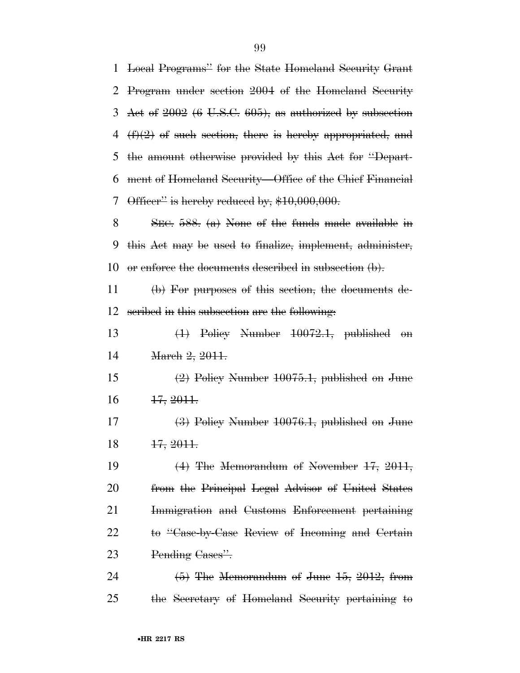| $\mathbf{1}$ | Local Programs" for the State Homeland Security Grant       |
|--------------|-------------------------------------------------------------|
| 2            | Program under section 2004 of the Homeland Security         |
| 3            | Act of $2002$ (6 U.S.C. 605), as authorized by subsection   |
| 4            | $(f)(2)$ of such section, there is hereby appropriated, and |
| 5            | the amount otherwise provided by this Act for "Depart-      |
| 6            | ment of Homeland Security-Office of the Chief Financial     |
| 7            | Officer" is hereby reduced by, $$10,000,000$ .              |
| 8            | SEC. $588$ . (a) None of the funds made available in        |
| 9            | this Act may be used to finalize, implement, administer,    |
| 10           | or enforce the documents described in subsection $(b)$ .    |
| 11           | (b) For purposes of this section, the documents de-         |
| 12           | seribed in this subsection are the following.               |
| 13           | $(1)$ Policy Number $10072.1$ , published on                |
| 14           | March 2, 2011.                                              |
| 15           | $(2)$ Policy Number 10075.1, published on June              |
| 16           | <del>17, 2011.</del>                                        |
| 17           | (3) Policy Number 10076.1, published on June                |
| 18           | 17, 2011.                                                   |
|              |                                                             |
|              | $(4)$ The Memorandum of November 17, 2011,                  |
| 19<br>20     | from the Principal Legal Advisor of United States           |
| 21           | Immigration and Customs Enforcement pertaining              |
|              | to "Case-by-Case Review of Incoming and Certain             |
| 22<br>23     | Pending Cases".                                             |

the Secretary of Homeland Security pertaining to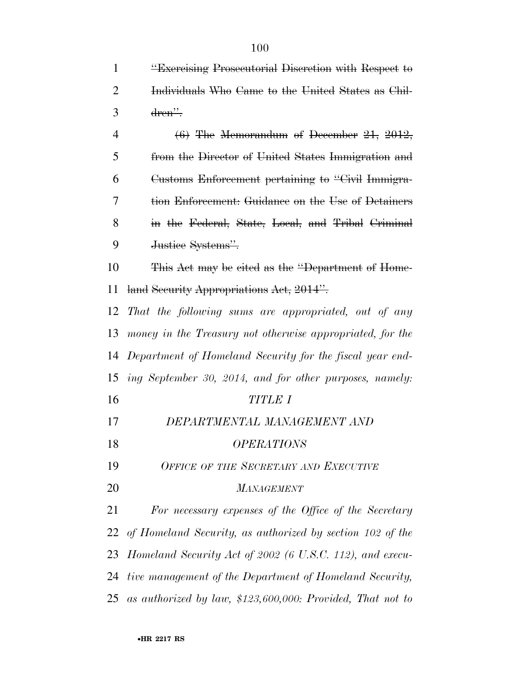**''Exercising Prosecutorial Discretion with Respect to** 

| $\overline{2}$ | Individuals Who Came to the United States as Chil-           |
|----------------|--------------------------------------------------------------|
| 3              | dren".                                                       |
| $\overline{4}$ | $(6)$ The Memorandum of December 21, 2012,                   |
| 5              | from the Director of United States Immigration and           |
| 6              | Customs Enforcement pertaining to "Civil Immigra-            |
| 7              | tion Enforcement: Guidance on the Use of Detainers           |
| 8              | in the Federal, State, Local, and Tribal Criminal            |
| 9              | Justice Systems".                                            |
| 10             | This Act may be cited as the "Department of Home-            |
| 11             | land Security Appropriations Act, 2014".                     |
| 12             | That the following sums are appropriated, out of any         |
| 13             | money in the Treasury not otherwise appropriated, for the    |
| 14             | Department of Homeland Security for the fiscal year end-     |
| 15             | ing September 30, 2014, and for other purposes, namely:      |
| 16             | <b>TITLE I</b>                                               |
| 17             | DEPARTMENTAL MANAGEMENT AND                                  |
| 18             | <i><b>OPERATIONS</b></i>                                     |
| 19             | OFFICE OF THE SECRETARY AND EXECUTIVE                        |
| 20             | <b>MANAGEMENT</b>                                            |
| 21             | For necessary expenses of the Office of the Secretary        |
| 22             | of Homeland Security, as authorized by section 102 of the    |
| 23             | Homeland Security Act of 2002 (6 U.S.C. 112), and execu-     |
| 24             | tive management of the Department of Homeland Security,      |
| 25             | as authorized by law, $$123,600,000$ : Provided, That not to |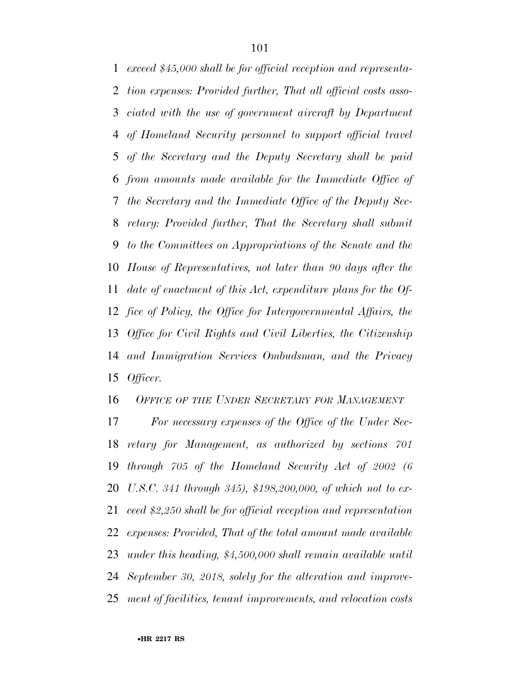*exceed \$45,000 shall be for official reception and representa- tion expenses: Provided further, That all official costs asso- ciated with the use of government aircraft by Department of Homeland Security personnel to support official travel of the Secretary and the Deputy Secretary shall be paid from amounts made available for the Immediate Office of the Secretary and the Immediate Office of the Deputy Sec- retary: Provided further, That the Secretary shall submit to the Committees on Appropriations of the Senate and the House of Representatives, not later than 90 days after the date of enactment of this Act, expenditure plans for the Of- fice of Policy, the Office for Intergovernmental Affairs, the Office for Civil Rights and Civil Liberties, the Citizenship and Immigration Services Ombudsman, and the Privacy Officer.* 

*OFFICE OF THE UNDER SECRETARY FOR MANAGEMENT*

 *For necessary expenses of the Office of the Under Sec- retary for Management, as authorized by sections 701 through 705 of the Homeland Security Act of 2002 (6 U.S.C. 341 through 345), \$198,200,000, of which not to ex- ceed \$2,250 shall be for official reception and representation expenses: Provided, That of the total amount made available under this heading, \$4,500,000 shall remain available until September 30, 2018, solely for the alteration and improve-ment of facilities, tenant improvements, and relocation costs*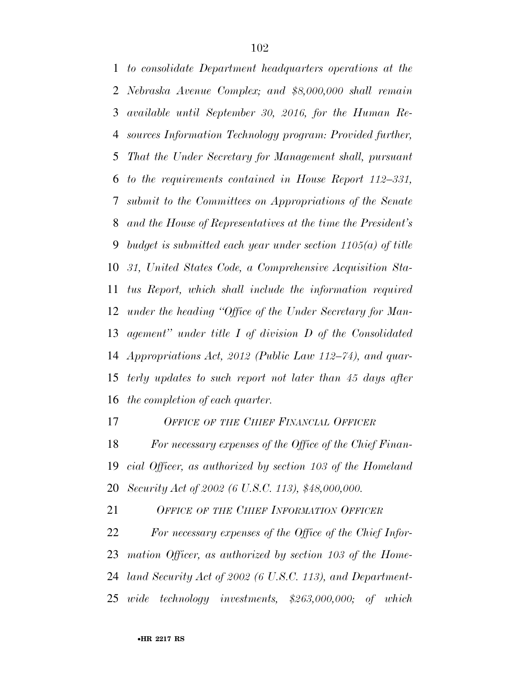*to consolidate Department headquarters operations at the Nebraska Avenue Complex; and \$8,000,000 shall remain available until September 30, 2016, for the Human Re- sources Information Technology program: Provided further, That the Under Secretary for Management shall, pursuant to the requirements contained in House Report 112–331, submit to the Committees on Appropriations of the Senate and the House of Representatives at the time the President's budget is submitted each year under section 1105(a) of title 31, United States Code, a Comprehensive Acquisition Sta- tus Report, which shall include the information required under the heading ''Office of the Under Secretary for Man- agement'' under title I of division D of the Consolidated Appropriations Act, 2012 (Public Law 112–74), and quar- terly updates to such report not later than 45 days after the completion of each quarter.* 

*OFFICE OF THE CHIEF FINANCIAL OFFICER*

 *For necessary expenses of the Office of the Chief Finan- cial Officer, as authorized by section 103 of the Homeland Security Act of 2002 (6 U.S.C. 113), \$48,000,000.* 

*OFFICE OF THE CHIEF INFORMATION OFFICER*

 *For necessary expenses of the Office of the Chief Infor- mation Officer, as authorized by section 103 of the Home- land Security Act of 2002 (6 U.S.C. 113), and Department-wide technology investments, \$263,000,000; of which*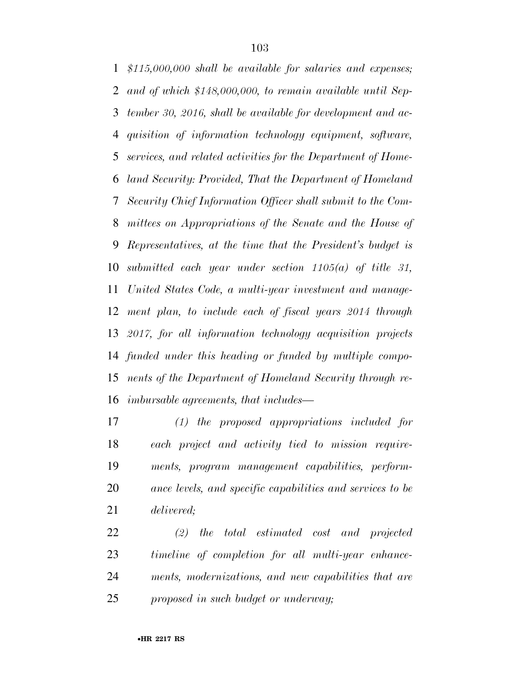*\$115,000,000 shall be available for salaries and expenses; and of which \$148,000,000, to remain available until Sep- tember 30, 2016, shall be available for development and ac- quisition of information technology equipment, software, services, and related activities for the Department of Home- land Security: Provided, That the Department of Homeland Security Chief Information Officer shall submit to the Com- mittees on Appropriations of the Senate and the House of Representatives, at the time that the President's budget is submitted each year under section 1105(a) of title 31, United States Code, a multi-year investment and manage- ment plan, to include each of fiscal years 2014 through 2017, for all information technology acquisition projects funded under this heading or funded by multiple compo- nents of the Department of Homeland Security through re-imbursable agreements, that includes—* 

 *(1) the proposed appropriations included for each project and activity tied to mission require- ments, program management capabilities, perform- ance levels, and specific capabilities and services to be delivered;* 

 *(2) the total estimated cost and projected timeline of completion for all multi-year enhance- ments, modernizations, and new capabilities that are proposed in such budget or underway;*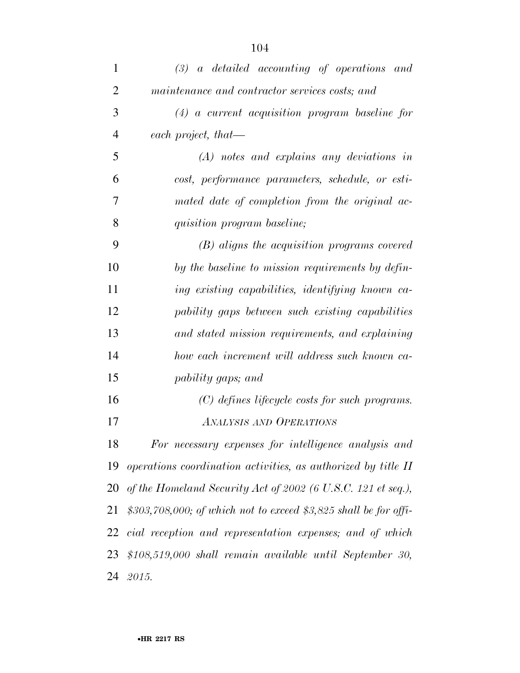| 1              | $(3)$ a detailed accounting of operations and                      |
|----------------|--------------------------------------------------------------------|
| $\overline{2}$ | maintenance and contractor services costs; and                     |
| 3              | $(4)$ a current acquisition program baseline for                   |
| 4              | each project, that—                                                |
| 5              | $(A)$ notes and explains any deviations in                         |
| 6              | cost, performance parameters, schedule, or esti-                   |
| 7              | mated date of completion from the original ac-                     |
| 8              | quisition program baseline;                                        |
| 9              | (B) aligns the acquisition programs covered                        |
| 10             | by the baseline to mission requirements by defin-                  |
| 11             | ing existing capabilities, identifying known ca-                   |
| 12             | pability gaps between such existing capabilities                   |
| 13             | and stated mission requirements, and explaining                    |
| 14             | how each increment will address such known ca-                     |
| 15             | pability gaps; and                                                 |
| 16             | $(C)$ defines lifecycle costs for such programs.                   |
| 17             | <b>ANALYSIS AND OPERATIONS</b>                                     |
| 18             | For necessary expenses for intelligence analysis and               |
|                | 19 operations coordination activities, as authorized by title II   |
|                | 20 of the Homeland Security Act of 2002 (6 U.S.C. 121 et seq.),    |
| 21             | $$303,708,000$ ; of which not to exceed \$3,825 shall be for offi- |
|                | 22 cial reception and representation expenses; and of which        |
| 23             | $$108,519,000$ shall remain available until September 30,          |
|                | 24 2015.                                                           |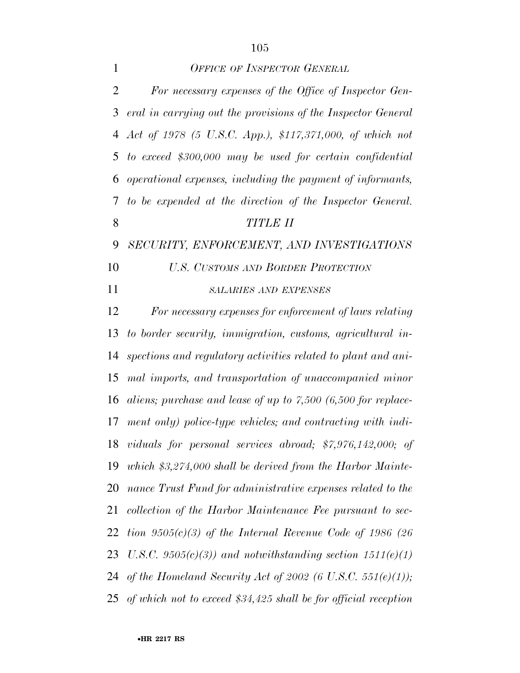*OFFICE OF INSPECTOR GENERAL*

| $\overline{2}$ | For necessary expenses of the Office of Inspector Gen-           |
|----------------|------------------------------------------------------------------|
| 3              | eral in carrying out the provisions of the Inspector General     |
| 4              | Act of 1978 (5 U.S.C. App.), \$117,371,000, of which not         |
| 5              | to exceed $$300,000$ may be used for certain confidential        |
| 6              | operational expenses, including the payment of informants,       |
| 7              | to be expended at the direction of the Inspector General.        |
| 8              | <b>TITLE II</b>                                                  |
| 9              | SECURITY, ENFORCEMENT, AND INVESTIGATIONS                        |
| 10             | <b>U.S. CUSTOMS AND BORDER PROTECTION</b>                        |
| 11             | <b>SALARIES AND EXPENSES</b>                                     |
| 12             | For necessary expenses for enforcement of laws relating          |
| 13             | to border security, immigration, customs, agricultural in-       |
| 14             | spections and regulatory activities related to plant and ani-    |
| 15             | mal imports, and transportation of unaccompanied minor           |
| 16             | aliens; purchase and lease of up to $7,500$ (6,500 for replace-  |
| 17             | ment only) police-type vehicles; and contracting with indi-      |
|                | 18 viduals for personal services abroad; \$7,976,142,000; of     |
|                | 19 which \$3,274,000 shall be derived from the Harbor Mainte-    |
| 20             | nance Trust Fund for administrative expenses related to the      |
| 21             | collection of the Harbor Maintenance Fee pursuant to sec-        |
| 22             | tion $9505(c)(3)$ of the Internal Revenue Code of 1986 (26)      |
| 23             | U.S.C. 9505 $(c)(3)$ and notwithstanding section 1511 $(e)(1)$   |
| 24             | of the Homeland Security Act of 2002 (6 U.S.C. 551(e)(1));       |
| 25             | of which not to exceed $$34,425$ shall be for official reception |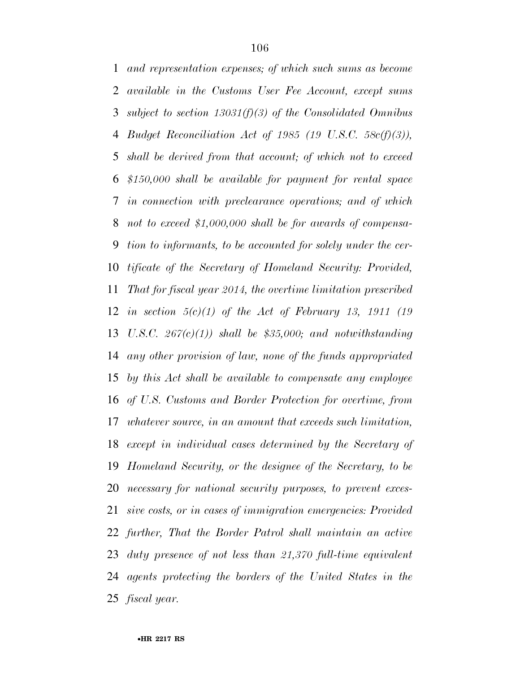*and representation expenses; of which such sums as become available in the Customs User Fee Account, except sums subject to section 13031(f)(3) of the Consolidated Omnibus Budget Reconciliation Act of 1985 (19 U.S.C. 58c(f)(3)), shall be derived from that account; of which not to exceed \$150,000 shall be available for payment for rental space in connection with preclearance operations; and of which not to exceed \$1,000,000 shall be for awards of compensa- tion to informants, to be accounted for solely under the cer- tificate of the Secretary of Homeland Security: Provided, That for fiscal year 2014, the overtime limitation prescribed in section 5(c)(1) of the Act of February 13, 1911 (19 U.S.C. 267(c)(1)) shall be \$35,000; and notwithstanding any other provision of law, none of the funds appropriated by this Act shall be available to compensate any employee of U.S. Customs and Border Protection for overtime, from whatever source, in an amount that exceeds such limitation, except in individual cases determined by the Secretary of Homeland Security, or the designee of the Secretary, to be necessary for national security purposes, to prevent exces- sive costs, or in cases of immigration emergencies: Provided further, That the Border Patrol shall maintain an active duty presence of not less than 21,370 full-time equivalent agents protecting the borders of the United States in the fiscal year.*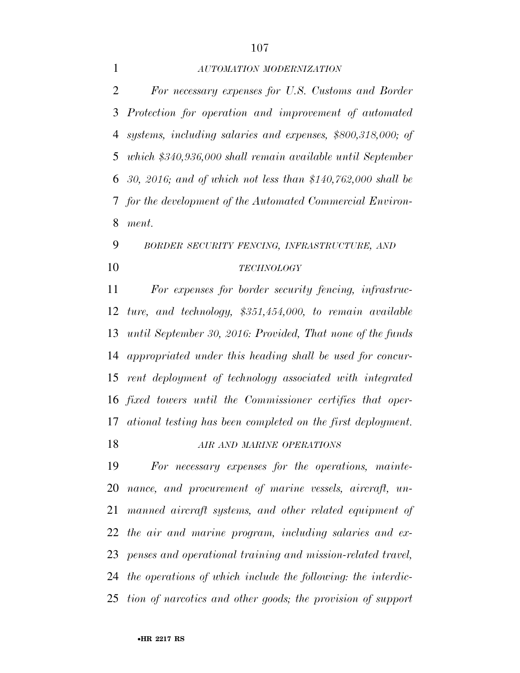## *AUTOMATION MODERNIZATION*

 *For necessary expenses for U.S. Customs and Border Protection for operation and improvement of automated systems, including salaries and expenses, \$800,318,000; of which \$340,936,000 shall remain available until September 30, 2016; and of which not less than \$140,762,000 shall be for the development of the Automated Commercial Environ-ment.* 

## *BORDER SECURITY FENCING, INFRASTRUCTURE, AND TECHNOLOGY*

 *For expenses for border security fencing, infrastruc- ture, and technology, \$351,454,000, to remain available until September 30, 2016: Provided, That none of the funds appropriated under this heading shall be used for concur- rent deployment of technology associated with integrated fixed towers until the Commissioner certifies that oper- ational testing has been completed on the first deployment. AIR AND MARINE OPERATIONS*

 *For necessary expenses for the operations, mainte- nance, and procurement of marine vessels, aircraft, un- manned aircraft systems, and other related equipment of the air and marine program, including salaries and ex- penses and operational training and mission-related travel, the operations of which include the following: the interdic-tion of narcotics and other goods; the provision of support*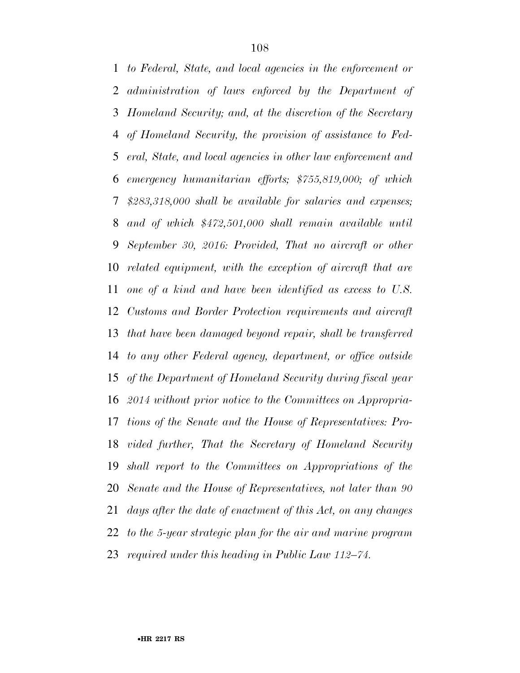*to Federal, State, and local agencies in the enforcement or administration of laws enforced by the Department of Homeland Security; and, at the discretion of the Secretary of Homeland Security, the provision of assistance to Fed- eral, State, and local agencies in other law enforcement and emergency humanitarian efforts; \$755,819,000; of which \$283,318,000 shall be available for salaries and expenses; and of which \$472,501,000 shall remain available until September 30, 2016: Provided, That no aircraft or other related equipment, with the exception of aircraft that are one of a kind and have been identified as excess to U.S. Customs and Border Protection requirements and aircraft that have been damaged beyond repair, shall be transferred to any other Federal agency, department, or office outside of the Department of Homeland Security during fiscal year 2014 without prior notice to the Committees on Appropria- tions of the Senate and the House of Representatives: Pro- vided further, That the Secretary of Homeland Security shall report to the Committees on Appropriations of the Senate and the House of Representatives, not later than 90 days after the date of enactment of this Act, on any changes to the 5-year strategic plan for the air and marine program required under this heading in Public Law 112–74.*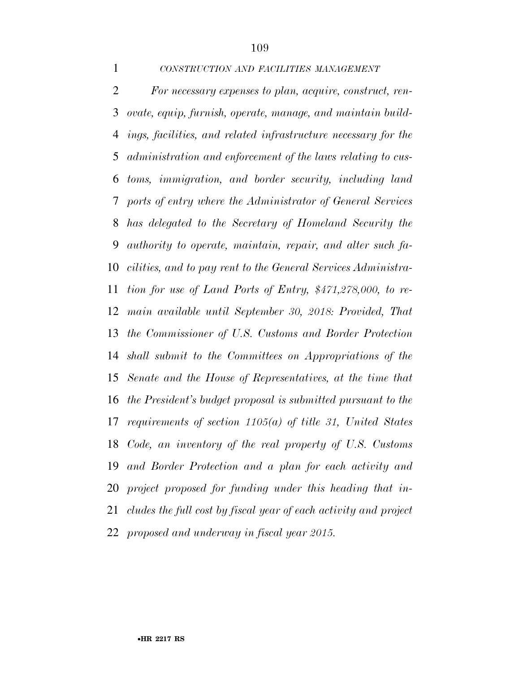*CONSTRUCTION AND FACILITIES MANAGEMENT*

 *For necessary expenses to plan, acquire, construct, ren- ovate, equip, furnish, operate, manage, and maintain build- ings, facilities, and related infrastructure necessary for the administration and enforcement of the laws relating to cus- toms, immigration, and border security, including land ports of entry where the Administrator of General Services has delegated to the Secretary of Homeland Security the authority to operate, maintain, repair, and alter such fa- cilities, and to pay rent to the General Services Administra- tion for use of Land Ports of Entry, \$471,278,000, to re- main available until September 30, 2018: Provided, That the Commissioner of U.S. Customs and Border Protection shall submit to the Committees on Appropriations of the Senate and the House of Representatives, at the time that the President's budget proposal is submitted pursuant to the requirements of section 1105(a) of title 31, United States Code, an inventory of the real property of U.S. Customs and Border Protection and a plan for each activity and project proposed for funding under this heading that in- cludes the full cost by fiscal year of each activity and project proposed and underway in fiscal year 2015.*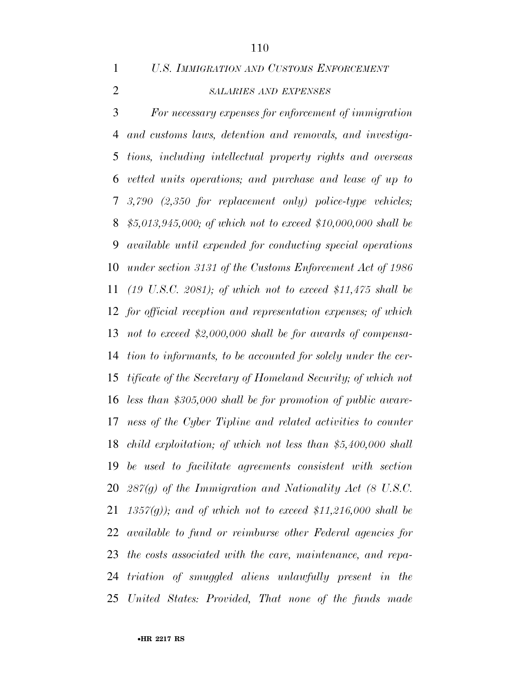*U.S. IMMIGRATION AND CUSTOMS ENFORCEMENT*

# *SALARIES AND EXPENSES*

 *For necessary expenses for enforcement of immigration and customs laws, detention and removals, and investiga- tions, including intellectual property rights and overseas vetted units operations; and purchase and lease of up to 3,790 (2,350 for replacement only) police-type vehicles; \$5,013,945,000; of which not to exceed \$10,000,000 shall be available until expended for conducting special operations under section 3131 of the Customs Enforcement Act of 1986 (19 U.S.C. 2081); of which not to exceed \$11,475 shall be for official reception and representation expenses; of which not to exceed \$2,000,000 shall be for awards of compensa- tion to informants, to be accounted for solely under the cer- tificate of the Secretary of Homeland Security; of which not less than \$305,000 shall be for promotion of public aware- ness of the Cyber Tipline and related activities to counter child exploitation; of which not less than \$5,400,000 shall be used to facilitate agreements consistent with section 287(g) of the Immigration and Nationality Act (8 U.S.C. 1357(g)); and of which not to exceed \$11,216,000 shall be available to fund or reimburse other Federal agencies for the costs associated with the care, maintenance, and repa- triation of smuggled aliens unlawfully present in the United States: Provided, That none of the funds made*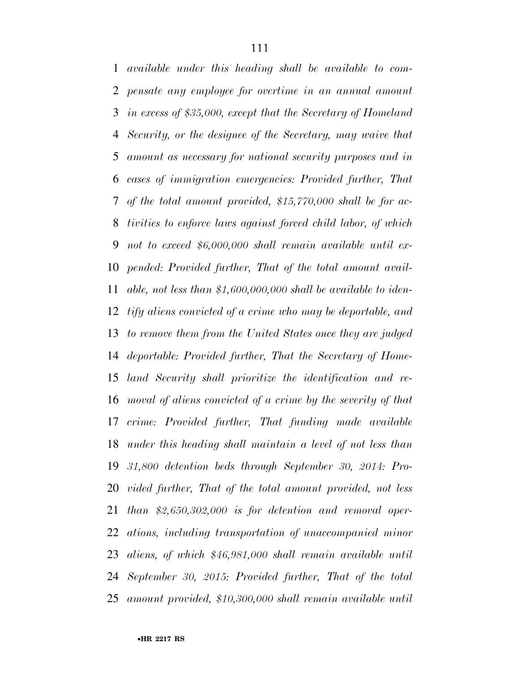*available under this heading shall be available to com- pensate any employee for overtime in an annual amount in excess of \$35,000, except that the Secretary of Homeland Security, or the designee of the Secretary, may waive that amount as necessary for national security purposes and in cases of immigration emergencies: Provided further, That of the total amount provided, \$15,770,000 shall be for ac- tivities to enforce laws against forced child labor, of which not to exceed \$6,000,000 shall remain available until ex- pended: Provided further, That of the total amount avail- able, not less than \$1,600,000,000 shall be available to iden- tify aliens convicted of a crime who may be deportable, and to remove them from the United States once they are judged deportable: Provided further, That the Secretary of Home- land Security shall prioritize the identification and re- moval of aliens convicted of a crime by the severity of that crime: Provided further, That funding made available under this heading shall maintain a level of not less than 31,800 detention beds through September 30, 2014: Pro- vided further, That of the total amount provided, not less than \$2,650,302,000 is for detention and removal oper- ations, including transportation of unaccompanied minor aliens, of which \$46,981,000 shall remain available until September 30, 2015: Provided further, That of the total amount provided, \$10,300,000 shall remain available until*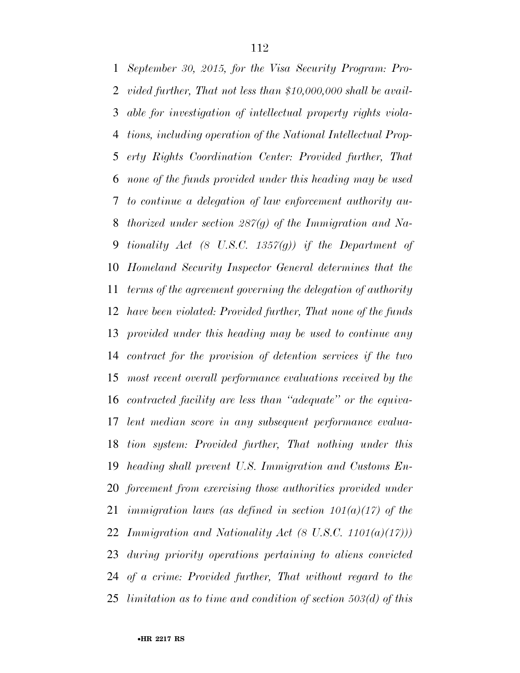*September 30, 2015, for the Visa Security Program: Pro- vided further, That not less than \$10,000,000 shall be avail- able for investigation of intellectual property rights viola- tions, including operation of the National Intellectual Prop- erty Rights Coordination Center: Provided further, That none of the funds provided under this heading may be used to continue a delegation of law enforcement authority au- thorized under section 287(g) of the Immigration and Na- tionality Act (8 U.S.C. 1357(g)) if the Department of Homeland Security Inspector General determines that the terms of the agreement governing the delegation of authority have been violated: Provided further, That none of the funds provided under this heading may be used to continue any contract for the provision of detention services if the two most recent overall performance evaluations received by the contracted facility are less than ''adequate'' or the equiva- lent median score in any subsequent performance evalua- tion system: Provided further, That nothing under this heading shall prevent U.S. Immigration and Customs En- forcement from exercising those authorities provided under immigration laws (as defined in section 101(a)(17) of the Immigration and Nationality Act (8 U.S.C. 1101(a)(17))) during priority operations pertaining to aliens convicted of a crime: Provided further, That without regard to the limitation as to time and condition of section 503(d) of this*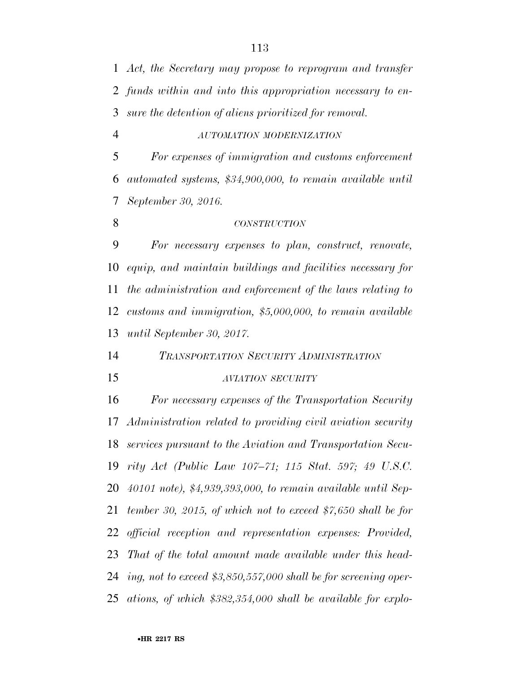*Act, the Secretary may propose to reprogram and transfer funds within and into this appropriation necessary to en-sure the detention of aliens prioritized for removal.* 

*AUTOMATION MODERNIZATION*

 *For expenses of immigration and customs enforcement automated systems, \$34,900,000, to remain available until September 30, 2016.* 

*CONSTRUCTION*

 *For necessary expenses to plan, construct, renovate, equip, and maintain buildings and facilities necessary for the administration and enforcement of the laws relating to customs and immigration, \$5,000,000, to remain available until September 30, 2017.* 

*TRANSPORTATION SECURITY ADMINISTRATION*

#### *AVIATION SECURITY*

 *For necessary expenses of the Transportation Security Administration related to providing civil aviation security services pursuant to the Aviation and Transportation Secu- rity Act (Public Law 107–71; 115 Stat. 597; 49 U.S.C. 40101 note), \$4,939,393,000, to remain available until Sep- tember 30, 2015, of which not to exceed \$7,650 shall be for official reception and representation expenses: Provided, That of the total amount made available under this head- ing, not to exceed \$3,850,557,000 shall be for screening oper-ations, of which \$382,354,000 shall be available for explo-*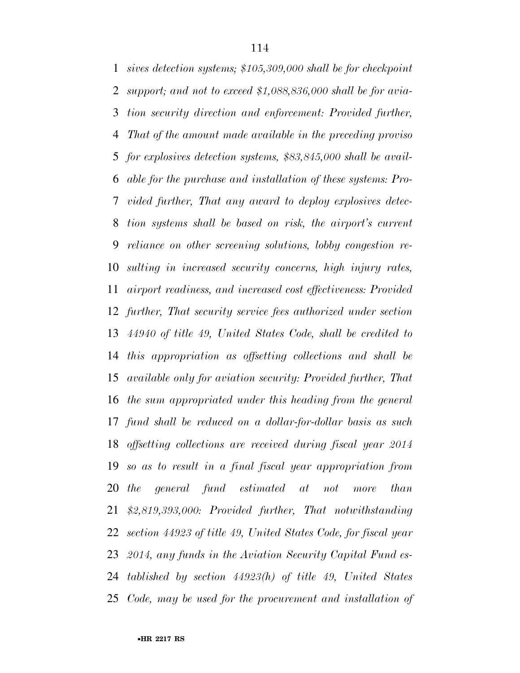*sives detection systems; \$105,309,000 shall be for checkpoint support; and not to exceed \$1,088,836,000 shall be for avia- tion security direction and enforcement: Provided further, That of the amount made available in the preceding proviso for explosives detection systems, \$83,845,000 shall be avail- able for the purchase and installation of these systems: Pro- vided further, That any award to deploy explosives detec- tion systems shall be based on risk, the airport's current reliance on other screening solutions, lobby congestion re- sulting in increased security concerns, high injury rates, airport readiness, and increased cost effectiveness: Provided further, That security service fees authorized under section 44940 of title 49, United States Code, shall be credited to this appropriation as offsetting collections and shall be available only for aviation security: Provided further, That the sum appropriated under this heading from the general fund shall be reduced on a dollar-for-dollar basis as such offsetting collections are received during fiscal year 2014 so as to result in a final fiscal year appropriation from the general fund estimated at not more than \$2,819,393,000: Provided further, That notwithstanding section 44923 of title 49, United States Code, for fiscal year 2014, any funds in the Aviation Security Capital Fund es- tablished by section 44923(h) of title 49, United States Code, may be used for the procurement and installation of*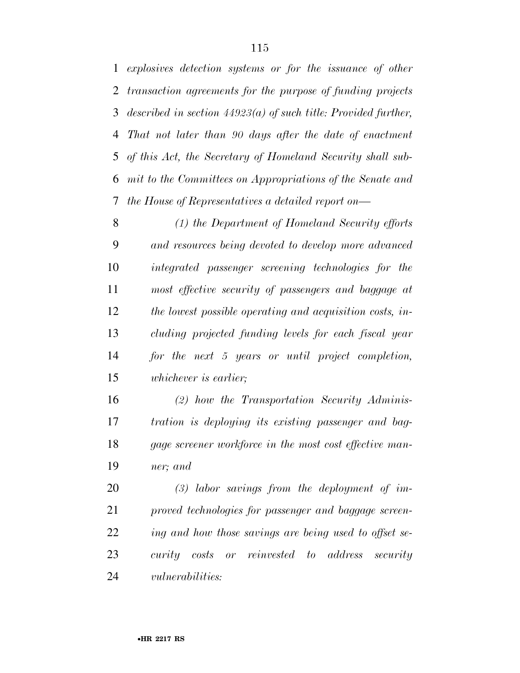*explosives detection systems or for the issuance of other transaction agreements for the purpose of funding projects described in section 44923(a) of such title: Provided further, That not later than 90 days after the date of enactment of this Act, the Secretary of Homeland Security shall sub- mit to the Committees on Appropriations of the Senate and the House of Representatives a detailed report on—* 

 *(1) the Department of Homeland Security efforts and resources being devoted to develop more advanced integrated passenger screening technologies for the most effective security of passengers and baggage at the lowest possible operating and acquisition costs, in- cluding projected funding levels for each fiscal year for the next 5 years or until project completion, whichever is earlier;* 

 *(2) how the Transportation Security Adminis- tration is deploying its existing passenger and bag- gage screener workforce in the most cost effective man-ner; and* 

 *(3) labor savings from the deployment of im- proved technologies for passenger and baggage screen- ing and how those savings are being used to offset se- curity costs or reinvested to address security vulnerabilities:*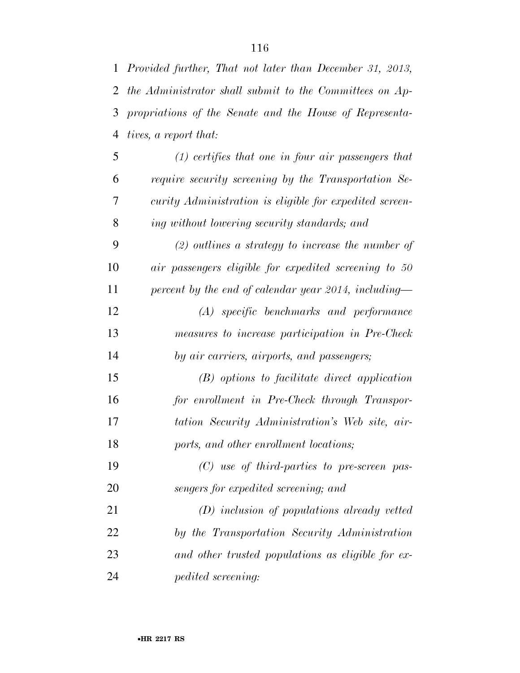| $\mathbf{1}$ | Provided further, That not later than December 31, 2013, |
|--------------|----------------------------------------------------------|
| 2            | the Administrator shall submit to the Committees on Ap-  |
| 3            | propriations of the Senate and the House of Representa-  |
| 4            | <i>tives, a report that:</i>                             |
| 5            | $(1)$ certifies that one in four air passengers that     |
| 6            | require security screening by the Transportation Se-     |
| 7            | curity Administration is eligible for expedited screen-  |
| 8            | ing without lowering security standards; and             |
| 9            | $(2)$ outlines a strategy to increase the number of      |
| 10           | air passengers eligible for expedited screening to 50    |
| 11           | percent by the end of calendar year 2014, including—     |
| 12           | (A) specific benchmarks and performance                  |
| 13           | measures to increase participation in Pre-Check          |
| 14           | by air carriers, airports, and passengers;               |
| 15           | $(B)$ options to facilitate direct application           |
| 16           | for enrollment in Pre-Check through Transpor-            |
| 17           | tation Security Administration's Web site, air-          |
| 18           | ports, and other enrollment locations;                   |
| 19           | $(C)$ use of third-parties to pre-screen pas-            |
| 20           | sengers for expedited screening; and                     |
| 21           | $(D)$ inclusion of populations already vetted            |
| 22           | by the Transportation Security Administration            |
| 23           | and other trusted populations as eligible for ex-        |
| 24           | pedited screening:                                       |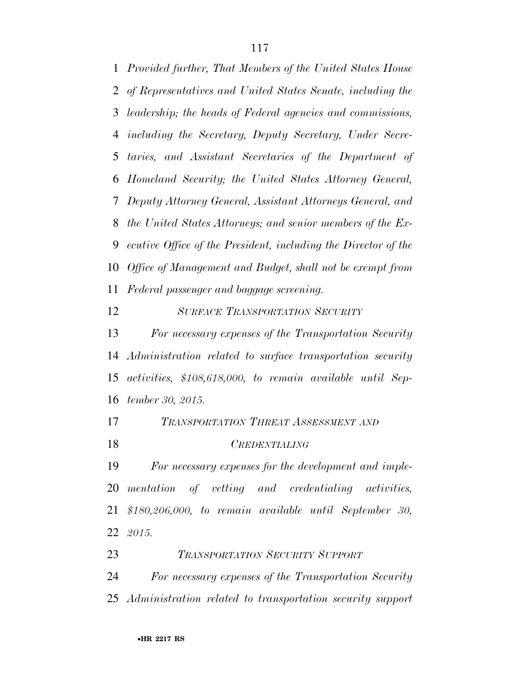*Provided further, That Members of the United States House of Representatives and United States Senate, including the leadership; the heads of Federal agencies and commissions, including the Secretary, Deputy Secretary, Under Secre- taries, and Assistant Secretaries of the Department of Homeland Security; the United States Attorney General, Deputy Attorney General, Assistant Attorneys General, and the United States Attorneys; and senior members of the Ex- ecutive Office of the President, including the Director of the Office of Management and Budget, shall not be exempt from Federal passenger and baggage screening.* 

## *SURFACE TRANSPORTATION SECURITY*

 *For necessary expenses of the Transportation Security Administration related to surface transportation security activities, \$108,618,000, to remain available until Sep-tember 30, 2015.* 

# *TRANSPORTATION THREAT ASSESSMENT AND*

*CREDENTIALING*

 *For necessary expenses for the development and imple- mentation of vetting and credentialing activities, \$180,206,000, to remain available until September 30, 2015.* 

*TRANSPORTATION SECURITY SUPPORT*

 *For necessary expenses of the Transportation Security Administration related to transportation security support*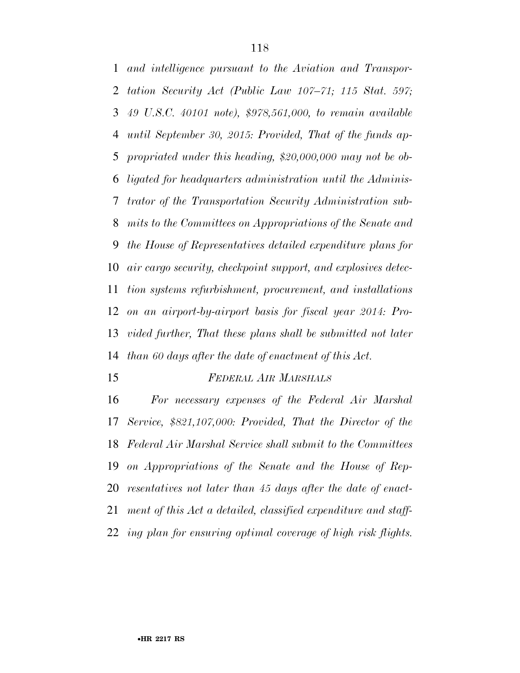*and intelligence pursuant to the Aviation and Transpor- tation Security Act (Public Law 107–71; 115 Stat. 597; 49 U.S.C. 40101 note), \$978,561,000, to remain available until September 30, 2015: Provided, That of the funds ap- propriated under this heading, \$20,000,000 may not be ob- ligated for headquarters administration until the Adminis- trator of the Transportation Security Administration sub- mits to the Committees on Appropriations of the Senate and the House of Representatives detailed expenditure plans for air cargo security, checkpoint support, and explosives detec- tion systems refurbishment, procurement, and installations on an airport-by-airport basis for fiscal year 2014: Pro- vided further, That these plans shall be submitted not later than 60 days after the date of enactment of this Act.* 

## *FEDERAL AIR MARSHALS*

 *For necessary expenses of the Federal Air Marshal Service, \$821,107,000: Provided, That the Director of the Federal Air Marshal Service shall submit to the Committees on Appropriations of the Senate and the House of Rep- resentatives not later than 45 days after the date of enact- ment of this Act a detailed, classified expenditure and staff-ing plan for ensuring optimal coverage of high risk flights.*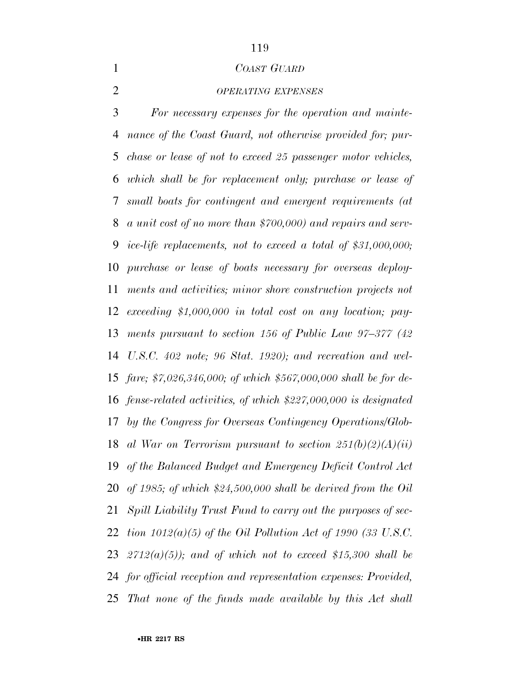#### *COAST GUARD*

## *OPERATING EXPENSES*

 *For necessary expenses for the operation and mainte- nance of the Coast Guard, not otherwise provided for; pur- chase or lease of not to exceed 25 passenger motor vehicles, which shall be for replacement only; purchase or lease of small boats for contingent and emergent requirements (at a unit cost of no more than \$700,000) and repairs and serv- ice-life replacements, not to exceed a total of \$31,000,000; purchase or lease of boats necessary for overseas deploy- ments and activities; minor shore construction projects not exceeding \$1,000,000 in total cost on any location; pay- ments pursuant to section 156 of Public Law 97–377 (42 U.S.C. 402 note; 96 Stat. 1920); and recreation and wel- fare; \$7,026,346,000; of which \$567,000,000 shall be for de- fense-related activities, of which \$227,000,000 is designated by the Congress for Overseas Contingency Operations/Glob- al War on Terrorism pursuant to section 251(b)(2)(A)(ii) of the Balanced Budget and Emergency Deficit Control Act of 1985; of which \$24,500,000 shall be derived from the Oil Spill Liability Trust Fund to carry out the purposes of sec- tion 1012(a)(5) of the Oil Pollution Act of 1990 (33 U.S.C. 2712(a)(5)); and of which not to exceed \$15,300 shall be for official reception and representation expenses: Provided, That none of the funds made available by this Act shall*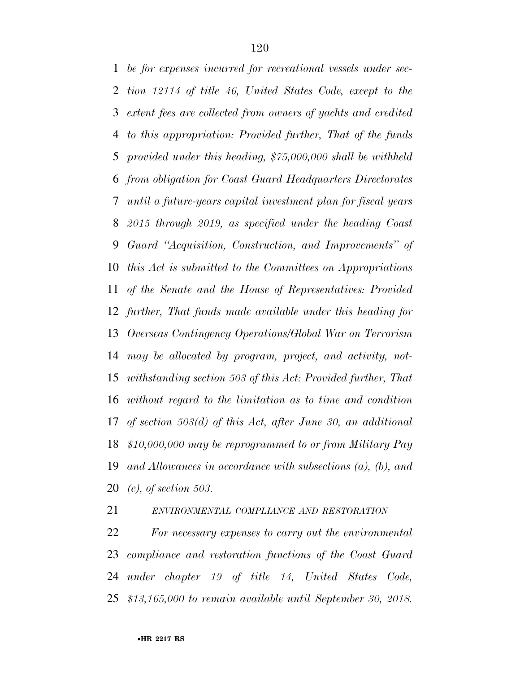*be for expenses incurred for recreational vessels under sec- tion 12114 of title 46, United States Code, except to the extent fees are collected from owners of yachts and credited to this appropriation: Provided further, That of the funds provided under this heading, \$75,000,000 shall be withheld from obligation for Coast Guard Headquarters Directorates until a future-years capital investment plan for fiscal years 2015 through 2019, as specified under the heading Coast Guard ''Acquisition, Construction, and Improvements'' of this Act is submitted to the Committees on Appropriations of the Senate and the House of Representatives: Provided further, That funds made available under this heading for Overseas Contingency Operations/Global War on Terrorism may be allocated by program, project, and activity, not- withstanding section 503 of this Act: Provided further, That without regard to the limitation as to time and condition of section 503(d) of this Act, after June 30, an additional \$10,000,000 may be reprogrammed to or from Military Pay and Allowances in accordance with subsections (a), (b), and (c), of section 503.* 

*ENVIRONMENTAL COMPLIANCE AND RESTORATION*

 *For necessary expenses to carry out the environmental compliance and restoration functions of the Coast Guard under chapter 19 of title 14, United States Code, \$13,165,000 to remain available until September 30, 2018.*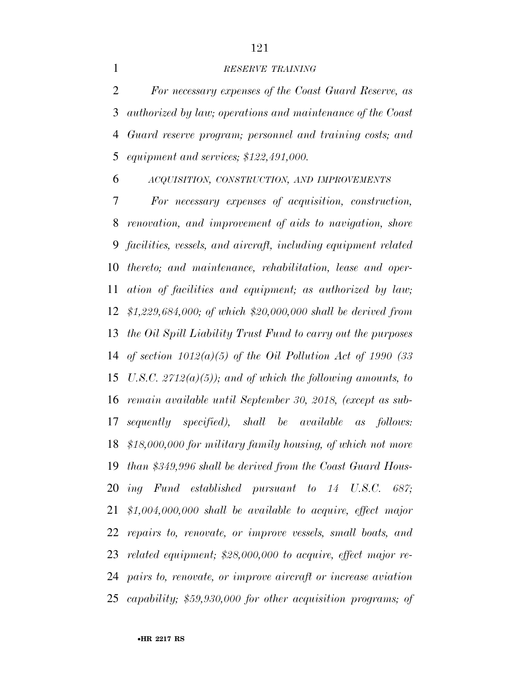#### *RESERVE TRAINING*

 *For necessary expenses of the Coast Guard Reserve, as authorized by law; operations and maintenance of the Coast Guard reserve program; personnel and training costs; and equipment and services; \$122,491,000.* 

*ACQUISITION, CONSTRUCTION, AND IMPROVEMENTS*

 *For necessary expenses of acquisition, construction, renovation, and improvement of aids to navigation, shore facilities, vessels, and aircraft, including equipment related thereto; and maintenance, rehabilitation, lease and oper- ation of facilities and equipment; as authorized by law; \$1,229,684,000; of which \$20,000,000 shall be derived from the Oil Spill Liability Trust Fund to carry out the purposes of section 1012(a)(5) of the Oil Pollution Act of 1990 (33 U.S.C. 2712(a)(5)); and of which the following amounts, to remain available until September 30, 2018, (except as sub- sequently specified), shall be available as follows: \$18,000,000 for military family housing, of which not more than \$349,996 shall be derived from the Coast Guard Hous- ing Fund established pursuant to 14 U.S.C. 687; \$1,004,000,000 shall be available to acquire, effect major repairs to, renovate, or improve vessels, small boats, and related equipment; \$28,000,000 to acquire, effect major re- pairs to, renovate, or improve aircraft or increase aviation capability; \$59,930,000 for other acquisition programs; of* 

•**HR 2217 RS**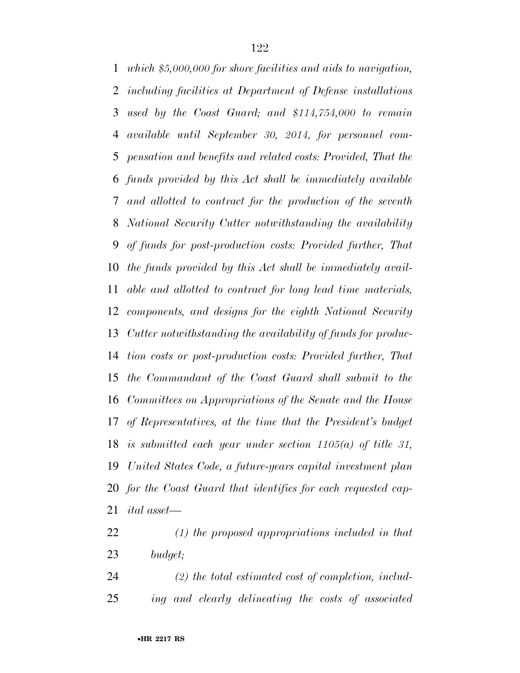*which \$5,000,000 for shore facilities and aids to navigation, including facilities at Department of Defense installations used by the Coast Guard; and \$114,754,000 to remain available until September 30, 2014, for personnel com- pensation and benefits and related costs: Provided, That the funds provided by this Act shall be immediately available and allotted to contract for the production of the seventh National Security Cutter notwithstanding the availability of funds for post-production costs: Provided further, That the funds provided by this Act shall be immediately avail- able and allotted to contract for long lead time materials, components, and designs for the eighth National Security Cutter notwithstanding the availability of funds for produc- tion costs or post-production costs: Provided further, That the Commandant of the Coast Guard shall submit to the Committees on Appropriations of the Senate and the House of Representatives, at the time that the President's budget is submitted each year under section 1105(a) of title 31, United States Code, a future-years capital investment plan for the Coast Guard that identifies for each requested cap-ital asset—* 

- *(1) the proposed appropriations included in that budget;*
- *(2) the total estimated cost of completion, includ-ing and clearly delineating the costs of associated*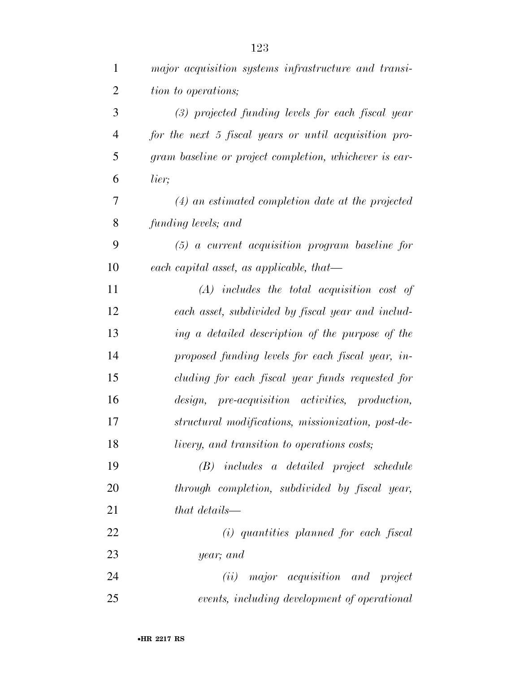| $\mathbf{1}$   | major acquisition systems infrastructure and transi-   |
|----------------|--------------------------------------------------------|
| $\overline{2}$ | tion to operations;                                    |
| 3              | $(3)$ projected funding levels for each fiscal year    |
| $\overline{4}$ | for the next 5 fiscal years or until acquisition pro-  |
| 5              | gram baseline or project completion, whichever is ear- |
| 6              | lier;                                                  |
| 7              | $(4)$ an estimated completion date at the projected    |
| 8              | funding levels; and                                    |
| 9              | $(5)$ a current acquisition program baseline for       |
| 10             | each capital asset, as applicable, that—               |
| 11             | $(A)$ includes the total acquisition cost of           |
| 12             | each asset, subdivided by fiscal year and includ-      |
| 13             | ing a detailed description of the purpose of the       |
| 14             | proposed funding levels for each fiscal year, in-      |
| 15             | cluding for each fiscal year funds requested for       |
| 16             | design, pre-acquisition activities, production,        |
| 17             | structural modifications, missionization, post-de-     |
| 18             | livery, and transition to operations costs;            |
| 19             | (B) includes a detailed project schedule               |
| 20             | through completion, subdivided by fiscal year,         |
| 21             | that details—                                          |
| 22             | (i) quantities planned for each fiscal                 |
| 23             | year; and                                              |
| 24             | (ii) major acquisition and project                     |
| 25             | events, including development of operational           |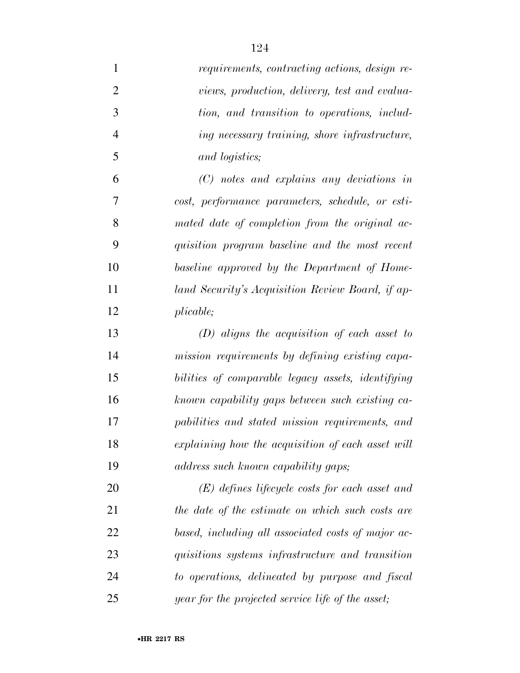| $\mathbf{1}$   | requirements, contracting actions, design re-      |
|----------------|----------------------------------------------------|
| $\overline{2}$ | views, production, delivery, test and evalua-      |
| 3              | tion, and transition to operations, includ-        |
| $\overline{4}$ | ing necessary training, shore infrastructure,      |
| 5              | and logistics;                                     |
| 6              | $(C)$ notes and explains any deviations in         |
| 7              | cost, performance parameters, schedule, or esti-   |
| 8              | mated date of completion from the original ac-     |
| 9              | quisition program baseline and the most recent     |
| 10             | baseline approved by the Department of Home-       |
| 11             | land Security's Acquisition Review Board, if ap-   |
| 12             | plicable;                                          |
| 13             | $(D)$ aligns the acquisition of each asset to      |
| 14             | mission requirements by defining existing capa-    |
| 15             | bilities of comparable legacy assets, identifying  |
| 16             | known capability gaps between such existing ca-    |
| 17             | pabilities and stated mission requirements, and    |
| 18             | explaining how the acquisition of each asset will  |
| 19             | address such known capability gaps;                |
| 20             | $(E)$ defines lifecycle costs for each asset and   |
| 21             | the date of the estimate on which such costs are   |
| 22             | based, including all associated costs of major ac- |
| 23             | quisitions systems infrastructure and transition   |
| 24             | to operations, delineated by purpose and fiscal    |
| 25             | year for the projected service life of the asset;  |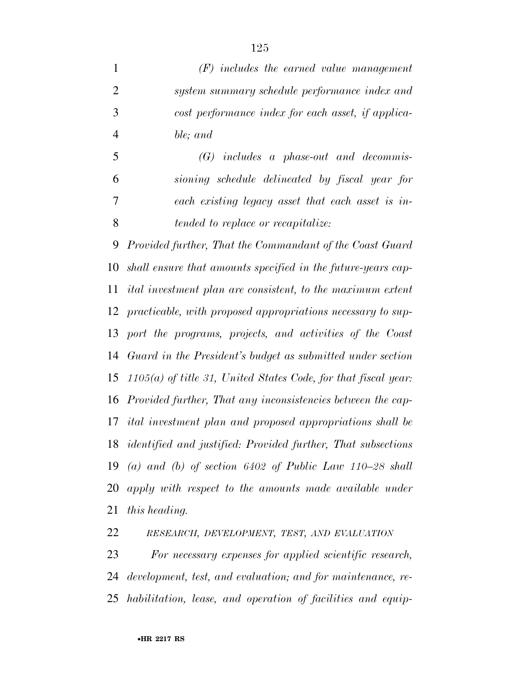*(F) includes the earned value management system summary schedule performance index and cost performance index for each asset, if applica-ble; and* 

 *(G) includes a phase-out and decommis- sioning schedule delineated by fiscal year for each existing legacy asset that each asset is in-tended to replace or recapitalize:* 

 *Provided further, That the Commandant of the Coast Guard shall ensure that amounts specified in the future-years cap- ital investment plan are consistent, to the maximum extent practicable, with proposed appropriations necessary to sup- port the programs, projects, and activities of the Coast Guard in the President's budget as submitted under section 1105(a) of title 31, United States Code, for that fiscal year: Provided further, That any inconsistencies between the cap- ital investment plan and proposed appropriations shall be identified and justified: Provided further, That subsections (a) and (b) of section 6402 of Public Law 110–28 shall apply with respect to the amounts made available under this heading.* 

*RESEARCH, DEVELOPMENT, TEST, AND EVALUATION*

 *For necessary expenses for applied scientific research, development, test, and evaluation; and for maintenance, re-habilitation, lease, and operation of facilities and equip-*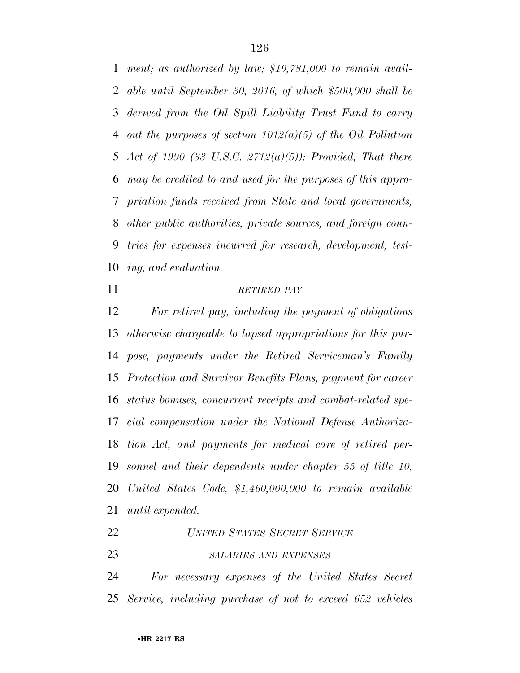*ment; as authorized by law; \$19,781,000 to remain avail- able until September 30, 2016, of which \$500,000 shall be derived from the Oil Spill Liability Trust Fund to carry out the purposes of section 1012(a)(5) of the Oil Pollution Act of 1990 (33 U.S.C. 2712(a)(5)): Provided, That there may be credited to and used for the purposes of this appro- priation funds received from State and local governments, other public authorities, private sources, and foreign coun- tries for expenses incurred for research, development, test-ing, and evaluation.* 

#### *RETIRED PAY*

 *For retired pay, including the payment of obligations otherwise chargeable to lapsed appropriations for this pur- pose, payments under the Retired Serviceman's Family Protection and Survivor Benefits Plans, payment for career status bonuses, concurrent receipts and combat-related spe- cial compensation under the National Defense Authoriza- tion Act, and payments for medical care of retired per- sonnel and their dependents under chapter 55 of title 10, United States Code, \$1,460,000,000 to remain available until expended.* 

*UNITED STATES SECRET SERVICE*

# *SALARIES AND EXPENSES*

 *For necessary expenses of the United States Secret Service, including purchase of not to exceed 652 vehicles*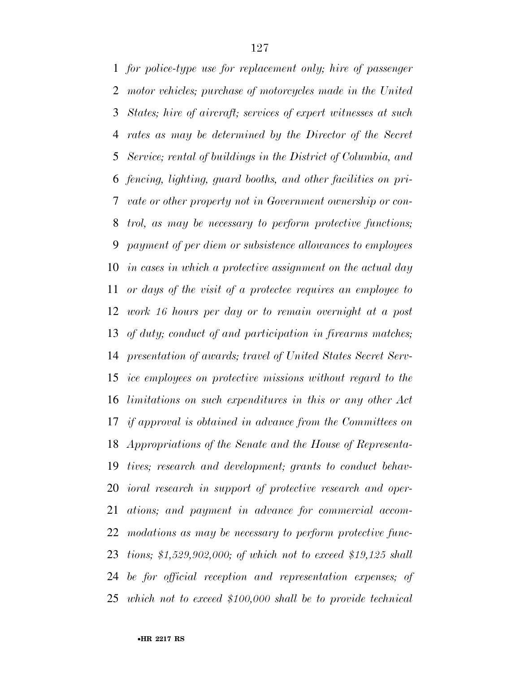*for police-type use for replacement only; hire of passenger motor vehicles; purchase of motorcycles made in the United States; hire of aircraft; services of expert witnesses at such rates as may be determined by the Director of the Secret Service; rental of buildings in the District of Columbia, and fencing, lighting, guard booths, and other facilities on pri- vate or other property not in Government ownership or con- trol, as may be necessary to perform protective functions; payment of per diem or subsistence allowances to employees in cases in which a protective assignment on the actual day or days of the visit of a protectee requires an employee to work 16 hours per day or to remain overnight at a post of duty; conduct of and participation in firearms matches; presentation of awards; travel of United States Secret Serv- ice employees on protective missions without regard to the limitations on such expenditures in this or any other Act if approval is obtained in advance from the Committees on Appropriations of the Senate and the House of Representa- tives; research and development; grants to conduct behav- ioral research in support of protective research and oper- ations; and payment in advance for commercial accom- modations as may be necessary to perform protective func- tions; \$1,529,902,000; of which not to exceed \$19,125 shall be for official reception and representation expenses; of which not to exceed \$100,000 shall be to provide technical*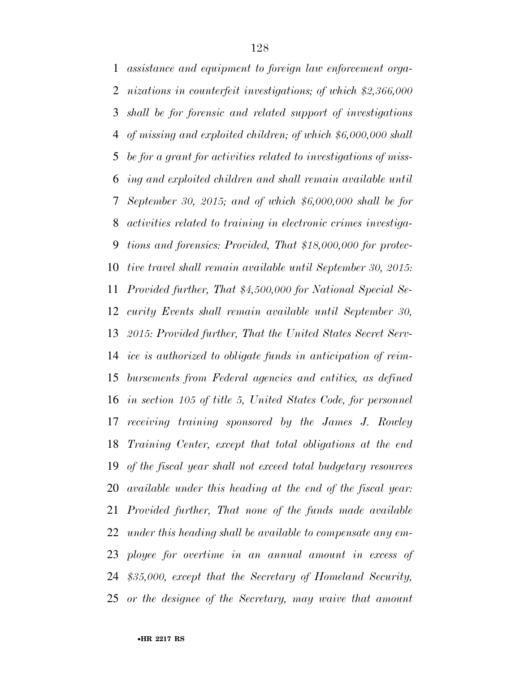*assistance and equipment to foreign law enforcement orga- nizations in counterfeit investigations; of which \$2,366,000 shall be for forensic and related support of investigations of missing and exploited children; of which \$6,000,000 shall be for a grant for activities related to investigations of miss- ing and exploited children and shall remain available until September 30, 2015; and of which \$6,000,000 shall be for activities related to training in electronic crimes investiga- tions and forensics: Provided, That \$18,000,000 for protec- tive travel shall remain available until September 30, 2015: Provided further, That \$4,500,000 for National Special Se- curity Events shall remain available until September 30, 2015: Provided further, That the United States Secret Serv- ice is authorized to obligate funds in anticipation of reim- bursements from Federal agencies and entities, as defined in section 105 of title 5, United States Code, for personnel receiving training sponsored by the James J. Rowley Training Center, except that total obligations at the end of the fiscal year shall not exceed total budgetary resources available under this heading at the end of the fiscal year: Provided further, That none of the funds made available under this heading shall be available to compensate any em- ployee for overtime in an annual amount in excess of \$35,000, except that the Secretary of Homeland Security, or the designee of the Secretary, may waive that amount*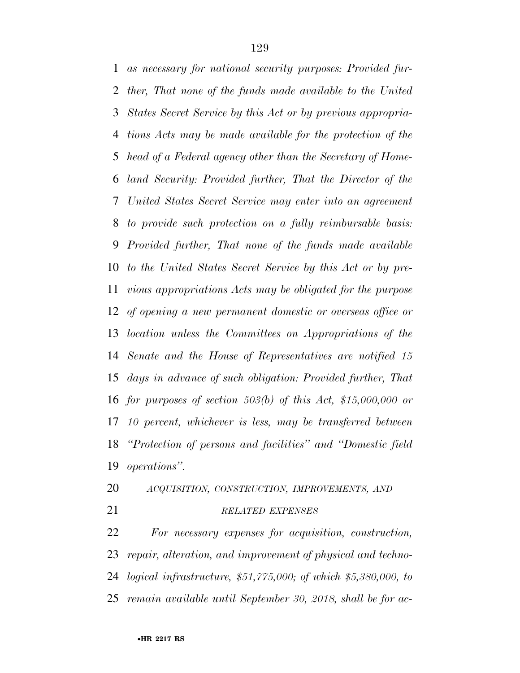*as necessary for national security purposes: Provided fur- ther, That none of the funds made available to the United States Secret Service by this Act or by previous appropria- tions Acts may be made available for the protection of the head of a Federal agency other than the Secretary of Home- land Security: Provided further, That the Director of the United States Secret Service may enter into an agreement to provide such protection on a fully reimbursable basis: Provided further, That none of the funds made available to the United States Secret Service by this Act or by pre- vious appropriations Acts may be obligated for the purpose of opening a new permanent domestic or overseas office or location unless the Committees on Appropriations of the Senate and the House of Representatives are notified 15 days in advance of such obligation: Provided further, That for purposes of section 503(b) of this Act, \$15,000,000 or 10 percent, whichever is less, may be transferred between ''Protection of persons and facilities'' and ''Domestic field operations''.* 

- *ACQUISITION, CONSTRUCTION, IMPROVEMENTS, AND*
- 

## *RELATED EXPENSES*

 *For necessary expenses for acquisition, construction, repair, alteration, and improvement of physical and techno- logical infrastructure, \$51,775,000; of which \$5,380,000, to remain available until September 30, 2018, shall be for ac-*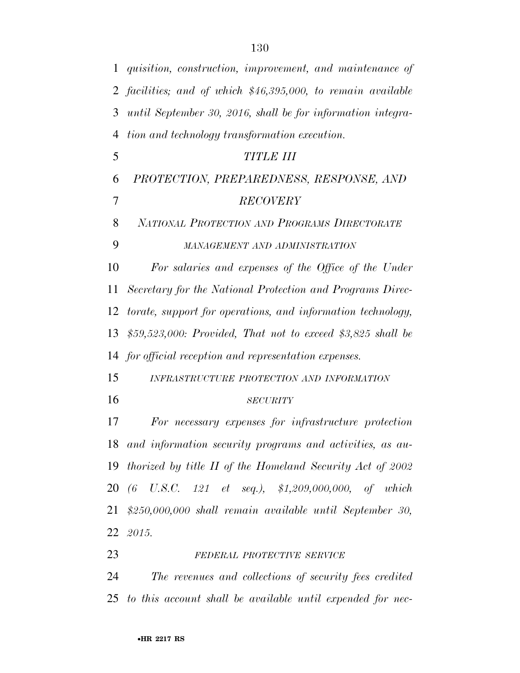| $\mathbf{1}$   | quisition, construction, improvement, and maintenance of     |  |  |  |  |  |  |  |
|----------------|--------------------------------------------------------------|--|--|--|--|--|--|--|
| $\overline{2}$ | facilities; and of which \$46,395,000, to remain available   |  |  |  |  |  |  |  |
| 3              | until September 30, 2016, shall be for information integra-  |  |  |  |  |  |  |  |
| $\overline{4}$ | tion and technology transformation execution.                |  |  |  |  |  |  |  |
| 5              | <b>TITLE III</b>                                             |  |  |  |  |  |  |  |
| 6              | PROTECTION, PREPAREDNESS, RESPONSE, AND                      |  |  |  |  |  |  |  |
| 7              | <b>RECOVERY</b>                                              |  |  |  |  |  |  |  |
| 8              | NATIONAL PROTECTION AND PROGRAMS DIRECTORATE                 |  |  |  |  |  |  |  |
| 9              | MANAGEMENT AND ADMINISTRATION                                |  |  |  |  |  |  |  |
| 10             | For salaries and expenses of the Office of the Under         |  |  |  |  |  |  |  |
| 11             | Secretary for the National Protection and Programs Direc-    |  |  |  |  |  |  |  |
| 12             | torate, support for operations, and information technology,  |  |  |  |  |  |  |  |
| 13             | \$59,523,000: Provided, That not to exceed \$3,825 shall be  |  |  |  |  |  |  |  |
|                | 14 for official reception and representation expenses.       |  |  |  |  |  |  |  |
| 15             | INFRASTRUCTURE PROTECTION AND INFORMATION                    |  |  |  |  |  |  |  |
| 16             | <b>SECURITY</b>                                              |  |  |  |  |  |  |  |
| 17             | For necessary expenses for infrastructure protection         |  |  |  |  |  |  |  |
|                | 18 and information security programs and activities, as au-  |  |  |  |  |  |  |  |
|                | 19 thorized by title II of the Homeland Security Act of 2002 |  |  |  |  |  |  |  |
|                | 20 (6 U.S.C. 121 et seq.), \$1,209,000,000, of which         |  |  |  |  |  |  |  |
| 21             | $$250,000,000$ shall remain available until September 30,    |  |  |  |  |  |  |  |
|                | 22 2015.                                                     |  |  |  |  |  |  |  |
| 23             | FEDERAL PROTECTIVE SERVICE                                   |  |  |  |  |  |  |  |
|                |                                                              |  |  |  |  |  |  |  |

 *The revenues and collections of security fees credited to this account shall be available until expended for nec-*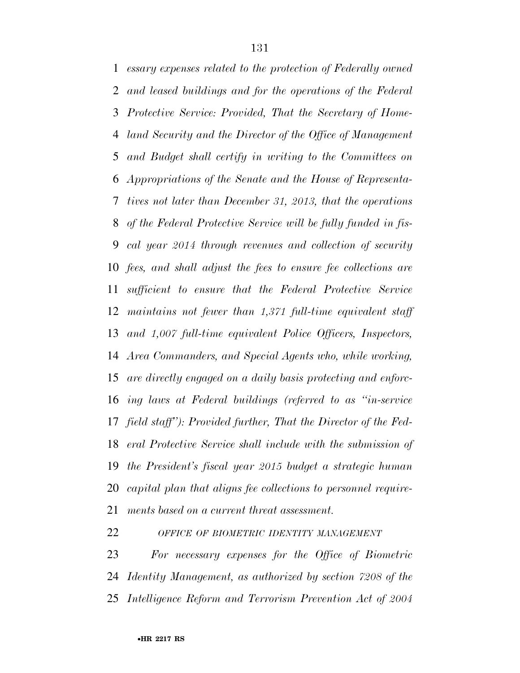*essary expenses related to the protection of Federally owned and leased buildings and for the operations of the Federal Protective Service: Provided, That the Secretary of Home- land Security and the Director of the Office of Management and Budget shall certify in writing to the Committees on Appropriations of the Senate and the House of Representa- tives not later than December 31, 2013, that the operations of the Federal Protective Service will be fully funded in fis- cal year 2014 through revenues and collection of security fees, and shall adjust the fees to ensure fee collections are sufficient to ensure that the Federal Protective Service maintains not fewer than 1,371 full-time equivalent staff and 1,007 full-time equivalent Police Officers, Inspectors, Area Commanders, and Special Agents who, while working, are directly engaged on a daily basis protecting and enforc- ing laws at Federal buildings (referred to as ''in-service field staff''): Provided further, That the Director of the Fed- eral Protective Service shall include with the submission of the President's fiscal year 2015 budget a strategic human capital plan that aligns fee collections to personnel require-ments based on a current threat assessment.* 

*OFFICE OF BIOMETRIC IDENTITY MANAGEMENT*

 *For necessary expenses for the Office of Biometric Identity Management, as authorized by section 7208 of the Intelligence Reform and Terrorism Prevention Act of 2004*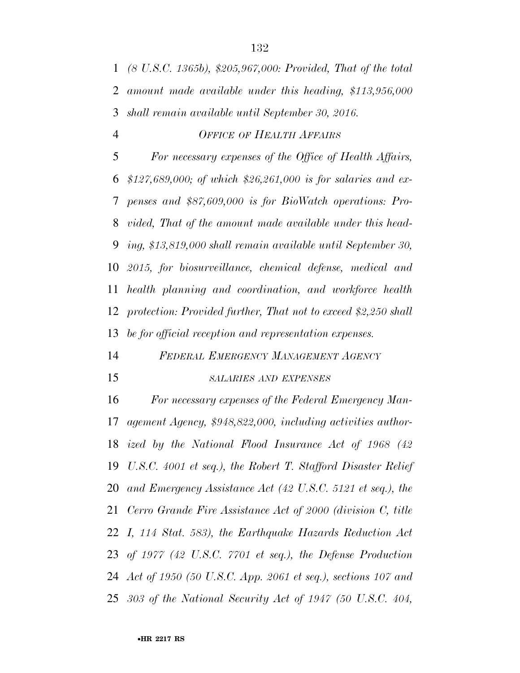*(8 U.S.C. 1365b), \$205,967,000: Provided, That of the total amount made available under this heading, \$113,956,000 shall remain available until September 30, 2016.* 

*OFFICE OF HEALTH AFFAIRS*

 *For necessary expenses of the Office of Health Affairs, \$127,689,000; of which \$26,261,000 is for salaries and ex- penses and \$87,609,000 is for BioWatch operations: Pro- vided, That of the amount made available under this head- ing, \$13,819,000 shall remain available until September 30, 2015, for biosurveillance, chemical defense, medical and health planning and coordination, and workforce health protection: Provided further, That not to exceed \$2,250 shall be for official reception and representation expenses.* 

*FEDERAL EMERGENCY MANAGEMENT AGENCY*

#### *SALARIES AND EXPENSES*

 *For necessary expenses of the Federal Emergency Man- agement Agency, \$948,822,000, including activities author- ized by the National Flood Insurance Act of 1968 (42 U.S.C. 4001 et seq.), the Robert T. Stafford Disaster Relief and Emergency Assistance Act (42 U.S.C. 5121 et seq.), the Cerro Grande Fire Assistance Act of 2000 (division C, title I, 114 Stat. 583), the Earthquake Hazards Reduction Act of 1977 (42 U.S.C. 7701 et seq.), the Defense Production Act of 1950 (50 U.S.C. App. 2061 et seq.), sections 107 and 303 of the National Security Act of 1947 (50 U.S.C. 404,*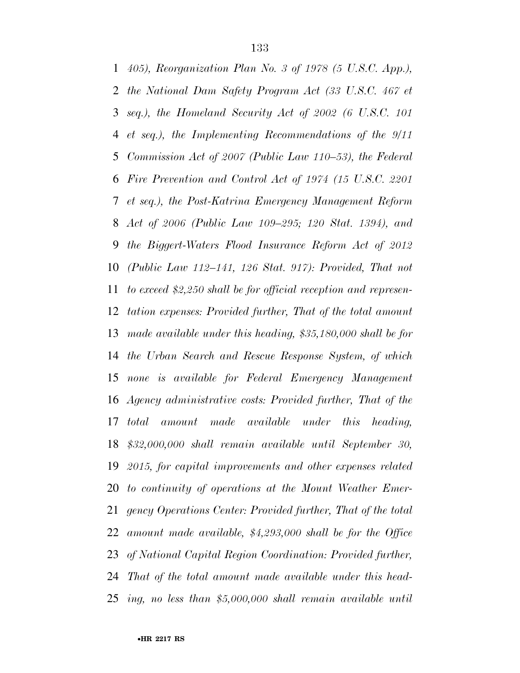*405), Reorganization Plan No. 3 of 1978 (5 U.S.C. App.), the National Dam Safety Program Act (33 U.S.C. 467 et seq.), the Homeland Security Act of 2002 (6 U.S.C. 101 et seq.), the Implementing Recommendations of the 9/11 Commission Act of 2007 (Public Law 110–53), the Federal Fire Prevention and Control Act of 1974 (15 U.S.C. 2201 et seq.), the Post-Katrina Emergency Management Reform Act of 2006 (Public Law 109–295; 120 Stat. 1394), and the Biggert-Waters Flood Insurance Reform Act of 2012 (Public Law 112–141, 126 Stat. 917): Provided, That not to exceed \$2,250 shall be for official reception and represen- tation expenses: Provided further, That of the total amount made available under this heading, \$35,180,000 shall be for the Urban Search and Rescue Response System, of which none is available for Federal Emergency Management Agency administrative costs: Provided further, That of the total amount made available under this heading, \$32,000,000 shall remain available until September 30, 2015, for capital improvements and other expenses related to continuity of operations at the Mount Weather Emer- gency Operations Center: Provided further, That of the total amount made available, \$4,293,000 shall be for the Office of National Capital Region Coordination: Provided further, That of the total amount made available under this head-ing, no less than \$5,000,000 shall remain available until*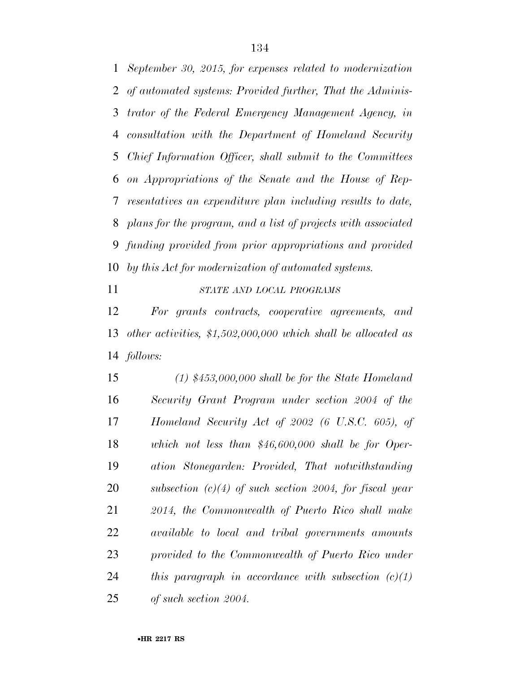*September 30, 2015, for expenses related to modernization of automated systems: Provided further, That the Adminis- trator of the Federal Emergency Management Agency, in consultation with the Department of Homeland Security Chief Information Officer, shall submit to the Committees on Appropriations of the Senate and the House of Rep- resentatives an expenditure plan including results to date, plans for the program, and a list of projects with associated funding provided from prior appropriations and provided by this Act for modernization of automated systems.* 

*STATE AND LOCAL PROGRAMS*

 *For grants contracts, cooperative agreements, and other activities, \$1,502,000,000 which shall be allocated as follows:* 

 *(1) \$453,000,000 shall be for the State Homeland Security Grant Program under section 2004 of the Homeland Security Act of 2002 (6 U.S.C. 605), of which not less than \$46,600,000 shall be for Oper- ation Stonegarden: Provided, That notwithstanding subsection (c)(4) of such section 2004, for fiscal year 2014, the Commonwealth of Puerto Rico shall make available to local and tribal governments amounts provided to the Commonwealth of Puerto Rico under this paragraph in accordance with subsection (c)(1) of such section 2004.*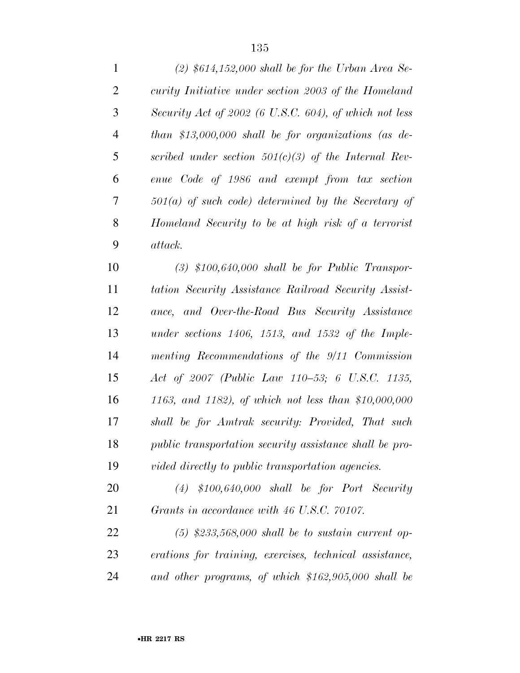| $\mathbf{1}$   | $(2)$ \$614,152,000 shall be for the Urban Area Se-       |
|----------------|-----------------------------------------------------------|
| $\overline{2}$ | curity Initiative under section 2003 of the Homeland      |
| 3              | Security Act of 2002 (6 U.S.C. 604), of which not less    |
| 4              | than \$13,000,000 shall be for organizations (as de-      |
| 5              | scribed under section $501(c)(3)$ of the Internal Rev-    |
| 6              | enue Code of 1986 and exempt from tax section             |
| 7              | $501(a)$ of such code) determined by the Secretary of     |
| 8              | Homeland Security to be at high risk of a terrorist       |
| 9              | attack.                                                   |
| 10             | $(3)$ \$100,640,000 shall be for Public Transpor-         |
| 11             | tation Security Assistance Railroad Security Assist-      |
| 12             | ance, and Over-the-Road Bus Security Assistance           |
| 13             | under sections $1406$ , $1513$ , and $1532$ of the Imple- |
| 14             | menting Recommendations of the 9/11 Commission            |
|                |                                                           |

 *Act of 2007 (Public Law 110–53; 6 U.S.C. 1135, 1163, and 1182), of which not less than \$10,000,000 shall be for Amtrak security: Provided, That such public transportation security assistance shall be pro-vided directly to public transportation agencies.* 

 *(4) \$100,640,000 shall be for Port Security Grants in accordance with 46 U.S.C. 70107.* 

 *(5) \$233,568,000 shall be to sustain current op- erations for training, exercises, technical assistance, and other programs, of which \$162,905,000 shall be*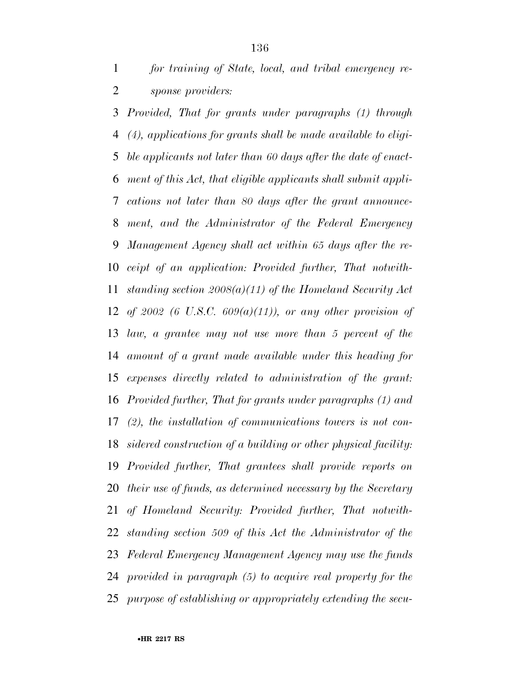*Provided, That for grants under paragraphs (1) through (4), applications for grants shall be made available to eligi- ble applicants not later than 60 days after the date of enact- ment of this Act, that eligible applicants shall submit appli- cations not later than 80 days after the grant announce- ment, and the Administrator of the Federal Emergency Management Agency shall act within 65 days after the re- ceipt of an application: Provided further, That notwith- standing section 2008(a)(11) of the Homeland Security Act of 2002 (6 U.S.C. 609(a)(11)), or any other provision of law, a grantee may not use more than 5 percent of the amount of a grant made available under this heading for expenses directly related to administration of the grant: Provided further, That for grants under paragraphs (1) and (2), the installation of communications towers is not con- sidered construction of a building or other physical facility: Provided further, That grantees shall provide reports on their use of funds, as determined necessary by the Secretary of Homeland Security: Provided further, That notwith- standing section 509 of this Act the Administrator of the Federal Emergency Management Agency may use the funds provided in paragraph (5) to acquire real property for the purpose of establishing or appropriately extending the secu-*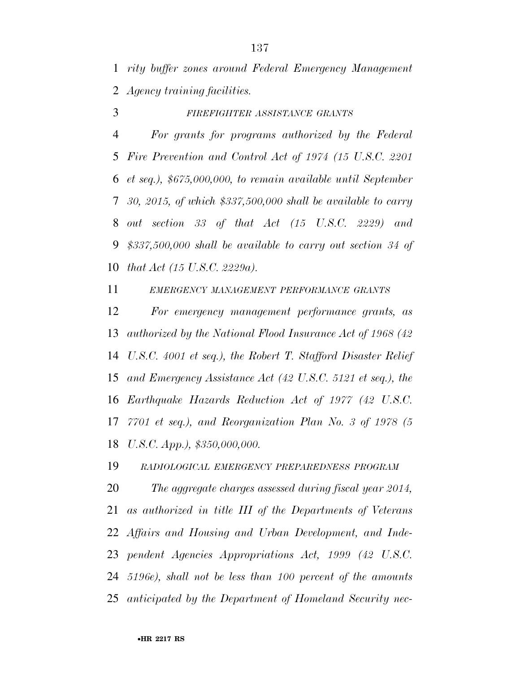*rity buffer zones around Federal Emergency Management Agency training facilities.* 

*FIREFIGHTER ASSISTANCE GRANTS*

 *For grants for programs authorized by the Federal Fire Prevention and Control Act of 1974 (15 U.S.C. 2201 et seq.), \$675,000,000, to remain available until September 30, 2015, of which \$337,500,000 shall be available to carry out section 33 of that Act (15 U.S.C. 2229) and \$337,500,000 shall be available to carry out section 34 of that Act (15 U.S.C. 2229a).* 

*EMERGENCY MANAGEMENT PERFORMANCE GRANTS*

 *For emergency management performance grants, as authorized by the National Flood Insurance Act of 1968 (42 U.S.C. 4001 et seq.), the Robert T. Stafford Disaster Relief and Emergency Assistance Act (42 U.S.C. 5121 et seq.), the Earthquake Hazards Reduction Act of 1977 (42 U.S.C. 7701 et seq.), and Reorganization Plan No. 3 of 1978 (5 U.S.C. App.), \$350,000,000.* 

*RADIOLOGICAL EMERGENCY PREPAREDNESS PROGRAM*

 *The aggregate charges assessed during fiscal year 2014, as authorized in title III of the Departments of Veterans Affairs and Housing and Urban Development, and Inde- pendent Agencies Appropriations Act, 1999 (42 U.S.C. 5196e), shall not be less than 100 percent of the amounts anticipated by the Department of Homeland Security nec-*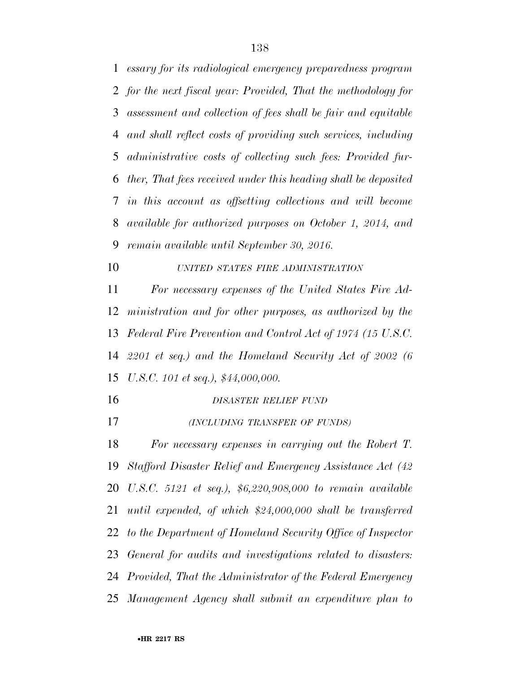*for the next fiscal year: Provided, That the methodology for assessment and collection of fees shall be fair and equitable and shall reflect costs of providing such services, including administrative costs of collecting such fees: Provided fur- ther, That fees received under this heading shall be deposited in this account as offsetting collections and will become available for authorized purposes on October 1, 2014, and remain available until September 30, 2016. UNITED STATES FIRE ADMINISTRATION For necessary expenses of the United States Fire Ad- ministration and for other purposes, as authorized by the Federal Fire Prevention and Control Act of 1974 (15 U.S.C. 2201 et seq.) and the Homeland Security Act of 2002 (6 U.S.C. 101 et seq.), \$44,000,000. DISASTER RELIEF FUND (INCLUDING TRANSFER OF FUNDS) For necessary expenses in carrying out the Robert T. Stafford Disaster Relief and Emergency Assistance Act (42 U.S.C. 5121 et seq.), \$6,220,908,000 to remain available until expended, of which \$24,000,000 shall be transferred to the Department of Homeland Security Office of Inspector General for audits and investigations related to disasters: Provided, That the Administrator of the Federal Emergency Management Agency shall submit an expenditure plan to* 

*essary for its radiological emergency preparedness program*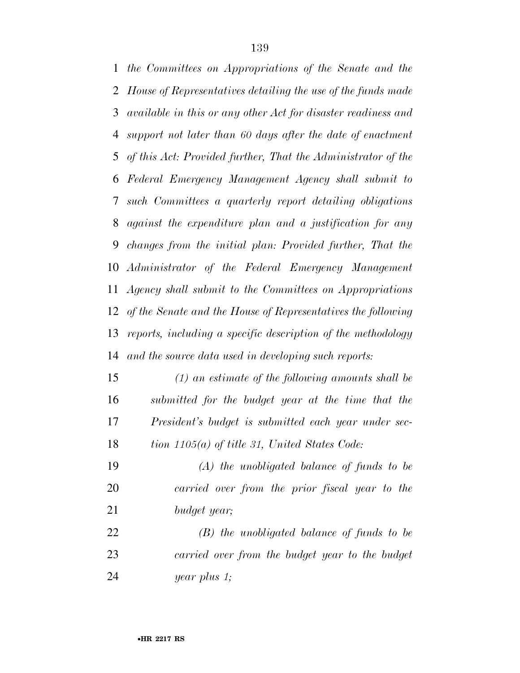*the Committees on Appropriations of the Senate and the House of Representatives detailing the use of the funds made available in this or any other Act for disaster readiness and support not later than 60 days after the date of enactment of this Act: Provided further, That the Administrator of the Federal Emergency Management Agency shall submit to such Committees a quarterly report detailing obligations against the expenditure plan and a justification for any changes from the initial plan: Provided further, That the Administrator of the Federal Emergency Management Agency shall submit to the Committees on Appropriations of the Senate and the House of Representatives the following reports, including a specific description of the methodology and the source data used in developing such reports:* 

 *(1) an estimate of the following amounts shall be submitted for the budget year at the time that the President's budget is submitted each year under sec-tion 1105(a) of title 31, United States Code:* 

 *(A) the unobligated balance of funds to be carried over from the prior fiscal year to the budget year;* 

 *(B) the unobligated balance of funds to be carried over from the budget year to the budget year plus 1;*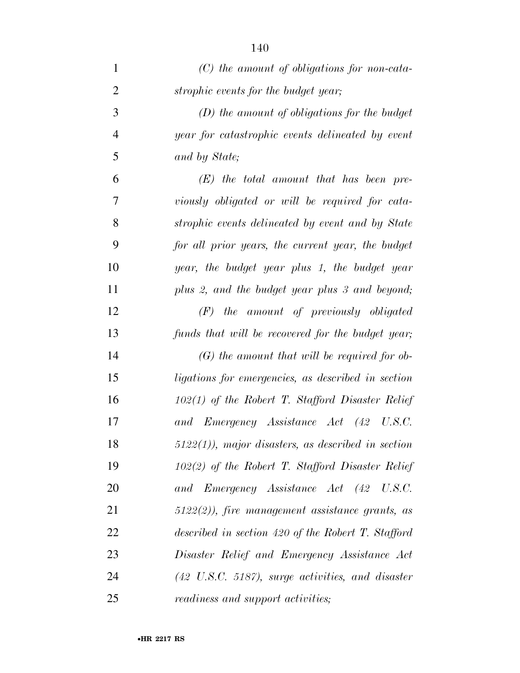| $\mathbf{1}$   | $(C)$ the amount of obligations for non-cata-                |
|----------------|--------------------------------------------------------------|
| $\overline{2}$ | strophic events for the budget year;                         |
| 3              | $(D)$ the amount of obligations for the budget               |
| $\overline{4}$ | year for catastrophic events delineated by event             |
| 5              | and by State;                                                |
| 6              | $(E)$ the total amount that has been pre-                    |
| 7              | viously obligated or will be required for cata-              |
| 8              | strophic events delineated by event and by State             |
| 9              | for all prior years, the current year, the budget            |
| 10             | year, the budget year plus 1, the budget year                |
| 11             | plus 2, and the budget year plus 3 and beyond;               |
| 12             | $(F)$ the amount of previously obligated                     |
| 13             | funds that will be recovered for the budget year;            |
| 14             | $(G)$ the amount that will be required for ob-               |
| 15             | ligations for emergencies, as described in section           |
| 16             | $102(1)$ of the Robert T. Stafford Disaster Relief           |
| 17             | and Emergency Assistance Act (42 U.S.C.                      |
| 18             | $5122(1)$ , major disasters, as described in section         |
| 19             | $102(2)$ of the Robert T. Stafford Disaster Relief           |
| 20             | and Emergency Assistance Act (42 U.S.C.                      |
| 21             | $5122(2)$ , fire management assistance grants, as            |
| 22             | described in section 420 of the Robert T. Stafford           |
| 23             | Disaster Relief and Emergency Assistance Act                 |
| 24             | $(42 \text{ U.S.C. } 5187)$ , surge activities, and disaster |
| 25             | <i>readiness and support activities;</i>                     |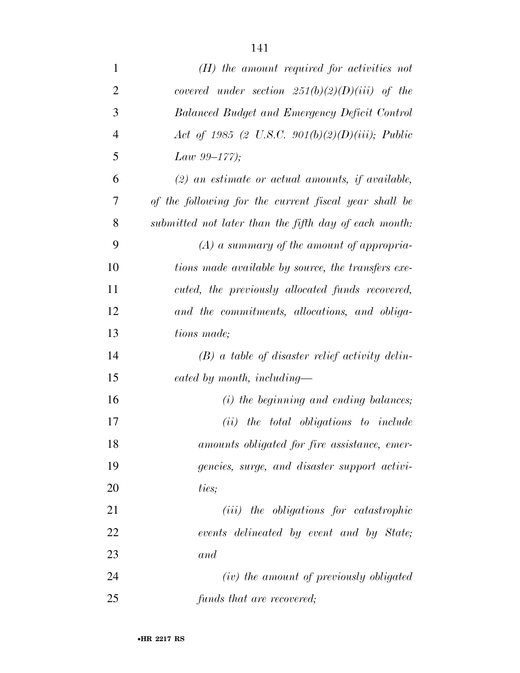| $\mathbf{1}$   | $(H)$ the amount required for activities not          |  |  |  |  |  |  |  |
|----------------|-------------------------------------------------------|--|--|--|--|--|--|--|
| $\overline{2}$ | covered under section $251(b)(2)(D)(iii)$ of the      |  |  |  |  |  |  |  |
| 3              | Balanced Budget and Emergency Deficit Control         |  |  |  |  |  |  |  |
| $\overline{4}$ | Act of 1985 (2 U.S.C. 901(b)(2)(D)(iii); Public       |  |  |  |  |  |  |  |
| 5              | Law $99-177$ ;                                        |  |  |  |  |  |  |  |
| 6              | $(2)$ an estimate or actual amounts, if available,    |  |  |  |  |  |  |  |
| 7              | of the following for the current fiscal year shall be |  |  |  |  |  |  |  |
| 8              | submitted not later than the fifth day of each month: |  |  |  |  |  |  |  |
| 9              | $(A)$ a summary of the amount of appropria-           |  |  |  |  |  |  |  |
| 10             | tions made available by source, the transfers exe-    |  |  |  |  |  |  |  |
| 11             | cuted, the previously allocated funds recovered,      |  |  |  |  |  |  |  |
| 12             | and the commitments, allocations, and obliga-         |  |  |  |  |  |  |  |
| 13             | <i>tions made</i> ;                                   |  |  |  |  |  |  |  |
| 14             | $(B)$ a table of disaster relief activity delin-      |  |  |  |  |  |  |  |
| 15             | eated by month, including-                            |  |  |  |  |  |  |  |
| 16             | $(i)$ the beginning and ending balances;              |  |  |  |  |  |  |  |
| 17             | $(ii)$ the total obligations to include               |  |  |  |  |  |  |  |
| 18             | amounts obligated for fire assistance, emer-          |  |  |  |  |  |  |  |
| 19             | gencies, surge, and disaster support activi-          |  |  |  |  |  |  |  |
| 20             | ties;                                                 |  |  |  |  |  |  |  |
| 21             | ( <i>iii</i> ) the obligations for catastrophic       |  |  |  |  |  |  |  |
| 22             | events delineated by event and by State;              |  |  |  |  |  |  |  |
| 23             | and                                                   |  |  |  |  |  |  |  |
| 24             | (iv) the amount of previously obligated               |  |  |  |  |  |  |  |
| 25             | funds that are recovered;                             |  |  |  |  |  |  |  |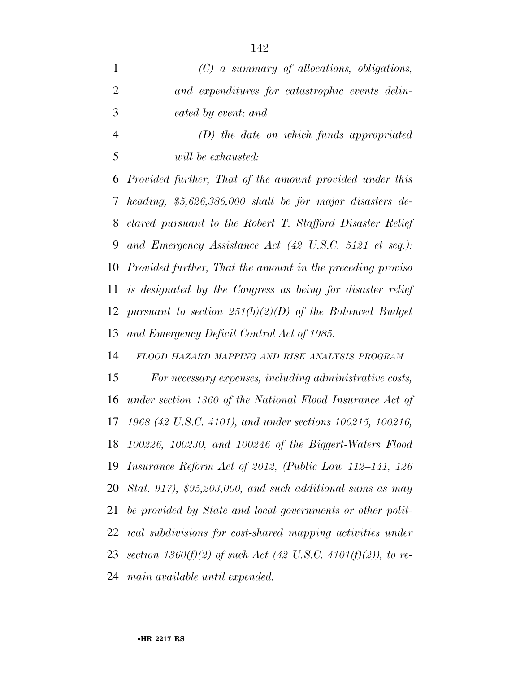|               | $(C)$ a summary of allocations, obligations,    |
|---------------|-------------------------------------------------|
|               | and expenditures for catastrophic events delin- |
| $\mathcal{R}$ | eated by event; and                             |

 *(D) the date on which funds appropriated will be exhausted:* 

 *Provided further, That of the amount provided under this heading, \$5,626,386,000 shall be for major disasters de- clared pursuant to the Robert T. Stafford Disaster Relief and Emergency Assistance Act (42 U.S.C. 5121 et seq.): Provided further, That the amount in the preceding proviso is designated by the Congress as being for disaster relief pursuant to section 251(b)(2)(D) of the Balanced Budget and Emergency Deficit Control Act of 1985.* 

*FLOOD HAZARD MAPPING AND RISK ANALYSIS PROGRAM*

 *For necessary expenses, including administrative costs, under section 1360 of the National Flood Insurance Act of 1968 (42 U.S.C. 4101), and under sections 100215, 100216, 100226, 100230, and 100246 of the Biggert-Waters Flood Insurance Reform Act of 2012, (Public Law 112–141, 126 Stat. 917), \$95,203,000, and such additional sums as may be provided by State and local governments or other polit- ical subdivisions for cost-shared mapping activities under section 1360(f)(2) of such Act (42 U.S.C. 4101(f)(2)), to re-main available until expended.*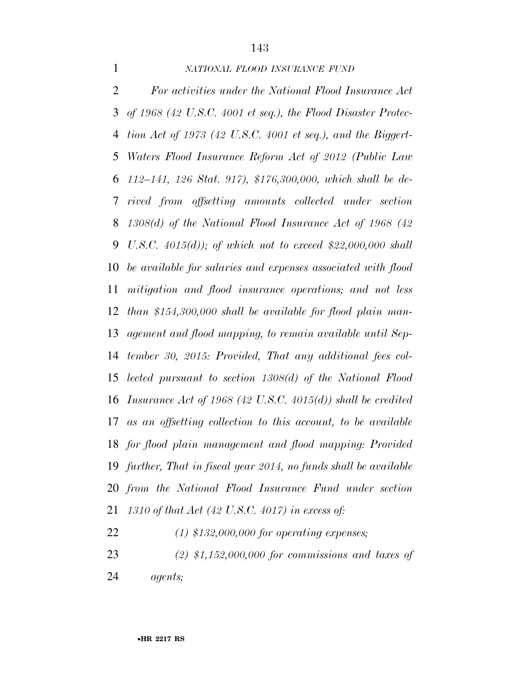## *NATIONAL FLOOD INSURANCE FUND*

 *For activities under the National Flood Insurance Act of 1968 (42 U.S.C. 4001 et seq.), the Flood Disaster Protec- tion Act of 1973 (42 U.S.C. 4001 et seq.), and the Biggert- Waters Flood Insurance Reform Act of 2012 (Public Law 112–141, 126 Stat. 917), \$176,300,000, which shall be de- rived from offsetting amounts collected under section 1308(d) of the National Flood Insurance Act of 1968 (42 U.S.C. 4015(d)); of which not to exceed \$22,000,000 shall be available for salaries and expenses associated with flood mitigation and flood insurance operations; and not less than \$154,300,000 shall be available for flood plain man- agement and flood mapping, to remain available until Sep- tember 30, 2015: Provided, That any additional fees col- lected pursuant to section 1308(d) of the National Flood Insurance Act of 1968 (42 U.S.C. 4015(d)) shall be credited as an offsetting collection to this account, to be available for flood plain management and flood mapping: Provided further, That in fiscal year 2014, no funds shall be available from the National Flood Insurance Fund under section 1310 of that Act (42 U.S.C. 4017) in excess of:* 

*(1) \$132,000,000 for operating expenses;* 

 *(2) \$1,152,000,000 for commissions and taxes of agents;*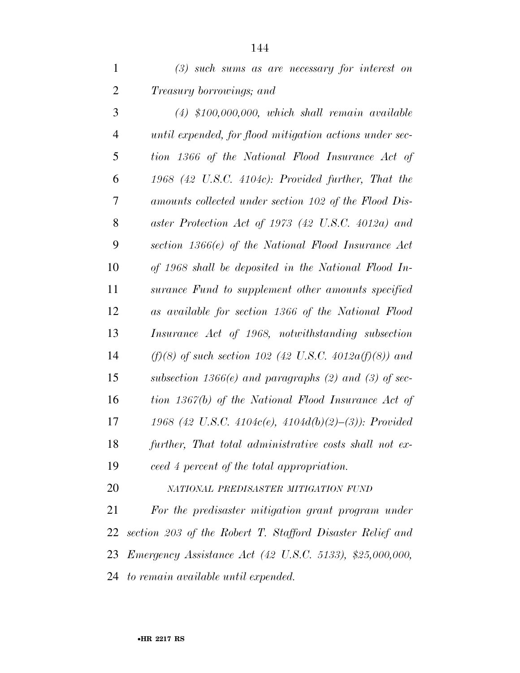|                                 |  |  | $(3)$ such sums as are necessary for interest on |  |  |
|---------------------------------|--|--|--------------------------------------------------|--|--|
| <i>Treasury borrowings; and</i> |  |  |                                                  |  |  |

 *(4) \$100,000,000, which shall remain available until expended, for flood mitigation actions under sec- tion 1366 of the National Flood Insurance Act of 1968 (42 U.S.C. 4104c): Provided further, That the amounts collected under section 102 of the Flood Dis- aster Protection Act of 1973 (42 U.S.C. 4012a) and section 1366(e) of the National Flood Insurance Act of 1968 shall be deposited in the National Flood In- surance Fund to supplement other amounts specified as available for section 1366 of the National Flood Insurance Act of 1968, notwithstanding subsection (f)(8) of such section 102 (42 U.S.C. 4012a(f)(8)) and subsection 1366(e) and paragraphs (2) and (3) of sec- tion 1367(b) of the National Flood Insurance Act of 1968 (42 U.S.C. 4104c(e), 4104d(b)(2)–(3)): Provided further, That total administrative costs shall not ex-ceed 4 percent of the total appropriation.* 

*NATIONAL PREDISASTER MITIGATION FUND*

 *For the predisaster mitigation grant program under section 203 of the Robert T. Stafford Disaster Relief and Emergency Assistance Act (42 U.S.C. 5133), \$25,000,000, to remain available until expended.*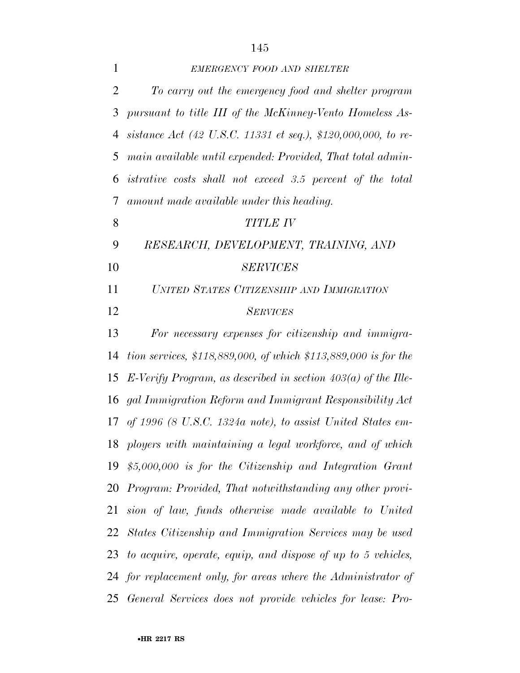| $\mathbf{1}$   | <b>EMERGENCY FOOD AND SHELTER</b>                                  |
|----------------|--------------------------------------------------------------------|
| $\overline{2}$ | To carry out the emergency food and shelter program                |
| 3              | pursuant to title III of the McKinney-Vento Homeless As-           |
| 4              | sistance Act (42 U.S.C. 11331 et seq.), \$120,000,000, to re-      |
| 5              | main available until expended: Provided, That total admin-         |
| 6              | <i>istrative costs shall not exceed 3.5 percent of the total</i>   |
| 7              | amount made available under this heading.                          |
| 8              | <b>TITLE IV</b>                                                    |
| 9              | RESEARCH, DEVELOPMENT, TRAINING, AND                               |
| 10             | <b>SERVICES</b>                                                    |
| 11             | UNITED STATES CITIZENSHIP AND IMMIGRATION                          |
| 12             | <b>SERVICES</b>                                                    |
| 13             | For necessary expenses for citizenship and immigra-                |
| 14             | tion services, $$118,889,000$ , of which $$113,889,000$ is for the |
| 15             | E-Verify Program, as described in section $403(a)$ of the Ille-    |
| 16             | gal Immigration Reform and Immigrant Responsibility Act            |
| 17             | of 1996 (8 U.S.C. 1324a note), to assist United States em-         |
|                | 18 ployers with maintaining a legal workforce, and of which        |
|                | 19 $$5,000,000$ is for the Citizenship and Integration Grant       |
|                | 20 Program: Provided, That notwithstanding any other provi-        |
|                | 21 sion of law, funds otherwise made available to United           |
| 22             | States Citizenship and Immigration Services may be used            |
|                | 23 to acquire, operate, equip, and dispose of up to 5 vehicles,    |
|                | 24 for replacement only, for areas where the Administrator of      |
|                | 25 General Services does not provide vehicles for lease: Pro-      |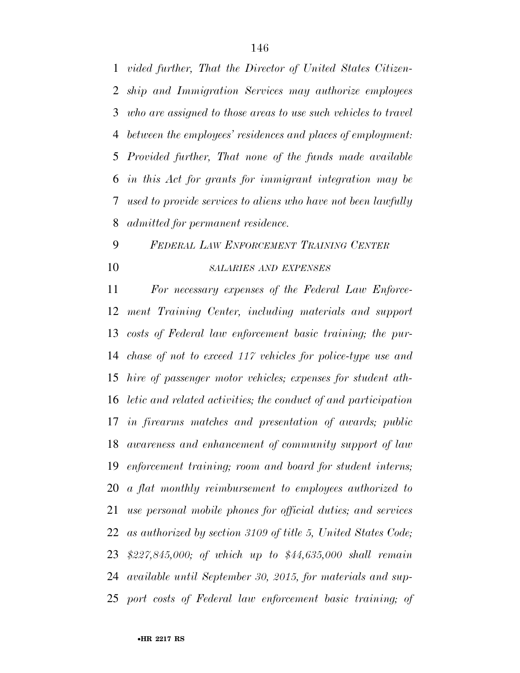*vided further, That the Director of United States Citizen- ship and Immigration Services may authorize employees who are assigned to those areas to use such vehicles to travel between the employees' residences and places of employment: Provided further, That none of the funds made available in this Act for grants for immigrant integration may be used to provide services to aliens who have not been lawfully admitted for permanent residence.* 

## *FEDERAL LAW ENFORCEMENT TRAINING CENTER SALARIES AND EXPENSES*

 *For necessary expenses of the Federal Law Enforce- ment Training Center, including materials and support costs of Federal law enforcement basic training; the pur- chase of not to exceed 117 vehicles for police-type use and hire of passenger motor vehicles; expenses for student ath- letic and related activities; the conduct of and participation in firearms matches and presentation of awards; public awareness and enhancement of community support of law enforcement training; room and board for student interns; a flat monthly reimbursement to employees authorized to use personal mobile phones for official duties; and services as authorized by section 3109 of title 5, United States Code; \$227,845,000; of which up to \$44,635,000 shall remain available until September 30, 2015, for materials and sup-port costs of Federal law enforcement basic training; of*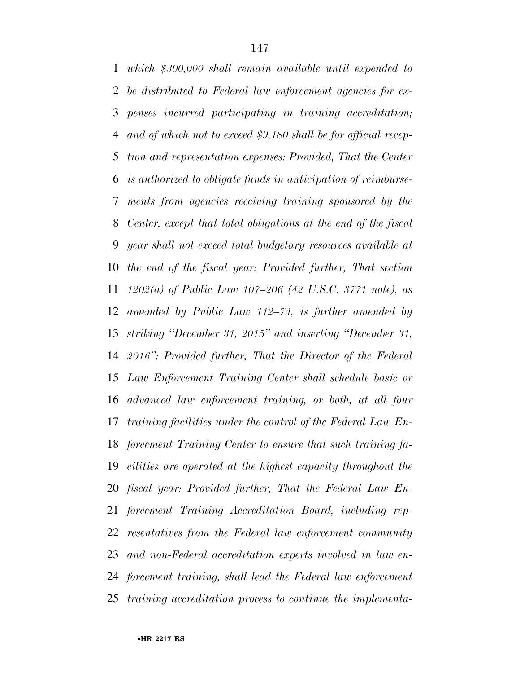*which \$300,000 shall remain available until expended to be distributed to Federal law enforcement agencies for ex- penses incurred participating in training accreditation; and of which not to exceed \$9,180 shall be for official recep- tion and representation expenses: Provided, That the Center is authorized to obligate funds in anticipation of reimburse- ments from agencies receiving training sponsored by the Center, except that total obligations at the end of the fiscal year shall not exceed total budgetary resources available at the end of the fiscal year: Provided further, That section 1202(a) of Public Law 107–206 (42 U.S.C. 3771 note), as amended by Public Law 112–74, is further amended by striking ''December 31, 2015'' and inserting ''December 31, 2016'': Provided further, That the Director of the Federal Law Enforcement Training Center shall schedule basic or advanced law enforcement training, or both, at all four training facilities under the control of the Federal Law En- forcement Training Center to ensure that such training fa- cilities are operated at the highest capacity throughout the fiscal year: Provided further, That the Federal Law En- forcement Training Accreditation Board, including rep- resentatives from the Federal law enforcement community and non-Federal accreditation experts involved in law en- forcement training, shall lead the Federal law enforcement training accreditation process to continue the implementa-*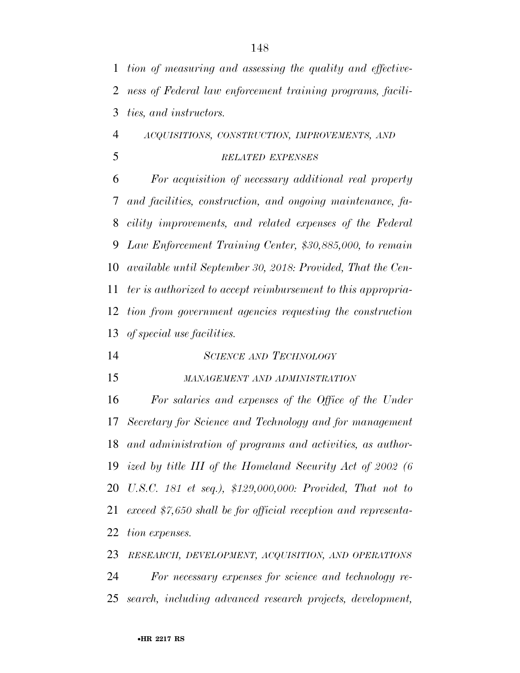| $\mathbf{1}$   | tion of measuring and assessing the quality and effective-     |
|----------------|----------------------------------------------------------------|
| 2              | ness of Federal law enforcement training programs, facili-     |
| 3              | <i>ties, and instructors.</i>                                  |
| $\overline{4}$ | ACQUISITIONS, CONSTRUCTION, IMPROVEMENTS, AND                  |
| 5              | <b>RELATED EXPENSES</b>                                        |
| 6              | For acquisition of necessary additional real property          |
| 7              | and facilities, construction, and ongoing maintenance, fa-     |
| 8              | cility improvements, and related expenses of the Federal       |
| 9              | Law Enforcement Training Center, \$30,885,000, to remain       |
| 10             | available until September 30, 2018: Provided, That the Cen-    |
| 11             | ter is authorized to accept reimbursement to this appropria-   |
| 12             | tion from government agencies requesting the construction      |
| 13             | of special use facilities.                                     |
| 14             | <b>SCIENCE AND TECHNOLOGY</b>                                  |
| 15             | MANAGEMENT AND ADMINISTRATION                                  |
| 16             | For salaries and expenses of the Office of the Under           |
| 17             | Secretary for Science and Technology and for management        |
| 18             | and administration of programs and activities, as author-      |
| 19             | ized by title III of the Homeland Security Act of 2002 (6      |
| 20             | U.S.C. 181 et seq.), \$129,000,000: Provided, That not to      |
| 21             | exceed \$7,650 shall be for official reception and representa- |
| 22             | tion expenses.                                                 |

 *RESEARCH, DEVELOPMENT, ACQUISITION, AND OPERATIONS For necessary expenses for science and technology re-search, including advanced research projects, development,*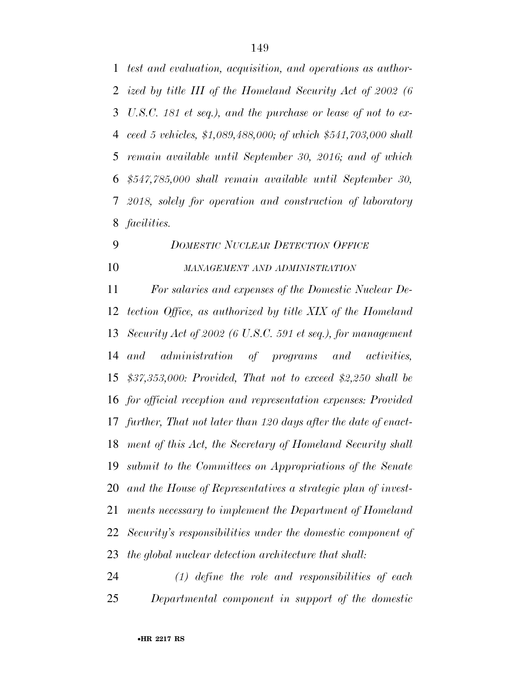*test and evaluation, acquisition, and operations as author- ized by title III of the Homeland Security Act of 2002 (6 U.S.C. 181 et seq.), and the purchase or lease of not to ex- ceed 5 vehicles, \$1,089,488,000; of which \$541,703,000 shall remain available until September 30, 2016; and of which \$547,785,000 shall remain available until September 30, 2018, solely for operation and construction of laboratory facilities.* 

## *DOMESTIC NUCLEAR DETECTION OFFICE MANAGEMENT AND ADMINISTRATION*

 *For salaries and expenses of the Domestic Nuclear De- tection Office, as authorized by title XIX of the Homeland Security Act of 2002 (6 U.S.C. 591 et seq.), for management and administration of programs and activities, \$37,353,000: Provided, That not to exceed \$2,250 shall be for official reception and representation expenses: Provided further, That not later than 120 days after the date of enact- ment of this Act, the Secretary of Homeland Security shall submit to the Committees on Appropriations of the Senate and the House of Representatives a strategic plan of invest- ments necessary to implement the Department of Homeland Security's responsibilities under the domestic component of the global nuclear detection architecture that shall:* 

 *(1) define the role and responsibilities of each Departmental component in support of the domestic*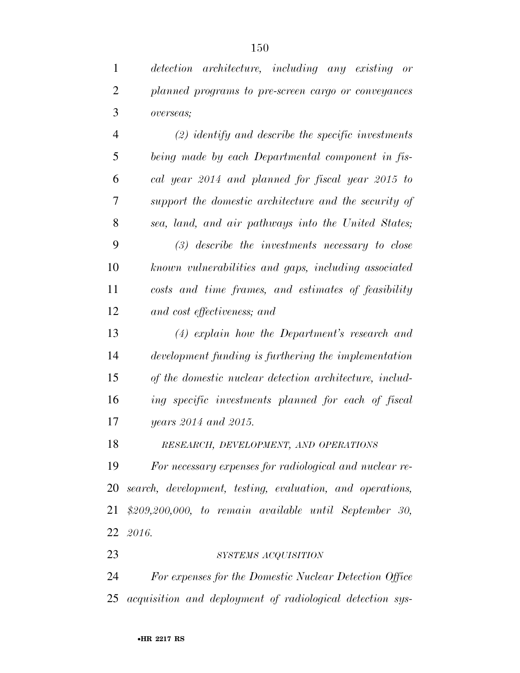*detection architecture, including any existing or* 

*planned programs to pre-screen cargo or conveyances* 

| $\overline{4}$ | $(2)$ identify and describe the specific investments      |
|----------------|-----------------------------------------------------------|
| 5              | being made by each Departmental component in fis-         |
| 6              | cal year 2014 and planned for fiscal year 2015 to         |
| 7              | support the domestic architecture and the security of     |
| 8              | sea, land, and air pathways into the United States;       |
| 9              | $(3)$ describe the investments necessary to close         |
| 10             | known vulnerabilities and gaps, including associated      |
| 11             | costs and time frames, and estimates of feasibility       |
| 12             | and cost effectiveness; and                               |
| 13             | (4) explain how the Department's research and             |
| 14             | development funding is furthering the implementation      |
| 15             | of the domestic nuclear detection architecture, includ-   |
| 16             | ing specific investments planned for each of fiscal       |
| 17             | years 2014 and 2015.                                      |
| 18             | RESEARCH, DEVELOPMENT, AND OPERATIONS                     |
| 19             | For necessary expenses for radiological and nuclear re-   |
| 20             | search, development, testing, evaluation, and operations, |
| 21             | $$209,200,000, to remain available until September 30,$   |
| 22             | 2016.                                                     |
| 23             | SYSTEMS ACQUISITION                                       |
| 24             | For expenses for the Domestic Nuclear Detection Office    |
| 25             | acquisition and deployment of radiological detection sys- |
|                |                                                           |

•**HR 2217 RS**

*overseas;*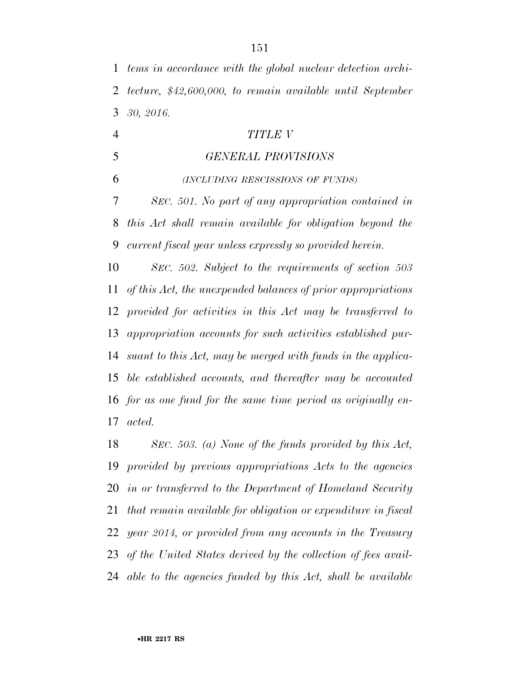*tems in accordance with the global nuclear detection archi- tecture, \$42,600,000, to remain available until September 30, 2016.* 

| $\overline{4}$ | <b>TITLE V</b>                                                 |
|----------------|----------------------------------------------------------------|
| 5              | <b>GENERAL PROVISIONS</b>                                      |
| 6              | (INCLUDING RESCISSIONS OF FUNDS)                               |
| 7              | SEC. 501. No part of any appropriation contained in            |
| 8              | this Act shall remain available for obligation beyond the      |
| 9              | current fiscal year unless expressly so provided herein.       |
| 10             | SEC. 502. Subject to the requirements of section 503           |
| 11             | of this Act, the unexpended balances of prior appropriations   |
|                | 12 provided for activities in this Act may be transferred to   |
|                | 13 appropriation accounts for such activities established pur- |
|                | 14 suant to this Act, may be merged with funds in the applica- |
|                | 15 ble established accounts, and thereafter may be accounted   |
|                | 16 for as one fund for the same time period as originally en-  |
|                | $17 \; \; acted.$                                              |

 *SEC. 503. (a) None of the funds provided by this Act, provided by previous appropriations Acts to the agencies in or transferred to the Department of Homeland Security that remain available for obligation or expenditure in fiscal year 2014, or provided from any accounts in the Treasury of the United States derived by the collection of fees avail-able to the agencies funded by this Act, shall be available*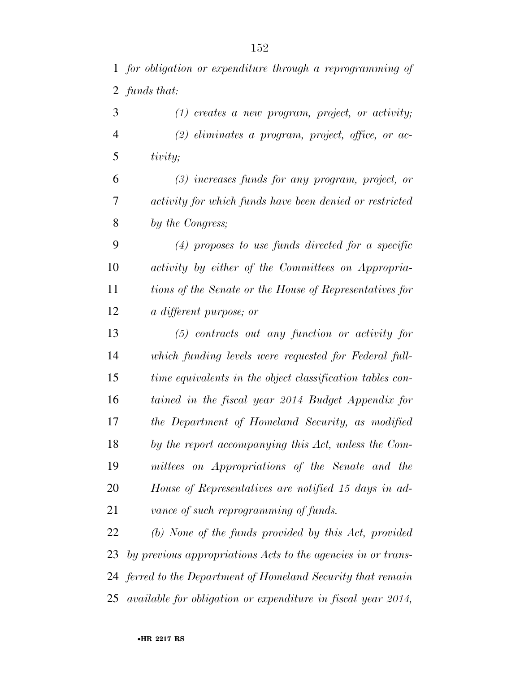*for obligation or expenditure through a reprogramming of funds that:* 

 *(1) creates a new program, project, or activity; (2) eliminates a program, project, office, or ac-tivity;* 

 *(3) increases funds for any program, project, or activity for which funds have been denied or restricted by the Congress;* 

 *(4) proposes to use funds directed for a specific activity by either of the Committees on Appropria- tions of the Senate or the House of Representatives for a different purpose; or* 

 *(5) contracts out any function or activity for which funding levels were requested for Federal full- time equivalents in the object classification tables con- tained in the fiscal year 2014 Budget Appendix for the Department of Homeland Security, as modified by the report accompanying this Act, unless the Com- mittees on Appropriations of the Senate and the House of Representatives are notified 15 days in ad-vance of such reprogramming of funds.* 

 *(b) None of the funds provided by this Act, provided by previous appropriations Acts to the agencies in or trans- ferred to the Department of Homeland Security that remain available for obligation or expenditure in fiscal year 2014,*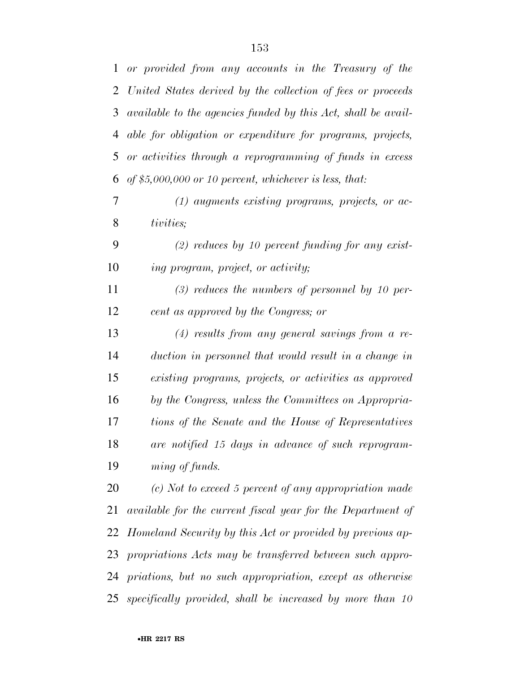| $\mathbf{1}$ | or provided from any accounts in the Treasury of the          |
|--------------|---------------------------------------------------------------|
| 2            | United States derived by the collection of fees or proceeds   |
| 3            | available to the agencies funded by this Act, shall be avail- |
| 4            | able for obligation or expenditure for programs, projects,    |
| 5            | or activities through a reprogramming of funds in excess      |
| 6            | of \$5,000,000 or 10 percent, whichever is less, that:        |
| 7            | $(1)$ augments existing programs, projects, or ac-            |
| 8            | tivities;                                                     |
| 9            | $(2)$ reduces by 10 percent funding for any exist-            |
| 10           | ing program, project, or activity;                            |
| 11           | $(3)$ reduces the numbers of personnel by 10 per-             |
| 12           | cent as approved by the Congress; or                          |
| 13           | $(4)$ results from any general savings from a re-             |
| 14           | duction in personnel that would result in a change in         |
| 15           | existing programs, projects, or activities as approved        |
| 16           | by the Congress, unless the Committees on Appropria-          |
| 17           | tions of the Senate and the House of Representatives          |
| 18           | are notified 15 days in advance of such reprogram-            |
| 19           | ming of funds.                                                |
| 20           | $(c)$ Not to exceed 5 percent of any appropriation made       |
| 21           | available for the current fiscal year for the Department of   |
| 22           | Homeland Security by this Act or provided by previous ap-     |
| 23           | propriations Acts may be transferred between such appro-      |
|              | 24 priations, but no such appropriation, except as otherwise  |
|              | 25 specifically provided, shall be increased by more than 10  |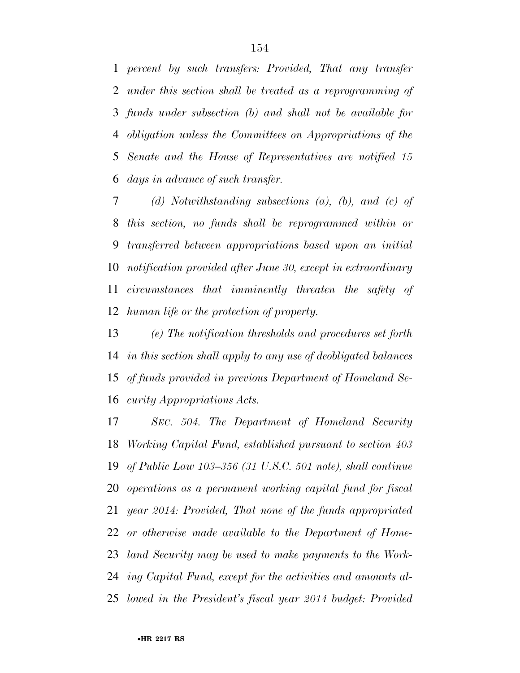*percent by such transfers: Provided, That any transfer under this section shall be treated as a reprogramming of funds under subsection (b) and shall not be available for obligation unless the Committees on Appropriations of the Senate and the House of Representatives are notified 15 days in advance of such transfer.* 

 *(d) Notwithstanding subsections (a), (b), and (c) of this section, no funds shall be reprogrammed within or transferred between appropriations based upon an initial notification provided after June 30, except in extraordinary circumstances that imminently threaten the safety of human life or the protection of property.* 

 *(e) The notification thresholds and procedures set forth in this section shall apply to any use of deobligated balances of funds provided in previous Department of Homeland Se-curity Appropriations Acts.* 

 *SEC. 504. The Department of Homeland Security Working Capital Fund, established pursuant to section 403 of Public Law 103–356 (31 U.S.C. 501 note), shall continue operations as a permanent working capital fund for fiscal year 2014: Provided, That none of the funds appropriated or otherwise made available to the Department of Home- land Security may be used to make payments to the Work- ing Capital Fund, except for the activities and amounts al-lowed in the President's fiscal year 2014 budget: Provided*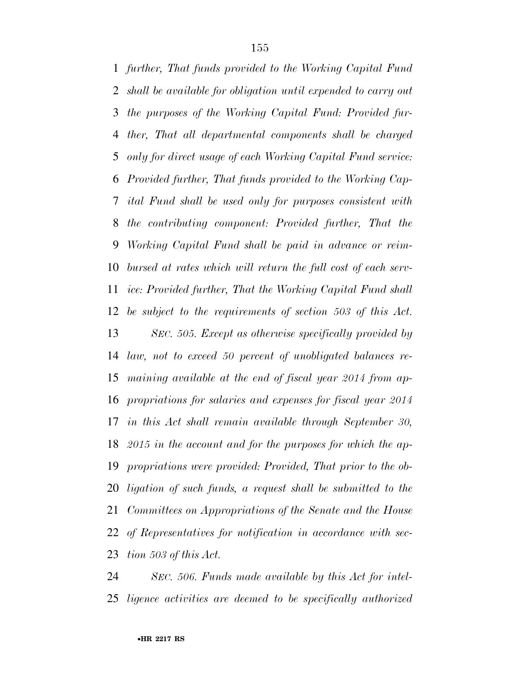*further, That funds provided to the Working Capital Fund shall be available for obligation until expended to carry out the purposes of the Working Capital Fund: Provided fur- ther, That all departmental components shall be charged only for direct usage of each Working Capital Fund service: Provided further, That funds provided to the Working Cap- ital Fund shall be used only for purposes consistent with the contributing component: Provided further, That the Working Capital Fund shall be paid in advance or reim- bursed at rates which will return the full cost of each serv- ice: Provided further, That the Working Capital Fund shall be subject to the requirements of section 503 of this Act. SEC. 505. Except as otherwise specifically provided by law, not to exceed 50 percent of unobligated balances re- maining available at the end of fiscal year 2014 from ap- propriations for salaries and expenses for fiscal year 2014 in this Act shall remain available through September 30, 2015 in the account and for the purposes for which the ap- propriations were provided: Provided, That prior to the ob- ligation of such funds, a request shall be submitted to the Committees on Appropriations of the Senate and the House of Representatives for notification in accordance with sec-tion 503 of this Act.* 

 *SEC. 506. Funds made available by this Act for intel-ligence activities are deemed to be specifically authorized*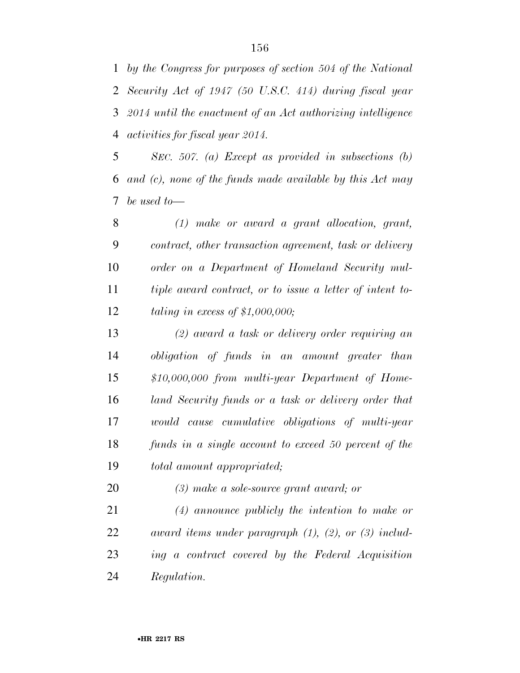*by the Congress for purposes of section 504 of the National Security Act of 1947 (50 U.S.C. 414) during fiscal year 2014 until the enactment of an Act authorizing intelligence activities for fiscal year 2014.* 

 *SEC. 507. (a) Except as provided in subsections (b) and (c), none of the funds made available by this Act may be used to—* 

 *(1) make or award a grant allocation, grant, contract, other transaction agreement, task or delivery order on a Department of Homeland Security mul- tiple award contract, or to issue a letter of intent to-taling in excess of \$1,000,000;* 

 *(2) award a task or delivery order requiring an obligation of funds in an amount greater than \$10,000,000 from multi-year Department of Home- land Security funds or a task or delivery order that would cause cumulative obligations of multi-year funds in a single account to exceed 50 percent of the total amount appropriated;* 

*(3) make a sole-source grant award; or* 

 *(4) announce publicly the intention to make or award items under paragraph (1), (2), or (3) includ- ing a contract covered by the Federal Acquisition Regulation.*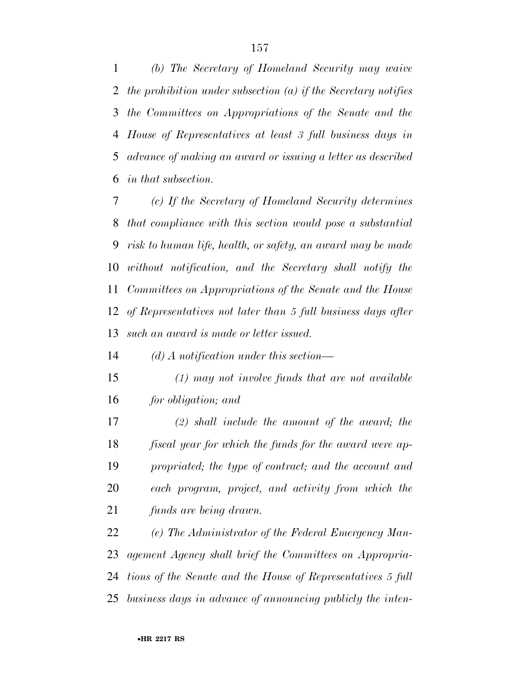*(b) The Secretary of Homeland Security may waive the prohibition under subsection (a) if the Secretary notifies the Committees on Appropriations of the Senate and the House of Representatives at least 3 full business days in advance of making an award or issuing a letter as described in that subsection.* 

 *(c) If the Secretary of Homeland Security determines that compliance with this section would pose a substantial risk to human life, health, or safety, an award may be made without notification, and the Secretary shall notify the Committees on Appropriations of the Senate and the House of Representatives not later than 5 full business days after such an award is made or letter issued.* 

*(d) A notification under this section—* 

- *(1) may not involve funds that are not available for obligation; and*
- *(2) shall include the amount of the award; the fiscal year for which the funds for the award were ap- propriated; the type of contract; and the account and each program, project, and activity from which the funds are being drawn.*

 *(e) The Administrator of the Federal Emergency Man- agement Agency shall brief the Committees on Appropria- tions of the Senate and the House of Representatives 5 full business days in advance of announcing publicly the inten-*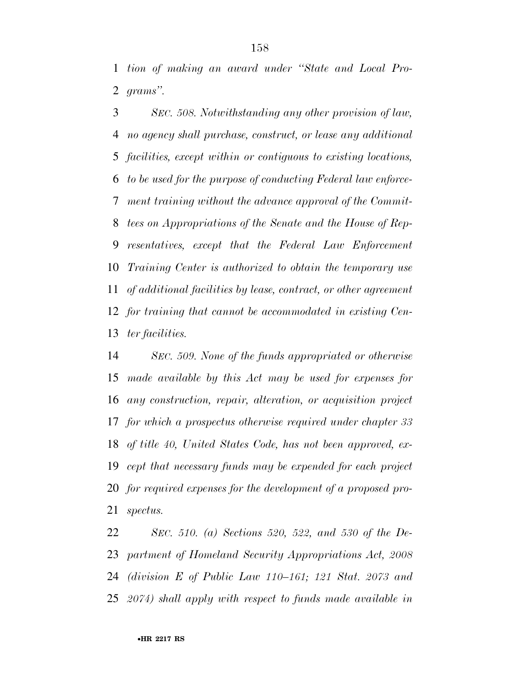*tion of making an award under ''State and Local Pro-grams''.* 

 *SEC. 508. Notwithstanding any other provision of law, no agency shall purchase, construct, or lease any additional facilities, except within or contiguous to existing locations, to be used for the purpose of conducting Federal law enforce- ment training without the advance approval of the Commit- tees on Appropriations of the Senate and the House of Rep- resentatives, except that the Federal Law Enforcement Training Center is authorized to obtain the temporary use of additional facilities by lease, contract, or other agreement for training that cannot be accommodated in existing Cen-ter facilities.* 

 *SEC. 509. None of the funds appropriated or otherwise made available by this Act may be used for expenses for any construction, repair, alteration, or acquisition project for which a prospectus otherwise required under chapter 33 of title 40, United States Code, has not been approved, ex- cept that necessary funds may be expended for each project for required expenses for the development of a proposed pro-spectus.* 

 *SEC. 510. (a) Sections 520, 522, and 530 of the De- partment of Homeland Security Appropriations Act, 2008 (division E of Public Law 110–161; 121 Stat. 2073 and 2074) shall apply with respect to funds made available in*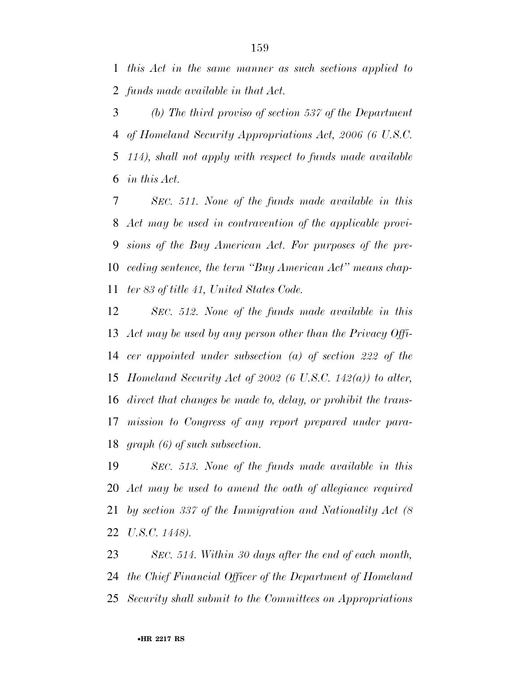*this Act in the same manner as such sections applied to funds made available in that Act.* 

 *(b) The third proviso of section 537 of the Department of Homeland Security Appropriations Act, 2006 (6 U.S.C. 114), shall not apply with respect to funds made available in this Act.* 

 *SEC. 511. None of the funds made available in this Act may be used in contravention of the applicable provi- sions of the Buy American Act. For purposes of the pre- ceding sentence, the term ''Buy American Act'' means chap-ter 83 of title 41, United States Code.* 

 *SEC. 512. None of the funds made available in this Act may be used by any person other than the Privacy Offi- cer appointed under subsection (a) of section 222 of the Homeland Security Act of 2002 (6 U.S.C. 142(a)) to alter, direct that changes be made to, delay, or prohibit the trans- mission to Congress of any report prepared under para-graph (6) of such subsection.* 

 *SEC. 513. None of the funds made available in this Act may be used to amend the oath of allegiance required by section 337 of the Immigration and Nationality Act (8 U.S.C. 1448).* 

 *SEC. 514. Within 30 days after the end of each month, the Chief Financial Officer of the Department of Homeland Security shall submit to the Committees on Appropriations*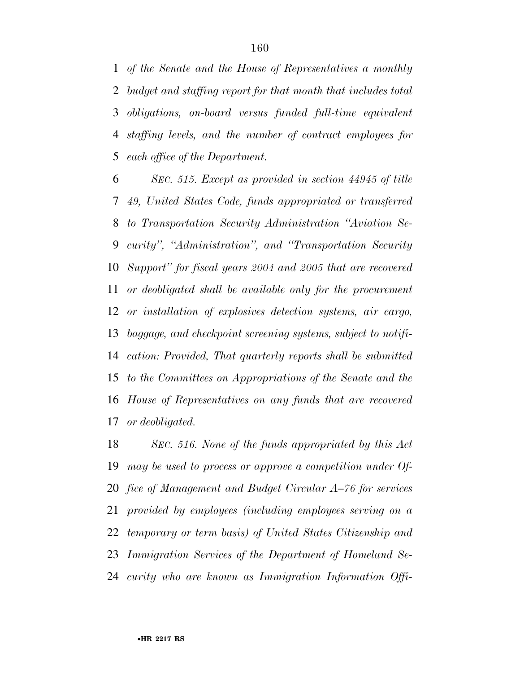*of the Senate and the House of Representatives a monthly budget and staffing report for that month that includes total obligations, on-board versus funded full-time equivalent staffing levels, and the number of contract employees for each office of the Department.* 

 *SEC. 515. Except as provided in section 44945 of title 49, United States Code, funds appropriated or transferred to Transportation Security Administration ''Aviation Se- curity'', ''Administration'', and ''Transportation Security Support'' for fiscal years 2004 and 2005 that are recovered or deobligated shall be available only for the procurement or installation of explosives detection systems, air cargo, baggage, and checkpoint screening systems, subject to notifi- cation: Provided, That quarterly reports shall be submitted to the Committees on Appropriations of the Senate and the House of Representatives on any funds that are recovered or deobligated.* 

 *SEC. 516. None of the funds appropriated by this Act may be used to process or approve a competition under Of- fice of Management and Budget Circular A–76 for services provided by employees (including employees serving on a temporary or term basis) of United States Citizenship and Immigration Services of the Department of Homeland Se-curity who are known as Immigration Information Offi-*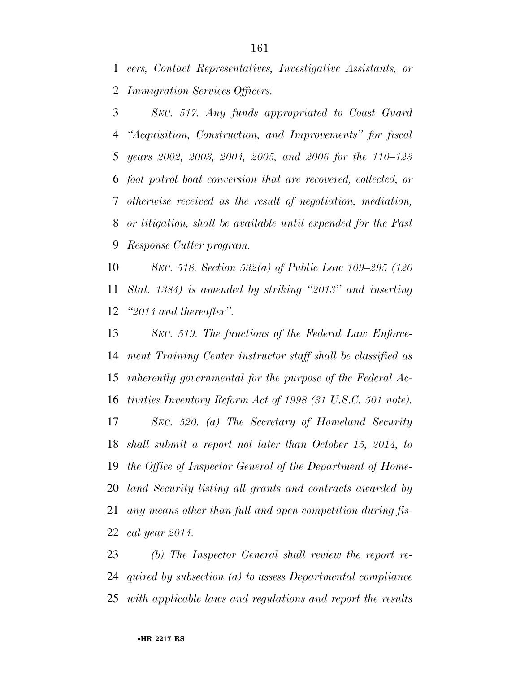*cers, Contact Representatives, Investigative Assistants, or Immigration Services Officers.* 

 *SEC. 517. Any funds appropriated to Coast Guard ''Acquisition, Construction, and Improvements'' for fiscal years 2002, 2003, 2004, 2005, and 2006 for the 110–123 foot patrol boat conversion that are recovered, collected, or otherwise received as the result of negotiation, mediation, or litigation, shall be available until expended for the Fast Response Cutter program.* 

 *SEC. 518. Section 532(a) of Public Law 109–295 (120 Stat. 1384) is amended by striking ''2013'' and inserting ''2014 and thereafter''.* 

 *SEC. 519. The functions of the Federal Law Enforce- ment Training Center instructor staff shall be classified as inherently governmental for the purpose of the Federal Ac- tivities Inventory Reform Act of 1998 (31 U.S.C. 501 note). SEC. 520. (a) The Secretary of Homeland Security shall submit a report not later than October 15, 2014, to the Office of Inspector General of the Department of Home- land Security listing all grants and contracts awarded by any means other than full and open competition during fis-cal year 2014.* 

 *(b) The Inspector General shall review the report re- quired by subsection (a) to assess Departmental compliance with applicable laws and regulations and report the results*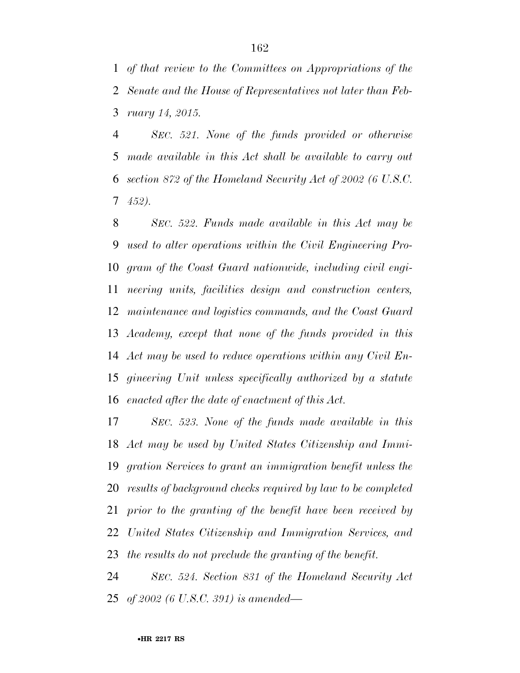*of that review to the Committees on Appropriations of the Senate and the House of Representatives not later than Feb-ruary 14, 2015.* 

 *SEC. 521. None of the funds provided or otherwise made available in this Act shall be available to carry out section 872 of the Homeland Security Act of 2002 (6 U.S.C. 452).* 

 *SEC. 522. Funds made available in this Act may be used to alter operations within the Civil Engineering Pro- gram of the Coast Guard nationwide, including civil engi- neering units, facilities design and construction centers, maintenance and logistics commands, and the Coast Guard Academy, except that none of the funds provided in this Act may be used to reduce operations within any Civil En- gineering Unit unless specifically authorized by a statute enacted after the date of enactment of this Act.* 

 *SEC. 523. None of the funds made available in this Act may be used by United States Citizenship and Immi- gration Services to grant an immigration benefit unless the results of background checks required by law to be completed prior to the granting of the benefit have been received by United States Citizenship and Immigration Services, and the results do not preclude the granting of the benefit.* 

 *SEC. 524. Section 831 of the Homeland Security Act of 2002 (6 U.S.C. 391) is amended—*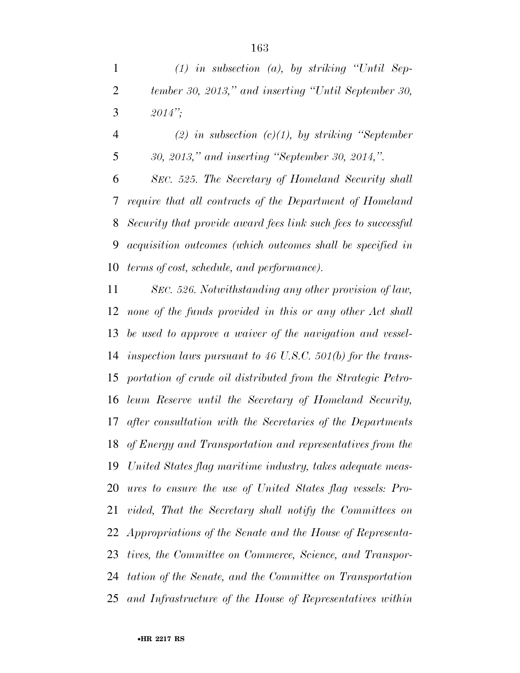*(1) in subsection (a), by striking ''Until Sep- tember 30, 2013,'' and inserting ''Until September 30, 2014'';* 

 *(2) in subsection (c)(1), by striking ''September 30, 2013,'' and inserting ''September 30, 2014,''.* 

 *SEC. 525. The Secretary of Homeland Security shall require that all contracts of the Department of Homeland Security that provide award fees link such fees to successful acquisition outcomes (which outcomes shall be specified in terms of cost, schedule, and performance).* 

 *SEC. 526. Notwithstanding any other provision of law, none of the funds provided in this or any other Act shall be used to approve a waiver of the navigation and vessel- inspection laws pursuant to 46 U.S.C. 501(b) for the trans- portation of crude oil distributed from the Strategic Petro- leum Reserve until the Secretary of Homeland Security, after consultation with the Secretaries of the Departments of Energy and Transportation and representatives from the United States flag maritime industry, takes adequate meas- ures to ensure the use of United States flag vessels: Pro- vided, That the Secretary shall notify the Committees on Appropriations of the Senate and the House of Representa- tives, the Committee on Commerce, Science, and Transpor- tation of the Senate, and the Committee on Transportation and Infrastructure of the House of Representatives within*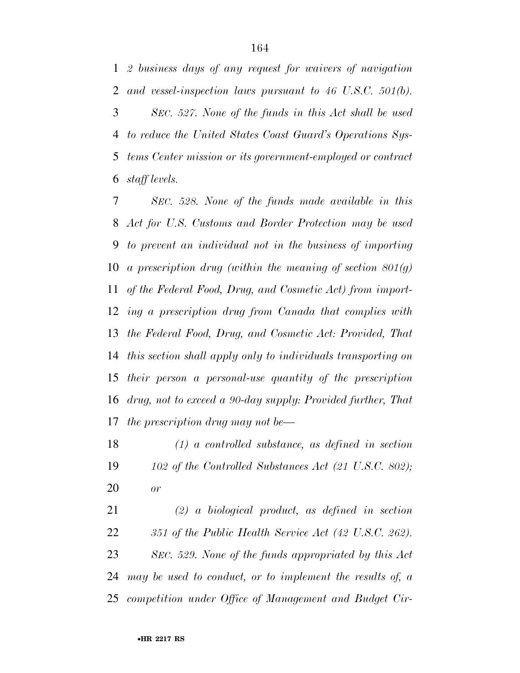*2 business days of any request for waivers of navigation and vessel-inspection laws pursuant to 46 U.S.C. 501(b).* 

 *SEC. 527. None of the funds in this Act shall be used to reduce the United States Coast Guard's Operations Sys- tems Center mission or its government-employed or contract staff levels.* 

 *SEC. 528. None of the funds made available in this Act for U.S. Customs and Border Protection may be used to prevent an individual not in the business of importing a prescription drug (within the meaning of section 801(g) of the Federal Food, Drug, and Cosmetic Act) from import- ing a prescription drug from Canada that complies with the Federal Food, Drug, and Cosmetic Act: Provided, That this section shall apply only to individuals transporting on their person a personal-use quantity of the prescription drug, not to exceed a 90-day supply: Provided further, That the prescription drug may not be—* 

 *(1) a controlled substance, as defined in section 102 of the Controlled Substances Act (21 U.S.C. 802); or* 

 *(2) a biological product, as defined in section 351 of the Public Health Service Act (42 U.S.C. 262). SEC. 529. None of the funds appropriated by this Act may be used to conduct, or to implement the results of, a competition under Office of Management and Budget Cir-*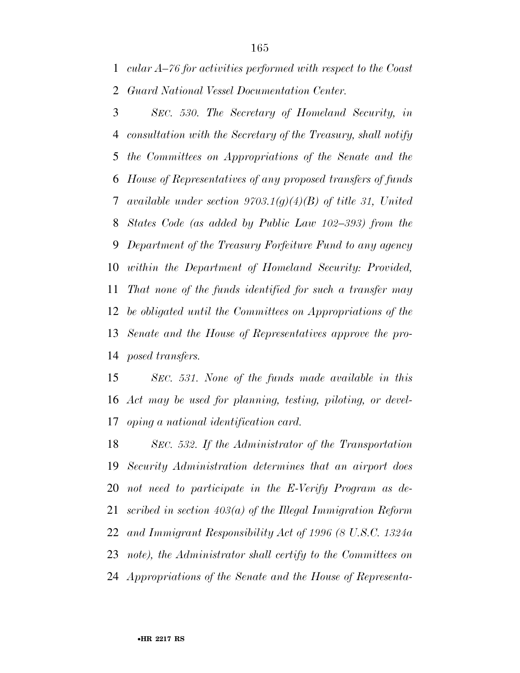*cular A–76 for activities performed with respect to the Coast Guard National Vessel Documentation Center.* 

 *SEC. 530. The Secretary of Homeland Security, in consultation with the Secretary of the Treasury, shall notify the Committees on Appropriations of the Senate and the House of Representatives of any proposed transfers of funds available under section 9703.1(g)(4)(B) of title 31, United States Code (as added by Public Law 102–393) from the Department of the Treasury Forfeiture Fund to any agency within the Department of Homeland Security: Provided, That none of the funds identified for such a transfer may be obligated until the Committees on Appropriations of the Senate and the House of Representatives approve the pro-posed transfers.* 

 *SEC. 531. None of the funds made available in this Act may be used for planning, testing, piloting, or devel-oping a national identification card.* 

 *SEC. 532. If the Administrator of the Transportation Security Administration determines that an airport does not need to participate in the E-Verify Program as de- scribed in section 403(a) of the Illegal Immigration Reform and Immigrant Responsibility Act of 1996 (8 U.S.C. 1324a note), the Administrator shall certify to the Committees on Appropriations of the Senate and the House of Representa-*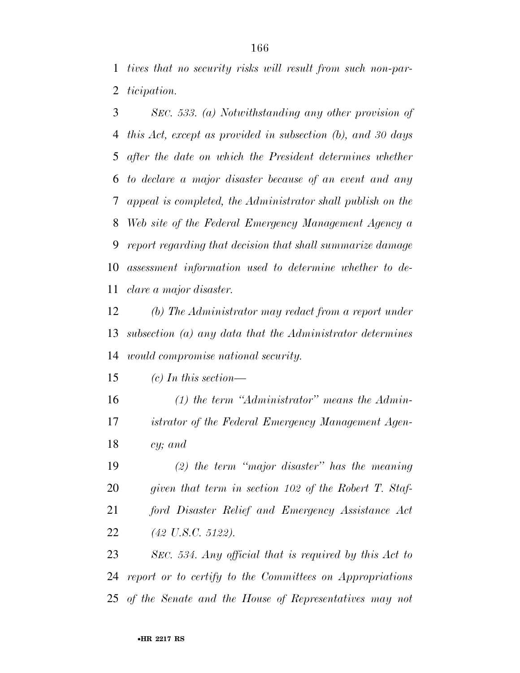*tives that no security risks will result from such non-par-ticipation.* 

 *SEC. 533. (a) Notwithstanding any other provision of this Act, except as provided in subsection (b), and 30 days after the date on which the President determines whether to declare a major disaster because of an event and any appeal is completed, the Administrator shall publish on the Web site of the Federal Emergency Management Agency a report regarding that decision that shall summarize damage assessment information used to determine whether to de-clare a major disaster.* 

 *(b) The Administrator may redact from a report under subsection (a) any data that the Administrator determines would compromise national security.* 

*(c) In this section—* 

 *(1) the term ''Administrator'' means the Admin- istrator of the Federal Emergency Management Agen-cy; and* 

 *(2) the term ''major disaster'' has the meaning given that term in section 102 of the Robert T. Staf- ford Disaster Relief and Emergency Assistance Act (42 U.S.C. 5122).* 

 *SEC. 534. Any official that is required by this Act to report or to certify to the Committees on Appropriations of the Senate and the House of Representatives may not*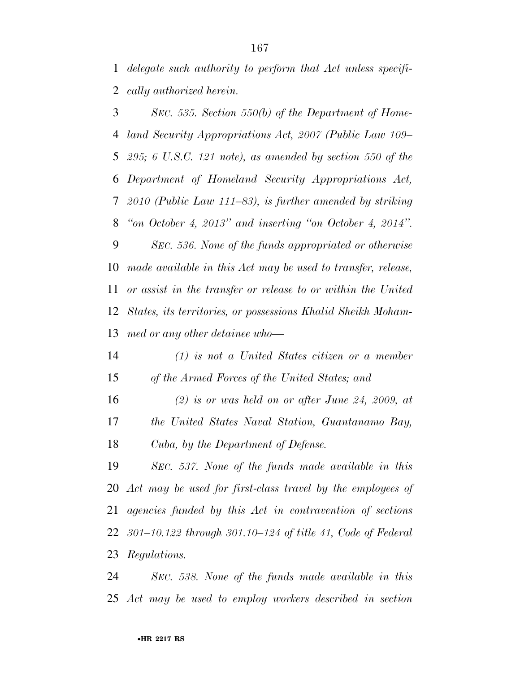*delegate such authority to perform that Act unless specifi-cally authorized herein.* 

 *SEC. 535. Section 550(b) of the Department of Home- land Security Appropriations Act, 2007 (Public Law 109– 295; 6 U.S.C. 121 note), as amended by section 550 of the Department of Homeland Security Appropriations Act, 2010 (Public Law 111–83), is further amended by striking ''on October 4, 2013'' and inserting ''on October 4, 2014''. SEC. 536. None of the funds appropriated or otherwise* 

 *made available in this Act may be used to transfer, release, or assist in the transfer or release to or within the United States, its territories, or possessions Khalid Sheikh Moham-med or any other detainee who—* 

 *(1) is not a United States citizen or a member of the Armed Forces of the United States; and* 

 *(2) is or was held on or after June 24, 2009, at the United States Naval Station, Guantanamo Bay, Cuba, by the Department of Defense.* 

 *SEC. 537. None of the funds made available in this Act may be used for first-class travel by the employees of agencies funded by this Act in contravention of sections 301–10.122 through 301.10–124 of title 41, Code of Federal Regulations.* 

 *SEC. 538. None of the funds made available in this Act may be used to employ workers described in section*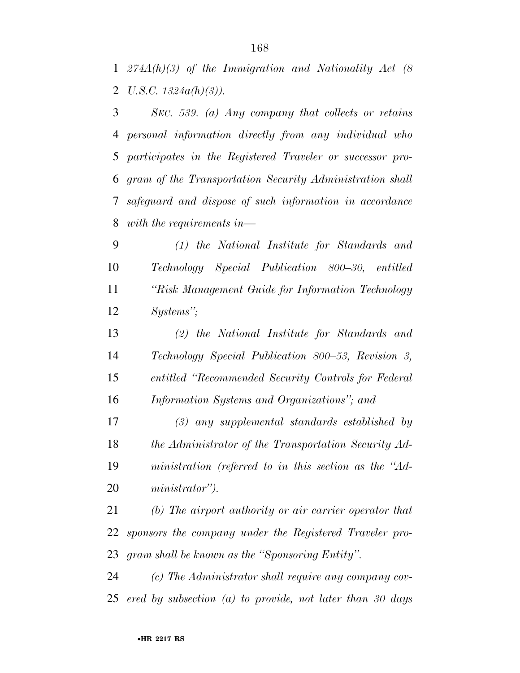*274A(h)(3) of the Immigration and Nationality Act (8 U.S.C. 1324a(h)(3)).* 

 *SEC. 539. (a) Any company that collects or retains personal information directly from any individual who participates in the Registered Traveler or successor pro- gram of the Transportation Security Administration shall safeguard and dispose of such information in accordance with the requirements in—* 

 *(1) the National Institute for Standards and Technology Special Publication 800–30, entitled ''Risk Management Guide for Information Technology Systems'';* 

 *(2) the National Institute for Standards and Technology Special Publication 800–53, Revision 3, entitled ''Recommended Security Controls for Federal Information Systems and Organizations''; and* 

 *(3) any supplemental standards established by the Administrator of the Transportation Security Ad- ministration (referred to in this section as the ''Ad-ministrator'').* 

 *(b) The airport authority or air carrier operator that sponsors the company under the Registered Traveler pro-gram shall be known as the ''Sponsoring Entity''.* 

 *(c) The Administrator shall require any company cov-ered by subsection (a) to provide, not later than 30 days*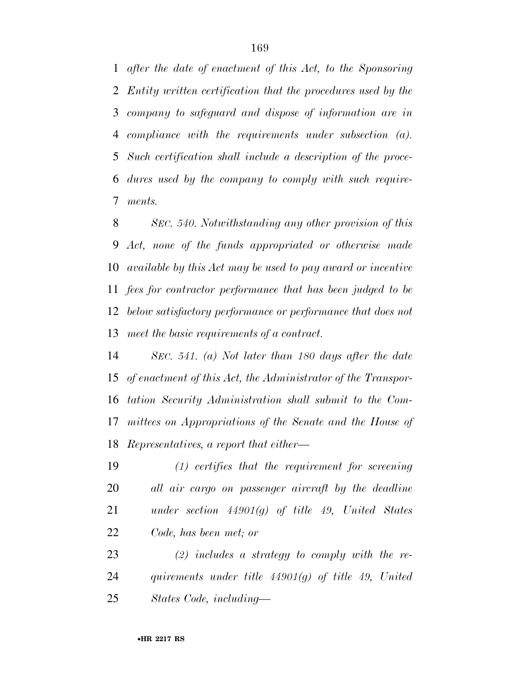*after the date of enactment of this Act, to the Sponsoring Entity written certification that the procedures used by the company to safeguard and dispose of information are in compliance with the requirements under subsection (a). Such certification shall include a description of the proce- dures used by the company to comply with such require-ments.* 

 *SEC. 540. Notwithstanding any other provision of this Act, none of the funds appropriated or otherwise made available by this Act may be used to pay award or incentive fees for contractor performance that has been judged to be below satisfactory performance or performance that does not meet the basic requirements of a contract.* 

 *SEC. 541. (a) Not later than 180 days after the date of enactment of this Act, the Administrator of the Transpor- tation Security Administration shall submit to the Com- mittees on Appropriations of the Senate and the House of Representatives, a report that either—* 

 *(1) certifies that the requirement for screening all air cargo on passenger aircraft by the deadline under section 44901(g) of title 49, United States Code, has been met; or* 

 *(2) includes a strategy to comply with the re- quirements under title 44901(g) of title 49, United States Code, including—*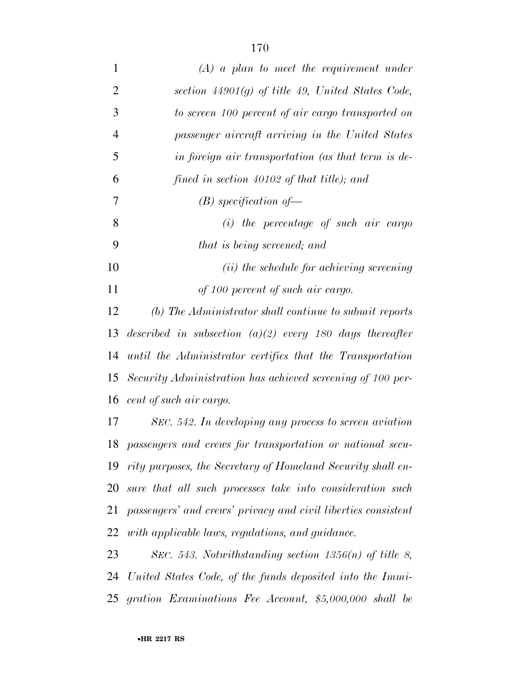| $\mathbf{1}$   | $(A)$ a plan to meet the requirement under                    |
|----------------|---------------------------------------------------------------|
| $\overline{2}$ | section $44901(g)$ of title 49, United States Code,           |
| 3              | to screen 100 percent of air cargo transported on             |
| $\overline{4}$ | passenger aircraft arriving in the United States              |
| 5              | in foreign air transportation (as that term is de-            |
| 6              | fined in section $40102$ of that title); and                  |
| 7              | $(B)$ specification of                                        |
| 8              | $(i)$ the percentage of such air cargo                        |
| 9              | that is being screened; and                                   |
| 10             | ( <i>ii</i> ) the schedule for achieving screening            |
| 11             | of 100 percent of such air cargo.                             |
| 12             | (b) The Administrator shall continue to submit reports        |
| 13             | described in subsection $(a)(2)$ every 180 days thereafter    |
| 14             | until the Administrator certifies that the Transportation     |
| 15             | Security Administration has achieved screening of 100 per-    |
| 16             | cent of such air cargo.                                       |
| 17             | SEC. 542. In developing any process to screen aviation        |
| 18             | passengers and crews for transportation or national secu-     |
| 19             | rity purposes, the Secretary of Homeland Security shall en-   |
| 20             | sure that all such processes take into consideration such     |
| 21             | passengers' and crews' privacy and civil liberties consistent |
| 22             | with applicable laws, regulations, and guidance.              |
| 23             | SEC. 543. Notwithstanding section $1356(n)$ of title 8,       |
| 24             | United States Code, of the funds deposited into the Immi-     |
|                | 25 gration Examinations Fee Account, \$5,000,000 shall be     |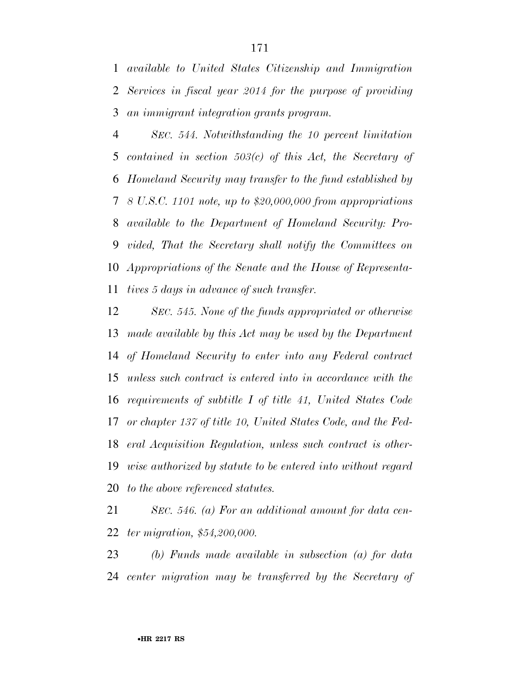*available to United States Citizenship and Immigration Services in fiscal year 2014 for the purpose of providing an immigrant integration grants program.* 

 *SEC. 544. Notwithstanding the 10 percent limitation contained in section 503(c) of this Act, the Secretary of Homeland Security may transfer to the fund established by 8 U.S.C. 1101 note, up to \$20,000,000 from appropriations available to the Department of Homeland Security: Pro- vided, That the Secretary shall notify the Committees on Appropriations of the Senate and the House of Representa-tives 5 days in advance of such transfer.* 

 *SEC. 545. None of the funds appropriated or otherwise made available by this Act may be used by the Department of Homeland Security to enter into any Federal contract unless such contract is entered into in accordance with the requirements of subtitle I of title 41, United States Code or chapter 137 of title 10, United States Code, and the Fed- eral Acquisition Regulation, unless such contract is other- wise authorized by statute to be entered into without regard to the above referenced statutes.* 

 *SEC. 546. (a) For an additional amount for data cen-ter migration, \$54,200,000.* 

 *(b) Funds made available in subsection (a) for data center migration may be transferred by the Secretary of*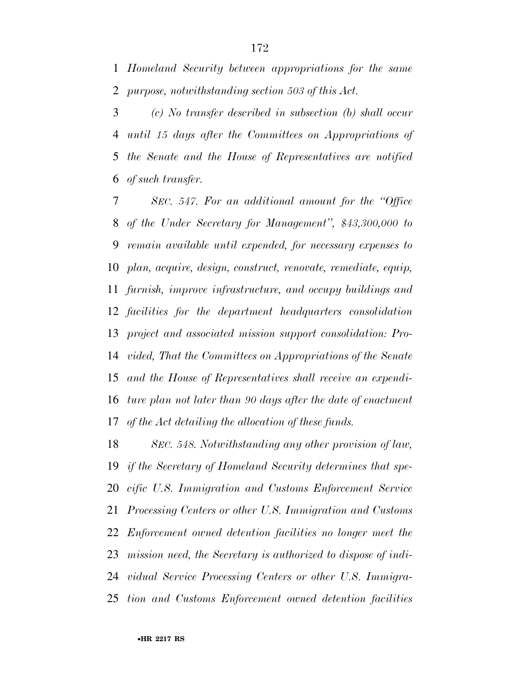*Homeland Security between appropriations for the same purpose, notwithstanding section 503 of this Act.* 

 *(c) No transfer described in subsection (b) shall occur until 15 days after the Committees on Appropriations of the Senate and the House of Representatives are notified of such transfer.* 

 *SEC. 547. For an additional amount for the ''Office of the Under Secretary for Management'', \$43,300,000 to remain available until expended, for necessary expenses to plan, acquire, design, construct, renovate, remediate, equip, furnish, improve infrastructure, and occupy buildings and facilities for the department headquarters consolidation project and associated mission support consolidation: Pro- vided, That the Committees on Appropriations of the Senate and the House of Representatives shall receive an expendi- ture plan not later than 90 days after the date of enactment of the Act detailing the allocation of these funds.* 

 *SEC. 548. Notwithstanding any other provision of law, if the Secretary of Homeland Security determines that spe- cific U.S. Immigration and Customs Enforcement Service Processing Centers or other U.S. Immigration and Customs Enforcement owned detention facilities no longer meet the mission need, the Secretary is authorized to dispose of indi- vidual Service Processing Centers or other U.S. Immigra-tion and Customs Enforcement owned detention facilities*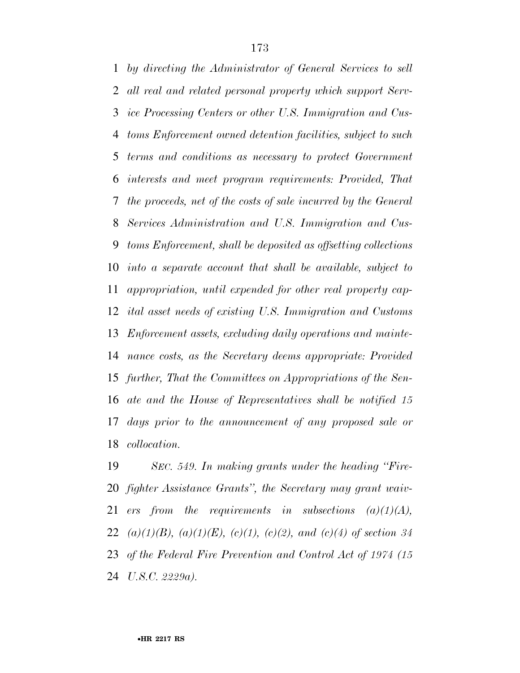*by directing the Administrator of General Services to sell all real and related personal property which support Serv- ice Processing Centers or other U.S. Immigration and Cus- toms Enforcement owned detention facilities, subject to such terms and conditions as necessary to protect Government interests and meet program requirements: Provided, That the proceeds, net of the costs of sale incurred by the General Services Administration and U.S. Immigration and Cus- toms Enforcement, shall be deposited as offsetting collections into a separate account that shall be available, subject to appropriation, until expended for other real property cap- ital asset needs of existing U.S. Immigration and Customs Enforcement assets, excluding daily operations and mainte- nance costs, as the Secretary deems appropriate: Provided further, That the Committees on Appropriations of the Sen- ate and the House of Representatives shall be notified 15 days prior to the announcement of any proposed sale or collocation.* 

 *SEC. 549. In making grants under the heading ''Fire- fighter Assistance Grants'', the Secretary may grant waiv- ers from the requirements in subsections (a)(1)(A), (a)(1)(B), (a)(1)(E), (c)(1), (c)(2), and (c)(4) of section 34 of the Federal Fire Prevention and Control Act of 1974 (15 U.S.C. 2229a).*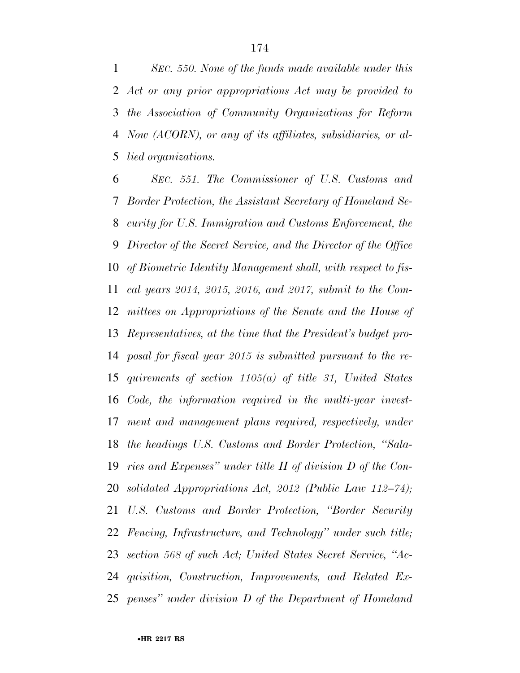*SEC. 550. None of the funds made available under this Act or any prior appropriations Act may be provided to the Association of Community Organizations for Reform Now (ACORN), or any of its affiliates, subsidiaries, or al-lied organizations.* 

 *SEC. 551. The Commissioner of U.S. Customs and Border Protection, the Assistant Secretary of Homeland Se- curity for U.S. Immigration and Customs Enforcement, the Director of the Secret Service, and the Director of the Office of Biometric Identity Management shall, with respect to fis- cal years 2014, 2015, 2016, and 2017, submit to the Com- mittees on Appropriations of the Senate and the House of Representatives, at the time that the President's budget pro- posal for fiscal year 2015 is submitted pursuant to the re- quirements of section 1105(a) of title 31, United States Code, the information required in the multi-year invest- ment and management plans required, respectively, under the headings U.S. Customs and Border Protection, ''Sala- ries and Expenses'' under title II of division D of the Con- solidated Appropriations Act, 2012 (Public Law 112–74); U.S. Customs and Border Protection, ''Border Security Fencing, Infrastructure, and Technology'' under such title; section 568 of such Act; United States Secret Service, ''Ac- quisition, Construction, Improvements, and Related Ex-penses'' under division D of the Department of Homeland*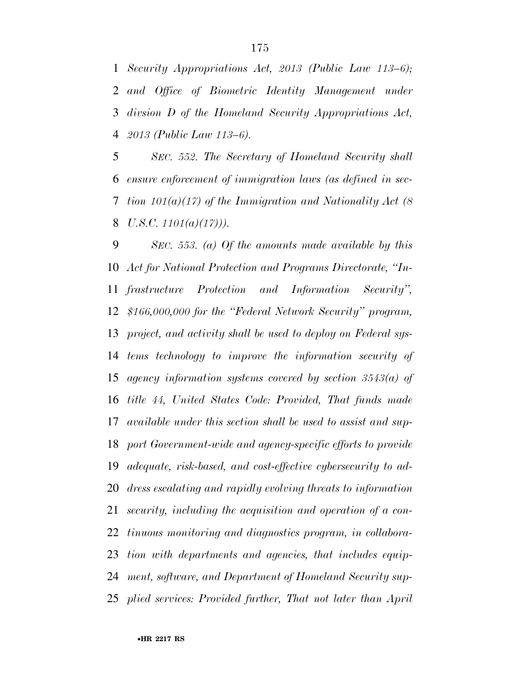*Security Appropriations Act, 2013 (Public Law 113–6); and Office of Biometric Identity Management under divsion D of the Homeland Security Appropriations Act, 2013 (Public Law 113–6).* 

 *SEC. 552. The Secretary of Homeland Security shall ensure enforcement of immigration laws (as defined in sec- tion 101(a)(17) of the Immigration and Nationality Act (8 U.S.C. 1101(a)(17))).* 

 *SEC. 553. (a) Of the amounts made available by this Act for National Protection and Programs Directorate, ''In- frastructure Protection and Information Security'', \$166,000,000 for the ''Federal Network Security'' program, project, and activity shall be used to deploy on Federal sys- tems technology to improve the information security of agency information systems covered by section 3543(a) of title 44, United States Code: Provided, That funds made available under this section shall be used to assist and sup- port Government-wide and agency-specific efforts to provide adequate, risk-based, and cost-effective cybersecurity to ad- dress escalating and rapidly evolving threats to information security, including the acquisition and operation of a con- tinuous monitoring and diagnostics program, in collabora- tion with departments and agencies, that includes equip- ment, software, and Department of Homeland Security sup-plied services: Provided further, That not later than April*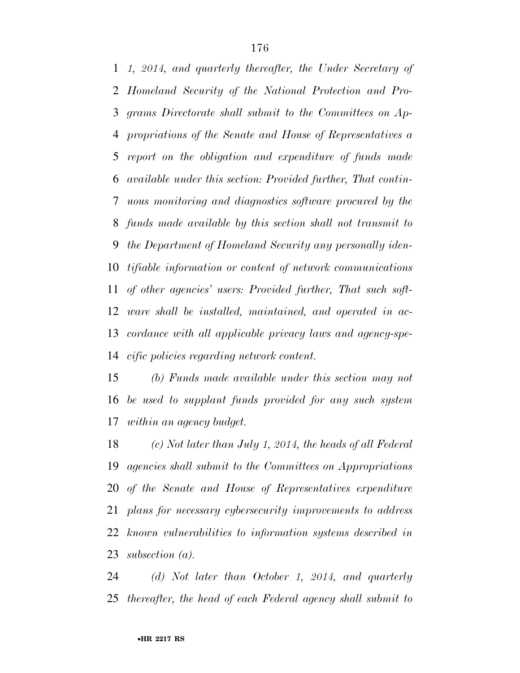*1, 2014, and quarterly thereafter, the Under Secretary of Homeland Security of the National Protection and Pro- grams Directorate shall submit to the Committees on Ap- propriations of the Senate and House of Representatives a report on the obligation and expenditure of funds made available under this section: Provided further, That contin- uous monitoring and diagnostics software procured by the funds made available by this section shall not transmit to the Department of Homeland Security any personally iden- tifiable information or content of network communications of other agencies' users: Provided further, That such soft- ware shall be installed, maintained, and operated in ac- cordance with all applicable privacy laws and agency-spe-cific policies regarding network content.* 

 *(b) Funds made available under this section may not be used to supplant funds provided for any such system within an agency budget.* 

 *(c) Not later than July 1, 2014, the heads of all Federal agencies shall submit to the Committees on Appropriations of the Senate and House of Representatives expenditure plans for necessary cybersecurity improvements to address known vulnerabilities to information systems described in subsection (a).* 

 *(d) Not later than October 1, 2014, and quarterly thereafter, the head of each Federal agency shall submit to*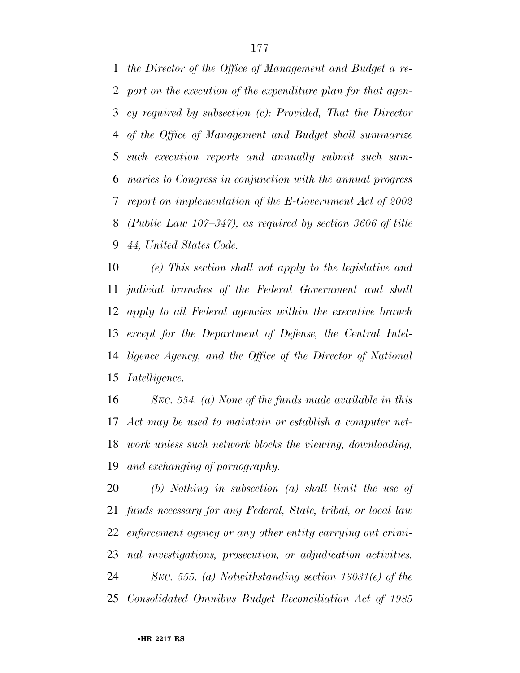*the Director of the Office of Management and Budget a re- port on the execution of the expenditure plan for that agen- cy required by subsection (c): Provided, That the Director of the Office of Management and Budget shall summarize such execution reports and annually submit such sum- maries to Congress in conjunction with the annual progress report on implementation of the E-Government Act of 2002 (Public Law 107–347), as required by section 3606 of title 44, United States Code.* 

 *(e) This section shall not apply to the legislative and judicial branches of the Federal Government and shall apply to all Federal agencies within the executive branch except for the Department of Defense, the Central Intel- ligence Agency, and the Office of the Director of National Intelligence.* 

 *SEC. 554. (a) None of the funds made available in this Act may be used to maintain or establish a computer net- work unless such network blocks the viewing, downloading, and exchanging of pornography.* 

 *(b) Nothing in subsection (a) shall limit the use of funds necessary for any Federal, State, tribal, or local law enforcement agency or any other entity carrying out crimi- nal investigations, prosecution, or adjudication activities. SEC. 555. (a) Notwithstanding section 13031(e) of the Consolidated Omnibus Budget Reconciliation Act of 1985*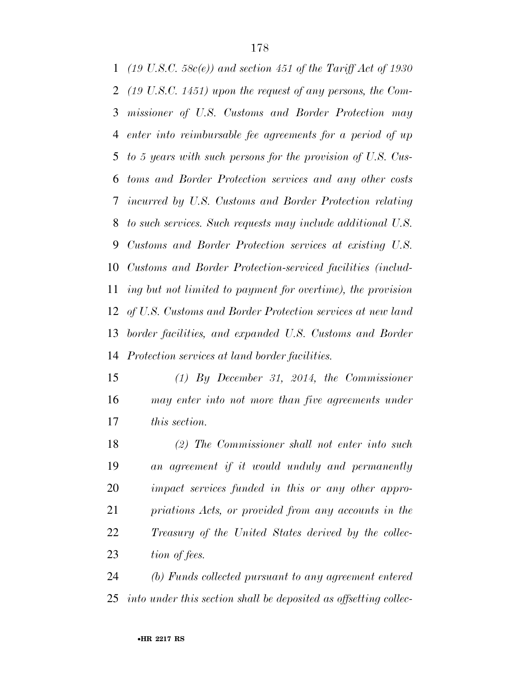*(19 U.S.C. 58c(e)) and section 451 of the Tariff Act of 1930 (19 U.S.C. 1451) upon the request of any persons, the Com- missioner of U.S. Customs and Border Protection may enter into reimbursable fee agreements for a period of up to 5 years with such persons for the provision of U.S. Cus- toms and Border Protection services and any other costs incurred by U.S. Customs and Border Protection relating to such services. Such requests may include additional U.S. Customs and Border Protection services at existing U.S. Customs and Border Protection-serviced facilities (includ- ing but not limited to payment for overtime), the provision of U.S. Customs and Border Protection services at new land border facilities, and expanded U.S. Customs and Border Protection services at land border facilities.* 

 *(1) By December 31, 2014, the Commissioner may enter into not more than five agreements under this section.* 

 *(2) The Commissioner shall not enter into such an agreement if it would unduly and permanently impact services funded in this or any other appro- priations Acts, or provided from any accounts in the Treasury of the United States derived by the collec-tion of fees.* 

 *(b) Funds collected pursuant to any agreement entered into under this section shall be deposited as offsetting collec-*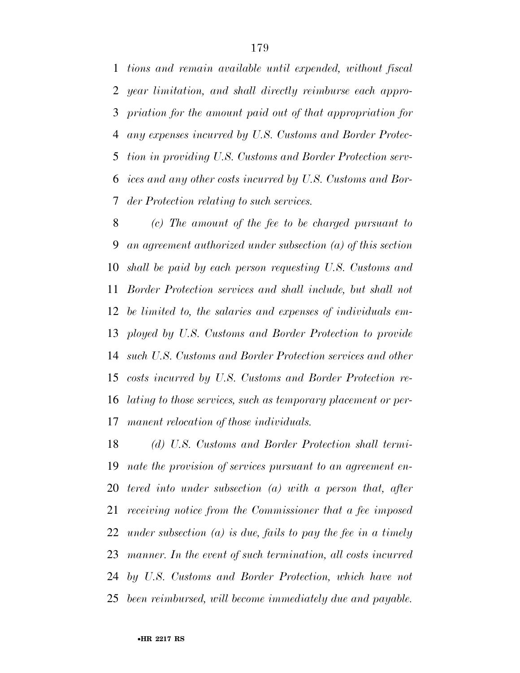*tions and remain available until expended, without fiscal year limitation, and shall directly reimburse each appro- priation for the amount paid out of that appropriation for any expenses incurred by U.S. Customs and Border Protec- tion in providing U.S. Customs and Border Protection serv- ices and any other costs incurred by U.S. Customs and Bor-der Protection relating to such services.* 

 *(c) The amount of the fee to be charged pursuant to an agreement authorized under subsection (a) of this section shall be paid by each person requesting U.S. Customs and Border Protection services and shall include, but shall not be limited to, the salaries and expenses of individuals em- ployed by U.S. Customs and Border Protection to provide such U.S. Customs and Border Protection services and other costs incurred by U.S. Customs and Border Protection re- lating to those services, such as temporary placement or per-manent relocation of those individuals.* 

 *(d) U.S. Customs and Border Protection shall termi- nate the provision of services pursuant to an agreement en- tered into under subsection (a) with a person that, after receiving notice from the Commissioner that a fee imposed under subsection (a) is due, fails to pay the fee in a timely manner. In the event of such termination, all costs incurred by U.S. Customs and Border Protection, which have not been reimbursed, will become immediately due and payable.*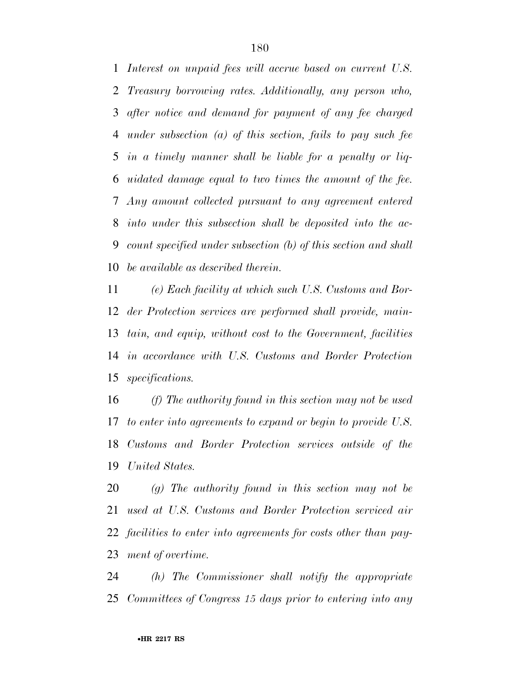*Interest on unpaid fees will accrue based on current U.S. Treasury borrowing rates. Additionally, any person who, after notice and demand for payment of any fee charged under subsection (a) of this section, fails to pay such fee in a timely manner shall be liable for a penalty or liq- uidated damage equal to two times the amount of the fee. Any amount collected pursuant to any agreement entered into under this subsection shall be deposited into the ac- count specified under subsection (b) of this section and shall be available as described therein.* 

 *(e) Each facility at which such U.S. Customs and Bor- der Protection services are performed shall provide, main- tain, and equip, without cost to the Government, facilities in accordance with U.S. Customs and Border Protection specifications.* 

 *(f) The authority found in this section may not be used to enter into agreements to expand or begin to provide U.S. Customs and Border Protection services outside of the United States.* 

 *(g) The authority found in this section may not be used at U.S. Customs and Border Protection serviced air facilities to enter into agreements for costs other than pay-ment of overtime.* 

 *(h) The Commissioner shall notify the appropriate Committees of Congress 15 days prior to entering into any*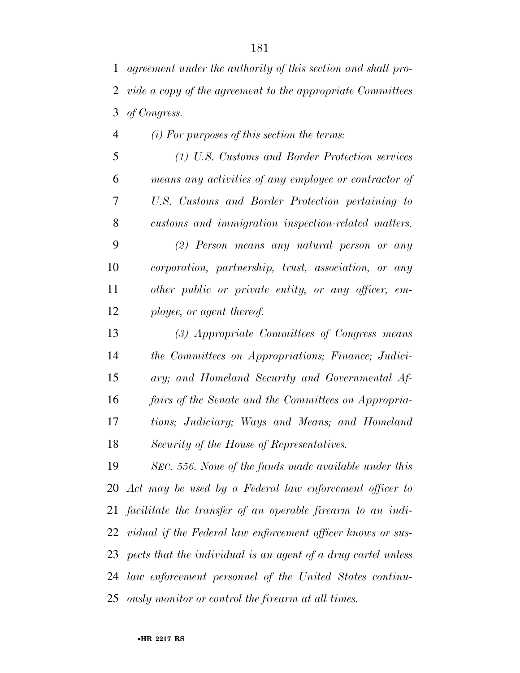*agreement under the authority of this section and shall pro- vide a copy of the agreement to the appropriate Committees of Congress.* 

*(i) For purposes of this section the terms:* 

 *(1) U.S. Customs and Border Protection services means any activities of any employee or contractor of U.S. Customs and Border Protection pertaining to customs and immigration inspection-related matters. (2) Person means any natural person or any corporation, partnership, trust, association, or any other public or private entity, or any officer, em-ployee, or agent thereof.* 

 *(3) Appropriate Committees of Congress means the Committees on Appropriations; Finance; Judici- ary; and Homeland Security and Governmental Af- fairs of the Senate and the Committees on Appropria- tions; Judiciary; Ways and Means; and Homeland Security of the House of Representatives.* 

 *SEC. 556. None of the funds made available under this Act may be used by a Federal law enforcement officer to facilitate the transfer of an operable firearm to an indi- vidual if the Federal law enforcement officer knows or sus- pects that the individual is an agent of a drug cartel unless law enforcement personnel of the United States continu-ously monitor or control the firearm at all times.*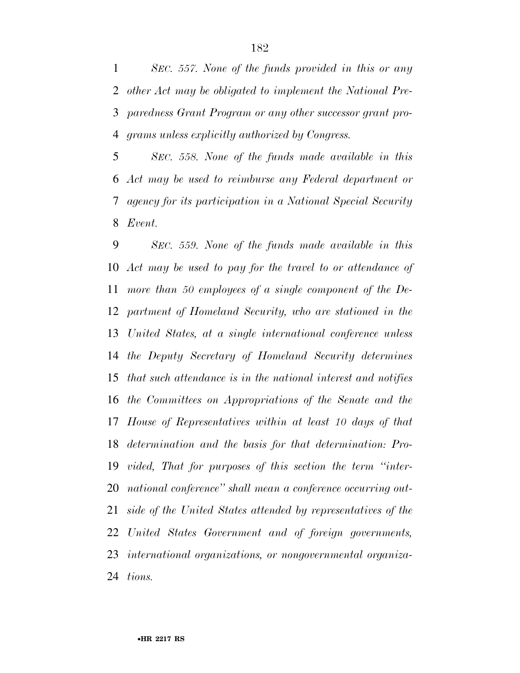*SEC. 557. None of the funds provided in this or any other Act may be obligated to implement the National Pre- paredness Grant Program or any other successor grant pro-grams unless explicitly authorized by Congress.* 

 *SEC. 558. None of the funds made available in this Act may be used to reimburse any Federal department or agency for its participation in a National Special Security Event.* 

 *SEC. 559. None of the funds made available in this Act may be used to pay for the travel to or attendance of more than 50 employees of a single component of the De- partment of Homeland Security, who are stationed in the United States, at a single international conference unless the Deputy Secretary of Homeland Security determines that such attendance is in the national interest and notifies the Committees on Appropriations of the Senate and the House of Representatives within at least 10 days of that determination and the basis for that determination: Pro- vided, That for purposes of this section the term ''inter- national conference'' shall mean a conference occurring out- side of the United States attended by representatives of the United States Government and of foreign governments, international organizations, or nongovernmental organiza-tions.*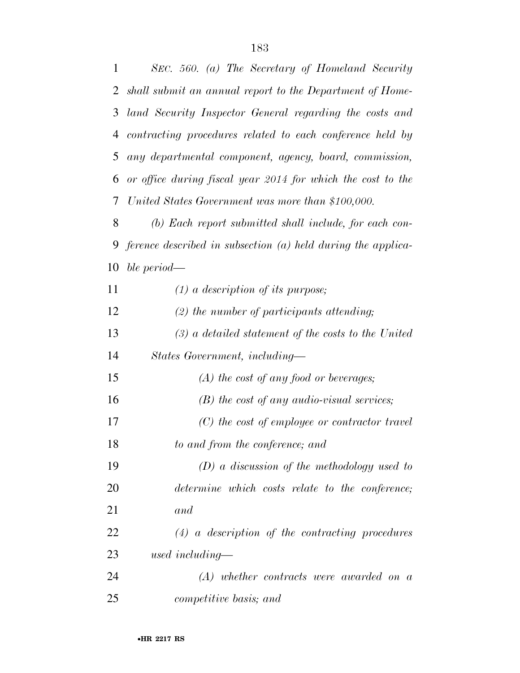*SEC. 560. (a) The Secretary of Homeland Security shall submit an annual report to the Department of Home- land Security Inspector General regarding the costs and contracting procedures related to each conference held by any departmental component, agency, board, commission, or office during fiscal year 2014 for which the cost to the United States Government was more than \$100,000. (b) Each report submitted shall include, for each con- ference described in subsection (a) held during the applica- ble period— (1) a description of its purpose; (2) the number of participants attending; (3) a detailed statement of the costs to the United States Government, including— (A) the cost of any food or beverages; (B) the cost of any audio-visual services; (C) the cost of employee or contractor travel to and from the conference; and (D) a discussion of the methodology used to determine which costs relate to the conference; and (4) a description of the contracting procedures used including— (A) whether contracts were awarded on a* 

*competitive basis; and*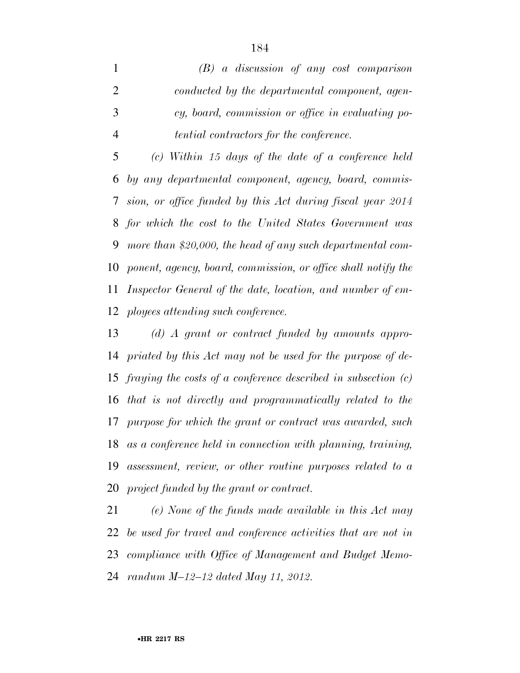*(B) a discussion of any cost comparison conducted by the departmental component, agen- cy, board, commission or office in evaluating po-tential contractors for the conference.* 

 *(c) Within 15 days of the date of a conference held by any departmental component, agency, board, commis- sion, or office funded by this Act during fiscal year 2014 for which the cost to the United States Government was more than \$20,000, the head of any such departmental com- ponent, agency, board, commission, or office shall notify the Inspector General of the date, location, and number of em-ployees attending such conference.* 

 *(d) A grant or contract funded by amounts appro- priated by this Act may not be used for the purpose of de- fraying the costs of a conference described in subsection (c) that is not directly and programmatically related to the purpose for which the grant or contract was awarded, such as a conference held in connection with planning, training, assessment, review, or other routine purposes related to a project funded by the grant or contract.* 

 *(e) None of the funds made available in this Act may be used for travel and conference activities that are not in compliance with Office of Management and Budget Memo-randum M–12–12 dated May 11, 2012.*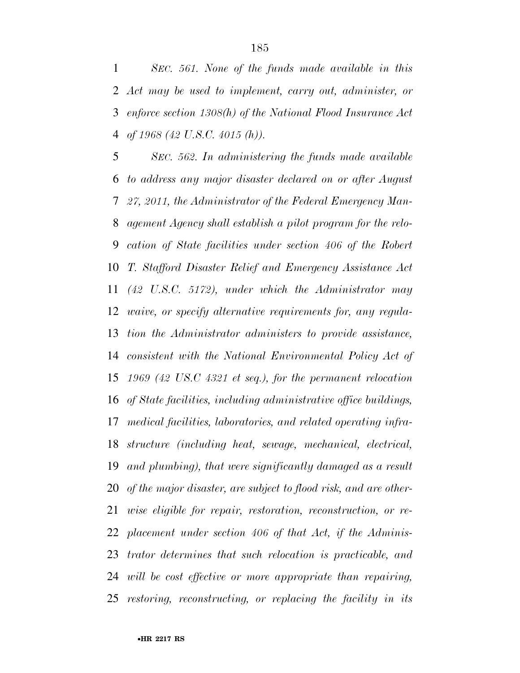*SEC. 561. None of the funds made available in this Act may be used to implement, carry out, administer, or enforce section 1308(h) of the National Flood Insurance Act of 1968 (42 U.S.C. 4015 (h)).* 

 *SEC. 562. In administering the funds made available to address any major disaster declared on or after August 27, 2011, the Administrator of the Federal Emergency Man- agement Agency shall establish a pilot program for the relo- cation of State facilities under section 406 of the Robert T. Stafford Disaster Relief and Emergency Assistance Act (42 U.S.C. 5172), under which the Administrator may waive, or specify alternative requirements for, any regula- tion the Administrator administers to provide assistance, consistent with the National Environmental Policy Act of 1969 (42 US.C 4321 et seq.), for the permanent relocation of State facilities, including administrative office buildings, medical facilities, laboratories, and related operating infra- structure (including heat, sewage, mechanical, electrical, and plumbing), that were significantly damaged as a result of the major disaster, are subject to flood risk, and are other- wise eligible for repair, restoration, reconstruction, or re- placement under section 406 of that Act, if the Adminis- trator determines that such relocation is practicable, and will be cost effective or more appropriate than repairing, restoring, reconstructing, or replacing the facility in its*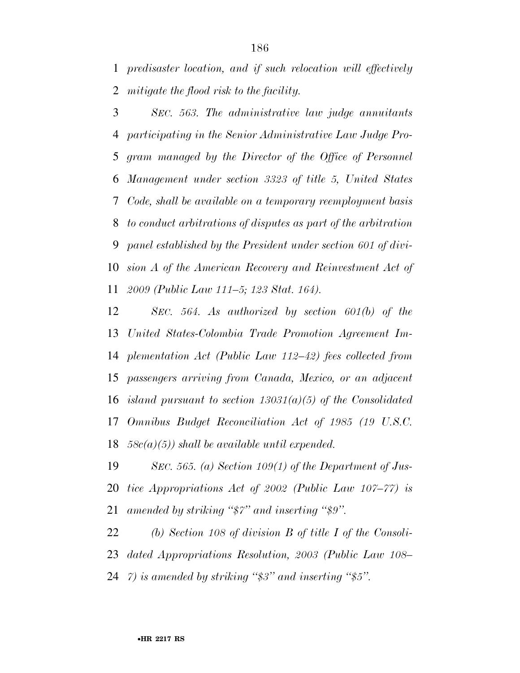*predisaster location, and if such relocation will effectively mitigate the flood risk to the facility.* 

 *SEC. 563. The administrative law judge annuitants participating in the Senior Administrative Law Judge Pro- gram managed by the Director of the Office of Personnel Management under section 3323 of title 5, United States Code, shall be available on a temporary reemployment basis to conduct arbitrations of disputes as part of the arbitration panel established by the President under section 601 of divi- sion A of the American Recovery and Reinvestment Act of 2009 (Public Law 111–5; 123 Stat. 164).* 

 *SEC. 564. As authorized by section 601(b) of the United States-Colombia Trade Promotion Agreement Im- plementation Act (Public Law 112–42) fees collected from passengers arriving from Canada, Mexico, or an adjacent island pursuant to section 13031(a)(5) of the Consolidated Omnibus Budget Reconciliation Act of 1985 (19 U.S.C. 58c(a)(5)) shall be available until expended.* 

 *SEC. 565. (a) Section 109(1) of the Department of Jus- tice Appropriations Act of 2002 (Public Law 107–77) is amended by striking ''\$7'' and inserting ''\$9''.* 

 *(b) Section 108 of division B of title I of the Consoli- dated Appropriations Resolution, 2003 (Public Law 108– 7) is amended by striking ''\$3'' and inserting ''\$5''.*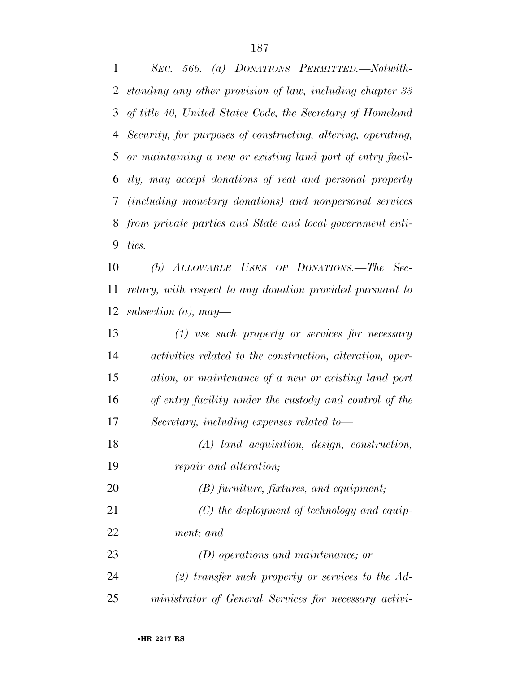*SEC. 566. (a) DONATIONS PERMITTED.—Notwith- standing any other provision of law, including chapter 33 of title 40, United States Code, the Secretary of Homeland Security, for purposes of constructing, altering, operating, or maintaining a new or existing land port of entry facil- ity, may accept donations of real and personal property (including monetary donations) and nonpersonal services from private parties and State and local government enti-ties.* 

 *(b) ALLOWABLE USES OF DONATIONS.—The Sec- retary, with respect to any donation provided pursuant to subsection (a), may—* 

 *(1) use such property or services for necessary activities related to the construction, alteration, oper- ation, or maintenance of a new or existing land port of entry facility under the custody and control of the Secretary, including expenses related to— (A) land acquisition, design, construction,* 

- *repair and alteration;*
- *(B) furniture, fixtures, and equipment;*
- *(C) the deployment of technology and equip-ment; and*
- *(D) operations and maintenance; or (2) transfer such property or services to the Ad-ministrator of General Services for necessary activi-*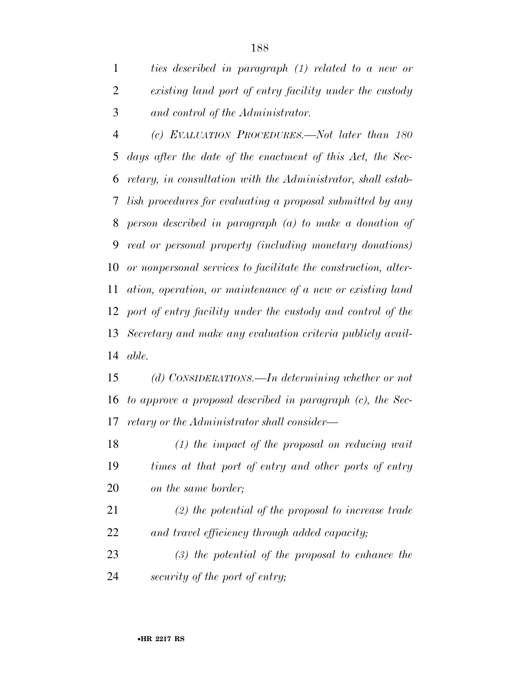*ties described in paragraph (1) related to a new or existing land port of entry facility under the custody and control of the Administrator.* 

 *(c) EVALUATION PROCEDURES.—Not later than 180 days after the date of the enactment of this Act, the Sec- retary, in consultation with the Administrator, shall estab- lish procedures for evaluating a proposal submitted by any person described in paragraph (a) to make a donation of real or personal property (including monetary donations) or nonpersonal services to facilitate the construction, alter- ation, operation, or maintenance of a new or existing land port of entry facility under the custody and control of the Secretary and make any evaluation criteria publicly avail-able.* 

 *(d) CONSIDERATIONS.—In determining whether or not to approve a proposal described in paragraph (c), the Sec-retary or the Administrator shall consider—* 

 *(1) the impact of the proposal on reducing wait times at that port of entry and other ports of entry on the same border;* 

 *(2) the potential of the proposal to increase trade and travel efficiency through added capacity;* 

 *(3) the potential of the proposal to enhance the security of the port of entry;*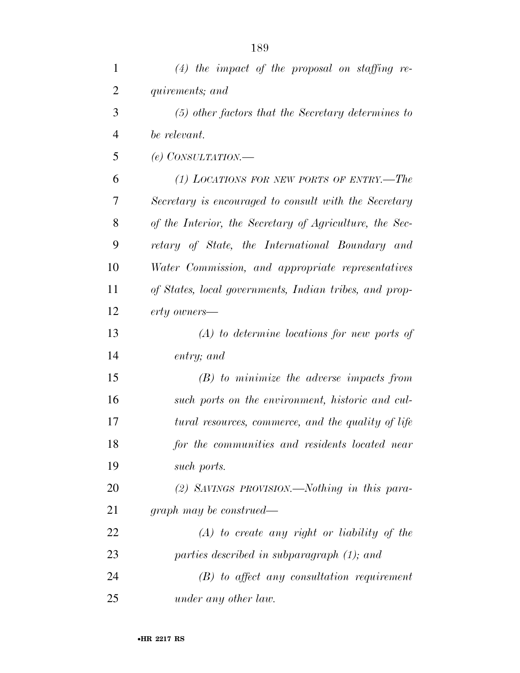| $\mathbf{1}$   | $(4)$ the impact of the proposal on staffing re-        |
|----------------|---------------------------------------------------------|
| $\overline{2}$ | quirements; and                                         |
| 3              | $(5)$ other factors that the Secretary determines to    |
| $\overline{4}$ | be relevant.                                            |
| 5              | (e) CONSULTATION.—                                      |
| 6              | (1) LOCATIONS FOR NEW PORTS OF ENTRY.—The               |
| 7              | Secretary is encouraged to consult with the Secretary   |
| 8              | of the Interior, the Secretary of Agriculture, the Sec- |
| 9              | retary of State, the International Boundary and         |
| 10             | Water Commission, and appropriate representatives       |
| 11             | of States, local governments, Indian tribes, and prop-  |
| 12             | erty owners—                                            |
| 13             | $(A)$ to determine locations for new ports of           |
| 14             | entry; and                                              |
| 15             | $(B)$ to minimize the adverse impacts from              |
| 16             | such ports on the environment, historic and cul-        |
| 17             | tural resources, commerce, and the quality of life      |
| 18             | for the communities and residents located near          |
| 19             | such ports.                                             |
| 20             | (2) SAVINGS PROVISION.—Nothing in this para-            |
| 21             | graph may be construed—                                 |
| 22             | $(A)$ to create any right or liability of the           |
| 23             | parties described in subparagraph (1); and              |
| 24             | $(B)$ to affect any consultation requirement            |
| 25             | under any other law.                                    |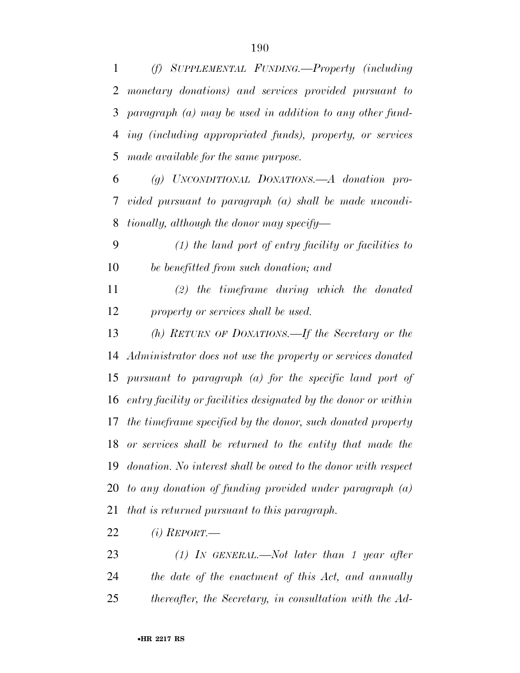*(f) SUPPLEMENTAL FUNDING.—Property (including monetary donations) and services provided pursuant to paragraph (a) may be used in addition to any other fund- ing (including appropriated funds), property, or services made available for the same purpose.* 

 *(g) UNCONDITIONAL DONATIONS.—A donation pro- vided pursuant to paragraph (a) shall be made uncondi-tionally, although the donor may specify—* 

 *(1) the land port of entry facility or facilities to be benefitted from such donation; and* 

 *(2) the timeframe during which the donated property or services shall be used.* 

 *(h) RETURN OF DONATIONS.—If the Secretary or the Administrator does not use the property or services donated pursuant to paragraph (a) for the specific land port of entry facility or facilities designated by the donor or within the timeframe specified by the donor, such donated property or services shall be returned to the entity that made the donation. No interest shall be owed to the donor with respect to any donation of funding provided under paragraph (a) that is returned pursuant to this paragraph.* 

*(i) REPORT.—* 

 *(1) IN GENERAL.—Not later than 1 year after the date of the enactment of this Act, and annually thereafter, the Secretary, in consultation with the Ad-*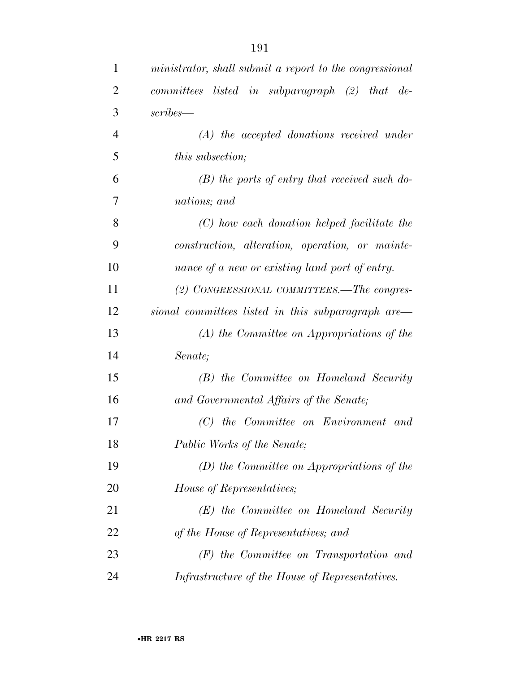| $\mathbf{1}$   | ministrator, shall submit a report to the congressional |
|----------------|---------------------------------------------------------|
| $\overline{2}$ | committees listed in subparagraph (2) that<br>$de-$     |
| 3              | scribes—                                                |
| $\overline{4}$ | $(A)$ the accepted donations received under             |
| 5              | <i>this subsection;</i>                                 |
| 6              | $(B)$ the ports of entry that received such do-         |
| 7              | nations; and                                            |
| 8              | (C) how each donation helped facilitate the             |
| 9              | construction, alteration, operation, or mainte-         |
| 10             | nance of a new or existing land port of entry.          |
| 11             | (2) CONGRESSIONAL COMMITTEES.—The congres-              |
| 12             | sional committees listed in this subparagraph are—      |
| 13             | $(A)$ the Committee on Appropriations of the            |
| 14             | Senate;                                                 |
| 15             | (B) the Committee on Homeland Security                  |
| 16             | and Governmental Affairs of the Senate;                 |
| 17             | (C) the Committee on Environment and                    |
| 18             | Public Works of the Senate;                             |
| 19             | $(D)$ the Committee on Appropriations of the            |
| 20             | House of Representatives;                               |
| 21             | $(E)$ the Committee on Homeland Security                |
| 22             | of the House of Representatives; and                    |
| 23             | $(F)$ the Committee on Transportation and               |
| 24             | Infrastructure of the House of Representatives.         |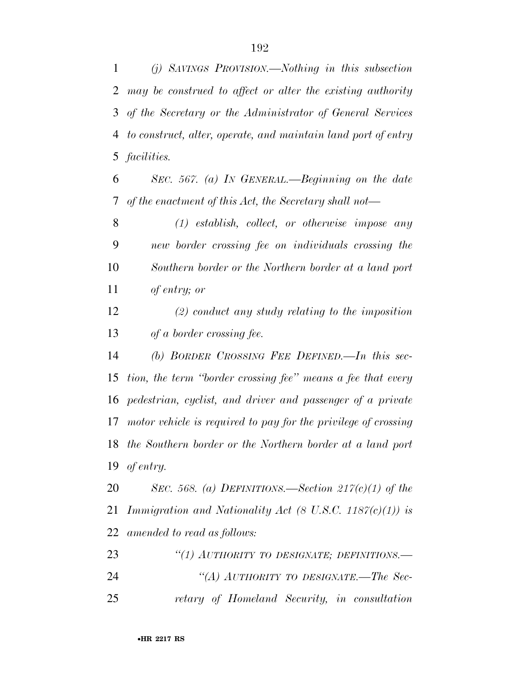*(j) SAVINGS PROVISION.—Nothing in this subsection may be construed to affect or alter the existing authority of the Secretary or the Administrator of General Services to construct, alter, operate, and maintain land port of entry facilities.* 

 *SEC. 567. (a) IN GENERAL.—Beginning on the date of the enactment of this Act, the Secretary shall not—* 

 *(1) establish, collect, or otherwise impose any new border crossing fee on individuals crossing the Southern border or the Northern border at a land port of entry; or* 

 *(2) conduct any study relating to the imposition of a border crossing fee.* 

 *(b) BORDER CROSSING FEE DEFINED.—In this sec- tion, the term ''border crossing fee'' means a fee that every pedestrian, cyclist, and driver and passenger of a private motor vehicle is required to pay for the privilege of crossing the Southern border or the Northern border at a land port of entry.* 

 *SEC. 568. (a) DEFINITIONS.—Section 217(c)(1) of the Immigration and Nationality Act (8 U.S.C. 1187(c)(1)) is amended to read as follows:* 

 *''(1) AUTHORITY TO DESIGNATE; DEFINITIONS.— ''(A) AUTHORITY TO DESIGNATE.—The Sec-retary of Homeland Security, in consultation*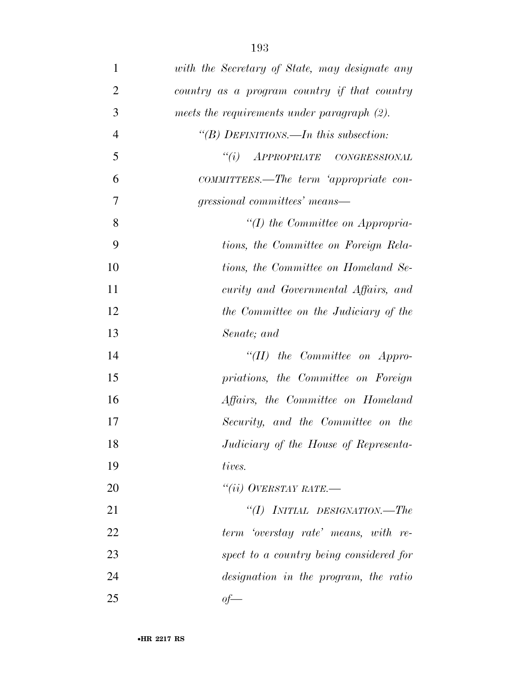| $\mathbf{1}$   | with the Secretary of State, may designate any |
|----------------|------------------------------------------------|
| $\overline{2}$ | country as a program country if that country   |
| 3              | meets the requirements under paragraph (2).    |
| $\overline{4}$ | "(B) DEFINITIONS.—In this subsection:          |
| 5              | "(i) APPROPRIATE CONGRESSIONAL                 |
| 6              | COMMITTEES.—The term 'appropriate con-         |
| 7              | gressional committees' means—                  |
| 8              | $\lq (I)$ the Committee on Appropria-          |
| 9              | tions, the Committee on Foreign Rela-          |
| 10             | tions, the Committee on Homeland Se-           |
| 11             | curity and Governmental Affairs, and           |
| 12             | the Committee on the Judiciary of the          |
| 13             | Senate; and                                    |
| 14             | "(II) the Committee on Appro-                  |
| 15             | priations, the Committee on Foreign            |
| 16             | Affairs, the Committee on Homeland             |
| 17             | Security, and the Committee on the             |
| 18             | Judiciary of the House of Representa-          |
| 19             | tives.                                         |
| 20             | "(ii) OVERSTAY RATE.—                          |
| 21             | "(I) INITIAL DESIGNATION.—The                  |
| 22             | term 'overstay rate' means, with re-           |
| 23             | spect to a country being considered for        |
| 24             | designation in the program, the ratio          |
| 25             | $of$ —                                         |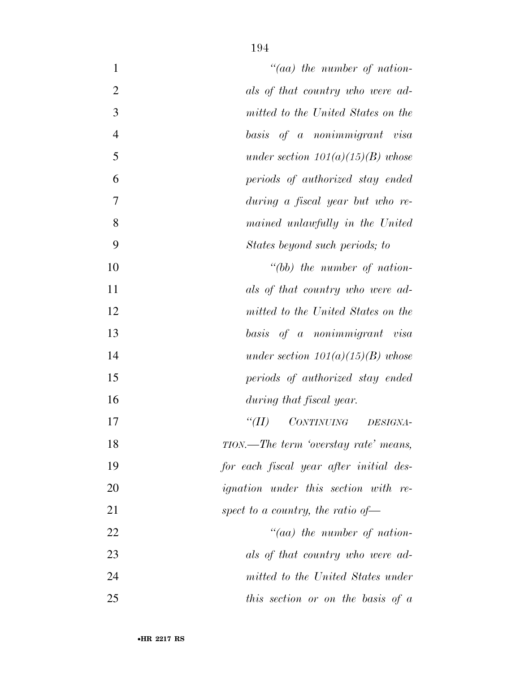| $\mathbf{1}$   | $"(aa)$ the number of nation-                  |
|----------------|------------------------------------------------|
| $\overline{2}$ | als of that country who were ad-               |
| 3              | mitted to the United States on the             |
| $\overline{4}$ | basis of a nonimmigrant visa                   |
| 5              | under section $101(a)(15)(B)$ whose            |
| 6              | periods of authorized stay ended               |
| 7              | during a fiscal year but who re-               |
| 8              | mained unlawfully in the United                |
| 9              | States beyond such periods; to                 |
| 10             | $" (bb)$ the number of nation-                 |
| 11             | als of that country who were ad-               |
| 12             | mitted to the United States on the             |
| 13             | basis of a nonimmigrant visa                   |
| 14             | under section $101(a)(15)(B)$ whose            |
| 15             | periods of authorized stay ended               |
| 16             | during that fiscal year.                       |
| 17             | CONTINUING DESIGNA-<br>$\lq(T)$                |
| 18             | TION.—The term 'overstay rate' means,          |
| 19             | for each fiscal year after initial des-        |
| 20             | <i>ignation</i> under this section with re-    |
| 21             | spect to a country, the ratio of $\rightarrow$ |
| 22             | $"(aa)$ the number of nation-                  |
| 23             | als of that country who were ad-               |
| 24             | mitted to the United States under              |
| 25             | this section or on the basis of $a$            |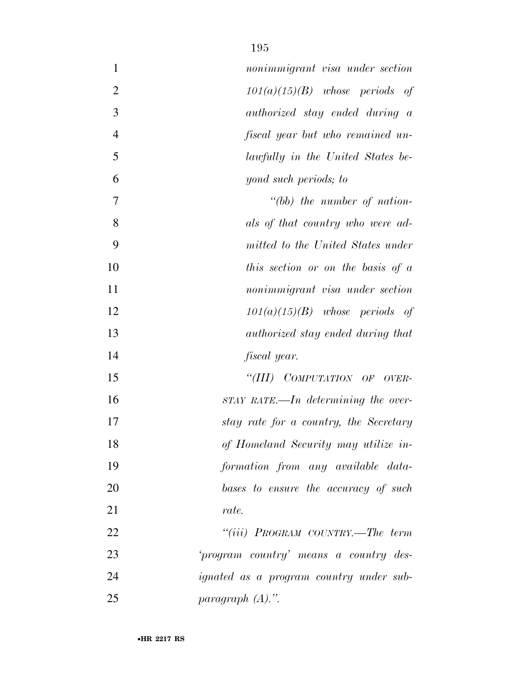| $\mathbf{1}$   | nonimmigrant visa under section                |
|----------------|------------------------------------------------|
| $\overline{2}$ | $101(a)(15)(B)$ whose periods of               |
| 3              | <i>authorized</i> stay ended during a          |
| $\overline{4}$ | fiscal year but who remained un-               |
| 5              | lawfully in the United States be-              |
| 6              | yond such periods; to                          |
| 7              | "(bb) the number of nation-                    |
| 8              | als of that country who were ad-               |
| 9              | mitted to the United States under              |
| 10             | this section or on the basis of $a$            |
| 11             | nonimmigrant visa under section                |
| 12             | $101(a)(15)(B)$ whose periods of               |
| 13             | <i>authorized</i> stay ended during that       |
| 14             | <i>fiscal</i> year.                            |
| 15             | "(III) COMPUTATION OF OVER-                    |
| 16             | $STAY$ RATE.—In determining the over-          |
| 17             | stay rate for a country, the Secretary         |
| 18             | of Homeland Security may utilize in-           |
| 19             | formation from any available data-             |
| 20             | bases to ensure the accuracy of such           |
| 21             | rate.                                          |
| 22             | "(iii) PROGRAM COUNTRY.—The term               |
| 23             | 'program country' means a country des-         |
| 24             | <i>ignated</i> as a program country under sub- |
| 25             | paragraph $(A)$ .".                            |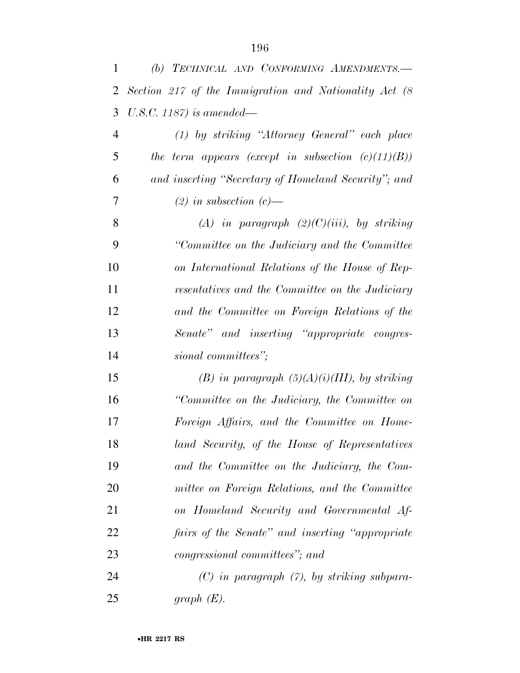| 1              | (b) TECHNICAL AND CONFORMING AMENDMENTS.-              |
|----------------|--------------------------------------------------------|
| $\overline{2}$ | Section 217 of the Immigration and Nationality Act (8) |
| 3              | U.S.C. 1187) is amended—                               |
| 4              | $(1)$ by striking "Attorney General" each place        |
| 5              | the term appears (except in subsection $(c)(11)(B))$   |
| 6              | and inserting "Secretary of Homeland Security"; and    |
| 7              | $(2)$ in subsection $(c)$ —                            |
| 8              | (A) in paragraph $(2)(C)(iii)$ , by striking           |
| 9              | "Committee on the Judiciary and the Committee"         |
| 10             | on International Relations of the House of Rep-        |
| 11             | resentatives and the Committee on the Judiciary        |
| 12             | and the Committee on Foreign Relations of the          |
| 13             | Senate" and inserting "appropriate congres-            |
| 14             | sional committees";                                    |
| 15             | (B) in paragraph $(5)(A)(i)(III)$ , by striking        |
| 16             | "Committee on the Judiciary, the Committee on          |
| 17             | Foreign Affairs, and the Committee on Home-            |
| 18             | land Security, of the House of Representatives         |
| 19             | and the Committee on the Judiciary, the Com-           |
| 20             | mittee on Foreign Relations, and the Committee         |
| 21             | on Homeland Security and Governmental Af-              |
| 22             | fairs of the Senate" and inserting "appropriate"       |
| 23             | congressional committees"; and                         |
| 24             | $(C)$ in paragraph $(7)$ , by striking subpara-        |
| 25             | graph $(E)$ .                                          |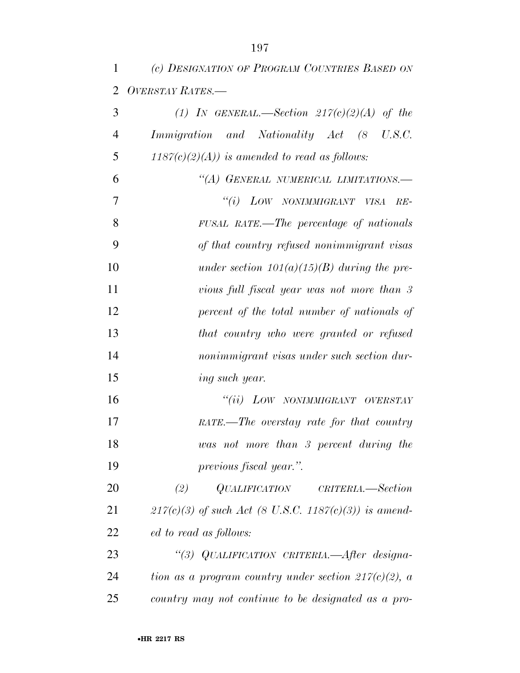| 1              | (c) DESIGNATION OF PROGRAM COUNTRIES BASED ON              |
|----------------|------------------------------------------------------------|
| $\overline{2}$ | OVERSTAY RATES.-                                           |
| 3              | (1) IN GENERAL.—Section $217(c)(2)(A)$ of the              |
| $\overline{4}$ | Immigration and Nationality Act (8 U.S.C.                  |
| 5              | $1187(c)(2)(A))$ is amended to read as follows:            |
| 6              | "(A) GENERAL NUMERICAL LIMITATIONS.-                       |
| 7              | "(i) LOW NONIMMIGRANT VISA<br>$RE-$                        |
| 8              | FUSAL RATE.—The percentage of nationals                    |
| 9              | of that country refused nonimmigrant visas                 |
| 10             | under section $101(a)(15)(B)$ during the pre-              |
| 11             | vious full fiscal year was not more than 3                 |
| 12             | percent of the total number of nationals of                |
| 13             | that country who were granted or refused                   |
| 14             | nonimmigrant visas under such section dur-                 |
| 15             | ing such year.                                             |
| 16             | "(ii) LOW NONIMMIGRANT OVERSTAY                            |
| 17             | RATE.—The overstay rate for that country                   |
| 18             | was not more than 3 percent during the                     |
| 19             | previous fiscal year.".                                    |
| 20             | $\it QUALIFICATION$ $\it CRITERIA. \text{—Section}$<br>(2) |
| 21             | $217(c)(3)$ of such Act (8 U.S.C. 1187(c)(3)) is amend-    |
| 22             | ed to read as follows:                                     |
| 23             | "(3) QUALIFICATION CRITERIA.—After designa-                |
| 24             | tion as a program country under section $217(c)(2)$ , a    |
| 25             | country may not continue to be designated as a pro-        |
|                |                                                            |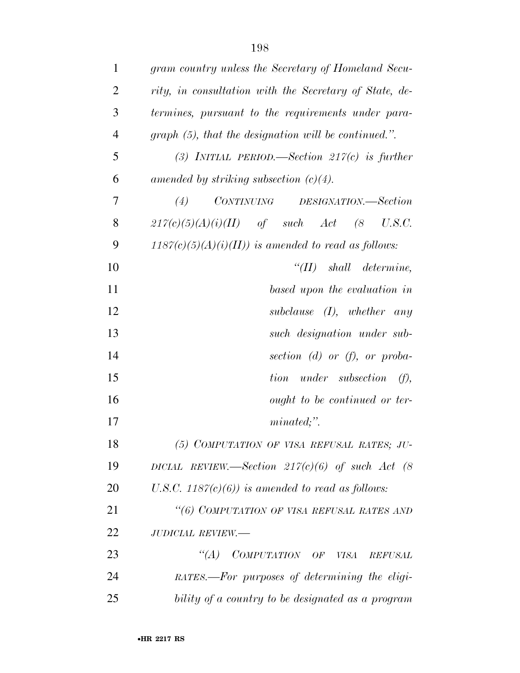| $\mathbf{1}$   | gram country unless the Secretary of Homeland Secu-    |
|----------------|--------------------------------------------------------|
| $\overline{2}$ | rity, in consultation with the Secretary of State, de- |
| 3              | termines, pursuant to the requirements under para-     |
| $\overline{4}$ | $graph(5)$ , that the designation will be continued.". |
| 5              | (3) INITIAL PERIOD.—Section $217(c)$ is further        |
| 6              | amended by striking subsection $(c)(4)$ .              |
| 7              | CONTINUING DESIGNATION.—Section<br>(4)                 |
| 8              | $217(c)(5)(A)(i)(II)$ of such Act (8<br>U.S.C.         |
| 9              | $1187(c)(5)(A)(i)(II))$ is amended to read as follows: |
| 10             | $``(II)$ shall determine,                              |
| 11             | based upon the evaluation in                           |
| 12             | subclause $(I)$ , whether any                          |
| 13             | such designation under sub-                            |
| 14             | section $(d)$ or $(f)$ , or proba-                     |
| 15             | tion under subsection $(f)$ ,                          |
| 16             | ought to be continued or ter-                          |
| 17             | $minated;$ ".                                          |
| 18             | (5) COMPUTATION OF VISA REFUSAL RATES; JU-             |
| 19             | DICIAL REVIEW.—Section $217(c)(6)$ of such Act (8      |
| 20             | U.S.C. 1187 $(c)(6)$ ) is amended to read as follows:  |
| 21             | "(6) COMPUTATION OF VISA REFUSAL RATES AND             |
| 22             | <b>JUDICIAL REVIEW.-</b>                               |
| 23             | "(A) COMPUTATION OF VISA<br><b>REFUSAL</b>             |
| 24             | RATES.—For purposes of determining the eligi-          |
| 25             | bility of a country to be designated as a program      |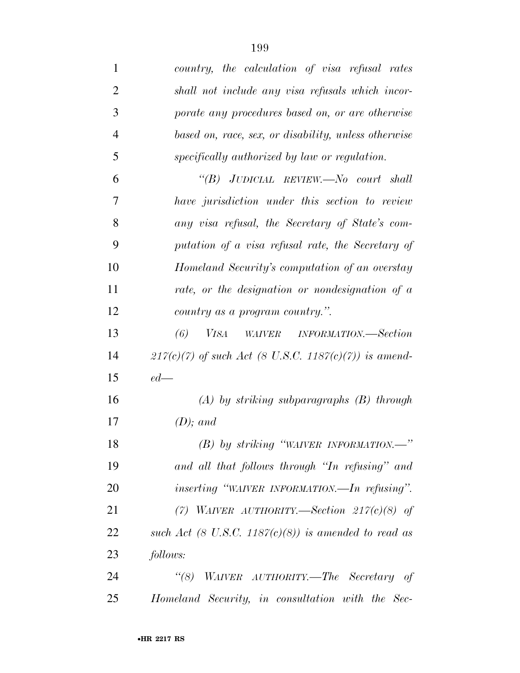| $\mathbf{1}$   | country, the calculation of visa refusal rates          |
|----------------|---------------------------------------------------------|
| $\overline{2}$ | shall not include any visa refusals which incor-        |
| 3              | porate any procedures based on, or are otherwise        |
| 4              | based on, race, sex, or disability, unless otherwise    |
| 5              | specifically authorized by law or regulation.           |
| 6              | "(B) JUDICIAL REVIEW.—No court shall                    |
| 7              | have jurisdiction under this section to review          |
| 8              | any visa refusal, the Secretary of State's com-         |
| 9              | putation of a visa refusal rate, the Secretary of       |
| 10             | Homeland Security's computation of an overstay          |
| 11             | rate, or the designation or nondesignation of a         |
| 12             | country as a program country.".                         |
| 13             | (6)<br><i>VISA</i><br>WAIVER INFORMATION.—Section       |
| 14             | $217(c)(7)$ of such Act (8 U.S.C. 1187(c)(7)) is amend- |
| 15             | $ed$ —                                                  |
| 16             | $(A)$ by striking subparagraphs $(B)$ through           |
| 17             | $(D)$ ; and                                             |
| 18             | $(B)$ by striking "WAIVER INFORMATION."                 |
| 19             | and all that follows through "In refusing" and          |
| <b>20</b>      | <i>inserting</i> "WAIVER INFORMATION.—In refusing".     |
| 21             | (7) WAIVER AUTHORITY.—Section $217(c)(8)$ of            |
| 22             | such Act (8 U.S.C. 1187(c)(8)) is amended to read as    |
| 23             | follows:                                                |
| 24             | $\lq(8)$<br>WAIVER AUTHORITY.—The Secretary of          |
| 25             | Homeland Security, in consultation with the Sec-        |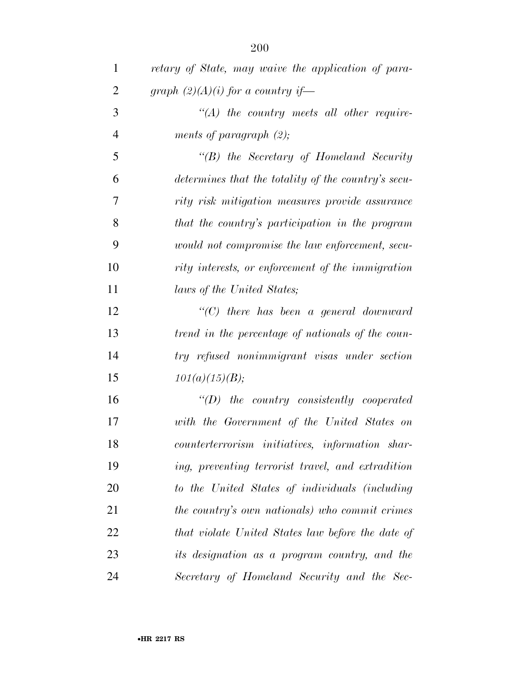| $\mathbf{1}$   | retary of State, may waive the application of para- |
|----------------|-----------------------------------------------------|
| $\overline{c}$ | graph $(2)(A)(i)$ for a country if—                 |
| 3              | $\lq (A)$ the country meets all other require-      |
| $\overline{4}$ | ments of paragraph $(2)$ ;                          |
| 5              | "(B) the Secretary of Homeland Security             |
| 6              | determines that the totality of the country's secu- |
| 7              | rity risk mitigation measures provide assurance     |
| 8              | that the country's participation in the program     |
| 9              | would not compromise the law enforcement, secu-     |
| 10             | rity interests, or enforcement of the immigration   |
| 11             | laws of the United States;                          |
| 12             | $"$ (C) there has been a general downward           |
| 13             | trend in the percentage of nationals of the coun-   |
| 14             | try refused nonimmigrant visas under section        |
| 15             | 101(a)(15)(B);                                      |
| 16             | $\lq\lq(D)$ the country consistently cooperated     |
| 17             | with the Government of the United States on         |
| 18             | counterterrorism initiatives, information shar-     |
| 19             | ing, preventing terrorist travel, and extradition   |
| <b>20</b>      | to the United States of individuals (including      |
| 21             | the country's own nationals) who commit crimes      |
| 22             | that violate United States law before the date of   |
| 23             | its designation as a program country, and the       |
| 24             | Secretary of Homeland Security and the Sec-         |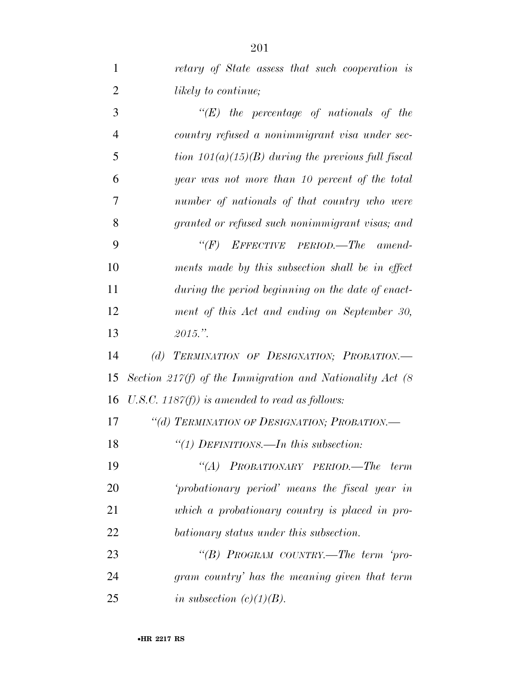| $\mathbf 1$    | retary of State assess that such cooperation is             |
|----------------|-------------------------------------------------------------|
| $\overline{2}$ | likely to continue;                                         |
| 3              | $\lq\lq (E)$ the percentage of nationals of the             |
| $\overline{4}$ | country refused a nonimmigrant visa under sec-              |
| 5              | tion $101(a)(15)(B)$ during the previous full fiscal        |
| 6              | year was not more than 10 percent of the total              |
| 7              | number of nationals of that country who were                |
| 8              | granted or refused such nonimmigrant visas; and             |
| 9              | $\lq\lq(F)$ EFFECTIVE PERIOD.—The amend-                    |
| 10             | ments made by this subsection shall be in effect            |
| 11             | during the period beginning on the date of enact-           |
| 12             | ment of this Act and ending on September 30,                |
| 13             | $2015."$ .                                                  |
| 14             | TERMINATION OF DESIGNATION; PROBATION.<br>(d)               |
| 15             | Section 217(f) of the Immigration and Nationality Act $(8)$ |
| 16             | U.S.C. 1187 $(f)$ ) is amended to read as follows:          |
| 17             | "(d) TERMINATION OF DESIGNATION; PROBATION.-                |
| 18             | "(1) DEFINITIONS.—In this subsection:                       |
| 19             | "(A) PROBATIONARY PERIOD.—The term                          |
| 20             | 'probationary period' means the fiscal year in              |
| 21             | which a probationary country is placed in pro-              |
| 22             | bationary status under this subsection.                     |
| 23             | "(B) PROGRAM COUNTRY.—The term 'pro-                        |
| 24             | gram country' has the meaning given that term               |

*in subsection (c)(1)(B).*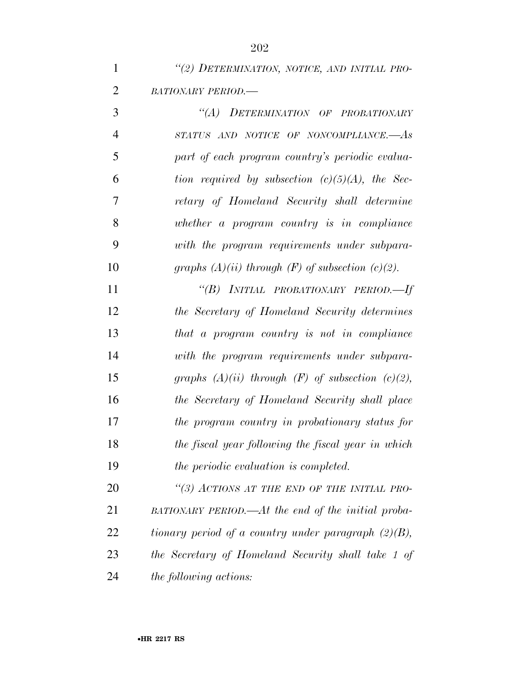| $\mathbf{1}$   | "(2) DETERMINATION, NOTICE, AND INITIAL PRO-    |
|----------------|-------------------------------------------------|
| 2              | <b>BATIONARY PERIOD.—</b>                       |
| 3              | "(A) DETERMINATION OF PROBATIONARY              |
| $\overline{4}$ | STATUS AND NOTICE OF NONCOMPLIANCE.-As          |
|                | part of each program country's periodic evalua- |

*tion required by subsection (c)(5)(A), the Sec-*

*retary of Homeland Security shall determine* 

*whether a program country is in compliance* 

 *with the program requirements under subpara- graphs (A)(ii) through (F) of subsection (c)(2). ''(B) INITIAL PROBATIONARY PERIOD.—If the Secretary of Homeland Security determines that a program country is not in compliance with the program requirements under subpara- graphs (A)(ii) through (F) of subsection (c)(2), the Secretary of Homeland Security shall place the program country in probationary status for the fiscal year following the fiscal year in which the periodic evaluation is completed.* 

 *''(3) ACTIONS AT THE END OF THE INITIAL PRO- BATIONARY PERIOD.—At the end of the initial proba- tionary period of a country under paragraph (2)(B), the Secretary of Homeland Security shall take 1 of the following actions:*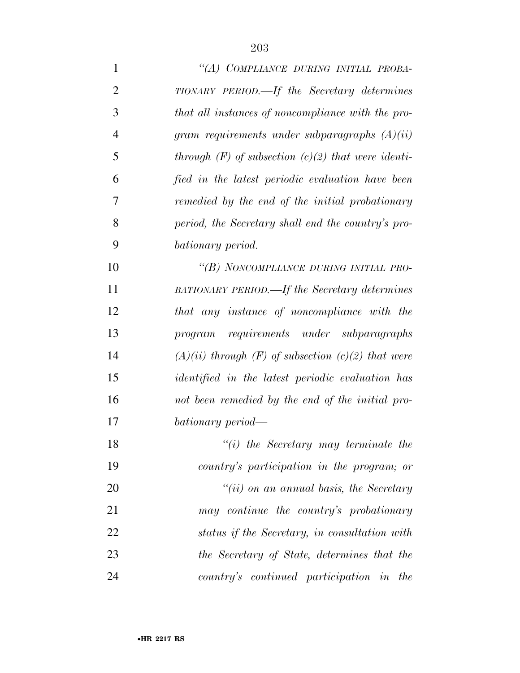| $\mathbf{1}$   | "(A) COMPLIANCE DURING INITIAL PROBA-                    |
|----------------|----------------------------------------------------------|
| $\overline{2}$ | TIONARY PERIOD.—If the Secretary determines              |
| 3              | that all instances of noncompliance with the pro-        |
| $\overline{4}$ | gram requirements under subparagraphs $(A)(ii)$          |
| 5              | through $(F)$ of subsection $(c)(2)$ that were identi-   |
| 6              | fied in the latest periodic evaluation have been         |
| 7              | remedied by the end of the initial probationary          |
| 8              | period, the Secretary shall end the country's pro-       |
| 9              | bationary period.                                        |
| 10             | "(B) NONCOMPLIANCE DURING INITIAL PRO-                   |
| 11             | <b>BATIONARY PERIOD.—If the Secretary determines</b>     |
| 12             | that any instance of noncompliance with the              |
| 13             | program requirements under subparagraphs                 |
| 14             | $(A)(ii)$ through $(F)$ of subsection $(c)(2)$ that were |
| 15             | <i>identified</i> in the latest periodic evaluation has  |
| 16             | not been remedied by the end of the initial pro-         |
| 17             | bationary period—                                        |
| 18             | $\lq\lq(i)$ the Secretary may terminate the              |
| 19             | country's participation in the program; or               |
| 20             | $"(ii)$ on an annual basis, the Secretary                |
| 21             | may continue the country's probationary                  |
| 22             | status if the Secretary, in consultation with            |
| 23             | the Secretary of State, determines that the              |
| 24             | country's continued participation in the                 |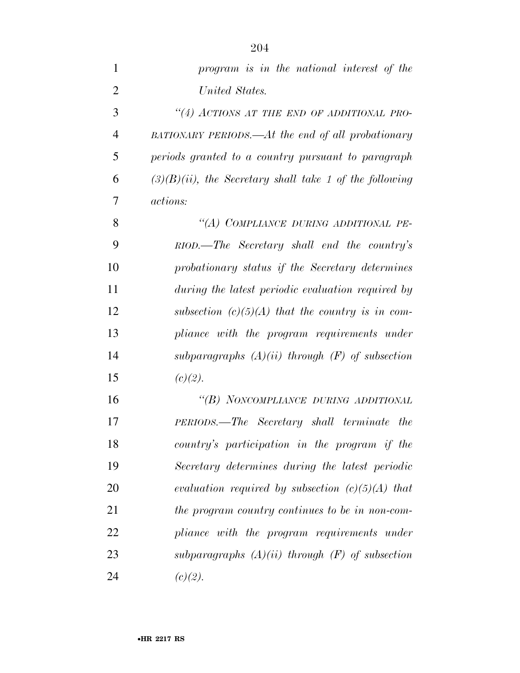| $\mathbf{1}$   | program is in the national interest of the                 |
|----------------|------------------------------------------------------------|
| $\overline{2}$ | United States.                                             |
| 3              | "(4) ACTIONS AT THE END OF ADDITIONAL PRO-                 |
| $\overline{4}$ | BATIONARY PERIODS.—At the end of all probationary          |
| 5              | periods granted to a country pursuant to paragraph         |
| 6              | $(3)(B)(ii)$ , the Secretary shall take 1 of the following |
| 7              | <i>actions:</i>                                            |
| 8              | "(A) COMPLIANCE DURING ADDITIONAL PE-                      |
| 9              | RIOD.—The Secretary shall end the country's                |
| 10             | probationary status if the Secretary determines            |
| 11             | during the latest periodic evaluation required by          |
| 12             | subsection $(c)(5)(A)$ that the country is in com-         |
| 13             | pliance with the program requirements under                |
| 14             | subparagraphs $(A)(ii)$ through $(F)$ of subsection        |
| 15             | (c)(2).                                                    |
| 16             | "(B) NONCOMPLIANCE DURING ADDITIONAL                       |
| 17             | PERIODS.—The Secretary shall terminate the                 |
| 18             | country's participation in the program if the              |
| 19             | Secretary determines during the latest periodic            |
| 20             | evaluation required by subsection $(c)(5)(A)$ that         |
| 21             | the program country continues to be in non-com-            |
| 22             | pliance with the program requirements under                |
| 23             | subparagraphs $(A)(ii)$ through $(F)$ of subsection        |
| 24             | (c)(2).                                                    |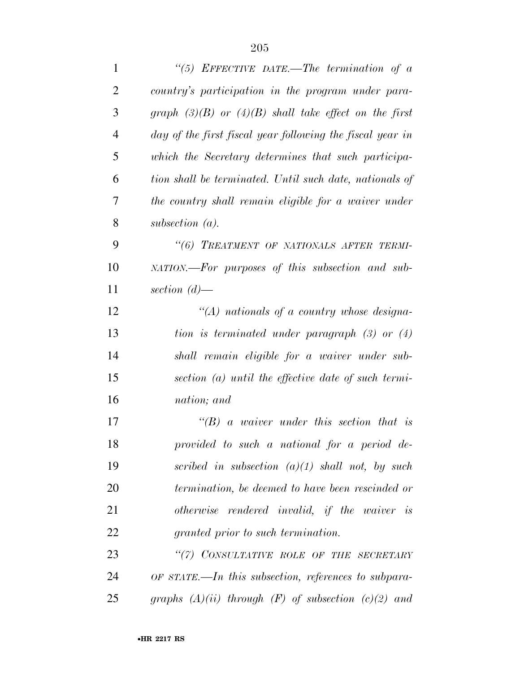| $\mathbf{1}$   | "(5) EFFECTIVE DATE.—The termination of $a$               |
|----------------|-----------------------------------------------------------|
| $\overline{2}$ | country's participation in the program under para-        |
| 3              | graph $(3)(B)$ or $(4)(B)$ shall take effect on the first |
| $\overline{4}$ | day of the first fiscal year following the fiscal year in |
| 5              | which the Secretary determines that such participa-       |
| 6              | tion shall be terminated. Until such date, nationals of   |
| 7              | the country shall remain eligible for a waiver under      |
| 8              | subsection $(a)$ .                                        |
| 9              | "(6) TREATMENT OF NATIONALS AFTER TERMI-                  |
| 10             | NATION.—For purposes of this subsection and sub-          |
| 11             | section $(d)$ —                                           |
| 12             | "(A) nationals of a country whose designa-                |
| 13             | tion is terminated under paragraph $(3)$ or $(4)$         |
| 14             | shall remain eligible for a waiver under sub-             |
| 15             | section $(a)$ until the effective date of such termi-     |
| 16             | nation; and                                               |
| 17             | $\lq\lq B$ a waiver under this section that is            |
| 18             | provided to such a national for a period de-              |
| 19             | scribed in subsection $(a)(1)$ shall not, by such         |
| 20             | termination, be deemed to have been rescinded or          |
| 21             | otherwise rendered invalid, if the waiver is              |
| 22             | <i>granted prior to such termination.</i>                 |
| 23             | "(7) CONSULTATIVE ROLE OF THE SECRETARY                   |
| 24             | OF STATE.—In this subsection, references to subpara-      |
| 25             | graphs $(A)(ii)$ through $(F)$ of subsection $(c)(2)$ and |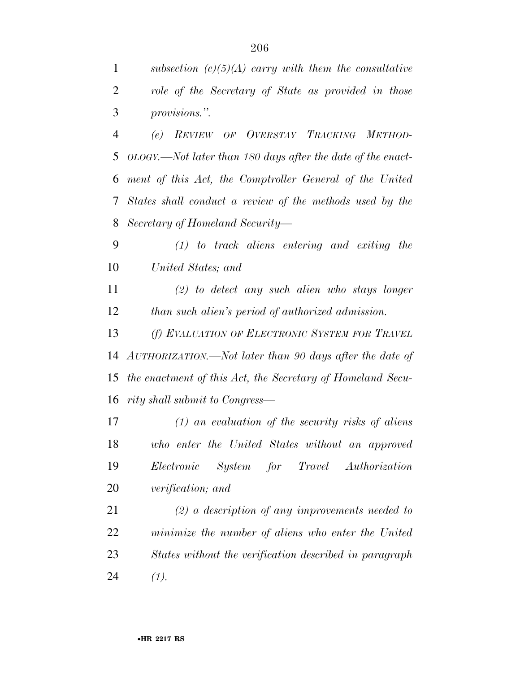|                | subsection $(c)(5)(A)$ carry with them the consultative |
|----------------|---------------------------------------------------------|
| 2              | role of the Secretary of State as provided in those     |
| $\overline{3}$ | <i>provisions.</i> "                                    |
| $\overline{4}$ | (e) REVIEW OF OVERSTAY TRACKING METHOD-                 |

 *OLOGY.—Not later than 180 days after the date of the enact- ment of this Act, the Comptroller General of the United States shall conduct a review of the methods used by the Secretary of Homeland Security—* 

 *(1) to track aliens entering and exiting the United States; and* 

 *(2) to detect any such alien who stays longer than such alien's period of authorized admission.* 

 *(f) EVALUATION OF ELECTRONIC SYSTEM FOR TRAVEL AUTHORIZATION.—Not later than 90 days after the date of the enactment of this Act, the Secretary of Homeland Secu-rity shall submit to Congress—* 

 *(1) an evaluation of the security risks of aliens who enter the United States without an approved Electronic System for Travel Authorization verification; and* 

 *(2) a description of any improvements needed to minimize the number of aliens who enter the United States without the verification described in paragraph (1).*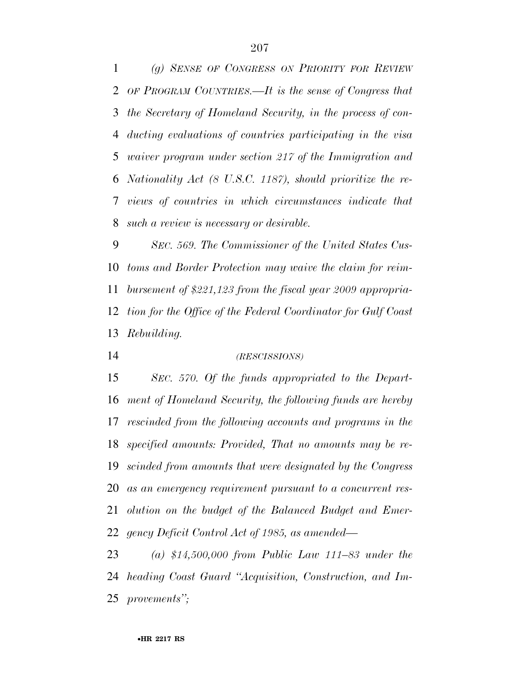*(g) SENSE OF CONGRESS ON PRIORITY FOR REVIEW OF PROGRAM COUNTRIES.—It is the sense of Congress that the Secretary of Homeland Security, in the process of con- ducting evaluations of countries participating in the visa waiver program under section 217 of the Immigration and Nationality Act (8 U.S.C. 1187), should prioritize the re- views of countries in which circumstances indicate that such a review is necessary or desirable.* 

 *SEC. 569. The Commissioner of the United States Cus- toms and Border Protection may waive the claim for reim- bursement of \$221,123 from the fiscal year 2009 appropria- tion for the Office of the Federal Coordinator for Gulf Coast Rebuilding.* 

*(RESCISSIONS)*

 *SEC. 570. Of the funds appropriated to the Depart- ment of Homeland Security, the following funds are hereby rescinded from the following accounts and programs in the specified amounts: Provided, That no amounts may be re- scinded from amounts that were designated by the Congress as an emergency requirement pursuant to a concurrent res- olution on the budget of the Balanced Budget and Emer-gency Deficit Control Act of 1985, as amended—* 

 *(a) \$14,500,000 from Public Law 111–83 under the heading Coast Guard ''Acquisition, Construction, and Im-provements'';*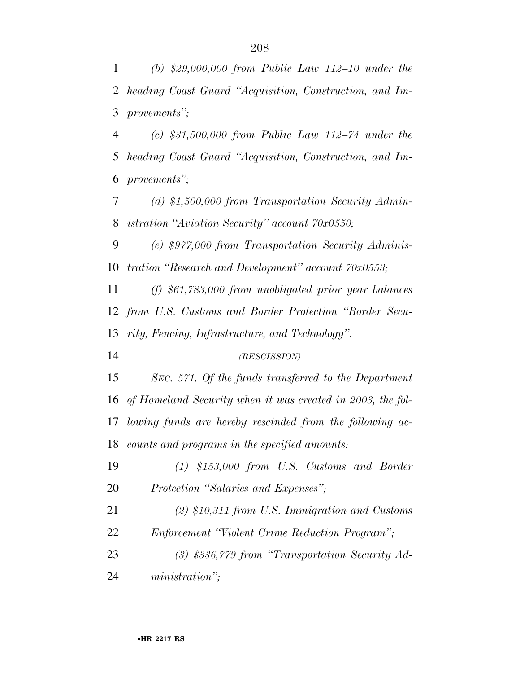*(b) \$29,000,000 from Public Law 112–10 under the heading Coast Guard ''Acquisition, Construction, and Im-provements'';* 

 *(c) \$31,500,000 from Public Law 112–74 under the heading Coast Guard ''Acquisition, Construction, and Im-provements'';* 

 *(d) \$1,500,000 from Transportation Security Admin-istration ''Aviation Security'' account 70x0550;* 

 *(e) \$977,000 from Transportation Security Adminis-tration ''Research and Development'' account 70x0553;* 

 *(f) \$61,783,000 from unobligated prior year balances from U.S. Customs and Border Protection ''Border Secu-rity, Fencing, Infrastructure, and Technology''.* 

*(RESCISSION)*

 *SEC. 571. Of the funds transferred to the Department of Homeland Security when it was created in 2003, the fol- lowing funds are hereby rescinded from the following ac-counts and programs in the specified amounts:* 

 *(1) \$153,000 from U.S. Customs and Border Protection ''Salaries and Expenses'';* 

 *(2) \$10,311 from U.S. Immigration and Customs Enforcement ''Violent Crime Reduction Program'';* 

 *(3) \$336,779 from ''Transportation Security Ad-ministration'';*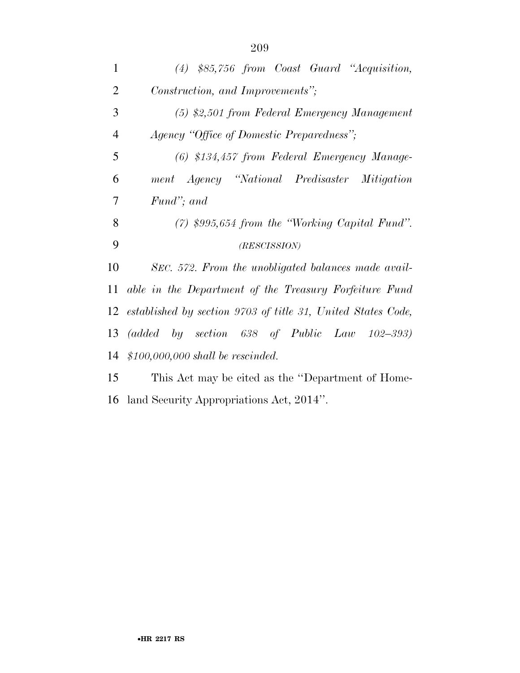| $\mathbf{1}$   | $(4)$ \$85,756 from Coast Guard "Acquisition,                                            |
|----------------|------------------------------------------------------------------------------------------|
| $\overline{2}$ | Construction, and Improvements";                                                         |
| 3              | $(5)$ \$2,501 from Federal Emergency Management                                          |
| $\overline{4}$ | Agency "Office of Domestic Preparedness";                                                |
| 5              | (6) \$134,457 from Federal Emergency Manage-                                             |
| 6              | ment Agency "National Predisaster Mitigation                                             |
| 7              | Fund"; and                                                                               |
| 8              | $(7)$ \$995,654 from the "Working Capital Fund".                                         |
|                |                                                                                          |
| 9              | (RESCISSION)                                                                             |
| 10             | SEC. 572. From the unobligated balances made avail-                                      |
| 11             | able in the Department of the Treasury Forfeiture Fund                                   |
|                | 12 established by section 9703 of title 31, United States Code,                          |
| 13             | $(added \quad by \quad section \quad 638 \quad of \quad Public \quad Law \quad 102-393)$ |
| 14             | $$100,000,000$ shall be rescinded.                                                       |
| 15             | This Act may be cited as the "Department of Home-                                        |